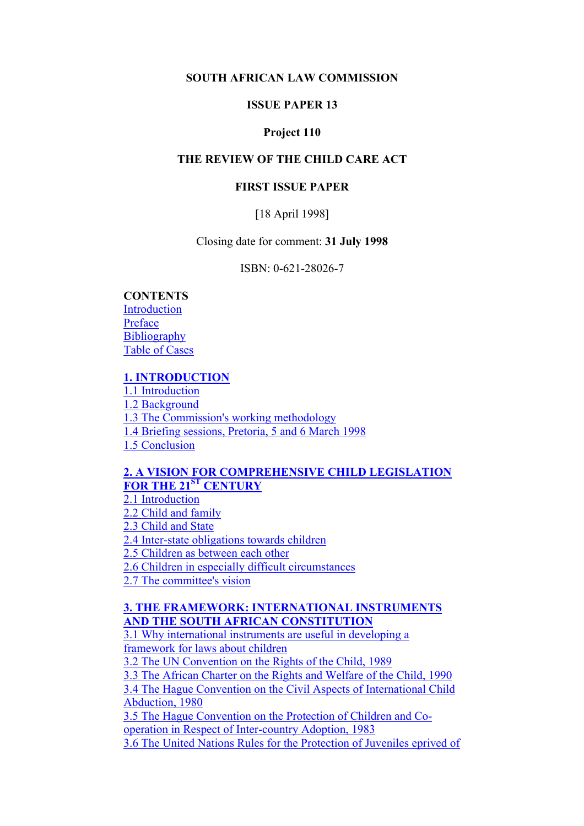#### <span id="page-0-0"></span>**SOUTH AFRICAN LAW COMMISSION**

#### **ISSUE PAPER 13**

#### **Project 110**

### **THE REVIEW OF THE CHILD CARE ACT**

#### **FIRST ISSUE PAPER**

#### [18 April 1998]

#### Closing date for comment: **31 July 1998**

#### ISBN: 0-621-28026-7

#### **CONTENTS**

[Introduction](#page-4-0) [Preface](#page-5-0) **[Bibliography](#page-5-0)** [Table of Cases](#page-13-0)

#### **[1. INTRODUCTION](#page-14-0)**

[1.1 Introduction](#page-14-0) [1.2 Background](#page-14-0) [1.3 The Commission's working methodology](#page-15-0) [1.4 Briefing sessions, Pretoria, 5 and 6 March 1998](#page-16-0) [1.5 Conclusion](#page-16-0)

# **[2. A VISION FOR COMPREHENSIVE CHILD LEGISLATION](#page-17-0)  FOR THE 21[ST CENTURY](#page-17-0)**

[2.1 Introduction](#page-17-0) [2.2 Child and family](#page-18-0) [2.3 Child and State](#page-18-0) [2.4 Inter-state obligations towards children](#page-19-0) [2.5 Children as between each other](#page-19-0) [2.6 Children in especially difficult circumstances](#page-19-0) [2.7 The committee's vision](#page-19-0)

### **[3. THE FRAMEWORK: INTERNATIONAL INSTRUMENTS](#page-20-0) [AND THE SOUTH AFRICAN CONSTITUTION](#page-20-0)**

[3.1 Why international instruments are useful in developing a](#page-20-0)  [framework for laws about children](#page-20-0) [3.2 The UN Convention on the Rights of the Child, 1989](#page-20-0) [3.3 The African Charter on the Rights and Welfare of the Child, 1990](#page-22-0) [3.4 The Hague Convention on the Civil Aspects of International Child](#page-23-0)  [Abduction, 1980](#page-23-0) [3.5 The Hague Convention on the Protection of Children and Co](#page-23-0)[operation in Respect of Inter-country Adoption, 1983](#page-23-0) [3.6 The United Nations Rules for the Protection of Juveniles eprived of](#page-23-0)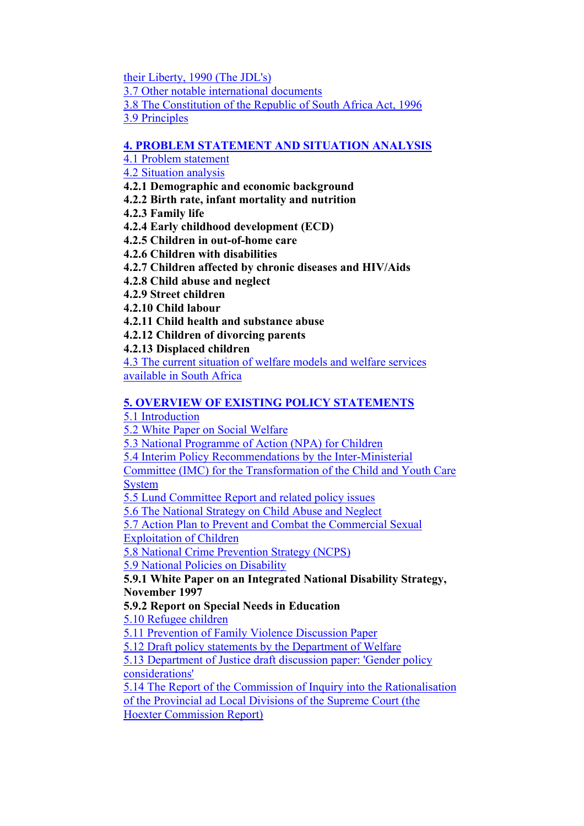[their Liberty, 1990 \(The JDL's\)](#page-23-0)

[3.7 Other notable international documents](#page-24-0)

[3.8 The Constitution of the Republic of South Africa Act, 1996](#page-24-0) [3.9 Principles](#page-25-0)

# **[4. PROBLEM STATEMENT AND SITUATION ANALYSIS](#page-26-0)**

[4.1 Problem statement](#page-26-0)

[4.2 Situation analysis](#page-26-0)

**4.2.1 Demographic and economic background** 

**4.2.2 Birth rate, infant mortality and nutrition** 

**4.2.3 Family life** 

**4.2.4 Early childhood development (ECD)** 

**4.2.5 Children in out-of-home care** 

**4.2.6 Children with disabilities** 

**4.2.7 Children affected by chronic diseases and HIV/Aids** 

**4.2.8 Child abuse and neglect** 

**4.2.9 Street children** 

**4.2.10 Child labour** 

**4.2.11 Child health and substance abuse** 

**4.2.12 Children of divorcing parents** 

**4.2.13 Displaced children** 

[4.3 The current situation of welfare models and welfare services](#page-32-0)  [available in South Africa](#page-32-0)

## **[5. OVERVIEW OF EXISTING POLICY STATEMENTS](#page-34-0)**

[5.1 Introduction](#page-34-0)

[5.2 White Paper on Social Welfare](#page-34-0)

[5.3 National Programme of Action \(NPA\) for Children](#page-35-0)

[5.4 Interim Policy Recommendations by the Inter-Ministerial](#page-35-0) 

[Committee \(IMC\) for the Transformation of the Child and Youth Care](#page-35-0)  **[System](#page-35-0)** 

[5.5 Lund Committee Report and related policy issues](#page-37-0)

[5.6 The National Strategy on Child Abuse and Neglect](#page-38-0)

[5.7 Action Plan to Prevent and Combat the Commercial Sexual](#page-39-0)  [Exploitation of Children](#page-39-0)

[5.8 National Crime Prevention Strategy \(NCPS\)](#page-39-0)

[5.9 National Policies on Disability](#page-40-0)

## **5.9.1 White Paper on an Integrated National Disability Strategy, November 1997**

# **5.9.2 Report on Special Needs in Education**

[5.10 Refugee children](#page-41-0)

[5.11 Prevention of Family Violence Discussion Paper](#page-41-0)

[5.12 Draft policy statements by the Department of Welfare](#page-42-0)

[5.13 Department of Justice draft discussion paper: 'Gender policy](#page-43-0)  [considerations'](#page-43-0)

[5.14 The Report of the Commission of Inquiry into the Rationalisation](#page-43-0)  [of the Provincial ad Local Divisions of the Supreme Court \(the](#page-43-0)  [Hoexter Commission Report\)](#page-43-0)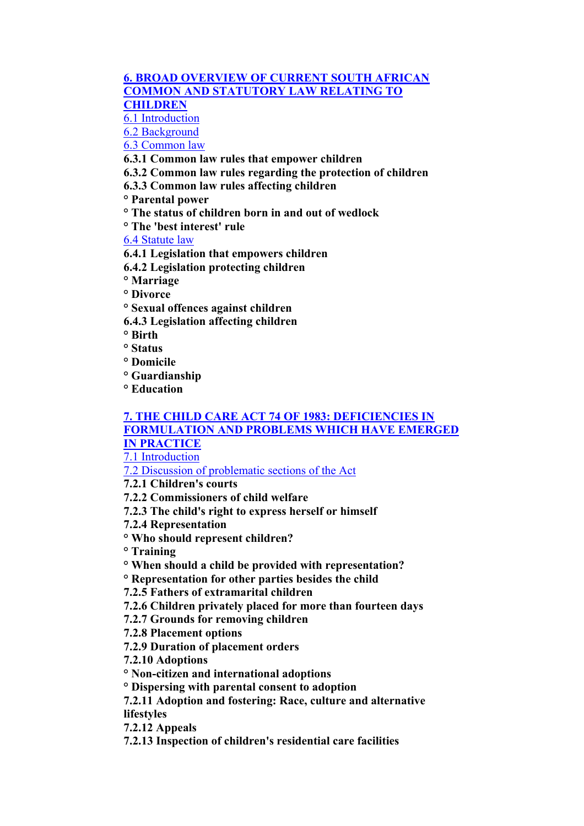#### **[6. BROAD OVERVIEW OF CURRENT SOUTH AFRICAN](#page-44-0)  [COMMON AND STATUTORY LAW RELATING TO](#page-44-0)  [CHILDREN](#page-44-0)**

[6.1 Introduction](#page-45-0)

[6.2 Background](#page-45-0)

[6.3 Common law](#page-46-0)

**6.3.1 Common law rules that empower children** 

**6.3.2 Common law rules regarding the protection of children** 

**6.3.3 Common law rules affecting children** 

**° Parental power** 

**° The status of children born in and out of wedlock** 

**° The 'best interest' rule** 

[6.4 Statute law](#page-50-0)

**6.4.1 Legislation that empowers children** 

**6.4.2 Legislation protecting children** 

**° Marriage** 

**° Divorce** 

**° Sexual offences against children** 

**6.4.3 Legislation affecting children** 

**° Birth** 

**° Status** 

**° Domicile** 

**° Guardianship** 

**° Education** 

### **[7. THE CHILD CARE ACT 74 OF 1983: DEFICIENCIES IN](#page-55-0)  [FORMULATION AND PROBLEMS WHICH HAVE EMERGED](#page-55-0)  [IN PRACTICE](#page-55-0)**

[7.1 Introduction](#page-56-0)

[7.2 Discussion of problematic sections of the Act](#page-56-0)

**7.2.1 Children's courts** 

**7.2.2 Commissioners of child welfare** 

**7.2.3 The child's right to express herself or himself** 

**7.2.4 Representation** 

**° Who should represent children?** 

**° Training** 

**° When should a child be provided with representation?** 

**° Representation for other parties besides the child** 

**7.2.5 Fathers of extramarital children** 

**7.2.6 Children privately placed for more than fourteen days** 

**7.2.7 Grounds for removing children** 

**7.2.8 Placement options** 

**7.2.9 Duration of placement orders** 

**7.2.10 Adoptions** 

**° Non-citizen and international adoptions** 

**° Dispersing with parental consent to adoption** 

**7.2.11 Adoption and fostering: Race, culture and alternative lifestyles** 

**7.2.12 Appeals** 

**7.2.13 Inspection of children's residential care facilities**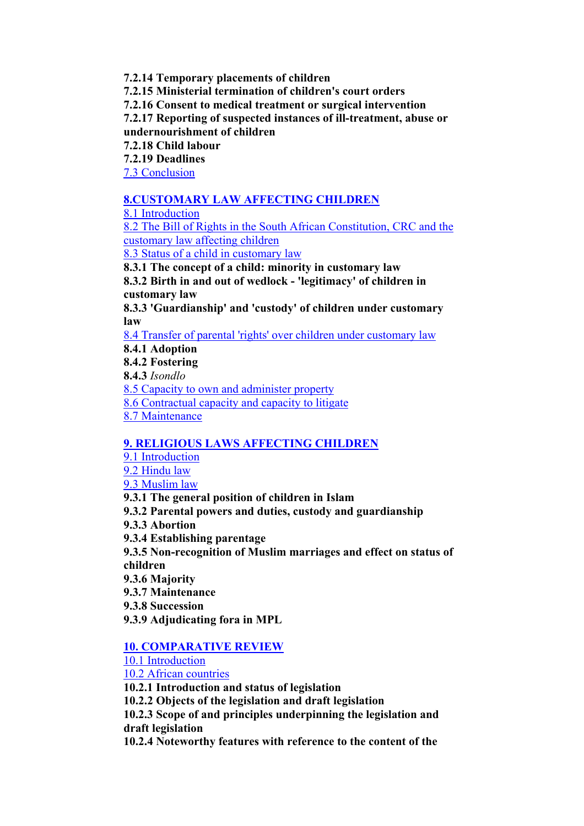**7.2.14 Temporary placements of children** 

**7.2.15 Ministerial termination of children's court orders** 

**7.2.16 Consent to medical treatment or surgical intervention** 

**7.2.17 Reporting of suspected instances of ill-treatment, abuse or** 

**undernourishment of children** 

**7.2.18 Child labour** 

**7.2.19 Deadlines** 

[7.3 Conclusion](#page-72-0)

# **[8.CUSTOMARY LAW AFFECTING CHILDREN](#page-72-0)**

[8.1 Introduction](#page-72-0)

[8.2 The Bill of Rights in the South African Constitution, CRC and the](#page-73-0)  [customary law affecting children](#page-73-0)

[8.3 Status of a child in customary law](#page-73-0)

**8.3.1 The concept of a child: minority in customary law** 

**8.3.2 Birth in and out of wedlock - 'legitimacy' of children in customary law** 

**8.3.3 'Guardianship' and 'custody' of children under customary law** 

[8.4 Transfer of parental 'rights' over children under customary law](#page-75-0)

**8.4.1 Adoption** 

**8.4.2 Fostering** 

**8.4.3** *Isondlo*

[8.5 Capacity to own and administer property](#page-76-0)

[8.6 Contractual capacity and capacity to litigate](#page-77-0)

[8.7 Maintenance](#page-77-0)

# **[9. RELIGIOUS LAWS AFFECTING CHILDREN](#page-78-0)**

[9.1 Introduction](#page-78-0)

[9.2 Hindu law](#page-78-0)

[9.3 Muslim law](#page-79-0)

**9.3.1 The general position of children in Islam** 

**9.3.2 Parental powers and duties, custody and guardianship** 

**9.3.3 Abortion** 

**9.3.4 Establishing parentage** 

**9.3.5 Non-recognition of Muslim marriages and effect on status of children** 

**9.3.6 Majority** 

**9.3.7 Maintenance** 

**9.3.8 Succession** 

**9.3.9 Adjudicating fora in MPL** 

## **[10. COMPARATIVE REVIEW](#page-84-0)**

[10.1 Introduction](#page-85-0)

[10.2 African countries](#page-85-0)

**10.2.1 Introduction and status of legislation** 

**10.2.2 Objects of the legislation and draft legislation** 

**10.2.3 Scope of and principles underpinning the legislation and draft legislation** 

**10.2.4 Noteworthy features with reference to the content of the**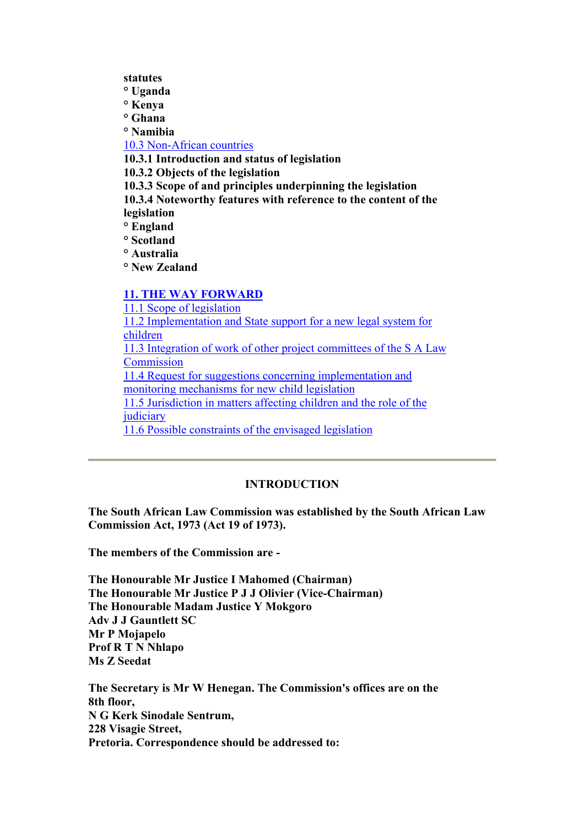- <span id="page-4-0"></span>**statutes**
- **° Uganda**
- **° Kenya**
- **° Ghana**
- **° Namibia**

#### [10.3 Non-African countries](#page-92-0)

**10.3.1 Introduction and status of legislation** 

**10.3.2 Objects of the legislation** 

**10.3.3 Scope of and principles underpinning the legislation** 

**10.3.4 Noteworthy features with reference to the content of the** 

**legislation** 

**° England** 

**° Scotland** 

**° Australia**

**° New Zealand** 

# **[11. THE WAY FORWARD](#page-103-0)**

[11.1 Scope of legislation](#page-104-0) [11.2 Implementation and State support for a new legal system for](#page-105-0)  [children](#page-105-0) [11.3 Integration of work of other project committees of the S A Law](#page-105-0)  **[Commission](#page-105-0)** [11.4 Request for suggestions concerning implementation and](#page-106-0)  [monitoring mechanisms for new child legislation](#page-106-0) [11.5 Jurisdiction in matters affecting children and the role of the](#page-107-0)  [judiciary](#page-107-0) [11.6 Possible constraints of the envisaged legislation](#page-108-0)

## **INTRODUCTION**

**The South African Law Commission was established by the South African Law Commission Act, 1973 (Act 19 of 1973).** 

**The members of the Commission are -** 

**The Honourable Mr Justice I Mahomed (Chairman) The Honourable Mr Justice P J J Olivier (Vice-Chairman) The Honourable Madam Justice Y Mokgoro Adv J J Gauntlett SC Mr P Mojapelo Prof R T N Nhlapo Ms Z Seedat** 

**The Secretary is Mr W Henegan. The Commission's offices are on the 8th floor, N G Kerk Sinodale Sentrum, 228 Visagie Street, Pretoria. Correspondence should be addressed to:**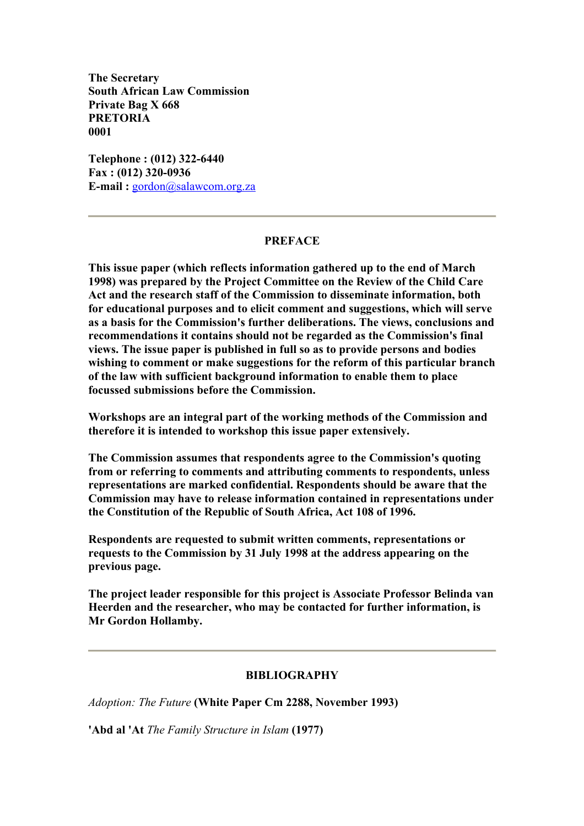<span id="page-5-0"></span>**The Secretary South African Law Commission Private Bag X 668 PRETORIA 0001** 

**Telephone : (012) 322-6440 Fax : (012) 320-0936 E-mail :** [gordon@salawcom.org.za](mailto:gordon@salawcom.org.za)

### **PREFACE**

**This issue paper (which reflects information gathered up to the end of March 1998) was prepared by the Project Committee on the Review of the Child Care Act and the research staff of the Commission to disseminate information, both for educational purposes and to elicit comment and suggestions, which will serve as a basis for the Commission's further deliberations. The views, conclusions and recommendations it contains should not be regarded as the Commission's final views. The issue paper is published in full so as to provide persons and bodies wishing to comment or make suggestions for the reform of this particular branch of the law with sufficient background information to enable them to place focussed submissions before the Commission.** 

**Workshops are an integral part of the working methods of the Commission and therefore it is intended to workshop this issue paper extensively.** 

**The Commission assumes that respondents agree to the Commission's quoting from or referring to comments and attributing comments to respondents, unless representations are marked confidential. Respondents should be aware that the Commission may have to release information contained in representations under the Constitution of the Republic of South Africa, Act 108 of 1996.** 

**Respondents are requested to submit written comments, representations or requests to the Commission by 31 July 1998 at the address appearing on the previous page.** 

**The project leader responsible for this project is Associate Professor Belinda van Heerden and the researcher, who may be contacted for further information, is Mr Gordon Hollamby.** 

#### **BIBLIOGRAPHY**

*Adoption: The Future* **(White Paper Cm 2288, November 1993)** 

**'Abd al 'At** *The Family Structure in Islam* **(1977)**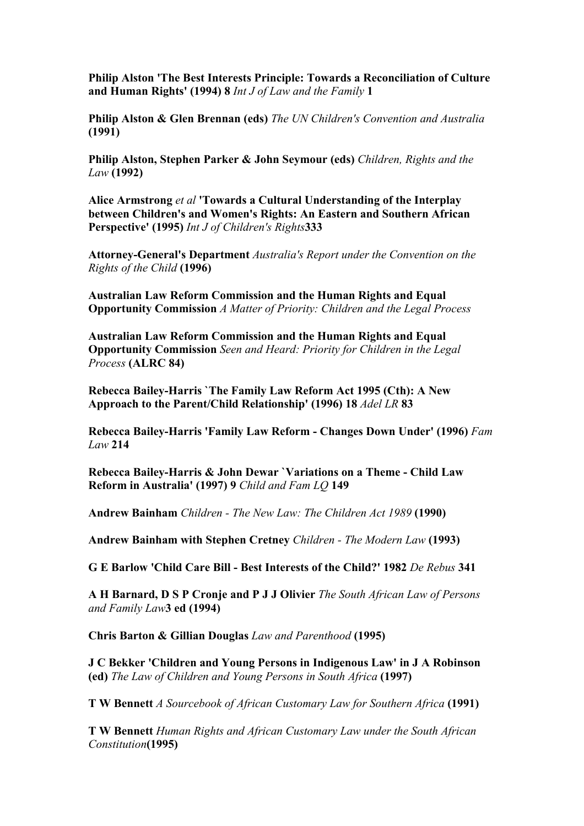**Philip Alston 'The Best Interests Principle: Towards a Reconciliation of Culture and Human Rights' (1994) 8** *Int J of Law and the Family* **1** 

**Philip Alston & Glen Brennan (eds)** *The UN Children's Convention and Australia* **(1991)** 

**Philip Alston, Stephen Parker & John Seymour (eds)** *Children, Rights and the Law* **(1992)** 

**Alice Armstrong** *et al* **'Towards a Cultural Understanding of the Interplay between Children's and Women's Rights: An Eastern and Southern African Perspective' (1995)** *Int J of Children's Rights***333** 

**Attorney-General's Department** *Australia's Report under the Convention on the Rights of the Child* **(1996)** 

**Australian Law Reform Commission and the Human Rights and Equal Opportunity Commission** *A Matter of Priority: Children and the Legal Process*

**Australian Law Reform Commission and the Human Rights and Equal Opportunity Commission** *Seen and Heard: Priority for Children in the Legal Process* **(ALRC 84)** 

**Rebecca Bailey-Harris `The Family Law Reform Act 1995 (Cth): A New Approach to the Parent/Child Relationship' (1996) 18** *Adel LR* **83** 

**Rebecca Bailey-Harris 'Family Law Reform - Changes Down Under' (1996)** *Fam Law* **214** 

**Rebecca Bailey-Harris & John Dewar `Variations on a Theme - Child Law Reform in Australia' (1997) 9** *Child and Fam LQ* **149** 

**Andrew Bainham** *Children - The New Law: The Children Act 1989* **(1990)** 

**Andrew Bainham with Stephen Cretney** *Children - The Modern Law* **(1993)** 

**G E Barlow 'Child Care Bill - Best Interests of the Child?' 1982** *De Rebus* **341** 

**A H Barnard, D S P Cronje and P J J Olivier** *The South African Law of Persons and Family Law***3 ed (1994)** 

**Chris Barton & Gillian Douglas** *Law and Parenthood* **(1995)** 

**J C Bekker 'Children and Young Persons in Indigenous Law' in J A Robinson (ed)** *The Law of Children and Young Persons in South Africa* **(1997)** 

**T W Bennett** *A Sourcebook of African Customary Law for Southern Africa* **(1991)** 

**T W Bennett** *Human Rights and African Customary Law under the South African Constitution***(1995)**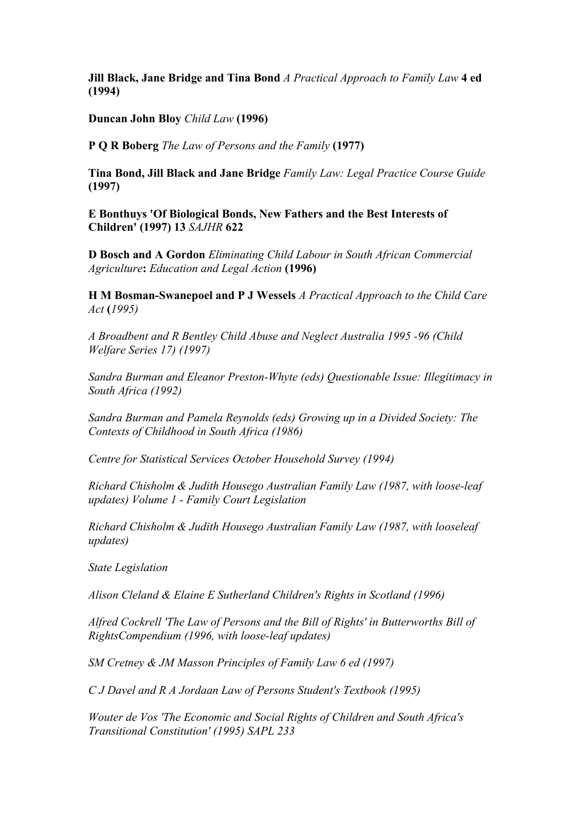**Jill Black, Jane Bridge and Tina Bond** *A Practical Approach to Family Law* **4 ed (1994)** 

**Duncan John Bloy** *Child Law* **(1996)** 

**P Q R Boberg** *The Law of Persons and the Family* **(1977)** 

**Tina Bond, Jill Black and Jane Bridge** *Family Law: Legal Practice Course Guide*  **(1997)** 

**E Bonthuys 'Of Biological Bonds, New Fathers and the Best Interests of Children' (1997) 13** *SAJHR* **622** 

**D Bosch and A Gordon** *Eliminating Child Labour in South African Commercial Agriculture***:** *Education and Legal Action* **(1996)** 

**H M Bosman-Swanepoel and P J Wessels** *A Practical Approach to the Child Care Act* **(***1995)* 

*A Broadbent and R Bentley Child Abuse and Neglect Australia 1995 -96 (Child Welfare Series 17) (1997)* 

*Sandra Burman and Eleanor Preston-Whyte (eds) Questionable Issue: Illegitimacy in South Africa (1992)* 

*Sandra Burman and Pamela Reynolds (eds) Growing up in a Divided Society: The Contexts of Childhood in South Africa (1986)* 

*Centre for Statistical Services October Household Survey (1994)* 

*Richard Chisholm & Judith Housego Australian Family Law (1987, with loose-leaf updates) Volume 1 - Family Court Legislation* 

*Richard Chisholm & Judith Housego Australian Family Law (1987, with looseleaf updates)* 

*State Legislation* 

*Alison Cleland & Elaine E Sutherland Children's Rights in Scotland (1996)* 

*Alfred Cockrell 'The Law of Persons and the Bill of Rights' in Butterworths Bill of RightsCompendium (1996, with loose-leaf updates)* 

*SM Cretney & JM Masson Principles of Family Law 6 ed (1997)* 

*C J Davel and R A Jordaan Law of Persons Student's Textbook (1995)* 

*Wouter de Vos 'The Economic and Social Rights of Children and South Africa's Transitional Constitution' (1995) SAPL 233*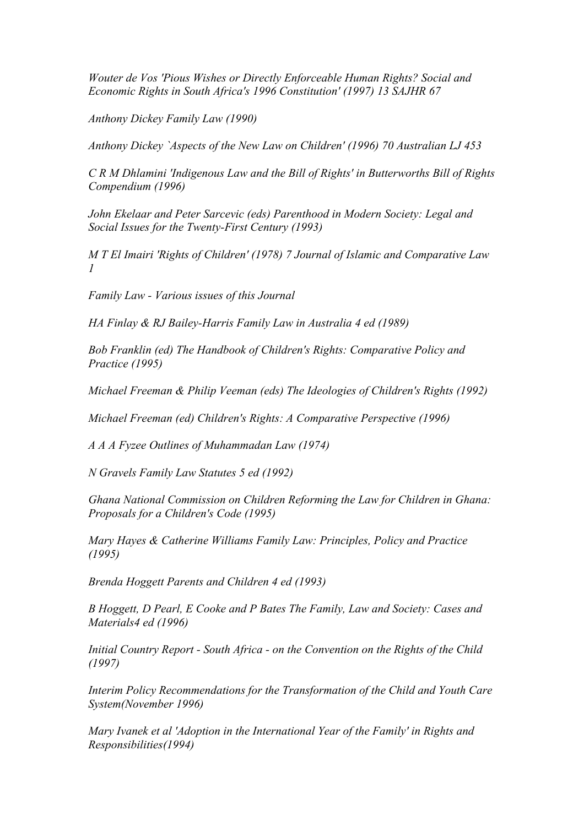*Wouter de Vos 'Pious Wishes or Directly Enforceable Human Rights? Social and Economic Rights in South Africa's 1996 Constitution' (1997) 13 SAJHR 67* 

*Anthony Dickey Family Law (1990)* 

*Anthony Dickey `Aspects of the New Law on Children' (1996) 70 Australian LJ 453* 

*C R M Dhlamini 'Indigenous Law and the Bill of Rights' in Butterworths Bill of Rights Compendium (1996)* 

*John Ekelaar and Peter Sarcevic (eds) Parenthood in Modern Society: Legal and Social Issues for the Twenty-First Century (1993)* 

*M T El Imairi 'Rights of Children' (1978) 7 Journal of Islamic and Comparative Law 1* 

*Family Law - Various issues of this Journal* 

*HA Finlay & RJ Bailey-Harris Family Law in Australia 4 ed (1989)* 

*Bob Franklin (ed) The Handbook of Children's Rights: Comparative Policy and Practice (1995)* 

*Michael Freeman & Philip Veeman (eds) The Ideologies of Children's Rights (1992)* 

*Michael Freeman (ed) Children's Rights: A Comparative Perspective (1996)* 

*A A A Fyzee Outlines of Muhammadan Law (1974)* 

*N Gravels Family Law Statutes 5 ed (1992)* 

*Ghana National Commission on Children Reforming the Law for Children in Ghana: Proposals for a Children's Code (1995)* 

*Mary Hayes & Catherine Williams Family Law: Principles, Policy and Practice (1995)* 

*Brenda Hoggett Parents and Children 4 ed (1993)* 

*B Hoggett, D Pearl, E Cooke and P Bates The Family, Law and Society: Cases and Materials4 ed (1996)* 

*Initial Country Report - South Africa - on the Convention on the Rights of the Child (1997)* 

*Interim Policy Recommendations for the Transformation of the Child and Youth Care System(November 1996)* 

*Mary Ivanek et al 'Adoption in the International Year of the Family' in Rights and Responsibilities(1994)*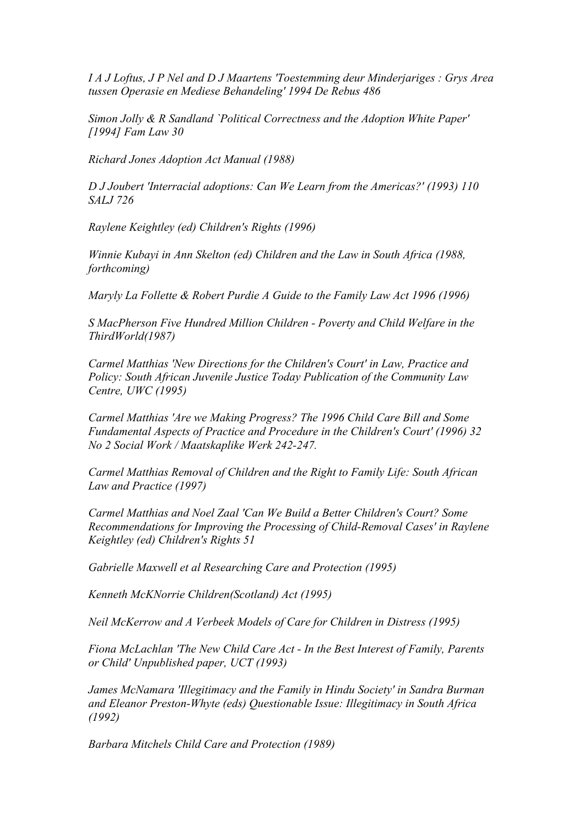*I A J Loftus, J P Nel and D J Maartens 'Toestemming deur Minderjariges : Grys Area tussen Operasie en Mediese Behandeling' 1994 De Rebus 486* 

*Simon Jolly & R Sandland `Political Correctness and the Adoption White Paper' [1994] Fam Law 30* 

*Richard Jones Adoption Act Manual (1988)* 

*D J Joubert 'Interracial adoptions: Can We Learn from the Americas?' (1993) 110 SALJ 726* 

*Raylene Keightley (ed) Children's Rights (1996)* 

*Winnie Kubayi in Ann Skelton (ed) Children and the Law in South Africa (1988, forthcoming)* 

*Maryly La Follette & Robert Purdie A Guide to the Family Law Act 1996 (1996)* 

*S MacPherson Five Hundred Million Children - Poverty and Child Welfare in the ThirdWorld(1987)* 

*Carmel Matthias 'New Directions for the Children's Court' in Law, Practice and Policy: South African Juvenile Justice Today Publication of the Community Law Centre, UWC (1995)* 

*Carmel Matthias 'Are we Making Progress? The 1996 Child Care Bill and Some Fundamental Aspects of Practice and Procedure in the Children's Court' (1996) 32 No 2 Social Work / Maatskaplike Werk 242-247.* 

*Carmel Matthias Removal of Children and the Right to Family Life: South African Law and Practice (1997)* 

*Carmel Matthias and Noel Zaal 'Can We Build a Better Children's Court? Some Recommendations for Improving the Processing of Child-Removal Cases' in Raylene Keightley (ed) Children's Rights 51* 

*Gabrielle Maxwell et al Researching Care and Protection (1995)* 

*Kenneth McKNorrie Children(Scotland) Act (1995)* 

*Neil McKerrow and A Verbeek Models of Care for Children in Distress (1995)* 

*Fiona McLachlan 'The New Child Care Act - In the Best Interest of Family, Parents or Child' Unpublished paper, UCT (1993)* 

*James McNamara 'Illegitimacy and the Family in Hindu Society' in Sandra Burman and Eleanor Preston-Whyte (eds) Questionable Issue: Illegitimacy in South Africa (1992)* 

*Barbara Mitchels Child Care and Protection (1989)*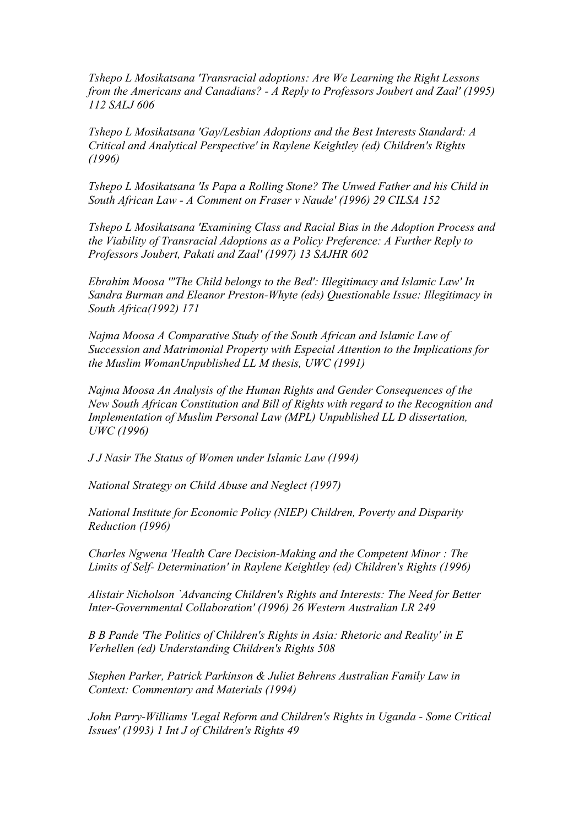*Tshepo L Mosikatsana 'Transracial adoptions: Are We Learning the Right Lessons from the Americans and Canadians? - A Reply to Professors Joubert and Zaal' (1995) 112 SALJ 606* 

*Tshepo L Mosikatsana 'Gay/Lesbian Adoptions and the Best Interests Standard: A Critical and Analytical Perspective' in Raylene Keightley (ed) Children's Rights (1996)* 

*Tshepo L Mosikatsana 'Is Papa a Rolling Stone? The Unwed Father and his Child in South African Law - A Comment on Fraser v Naude' (1996) 29 CILSA 152* 

*Tshepo L Mosikatsana 'Examining Class and Racial Bias in the Adoption Process and the Viability of Transracial Adoptions as a Policy Preference: A Further Reply to Professors Joubert, Pakati and Zaal' (1997) 13 SAJHR 602* 

*Ebrahim Moosa '"The Child belongs to the Bed': Illegitimacy and Islamic Law' In Sandra Burman and Eleanor Preston-Whyte (eds) Questionable Issue: Illegitimacy in South Africa(1992) 171* 

*Najma Moosa A Comparative Study of the South African and Islamic Law of Succession and Matrimonial Property with Especial Attention to the Implications for the Muslim WomanUnpublished LL M thesis, UWC (1991)* 

*Najma Moosa An Analysis of the Human Rights and Gender Consequences of the New South African Constitution and Bill of Rights with regard to the Recognition and Implementation of Muslim Personal Law (MPL) Unpublished LL D dissertation, UWC (1996)* 

*J J Nasir The Status of Women under Islamic Law (1994)* 

*National Strategy on Child Abuse and Neglect (1997)* 

*National Institute for Economic Policy (NIEP) Children, Poverty and Disparity Reduction (1996)* 

*Charles Ngwena 'Health Care Decision-Making and the Competent Minor : The Limits of Self- Determination' in Raylene Keightley (ed) Children's Rights (1996)* 

*Alistair Nicholson `Advancing Children's Rights and Interests: The Need for Better Inter-Governmental Collaboration' (1996) 26 Western Australian LR 249* 

*B B Pande 'The Politics of Children's Rights in Asia: Rhetoric and Reality' in E Verhellen (ed) Understanding Children's Rights 508* 

*Stephen Parker, Patrick Parkinson & Juliet Behrens Australian Family Law in Context: Commentary and Materials (1994)* 

*John Parry-Williams 'Legal Reform and Children's Rights in Uganda - Some Critical Issues' (1993) 1 Int J of Children's Rights 49*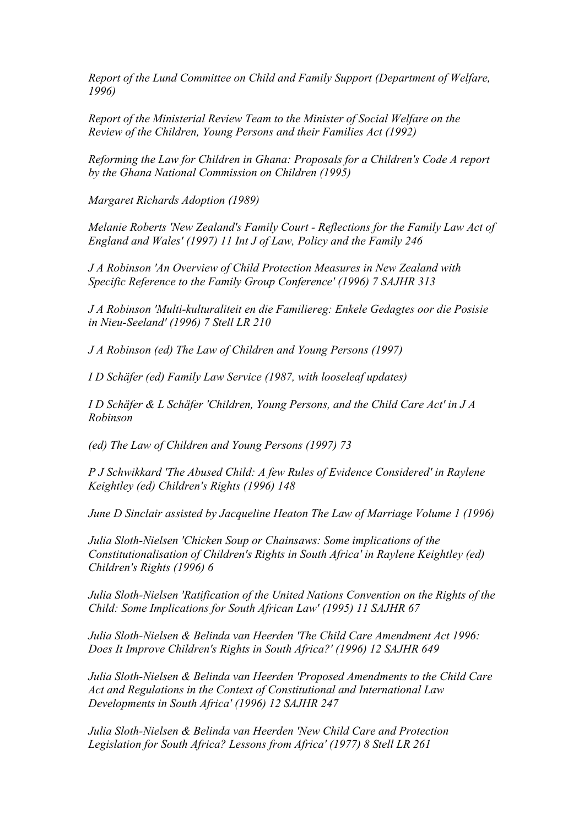*Report of the Lund Committee on Child and Family Support (Department of Welfare, 1996)* 

*Report of the Ministerial Review Team to the Minister of Social Welfare on the Review of the Children, Young Persons and their Families Act (1992)* 

*Reforming the Law for Children in Ghana: Proposals for a Children's Code A report by the Ghana National Commission on Children (1995)* 

*Margaret Richards Adoption (1989)* 

*Melanie Roberts 'New Zealand's Family Court - Reflections for the Family Law Act of England and Wales' (1997) 11 Int J of Law, Policy and the Family 246* 

*J A Robinson 'An Overview of Child Protection Measures in New Zealand with Specific Reference to the Family Group Conference' (1996) 7 SAJHR 313* 

*J A Robinson 'Multi-kulturaliteit en die Familiereg: Enkele Gedagtes oor die Posisie in Nieu-Seeland' (1996) 7 Stell LR 210* 

*J A Robinson (ed) The Law of Children and Young Persons (1997)* 

*I D Schäfer (ed) Family Law Service (1987, with looseleaf updates)* 

*I D Schäfer & L Schäfer 'Children, Young Persons, and the Child Care Act' in J A Robinson* 

*(ed) The Law of Children and Young Persons (1997) 73* 

*P J Schwikkard 'The Abused Child: A few Rules of Evidence Considered' in Raylene Keightley (ed) Children's Rights (1996) 148* 

*June D Sinclair assisted by Jacqueline Heaton The Law of Marriage Volume 1 (1996)* 

*Julia Sloth-Nielsen 'Chicken Soup or Chainsaws: Some implications of the Constitutionalisation of Children's Rights in South Africa' in Raylene Keightley (ed) Children's Rights (1996) 6* 

*Julia Sloth-Nielsen 'Ratification of the United Nations Convention on the Rights of the Child: Some Implications for South African Law' (1995) 11 SAJHR 67* 

*Julia Sloth-Nielsen & Belinda van Heerden 'The Child Care Amendment Act 1996: Does It Improve Children's Rights in South Africa?' (1996) 12 SAJHR 649* 

*Julia Sloth-Nielsen & Belinda van Heerden 'Proposed Amendments to the Child Care Act and Regulations in the Context of Constitutional and International Law Developments in South Africa' (1996) 12 SAJHR 247* 

*Julia Sloth-Nielsen & Belinda van Heerden 'New Child Care and Protection Legislation for South Africa? Lessons from Africa' (1977) 8 Stell LR 261*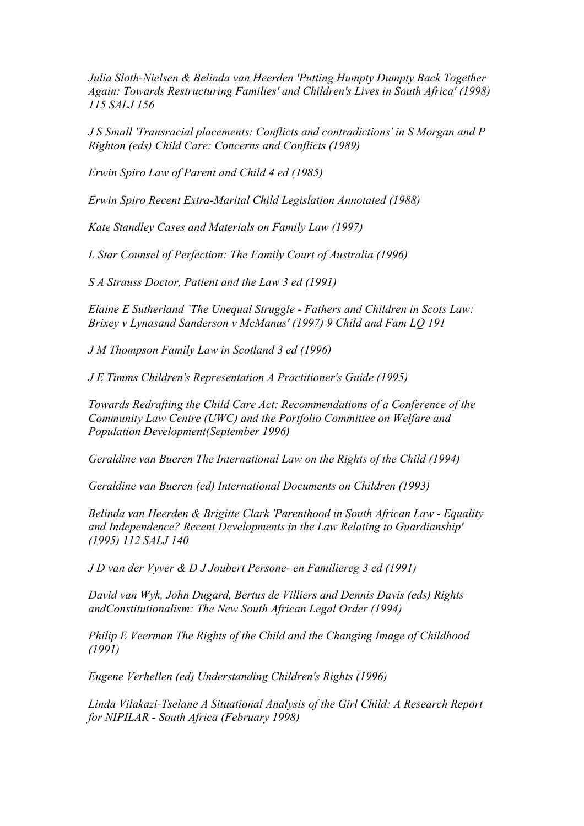*Julia Sloth-Nielsen & Belinda van Heerden 'Putting Humpty Dumpty Back Together Again: Towards Restructuring Families' and Children's Lives in South Africa' (1998) 115 SALJ 156* 

*J S Small 'Transracial placements: Conflicts and contradictions' in S Morgan and P Righton (eds) Child Care: Concerns and Conflicts (1989)* 

*Erwin Spiro Law of Parent and Child 4 ed (1985)* 

*Erwin Spiro Recent Extra-Marital Child Legislation Annotated (1988)* 

*Kate Standley Cases and Materials on Family Law (1997)* 

*L Star Counsel of Perfection: The Family Court of Australia (1996)* 

*S A Strauss Doctor, Patient and the Law 3 ed (1991)* 

*Elaine E Sutherland `The Unequal Struggle - Fathers and Children in Scots Law: Brixey v Lynasand Sanderson v McManus' (1997) 9 Child and Fam LQ 191* 

*J M Thompson Family Law in Scotland 3 ed (1996)* 

*J E Timms Children's Representation A Practitioner's Guide (1995)* 

*Towards Redrafting the Child Care Act: Recommendations of a Conference of the Community Law Centre (UWC) and the Portfolio Committee on Welfare and Population Development(September 1996)* 

*Geraldine van Bueren The International Law on the Rights of the Child (1994)* 

*Geraldine van Bueren (ed) International Documents on Children (1993)* 

*Belinda van Heerden & Brigitte Clark 'Parenthood in South African Law - Equality and Independence? Recent Developments in the Law Relating to Guardianship' (1995) 112 SALJ 140* 

*J D van der Vyver & D J Joubert Persone- en Familiereg 3 ed (1991)* 

*David van Wyk, John Dugard, Bertus de Villiers and Dennis Davis (eds) Rights andConstitutionalism: The New South African Legal Order (1994)* 

*Philip E Veerman The Rights of the Child and the Changing Image of Childhood (1991)* 

*Eugene Verhellen (ed) Understanding Children's Rights (1996)* 

*Linda Vilakazi-Tselane A Situational Analysis of the Girl Child: A Research Report for NIPILAR - South Africa (February 1998)*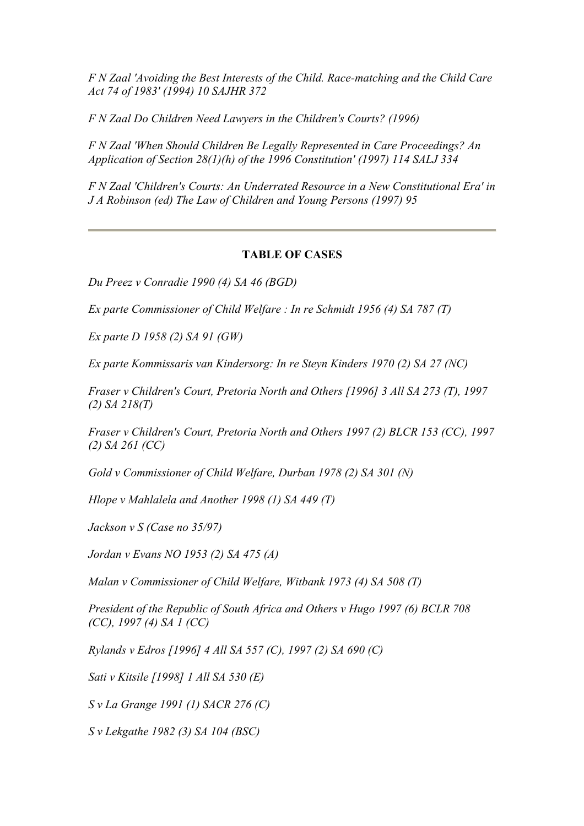<span id="page-13-0"></span>*F N Zaal 'Avoiding the Best Interests of the Child. Race-matching and the Child Care Act 74 of 1983' (1994) 10 SAJHR 372* 

*F N Zaal Do Children Need Lawyers in the Children's Courts? (1996)* 

*F N Zaal 'When Should Children Be Legally Represented in Care Proceedings? An Application of Section 28(1)(h) of the 1996 Constitution' (1997) 114 SALJ 334* 

*F N Zaal 'Children's Courts: An Underrated Resource in a New Constitutional Era' in J A Robinson (ed) The Law of Children and Young Persons (1997) 95* 

#### **TABLE OF CASES**

*Du Preez v Conradie 1990 (4) SA 46 (BGD)*

*Ex parte Commissioner of Child Welfare : In re Schmidt 1956 (4) SA 787 (T)* 

*Ex parte D 1958 (2) SA 91 (GW)* 

*Ex parte Kommissaris van Kindersorg: In re Steyn Kinders 1970 (2) SA 27 (NC)* 

*Fraser v Children's Court, Pretoria North and Others [1996] 3 All SA 273 (T), 1997 (2) SA 218(T)* 

*Fraser v Children's Court, Pretoria North and Others 1997 (2) BLCR 153 (CC), 1997 (2) SA 261 (CC)* 

*Gold v Commissioner of Child Welfare, Durban 1978 (2) SA 301 (N)* 

*Hlope v Mahlalela and Another 1998 (1) SA 449 (T)* 

*Jackson v S (Case no 35/97)* 

*Jordan v Evans NO 1953 (2) SA 475 (A)* 

*Malan v Commissioner of Child Welfare, Witbank 1973 (4) SA 508 (T)* 

*President of the Republic of South Africa and Others v Hugo 1997 (6) BCLR 708 (CC), 1997 (4) SA 1 (CC)* 

*Rylands v Edros [1996] 4 All SA 557 (C), 1997 (2) SA 690 (C)* 

*Sati v Kitsile [1998] 1 All SA 530 (E)* 

*S v La Grange 1991 (1) SACR 276 (C)* 

*S v Lekgathe 1982 (3) SA 104 (BSC)*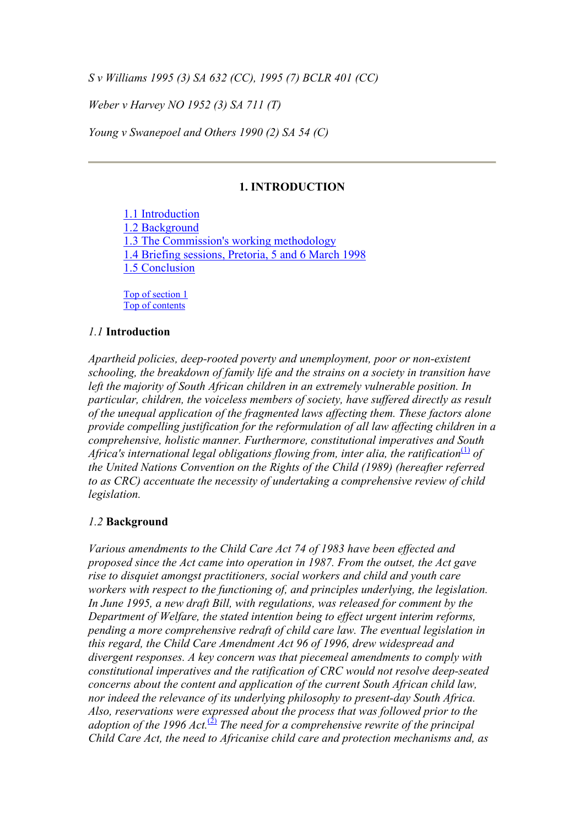<span id="page-14-0"></span>*S v Williams 1995 (3) SA 632 (CC), 1995 (7) BCLR 401 (CC)* 

*Weber v Harvey NO 1952 (3) SA 711 (T)* 

*Young v Swanepoel and Others 1990 (2) SA 54 (C)* 

#### **1. INTRODUCTION**

1.1 Introduction 1.2 Background 1.3 The Commission's working methodology 1.4 Briefing sessions, Pretoria, 5 and 6 March 1998 1.5 Conclusion

Top of section 1 Top of contents

#### *1.1* **Introduction**

*Apartheid policies, deep-rooted poverty and unemployment, poor or non-existent schooling, the breakdown of family life and the strains on a society in transition have left the majority of South African children in an extremely vulnerable position. In particular, children, the voiceless members of society, have suffered directly as result of the unequal application of the fragmented laws affecting them. These factors alone provide compelling justification for the reformulation of all law affecting children in a comprehensive, holistic manner. Furthermore, constitutional imperatives and South*  Africa's international legal obligations flowing from, inter alia, the ratification<sup>(1)</sup> of *the United Nations Convention on the Rights of the Child (1989) (hereafter referred to as CRC) accentuate the necessity of undertaking a comprehensive review of child legislation.* 

#### *1.2* **Background**

*Various amendments to the Child Care Act 74 of 1983 have been effected and proposed since the Act came into operation in 1987. From the outset, the Act gave rise to disquiet amongst practitioners, social workers and child and youth care workers with respect to the functioning of, and principles underlying, the legislation. In June 1995, a new draft Bill, with regulations, was released for comment by the Department of Welfare, the stated intention being to effect urgent interim reforms, pending a more comprehensive redraft of child care law. The eventual legislation in this regard, the Child Care Amendment Act 96 of 1996, drew widespread and divergent responses. A key concern was that piecemeal amendments to comply with constitutional imperatives and the ratification of CRC would not resolve deep-seated concerns about the content and application of the current South African child law, nor indeed the relevance of its underlying philosophy to present-day South Africa. Also, reservations were expressed about the process that was followed prior to the*  adoption of the 1996 Act.<sup>(2)</sup> The need for a comprehensive rewrite of the principal *Child Care Act, the need to Africanise child care and protection mechanisms and, as*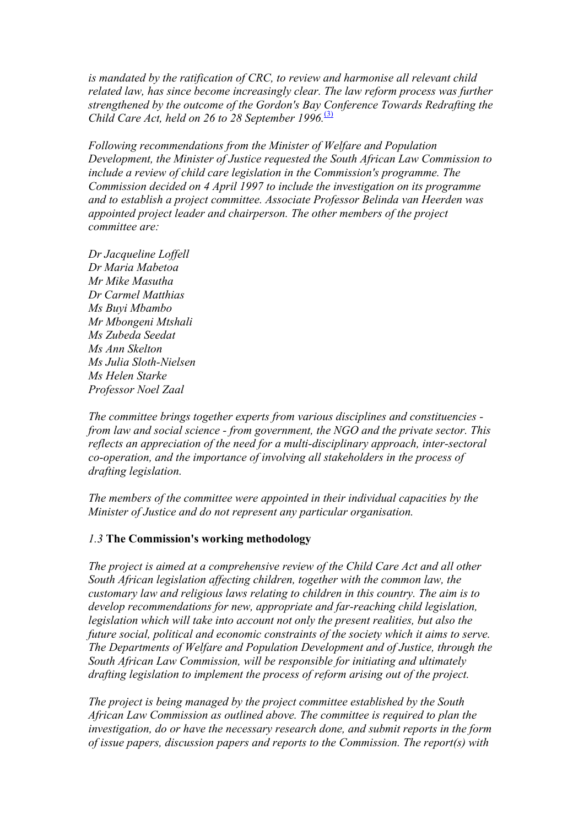<span id="page-15-0"></span>*is mandated by the ratification of CRC, to review and harmonise all relevant child related law, has since become increasingly clear. The law reform process was further strengthened by the outcome of the Gordon's Bay Conference Towards Redrafting the Child Care Act, held on 26 to 28 September 1996.*<sup>[\(3\)](#page-108-0)</sup>

*Following recommendations from the Minister of Welfare and Population Development, the Minister of Justice requested the South African Law Commission to include a review of child care legislation in the Commission's programme. The Commission decided on 4 April 1997 to include the investigation on its programme and to establish a project committee. Associate Professor Belinda van Heerden was appointed project leader and chairperson. The other members of the project committee are:* 

*Dr Jacqueline Loffell Dr Maria Mabetoa Mr Mike Masutha Dr Carmel Matthias Ms Buyi Mbambo Mr Mbongeni Mtshali Ms Zubeda Seedat Ms Ann Skelton Ms Julia Sloth-Nielsen Ms Helen Starke Professor Noel Zaal* 

*The committee brings together experts from various disciplines and constituencies from law and social science - from government, the NGO and the private sector. This reflects an appreciation of the need for a multi-disciplinary approach, inter-sectoral co-operation, and the importance of involving all stakeholders in the process of drafting legislation.* 

*The members of the committee were appointed in their individual capacities by the Minister of Justice and do not represent any particular organisation.* 

#### *1.3* **The Commission's working methodology**

*The project is aimed at a comprehensive review of the Child Care Act and all other South African legislation affecting children, together with the common law, the customary law and religious laws relating to children in this country. The aim is to develop recommendations for new, appropriate and far-reaching child legislation, legislation which will take into account not only the present realities, but also the future social, political and economic constraints of the society which it aims to serve. The Departments of Welfare and Population Development and of Justice, through the South African Law Commission, will be responsible for initiating and ultimately drafting legislation to implement the process of reform arising out of the project.* 

*The project is being managed by the project committee established by the South African Law Commission [as](#page-108-0) outlined above. The committee is required to plan the investigation, do or have the necessary research done, and submit reports in the form of issue papers, discussion papers and reports to the Commission. The report(s) with*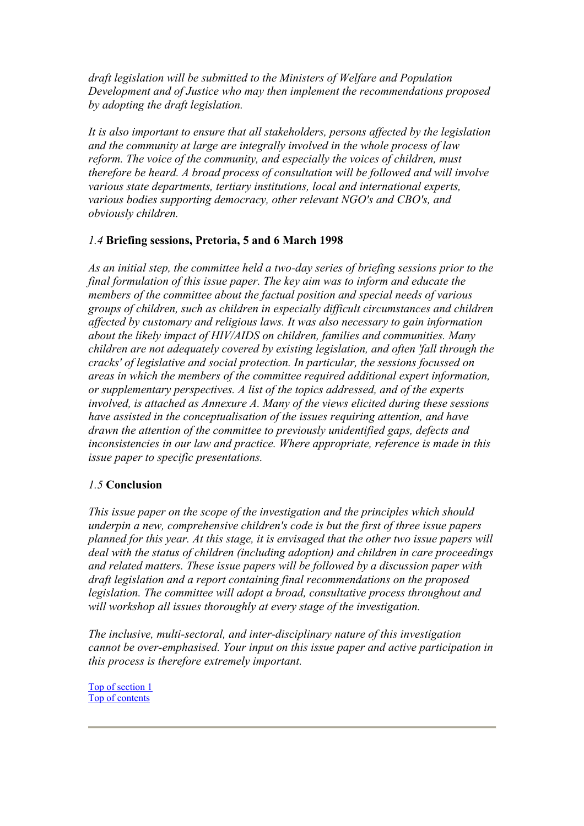<span id="page-16-0"></span>*draft legislation will be submitted to the Ministers of Welfare and Population Development and of Justice who may then implement the recommendations proposed by adopting the draft legislation.* 

*It is also important to ensure that all stakeholders, persons affected by the legislation and the community at large are integrally involved in the whole process of law reform. The voice of the community, and especially the voices of children, must therefore be heard. A broad process of consultation will be followed and will involve various state departments, tertiary institutions, local and international experts, various bodies supporting democracy, other relevant NGO's and CBO's, and obviously children.* 

## *1.4* **Briefing sessions, Pretoria, 5 and 6 March 1998**

*As an initial step, the committee held a two-day series of briefing sessions prior to the final formulation of this issue paper. The key aim was to inform and educate the members of the committee about the factual position and special needs of various groups of children, such as children in especially difficult circumstances and children affected by customary and religious laws. It was also necessary to gain information about the likely impact of HIV/AIDS on children, families and communities. Many children are not adequately covered by existing legislation, and often 'fall through the cracks' of legislative and social protection. In particular, the sessions focussed on areas in which the members of the committee required additional expert information, or supplementary perspectives. A list of the topics addressed, and of the experts involved, is attached as Annexure A. Many of the views elicited during these sessions have assisted in the conceptualisation of the issues requiring attention, and have drawn the attention of the committee to previously unidentified gaps, defects and inconsistencies in our law and practice. Where appropriate, reference is made in this issue paper to specific presentations.* 

#### *1.5* **Conclusion**

*This issue paper on the scope of the investigation and the principles which should underpin a new, comprehensive children's code is but the first of three issue papers planned for this year. At this stage, it is envisaged that the other two issue papers will deal with the status of children (including adoption) and children in care proceedings and related matters. These issue papers will be followed by a discussion paper with draft legislation and a report containing final recommendations on the proposed legislation. The committee will adopt a broad, consultative process throughout and will workshop all issues thoroughly at every stage of the investigation.* 

*The inclusive, multi-sectoral, and inter-disciplinary nature of this investigation cannot be over-emphasised. Your input on this issue paper and active participation in this process is therefore extremely important.* 

Top of section 1 Top of contents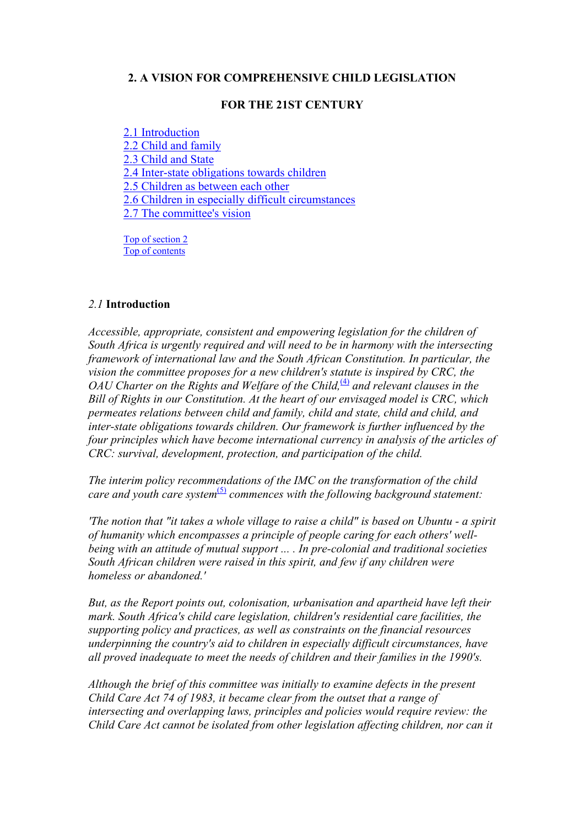### <span id="page-17-0"></span>**2. A VISION FOR COMPREHENSIVE CHILD LEGISLATION**

#### **FOR THE 21ST CENTURY**

2.1 Introduction 2.2 Child and family 2.3 Child and State 2.4 Inter-state obligations towards children 2.5 Children as between each other 2.6 Children in especially difficult circumstances 2.7 The committee's vision

Top of section 2 Top of contents

#### *2.1* **Introduction**

*Accessible, appropriate, consistent and empowering legislation for the children of South Africa is urgently required and will need to be in harmony with the intersecting framework of international law and the South African Constitution. In particular, the vision the committee proposes for a new children's statute is inspired by CRC, the OAU Charter on the Rights and Welfare of the Child*,<sup>(4)</sup> and relevant clauses in the *Bill of Rights in our Constitution. At the heart of our envisaged model is CRC, which permeates relations between child and family, child and state, child and child, and inter-state obligations towards children. Our framework is further influenced by the four principles which have become international currency in analysis of the articles of CRC: survival, development, protection, and participation of the child.* 

*The interim policy recommendations of the IMC on the transformation of the child care and youth care system*<sup>(5)</sup> commences with the following background statement:

*'The notion that "it takes a whole village to raise a child" is based on Ubuntu - a spirit of humanity which encompasses a principle of people caring for each others' wellbeing with an attitude of mutual support ... . In pre-colonial and traditional societies South African children were raised in this spirit, and few if any children were homeless or abandoned.'* 

*But, as the Report points out, colonisation, urbanisation and apartheid have left their mark. South Africa's child care legislation, children's residential care facilities, the supporting policy and practices, as well as constraints on the financial resources underpinning the country's aid to children in especially difficult circumstances, have all proved inadequate to meet the needs of children and their families in the 1990's.* 

*Although the brief of this committee was initially to examine defects in the present Child Care Act 74 of 1983, it became clear from the outset that a range of intersecting and overlapping laws, principles and policies would require review: the Child Care Act cannot be isolated from other legislation affecting children, nor can it*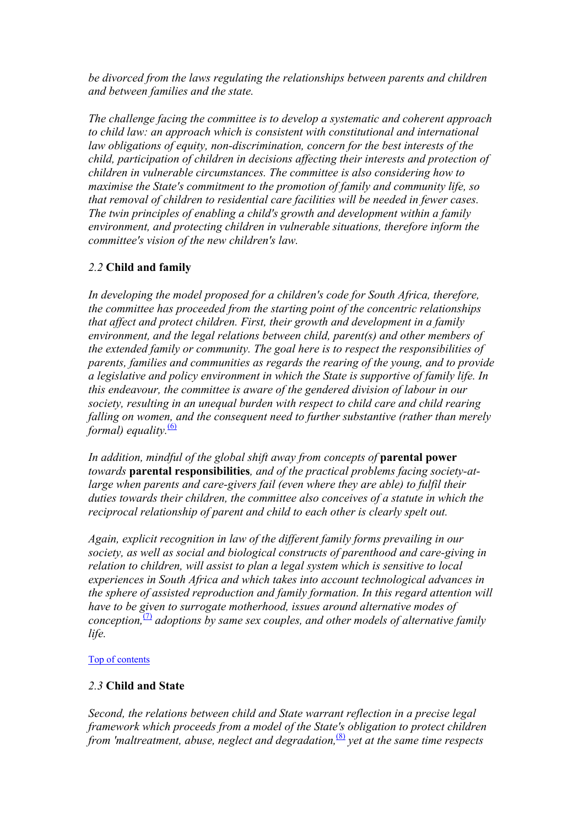<span id="page-18-0"></span>*be divorced from the laws regulating the relationships between parents and children and between families and the state.* 

*The challenge facing the committee is to develop a systematic and coherent approach to child law: an approach which is consistent with constitutional and international law obligations of equity, non-discrimination, concern for the best interests of the child, participation of children in decisions affecting their interests and protection of children in vulnerable circumstances. The committee is also considering how to maximise the State's commitment to the promotion of family and community life, so that removal of children to residential care facilities will be needed in fewer cases. The twin principles of enabling a child's growth and development within a family environment, and protecting children in vulnerable situations, therefore inform the committee's vision of the new children's law.* 

## *2.2* **Child and family**

*In developing the model proposed for a children's code for South Africa, therefore, the committee has proceeded from the starting point of the concentric relationships that affect and protect children. First, their growth and development in a family environment, and the legal relations between child, parent(s) and other members of the extended family or community. The goal here is to respect the responsibilities of parents, families and communities as regards the rearing of the young, and to provide a legislative and policy environment in which the State is supportive of family life. In this endeavour, the committee is aware of the gendered division of labour in our society, resulting in an unequal burden with respect to child care and child rearing falling on women, and the consequent need to further substantive (rather than merely formal) equality.*<sup>[\(6\)](#page-108-0)</sup>

*In addition, mindful of the global shift away from concepts of* **parental power** *towards* **parental responsibilities***, and of the practical problems facing society-atlarge when parents and care-givers fail (even where they are able) to fulfil their duties towards their children, the committee also conceives of a statute in which the reciprocal relationship of parent and child to each other is clearly spelt out.* 

*Again, explicit recognition in law of the different family forms prevailing in our society, as well as social and biological constructs of parenthood and care-giving in relation to children, will assist to plan a legal system which is sensitive to local experiences in South Africa and which takes into account technological advances in the sphere of assisted reproduction and family formation. In this regard attention will have to be given to surrogate motherhood, issues around alternative modes of conception*, $\frac{1}{2}$  adoptions by same sex couples, and other models of alternative family *life.* 

#### [Top of contents](#page-0-0)

## *2.3* **Child and State**

*Second, the relations between child and State warrant reflection in a precise legal framework which proceeds from a model of the State's obligation to protect children from 'maltreatment, abuse, neglect and degradation*,<sup>[\(8\)](#page-109-0)</sup> yet at the same time respects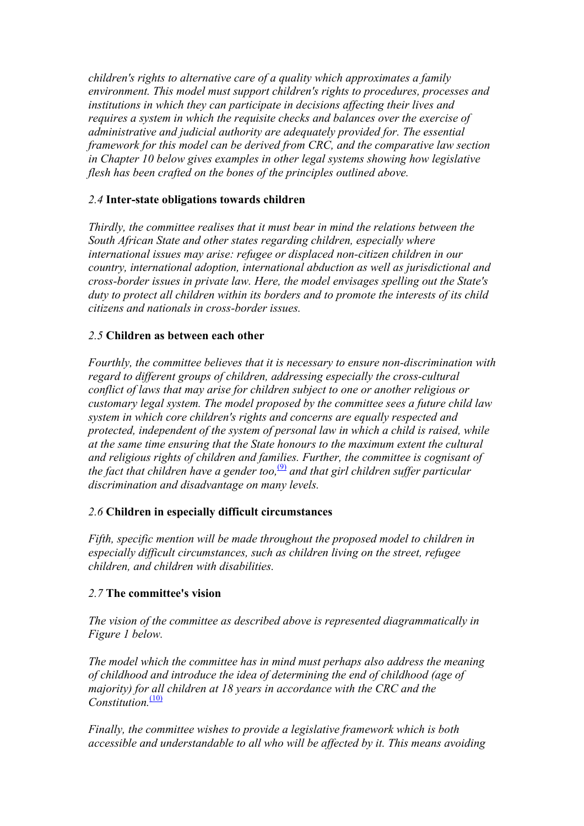<span id="page-19-0"></span>*children's rights to alternative care of a quality which approximates a family environment. This model must support children's rights to procedures, processes and institutions in which they can participate in decisions affecting their lives and requires a system in which the requisite checks and balances over the exercise of administrative and judicial authority are adequately provided for. The essential framework for this model can be derived from CRC, and the comparative law section in Chapter 10 below gives examples in other legal systems showing how legislative flesh has been crafted on the bones of the principles outlined above.* 

## *2.4* **Inter-state obligations towards children**

*Thirdly, the committee realises that it must bear in mind the relations between the South African State and other states regarding children, especially where international issues may arise: refugee or displaced non-citizen children in our country, international adoption, international abduction as well as jurisdictional and cross-border issues in private law. Here, the model envisages spelling out the State's duty to protect all children within its borders and to promote the interests of its child citizens and nationals in cross-border issues.* 

## *2.5* **Children as between each other**

*Fourthly, the committee believes that it is necessary to ensure non-discrimination with regard to different groups of children, addressing especially the cross-cultural conflict of laws that may arise for children subject to one or another religious or customary legal system. The model proposed by the committee sees a future child law system in which core children's rights and concerns are equally respected and protected, independent of the system of personal law in which a child is raised, while at the same time ensuring that the State honours to the maximum extent the cultural and religious rights of children and families. Further, the committee is cognisant of the fact that children have a gender too*,<sup>[\(9\)](#page-109-0)</sup> and that girl children suffer particular *discrimination and disadvantage on many levels.* 

## *2.6* **Children in especially difficult circumstances**

*Fifth, specific mention will be made throughout the proposed model to children in especially difficult circumstances, such as children living on the street, refugee children, and children with disabilities.* 

## *2.7* **The committee's vision**

*The vision of the committee as described above is represented diagrammatically in Figure 1 below.* 

*The model which the committee has in mind must perhaps also address the meaning of childhood and introduce the idea of determining the end of childhood (age of majority) for all children at 18 years in accordance with the CRC and the Constitution*<sup>[\(10\)](#page-109-0)</sup>

*Finally, the committee wishes to provide a legislative framework which is both accessible and understandable to all who will be affected by it. This means avoiding*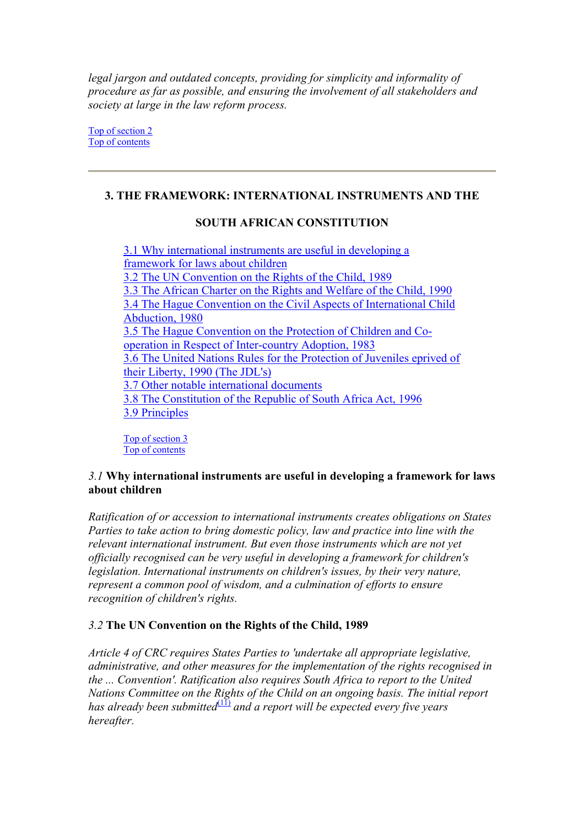<span id="page-20-0"></span>*legal jargon and outdated concepts, providing for simplicity and informality of procedure as far as possible, and ensuring the involvement of all stakeholders and society at large in the law reform process.* 

Top of section 2 Top of contents

#### **3. THE FRAMEWORK: INTERNATIONAL INSTRUMENTS AND THE**

#### **SOUTH AFRICAN CONSTITUTION**

3.1 Why international instruments are useful in developing a framework for laws about children 3.2 The UN Convention on the Rights of the Child, 1989 3.3 The African Charter on the Rights and Welfare of the Child, 1990 3.4 The Hague Convention on the Civil Aspects of International Child Abduction, 1980 3.5 The Hague Convention on the Protection of Children and Cooperation in Respect of Inter-country Adoption, 1983 3.6 The United Nations Rules for the Protection of Juveniles eprived of their Liberty, 1990 (The JDL's) 3.7 Other notable international documents 3.8 The Constitution of the Republic of South Africa Act, 1996  3.9 Principles

Top of section 3 Top of contents

### *3.1* **Why international instruments are useful in developing a framework for laws about children**

*Ratification of or accession to international instruments creates obligations on States Parties to take action to bring domestic policy, law and practice into line with the relevant international instrument. But even those instruments which are not yet officially recognised can be very useful in developing a framework for children's legislation. International instruments on children's issues, by their very nature, represent a common pool of wisdom, and a culmination of efforts to ensure recognition of children's rights.* 

#### *3.2* **The UN Convention on the Rights of the Child, 1989**

*Article 4 of CRC requires States Parties to 'undertake all appropriate legislative, administrative, and other measures for the implementation of the rights recognised in the ... Convention'. Ratification also requires South Africa to report to the United Nations Committee on the Rights of the Child on an ongoing basis. The initial report has already been submitted* $(11)$  *and a report will be expected every five years hereafter.*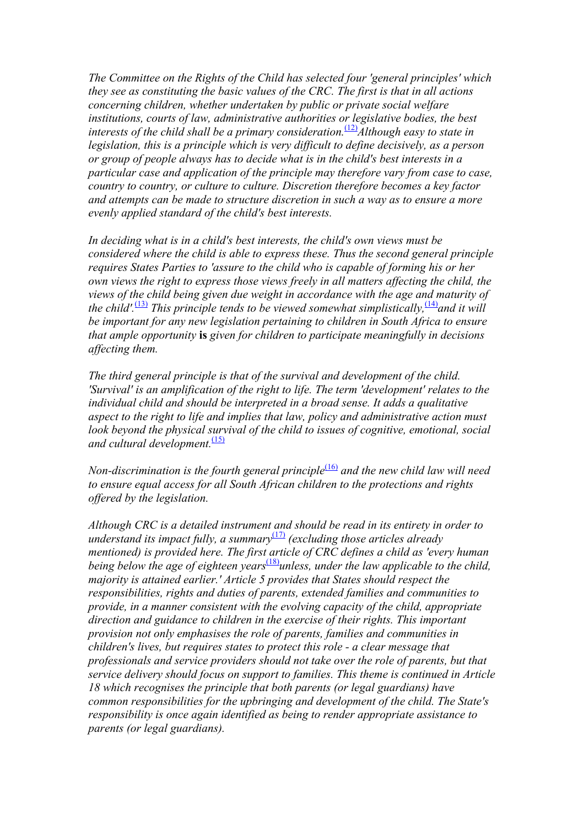*The Committee on the Rights of the Child has selected four 'general principles' which they see as constituting the basic values of the CRC. The first is that in all actions concerning children, whether undertaken by public or private social welfare institutions, courts of law, administrative authorities or legislative bodies, the best interests of the child shall be a primary consideration.*<sup>[\(12\)](#page-109-0)</sup>*Although easy to state in legislation, this is a principle which is very difficult to define decisively, as a person or group of people always has to decide what is in the child's best interests in a particular case and application of the principle may therefore vary from case to case, country to country, or culture to culture. Discretion therefore becomes a key factor and attempts can be made to structure discretion in such a way as to ensure a more evenly applied standard of the child's best interests.* 

*In deciding what is in a child's best interests, the child's own views must be considered where the child is able to express these. Thus the second general principle requires States Parties to 'assure to the child who is capable of forming his or her own views the right to express those views freely in all matters affecting the child, the views of the child being given due weight in accordance with the age and maturity of the child'*.<sup>[\(13\)](#page-109-0)</sup> *This principle tends to be viewed somewhat simplistically*,  $\frac{(14)}{2}$  $\frac{(14)}{2}$  $\frac{(14)}{2}$ *and it will be important for any new legislation pertaining to children in South Africa to ensure that ample opportunity* **is** *given for children to participate meaningfully in decisions affecting them.* 

*The third general principle is that of the survival and development of the child. 'Survival' is an amplification of the right to life. The term 'development' relates to the individual child and should be interpreted in a broad sense. It adds a qualitative aspect to the right to life and implies that law, policy and administrative action must look beyond the physical survival of the child to issues of cognitive, emotional, social and cultural development.*<sup>[\(15\)](#page-109-0)</sup>

*Non-discrimination is the fourth general principle*<sup>[\(16\)](#page-109-0)</sup> and the new child law will need *to ensure equal access for all South African children to the protections and rights offered by the legislation.* 

*Although CRC is a detailed instrument and should be read in its entirety in order to understand its impact fully, a summary*[\(17\)](#page-109-0) *(excluding those articles already mentioned) is provided here. The first article of CRC defines a child as 'every human being below the age of eighteen years*<sup>[\(18\)](#page-109-0)</sup>*unless, under the law applicable to the child, majority is attained earlier.' Article 5 provides that States should respect the responsibilities, rights and duties of parents, extended families and communities to provide, in a manner consistent with the evolving capacity of the child, appropriate direction and guidance to children in the exercise of their rights. This important provision not only emphasises the role of parents, families and communities in children's lives, but requires states to protect this role - a clear message that professionals and service providers should not take over the role of parents, but that service delivery should focus on support to families. This theme is continued in Article 18 which recognises the principle that both parents (or legal guardians) have common responsibilities for the upbringing and development of the child. The State's responsibility is once again identified as being to render appropriate assistance to parents (or legal guardians).*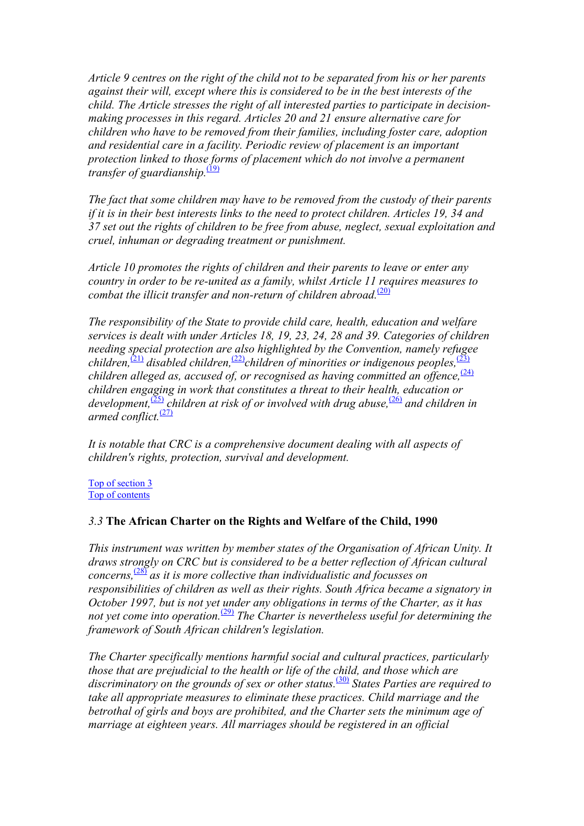<span id="page-22-0"></span>*Article 9 centres on the right of the child not to be separated from his or her parents against their will, except where this is considered to be in the best interests of the child. The Article stresses the right of all interested parties to participate in decisionmaking processes in this regard. Articles 20 and 21 ensure alternative care for children who have to be removed from their families, including foster care, adoption and residential care in a facility. Periodic review of placement is an important protection linked to those forms of placement which do not involve a permanent transfer of guardianship.*<sup>[\(19\)](#page-109-0)</sup>

*The fact that some children may have to be removed from the custody of their parents if it is in their best interests links to the need to protect children. Articles 19, 34 and 37 set out the rights of children to be free from abuse, neglect, sexual exploitation and cruel, inhuman or degrading treatment or punishment.* 

*Article 10 promotes the rights of children and their parents to leave or enter any country in order to be re-united as a family, whilst Article 11 requires measures to combat the illicit transfer and non-return of children abroad.*<sup>[\(20\)](#page-109-0)</sup>

*The responsibility of the State to provide child care, health, education and welfare services is dealt with under Articles 18, 19, 23, 24, 28 and 39. Categories of children needing special protection are also highlighted by the Convention, namely refugee children*,<sup> $(21)$ </sup> disabled children,<sup> $(22)$ </sup>children of minorities or indigenous peoples,<sup> $(2)$ </sup> *children alleged as, accused of, or recognised as having committed an offence*,  $\frac{(24)}{(24)}$  $\frac{(24)}{(24)}$  $\frac{(24)}{(24)}$ *children engaging in work that constitutes a threat to their health, education or*  development,<sup>[\(25\)](#page-109-0)</sup> children at risk of or involved with drug abuse,<sup>[\(26\)](#page-109-0)</sup> and children in *armed conflict.*[\(27\)](#page-109-0)

*It is notable that CRC is a comprehensive document dealing with all aspects of children's rights, protection, survival and development.* 

Top of section 3 Top of contents

#### *3.3* **The African Charter on the Rights and Welfare of the Child, 1990**

*This instrument was written by member states of the Organisation of African Unity. It draws strongly on CRC but is considered to be a better reflection of African cultural concerns,*(28) *as it is more collective than individualistic and focusses on responsibilities of children as well as their rights. South Africa became a signatory in October 1997, but is not yet under any obligations in terms of the Charter, as it has not yet come into operation.*(29) *The Charter is nevertheless useful for determining the framework of South African children's legislation.* 

*The Charter specifically mentions harmful social and cultural practices, particularly those that are prejudicial to the health or life of the child, and those which are*  discriminatory on the grounds of sex or other status.<sup>(30)</sup> States Parties are required to *take all appropriate measures to eliminate these practices. Child marriage and the betrothal of girls and boys are prohibited, and the Charter sets the minimum age of marriage at eighteen years. All marriages should be registered in an official*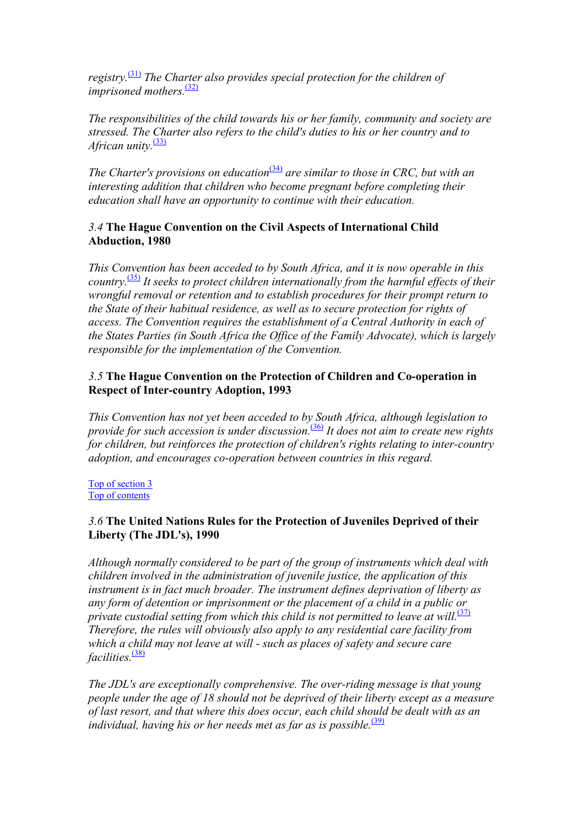<span id="page-23-0"></span>*registry.*[\(31\)](#page-110-0) *The Charter also provides special protection for the children of imprisoned mothers.*<sup>[\(32\)](#page-110-0)</sup>

*The responsibilities of the child towards his or her family, community and society are stressed. The Charter also refers to the child's duties to his or her country and to African unity.*<sup>[\(33\)](#page-110-0)</sup>

*The Charter's provisions on education*<sup>[\(34\)](#page-110-0)</sup> are similar to those in CRC, but with an *interesting addition that children who become pregnant before completing their education shall have an opportunity to continue with their education.* 

## *3.4* **The Hague Convention on the Civil Aspects of International Child Abduction, 1980**

*This Convention has been acceded to by South Africa, and it is now operable in this country.*[\(35\)](#page-110-0) *It seeks to protect children internationally from the harmful effects of their wrongful removal or retention and to establish procedures for their prompt return to the State of their habitual residence, as well as to secure protection for rights of access. The Convention requires the establishment of a Central Authority in each of the States Parties (in South Africa the Office of the Family Advocate), which is largely responsible for the implementation of the Convention.* 

## *3.5* **The Hague Convention on the Protection of Children and Co-operation in Respect of Inter-country Adoption, 1993**

*This Convention has not yet been acceded to by South Africa, although legislation to provide for such accession is under discussion.*[\(36\)](#page-110-0) *It does not aim to create new rights for children, but reinforces the protection of children's rights relating to inter-country adoption, and encourages co-operation between countries in this regard.* 

Top of section 3 Top of contents

## *3.6* **The United Nations Rules for the Protection of Juveniles Deprived of their Liberty (The JDL's), 1990**

*Although normally considered to be part of the group of instruments which deal with children involved in the administration of juvenile justice, the application of this instrument is in fact much broader. The instrument defines deprivation of liberty as any form of detention or imprisonment or the placement of a child in a public or private custodial setting from which this child is not permitted to leave at will.*<sup>(37)</sup> *Therefore, the rules will obviously also apply to any residential care facility from which a child may not leave at will - such as places of safety and secure care facilities.*(38)

*The JDL's are exceptionally comprehensive. The ov[er-r](#page-110-0)iding message is that young people under the age of 18 should not be deprived of their liberty except as a measure of last resort, and that where this does occur, each child should be dealt with as an individual, having his or her needs met as far as is possible.*<sup>(39)</sup>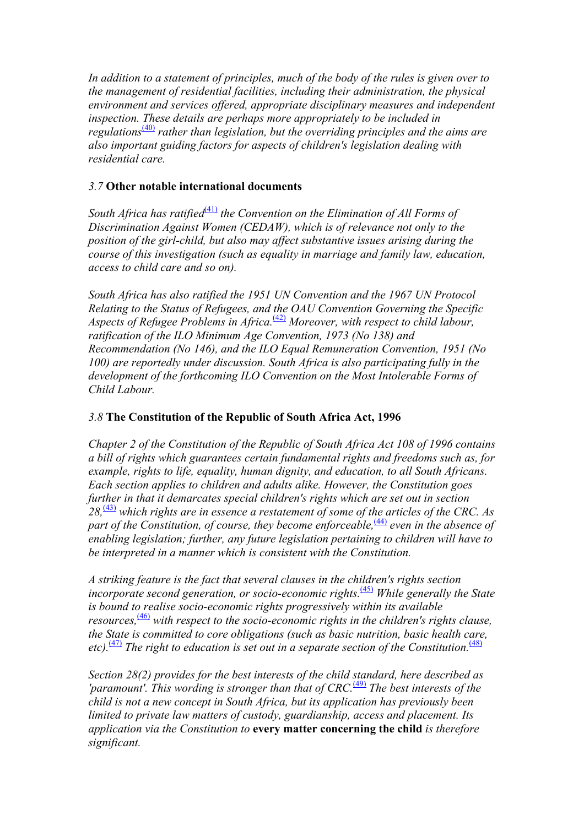<span id="page-24-0"></span>*In addition to a statement of principles, much of the body of the rules is given over to the management of residential facilities, including their administration, the physical environment and services offered, appropriate disciplinary measures and independent inspection. These details are perhaps more appropriately to be included in regulations*[\(40\)](#page-110-0) *rather than legislation, but the overriding principles and the aims are also important guiding factors for aspects of children's legislation dealing with residential care.* 

## *3.7* **Other notable international documents**

*South Africa has ratified*<sup>[\(41\)](#page-110-0)</sup> the Convention on the Elimination of All Forms of *Discrimination Against Women (CEDAW), which is of relevance not only to the position of the girl-child, but also may affect substantive issues arising during the course of this investigation (such as equality in marriage and family law, education, access to child care and so on).* 

*South Africa has also ratified the 1951 UN Convention and the 1967 UN Protocol Relating to the Status of Refugees, and the OAU Convention Governing the Specific Aspects of Refugee Problems in Africa.*[\(42\)](#page-110-0) *Moreover, with respect to child labour, ratification of the ILO Minimum Age Convention, 1973 (No 138) and Recommendation (No 146), and the ILO Equal Remuneration Convention, 1951 (No 100) are reportedly under discussion. South Africa is also participating fully in the development of the forthcoming ILO Convention on the Most Intolerable Forms of Child Labour.* 

### *3.8* **The Constitution of the Republic of South Africa Act, 1996**

*Chapter 2 of the Constitution of the Republic of South Africa Act 108 of 1996 contains a bill of rights which guarantees certain fundamental rights and freedoms such as, for example, rights to life, equality, human dignity, and education, to all South Africans. Each section applies to children and adults alike. However, the Constitution goes further in that it demarcates special children's rights which are set out in section*   $28\frac{(43)}{ }$  $28\frac{(43)}{ }$  $28\frac{(43)}{ }$  which rights are in essence a restatement of some of the articles of the CRC. As *part of the Constitution, of course, they become enforceable*,<sup>[\(44\)](#page-111-0)</sup> even in the absence of *enabling legislation; further, any future legislation pertaining to children will have to be interpreted in a manner which is consistent with the Constitution.* 

*A striking feature is the fact that several clauses in the children's rights section incorporate second generation, or socio-economic rights.*<sup>[\(45\)](#page-111-0)</sup> While generally the State *is bound to realise socio-economic rights progressively within its available resources,*<sup>[\(46\)](#page-111-0)</sup> with respect to the socio-economic rights in the children's rights clause, *the State is committed to core obligations (such as basic nutrition, basic health care, etc*).<sup>[\(47\)](#page-111-0)</sup> The right to education is set out in a separate section of the Constitution.<sup>[\(48\)](#page-112-0)</sup>

*Section 28(2) provides for the best interests of the child standard, here described as*  'paramount'. This wording is stronger than that of CRC.<sup>[\(49\)](#page-112-0)</sup> The best interests of the *child is not a new concept in South Africa, but its application has previously been limited to private law matters of custody, guardianship, access and placement. Its application via the Constitution to* **every matter concerning the child** *is therefore significant.*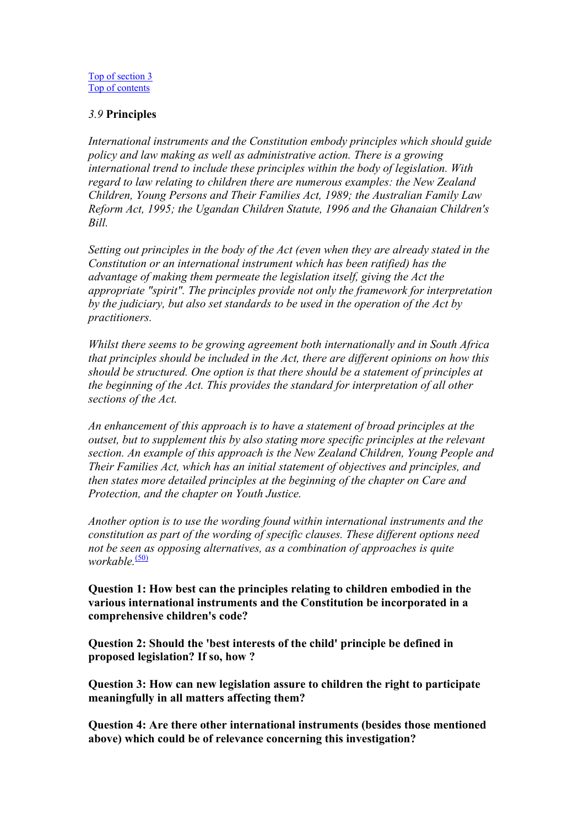#### <span id="page-25-0"></span>*3.9* **Principles**

*International instruments and the Constitution embody principles which should guide policy and law making as well as administrative action. There is a growing international trend to include these principles within the body of legislation. With regard to law relating to children there are numerous examples: the New Zealand Children, Young Persons and Their Families Act, 1989; the Australian Family Law Reform Act, 1995; the Ugandan Children Statute, 1996 and the Ghanaian Children's Bill.* 

*Setting out principles in the body of the Act (even when they are already stated in the Constitution or an international instrument which has been ratified) has the advantage of making them permeate the legislation itself, giving the Act the appropriate "spirit". The principles provide not only the framework for interpretation by the judiciary, but also set standards to be used in the operation of the Act by practitioners.* 

*Whilst there seems to be growing agreement both internationally and in South Africa that principles should be included in the Act, there are different opinions on how this should be structured. One option is that there should be a statement of principles at the beginning of the Act. This provides the standard for interpretation of all other sections of the Act.* 

*An enhancement of this approach is to have a statement of broad principles at the outset, but to supplement this by also stating more specific principles at the relevant section. An example of this approach is the New Zealand Children, Young People and Their Families Act, which has an initial statement of objectives and principles, and then states more detailed principles at the beginning of the chapter on Care and Protection, and the chapter on Youth Justice.* 

*Another option is to use the wording found within international instruments and the constitution as part of the wording of specific clauses. These different options need not be seen as opposing alternatives, as a combination of approaches is quite workable*.<sup>(50)</sup>

**Question 1: How best can the principles relating to children embodied in the various international instruments and the Constitution be incorporated in a comprehensive children's code?**

**Question 2: Should the 'best interests of the child' principle be defined in proposed legislation? If so, how ?** 

**Question 3: How can new legislation assure to children the right to participate meaningfully in all matters affecting them?**

**Question 4: Are there other international instruments (besides those mentioned above) which could be of relevance concerning this investigation?**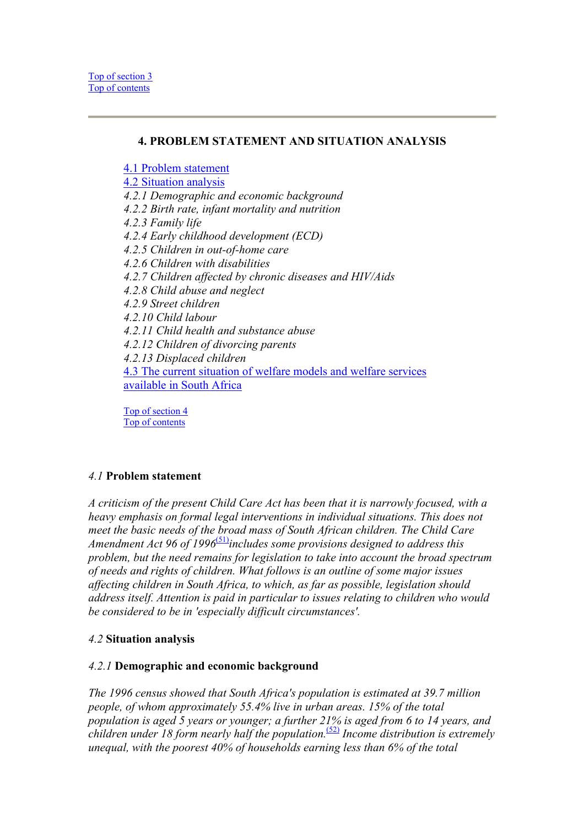### <span id="page-26-0"></span>**4. PROBLEM STATEMENT AND SITUATION ANALYSIS**

4.1 Problem statement

4.2 Situation analysis *4.2.1 Demographic and economic background 4.2.2 Birth rate, infant mortality and nutrition 4.2.3 Family life 4.2.4 Early childhood development (ECD) 4.2.5 Children in out-of-home care 4.2.6 Children with disabilities 4.2.7 Children affected by chronic diseases and HIV/Aids 4.2.8 Child abuse and neglect 4.2.9 Street children 4.2.10 Child labour 4.2.11 Child health and substance abuse 4.2.12 Children of divorcing parents 4.2.13 Displaced children*  4.3 The current situation of welfare models and welfare services available in South Africa

Top of section 4 Top of contents

## *4.1* **Problem statement**

*A criticism of the present Child Care Act has been that it is narrowly focused, with a heavy emphasis on formal legal interventions in individual situations. This does not meet the basic needs of the broad mass of South African children. The Child Care*  Amendment Act 96 of 1996<sup>(51)</sup>includes some provisions designed to address this *problem, but the need remains for legislation to take into account the broad spectrum of needs and rights of children. What follows is an outline of some major issues affecting children in South Africa, to which, as far as possible, legislation should address itself. Attention is paid in particular to issues relating to children who would be considered to be in 'especially difficult circumstances'.* 

## *4.2* **Situation analysis**

## *4.2.1* **Demographic and economic background**

*The 1996 census showed that South Africa's population is estimated at 39.7 million people, of whom approximately 55.4% live in urban areas. 15% of the total population is aged 5 years or younger; a further 21% is aged from 6 to 14 years, and children under 18 form nearly half the population.*(52) *Income distribution is extremely unequal, with the poorest 40% of households earning less than 6% of the total*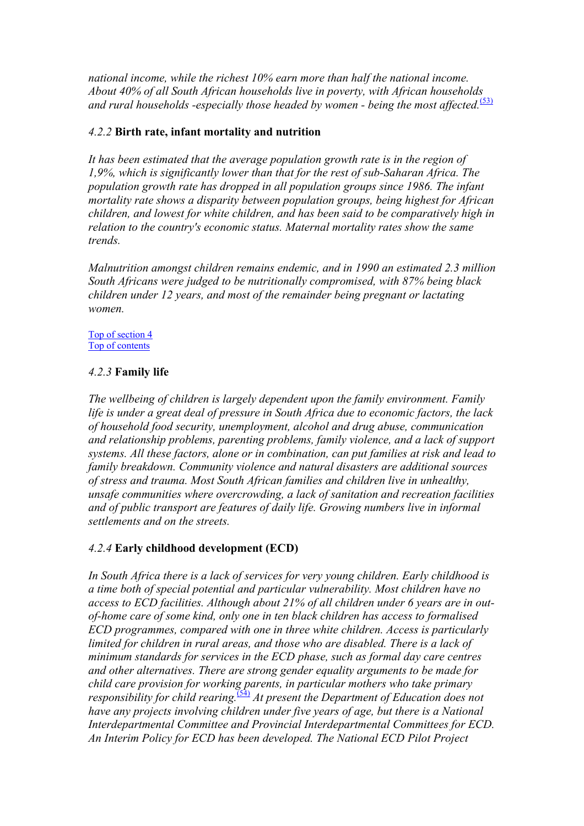*national income, while the richest 10% earn more than half the national income. About 40% of all South African households live in poverty, with African households*  and rural households -especially those headed by women - being the most affected.<sup>[\(53\)](#page-112-0)</sup>

### *4.2.2* **Birth rate, infant mortality and nutrition**

*It has been estimated that the average population growth rate is in the region of 1,9%, which is significantly lower than that for the rest of sub-Saharan Africa. The population growth rate has dropped in all population groups since 1986. The infant mortality rate shows a disparity between population groups, being highest for African children, and lowest for white children, and has been said to be comparatively high in relation to the country's economic status. Maternal mortality rates show the same trends.* 

*Malnutrition amongst children remains endemic, and in 1990 an estimated 2.3 million South Africans were judged to be nutritionally compromised, with 87% being black children under 12 years, and most of the remainder being pregnant or lactating women.* 

#### Top of section 4 Top of contents

### *4.2.3* **Family life**

*The wellbeing of children is largely dependent upon the family environment. Family life is under a great deal of pressure in South Africa due to economic factors, the lack of household food security, unemployment, alcohol and drug abuse, communication and relationship problems, parenting problems, family violence, and a lack of support systems. All these factors, alone or in combination, can put families at risk and lead to family breakdown. Community violence and natural disasters are additional sources of stress and trauma. Most South African families and children live in unhealthy, unsafe communities where overcrowding, a lack of sanitation and recreation facilities and of public transport are features of daily life. Growing numbers live in informal settlements and on the streets.* 

## *4.2.4* **Early childhood development (ECD)**

*In South Africa there is a lack of services for very young children. Early childhood is a time both of special potential and particular vulnerability. Most children have no access to ECD facilities. Although about 21% of all children under 6 years are in outof-home care of some kind, only one in ten black children has access to formalised ECD programmes, compared with one in three white children. Access is particularly limited for children in rural areas, and those who are disabled. There is a lack of minimum standards for services in the ECD phase, such as formal day care centres and other alternatives. There are strong gender equality arguments to be made for child care provision for working parents, in particular mothers who take primary responsibility for child rearing.*<sup>(54)</sup> At present the Department of Education does not *have any projects involving children under five years of age, but there is a National Interdepartmental Committee and Provincial Inte[rdep](#page-112-0)artmental Committees for ECD. An Interim Policy for ECD has been developed. The National ECD Pilot Project*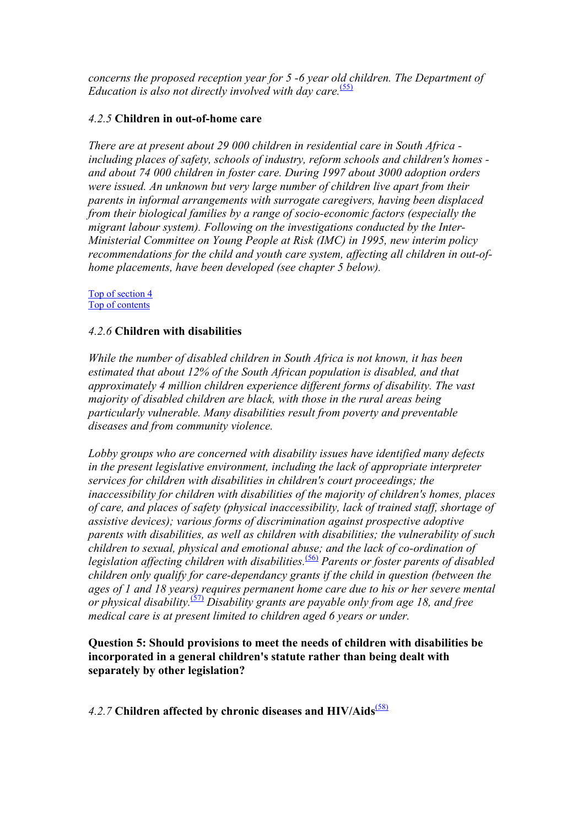*concerns the proposed reception year for 5 -6 year old children. The Department of Education is also not directly involved with day care.*<sup>[\(55\)](#page-112-0)</sup>

## *4.2.5* **Children in out-of-home care**

*There are at present about 29 000 children in residential care in South Africa including places of safety, schools of industry, reform schools and children's homes and about 74 000 children in foster care. During 1997 about 3000 adoption orders were issued. An unknown but very large number of children live apart from their parents in informal arrangements with surrogate caregivers, having been displaced from their biological families by a range of socio-economic factors (especially the migrant labour system). Following on the investigations conducted by the Inter-Ministerial Committee on Young People at Risk (IMC) in 1995, new interim policy recommendations for the child and youth care system, affecting all children in out-ofhome placements, have been developed (see chapter 5 below).* 

Top of section 4 Top of contents

### *4.2.6* **Children with disabilities**

*While the number of disabled children in South Africa is not known, it has been estimated that about 12% of the South African population is disabled, and that approximately 4 million children experience different forms of disability. The vast majority of disabled children are black, with those in the rural areas being particularly vulnerable. Many disabilities result from poverty and preventable diseases and from community violence.* 

*Lobby groups who are concerned with disability issues have identified many defects in the present legislative environment, including the lack of appropriate interpreter services for children with disabilities in children's court proceedings; the inaccessibility for children with disabilities of the majority of children's homes, places of care, and places of safety (physical inaccessibility, lack of trained staff, shortage of assistive devices); various forms of discrimination against prospective adoptive parents with disabilities, as well as children with disabilities; the vulnerability of such children to sexual, physical and emotional abuse; and the lack of co-ordination of legislation affecting children with disabilities.*(56) *Parents or foster parents of disabled children only qualify for care-dependancy grants if the child in question (between the ages of 1 and 18 years) requires permanent home care due to his or her severe mental or physical disability.*(57) *Disability grants are payable only from age 18, and free medical care is at present limited to children aged 6 years or under.* 

**Question 5: Should provisions to meet the needs of children with disabilities be incorporated in a general children's statute rather than being dealt with separately by other legislation?** 

*4.2.7* **Children affected by chronic diseases and HIV/Aids**(58)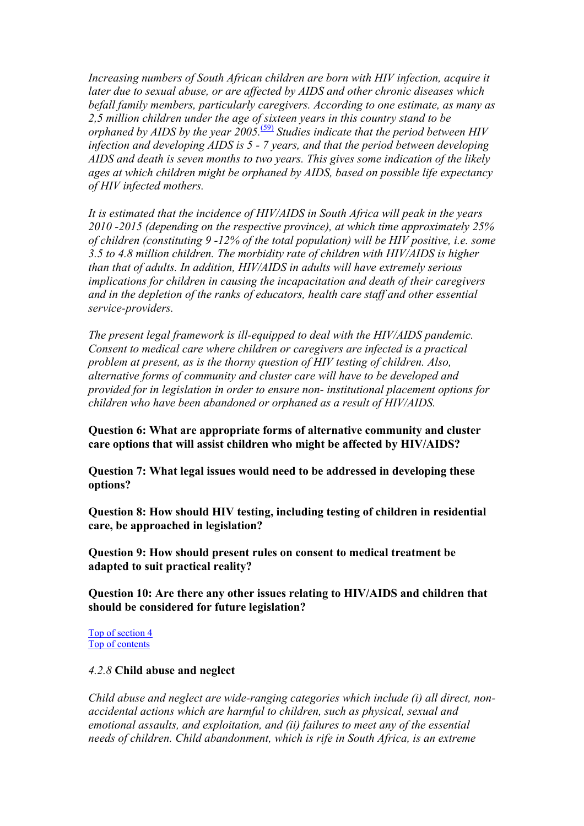*Increasing numbers of South African children are born with HIV infection, acquire it later due to sexual abuse, or are affected by AIDS and other chronic diseases which befall family members, particularly caregivers. According to one estimate, as many as 2,5 million children under the age of sixteen years in this country stand to be orphaned by AIDS by the year 2005.*<sup>[\(59\)](#page-112-0)</sup> Studies indicate that the period between HIV *infection and developing AIDS is 5 - 7 years, and that the period between developing AIDS and death is seven months to two years. This gives some indication of the likely ages at which children might be orphaned by AIDS, based on possible life expectancy of HIV infected mothers.* 

*It is estimated that the incidence of HIV/AIDS in South Africa will peak in the years 2010 -2015 (depending on the respective province), at which time approximately 25% of children (constituting 9 -12% of the total population) will be HIV positive, i.e. some 3.5 to 4.8 million children. The morbidity rate of children with HIV/AIDS is higher than that of adults. In addition, HIV/AIDS in adults will have extremely serious implications for children in causing the incapacitation and death of their caregivers and in the depletion of the ranks of educators, health care staff and other essential service-providers.* 

*The present legal framework is ill-equipped to deal with the HIV/AIDS pandemic. Consent to medical care where children or caregivers are infected is a practical problem at present, as is the thorny question of HIV testing of children. Also, alternative forms of community and cluster care will have to be developed and provided for in legislation in order to ensure non- institutional placement options for children who have been abandoned or orphaned as a result of HIV/AIDS.* 

**Question 6: What are appropriate forms of alternative community and cluster care options that will assist children who might be affected by HIV/AIDS?**

**Question 7: What legal issues would need to be addressed in developing these options?**

**Question 8: How should HIV testing, including testing of children in residential care, be approached in legislation?**

**Question 9: How should present rules on consent to medical treatment be adapted to suit practical reality?**

**Question 10: Are there any other issues relating to HIV/AIDS and children that should be considered for future legislation?**

Top of section 4 Top of contents

#### *4.2.8* **Child abuse and neglect**

*Child abuse and neglect are wide-ranging categories which include (i) all direct, nonaccidental actions which are harmful to children, such as physical, sexual and emotional assaults, and exploitation, and (ii) failures to meet any of the essential needs of children. Child abandonment, which is rife in South Africa, is an extreme*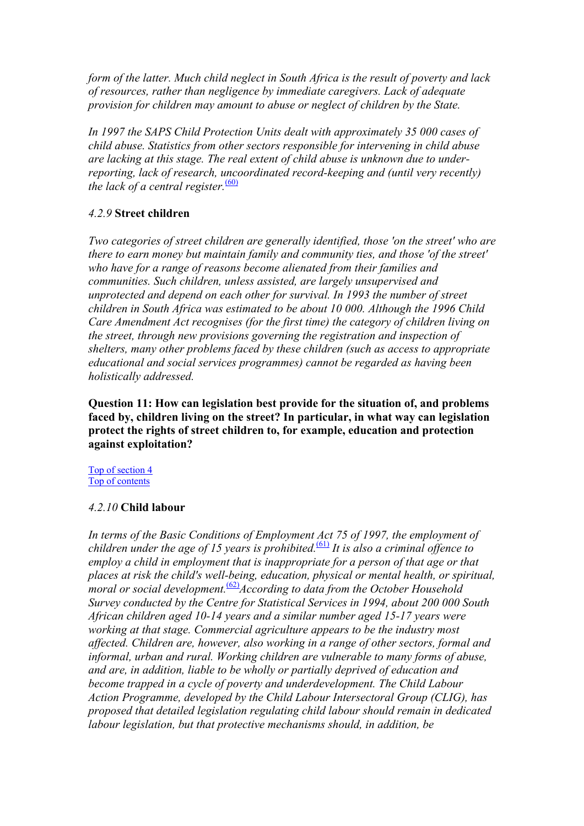*form of the latter. Much child neglect in South Africa is the result of poverty and lack of resources, rather than negligence by immediate caregivers. Lack of adequate provision for children may amount to abuse or neglect of children by the State.* 

*In 1997 the SAPS Child Protection Units dealt with approximately 35 000 cases of child abuse. Statistics from other sectors responsible for intervening in child abuse are lacking at this stage. The real extent of child abuse is unknown due to underreporting, lack of research, uncoordinated record-keeping and (until very recently) the lack of a central register.*<sup> $(60)$ </sup>

### *4.2.9* **Street children**

*Two categories of street children are generally identified, those 'on the street' who are there to earn money but maintain family and community ties, and those 'of the street' who have for a range of reasons become alienated from their families and communities. Such children, unless assisted, are largely unsupervised and unprotected and depend on each other for survival. In 1993 the number of street children in South Africa was estimated to be about 10 000. Although the 1996 Child Care Amendment Act recognises (for the first time) the category of children living on the street, through new provisions governing the registration and inspection of shelters, many other problems faced by these children (such as access to appropriate educational and social services programmes) cannot be regarded as having been holistically addressed.* 

**Question 11: How can legislation best provide for the situation of, and problems faced by, children living on the street? In particular, in what way can legislation protect the rights of street children to, for example, education and protection against exploitation?**

Top of section 4 Top of contents

#### *4.2.10* **Child labour**

*In terms of the Basic Conditions of Employment Act 75 of 1997, the employment of children under the age of 15 years is prohibited.*(61) *It is also a criminal offence to employ a child in employment that is inappropriate for a person of that age or that places at risk the child's well-being, education, physical or mental health, or spiritual,*  <sup>1</sup> moral or social development.<sup>(62)</sup>According to data from the October Household *Survey conducted by the Centre for Statistical Services in 1994, about 200 000 South African children aged 10-14 years and a similar number aged 15-17 years were working at that stage. Commercial agriculture appears to be the industry most affected. Children are, however, also working in a range of other sectors, formal and informal, urban and rural. Working children are vulnerable to many forms of abuse, and are, in addition, liable to be wholly or partially deprived of education and become trapped in a cycle of poverty and underdevelopment. The Child Labour Action Programme, developed by the Child Labour Intersectoral Group (CLIG), has proposed that detailed legislation regulating child labour should remain in dedicated labour legislation, but that protective mechanisms should, in addition, be*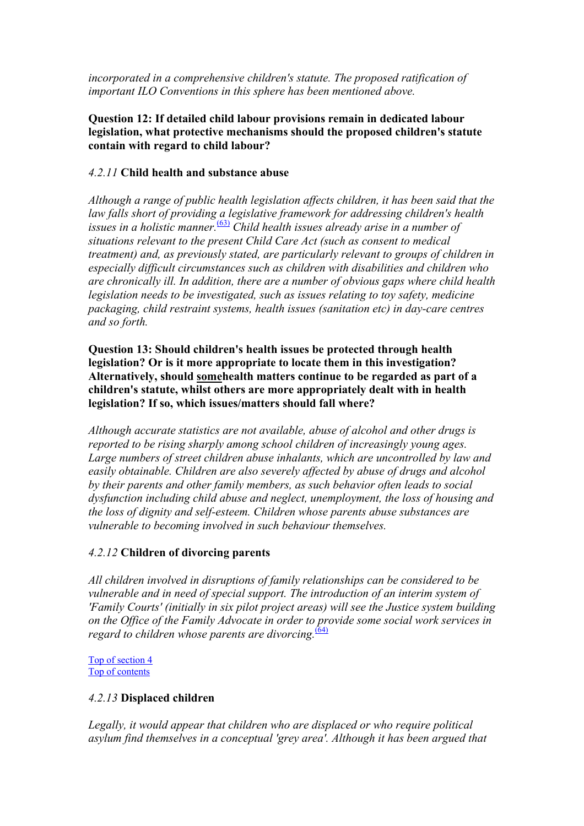*incorporated in a comprehensive children's statute. The proposed ratification of important ILO Conventions in this sphere has been mentioned above.* 

### **Question 12: If detailed child labour provisions remain in dedicated labour legislation, what protective mechanisms should the proposed children's statute contain with regard to child labour?**

### *4.2.11* **Child health and substance abuse**

*Although a range of public health legislation affects children, it has been said that the law falls short of providing a legislative framework for addressing children's health*  issues in a holistic manner.<sup>[\(63\)](#page-113-0)</sup> Child health issues already arise in a number of *situations relevant to the present Child Care Act (such as consent to medical treatment) and, as previously stated, are particularly relevant to groups of children in especially difficult circumstances such as children with disabilities and children who are chronically ill. In addition, there are a number of obvious gaps where child health legislation needs to be investigated, such as issues relating to toy safety, medicine packaging, child restraint systems, health issues (sanitation etc) in day-care centres and so forth.* 

**Question 13: Should children's health issues be protected through health legislation? Or is it more appropriate to locate them in this investigation? Alternatively, should somehealth matters continue to be regarded as part of a children's statute, whilst others are more appropriately dealt with in health legislation? If so, which issues/matters should fall where?**

*Although accurate statistics are not available, abuse of alcohol and other drugs is reported to be rising sharply among school children of increasingly young ages. Large numbers of street children abuse inhalants, which are uncontrolled by law and easily obtainable. Children are also severely affected by abuse of drugs and alcohol by their parents and other family members, as such behavior often leads to social dysfunction including child abuse and neglect, unemployment, the loss of housing and the loss of dignity and self-esteem. Children whose parents abuse substances are vulnerable to becoming involved in such behaviour themselves.* 

#### *4.2.12* **Children of divorcing parents**

*All children involved in disru[ptio](#page-113-0)ns of family relationships can be considered to be vulnerable and in need of special support. The introduction of an interim system of 'Family Courts' (initially in six pilot project areas) will see the Justice system building on the Office of the Family Advocate in order to provide some social work services in regard to children whose parents are divorcing.*<sup>[\(64\)](#page-113-0)</sup>

Top of section 4 Top of contents

#### *4.2.13* **Displaced children**

*Legally, it would appear that children who are displaced or who require political asylum find themselves in a conceptual 'grey area'. Although it has been argued that*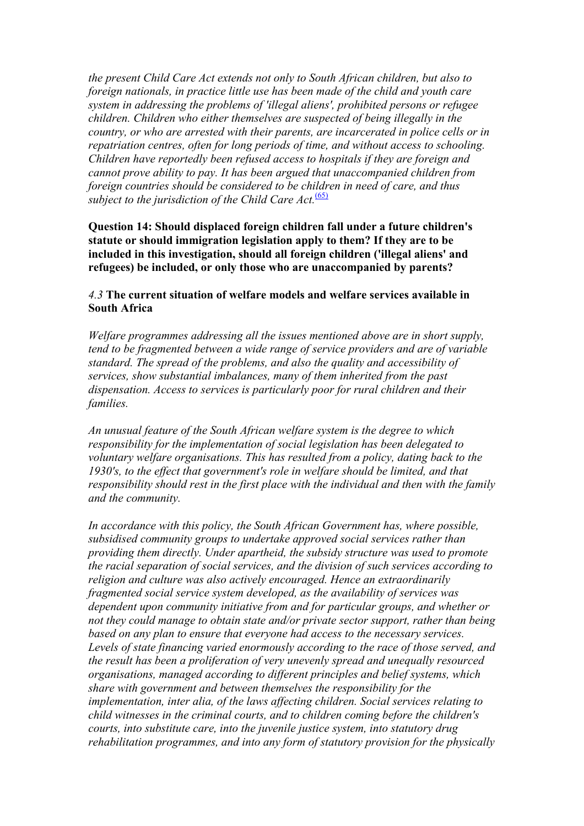<span id="page-32-0"></span>*the present Child Care Act extends not only to South African children, but also to foreign nationals, in practice little use has been made of the child and youth care system in addressing the problems of 'illegal aliens', prohibited persons or refugee children. Children who either themselves are suspected of being illegally in the country, or who are arrested with their parents, are incarcerated in police cells or in repatriation centres, often for long periods of time, and without access to schooling. Children have reportedly been refused access to hospitals if they are foreign and cannot prove ability to pay. It has been argued that unaccompanied children from foreign countries should be considered to be children in need of care, and thus subject to the jurisdiction of the Child Care Act.*<sup>[\(65\)](#page-113-0)</sup>

**Question 14: Should displaced foreign children fall under a future children's statute or should immigration legislation apply to them? If they are to be included in this investigation, should all foreign children ('illegal aliens' and refugees) be included, or only those who are unaccompanied by parents?** 

### *4.3* **The current situation of welfare models and welfare services available in South Africa**

*Welfare programmes addressing all the issues mentioned above are in short supply, tend to be fragmented between a wide range of service providers and are of variable standard. The spread of the problems, and also the quality and accessibility of services, show substantial imbalances, many of them inherited from the past dispensation. Access to services is particularly poor for rural children and their families.* 

*An unusual feature of the South African welfare system is the degree to which responsibility for the implementation of social legislation has been delegated to voluntary welfare organisations. This has resulted from a policy, dating back to the 1930's, to the effect that government's role in welfare should be limited, and that responsibility should rest in the first place with the individual and then with the family and the community.* 

*In accordance with this policy, the South African Government has, where possible, subsidised community groups to undertake approved social services rather than providing them directly. Under apartheid, the subsidy structure was used to promote the racial separation of social services, and the division of such services according to religion and culture was also actively encouraged. Hence an extraordinarily fragmented social service system developed, as the availability of services was dependent upon community initiative from and for particular groups, and whether or not they could manage to obtain state and/or private sector support, rather than being based on any plan to ensure that everyone had access to the necessary services. Levels of state financing varied enormously according to the race of those served, and the result has been a proliferation of very unevenly spread and unequally resourced organisations, managed according to different principles and belief systems, which share with government and between themselves the responsibility for the implementation, inter alia, of the laws affecting children. Social services relating to child witnesses in the criminal courts, and to children coming before the children's courts, into substitute care, into the juvenile justice system, into statutory drug rehabilitation programmes, and into any form of statutory provision for the physically*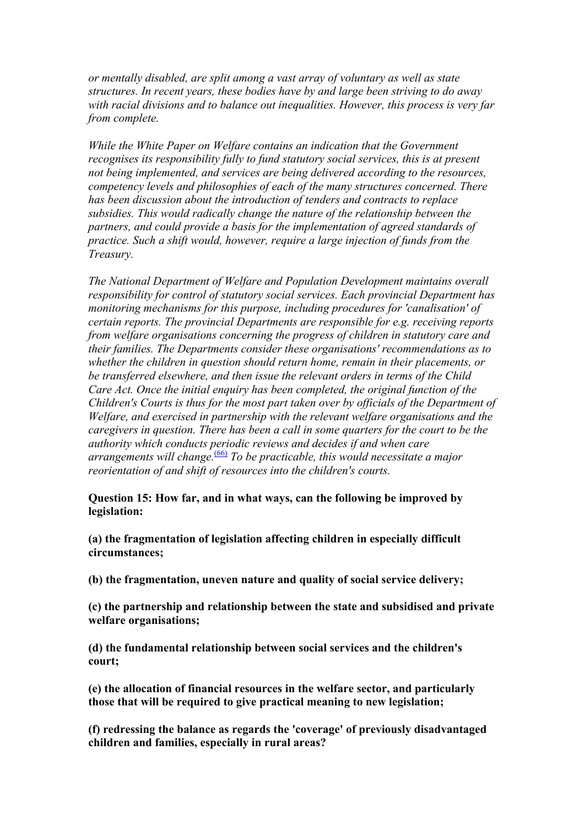*or mentally disabled, are split among a vast array of voluntary as well as state structures. In recent years, these bodies have by and large been striving to do away with racial divisions and to balance out inequalities. However, this process is very far from complete.* 

*While the White Paper on Welfare contains an indication that the Government recognises its responsibility fully to fund statutory social services, this is at present not being implemented, and services are being delivered according to the resources, competency levels and philosophies of each of the many structures concerned. There has been discussion about the introduction of tenders and contracts to replace subsidies. This would radically change the nature of the relationship between the partners, and could provide a basis for the implementation of agreed standards of practice. Such a shift would, however, require a large injection of funds from the Treasury.* 

*The National Department of Welfare and Population Development maintains overall responsibility for control of statutory social services. Each provincial Department has monitoring mechanisms for this purpose, including procedures for 'canalisation' of certain reports. The provincial Departments are responsible for e.g. receiving reports from welfare organisations concerning the progress of children in statutory care and their families. The Departments consider these organisations' recommendations as to whether the children in question should return home, remain in their placements, or be transferred elsewhere, and then issue the relevant orders in terms of the Child Care Act. Once the initial enquiry has been completed, the original function of the Children's Courts is thus for the most part taken over by officials of the Department of Welfare, and exercised in partnership with the relevant welfare organisations and the caregivers in question. There has been a call in some quarters for the court to be the authority which conducts periodic reviews and decides if and when care arrangements will change.*[\(66\)](#page-113-0) *To be practicable, this would necessitate a major reorientation of and shift of resources into the children's courts.* 

**Question 15: How far, and in what ways, can the following be improved by legislation:**

**(a) the fragmentation of legislation affecting children in especially difficult circumstances;**

**(b) the fragmentation, uneven nature and quality of social service delivery;**

**(c) the partnership and relationship between the state and subsidised and private welfare organisations;**

**(d) the fundamental relationship between social services and the children's court;**

**(e) the allocation of financial resources in the welfare sector, and particularly those that will be required to give practical meaning to new legislation;** 

**(f) redressing the balance as regards the 'coverage' of previously disadvantaged children and families, especially in rural areas?**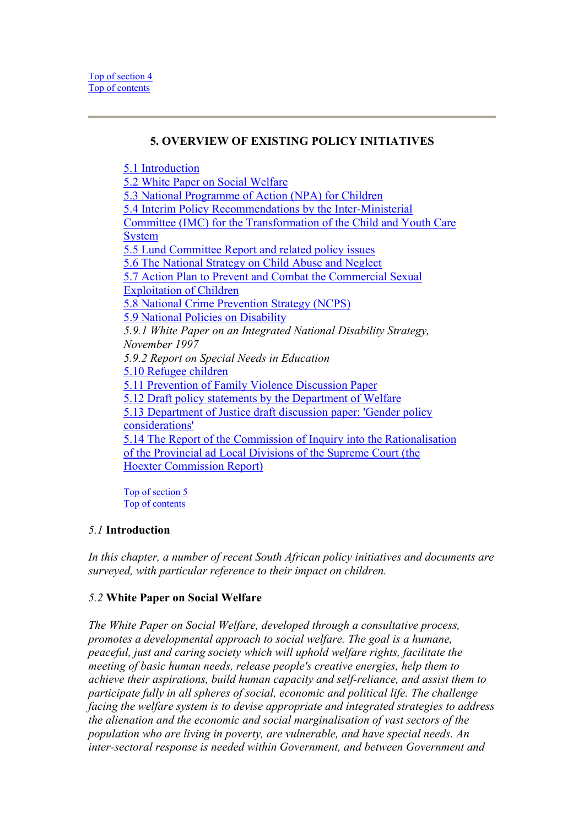## <span id="page-34-0"></span>**5. OVERVIEW OF EXISTING POLICY INITIATIVES**

5.1 Introduction 5.2 White Paper on Social Welfare 5.3 National Programme of Action (NPA) for Children 5.4 Interim Policy Recommendations by the Inter-Ministerial Committee (IMC) for the Transformation of the Child and Youth Care **System** 5.5 Lund Committee Report and related policy issues 5.6 The National Strategy on Child Abuse and Neglect 5.7 Action Plan to Prevent and Combat the Commercial Sexual Exploitation of Children 5.8 National Crime Prevention Strategy (NCPS) 5.9 National Policies on Disability *5.9.1 White Paper on an Integrated National Disability Strategy, November 1997 5.9.2 Report on Special Needs in Education*  5.10 Refugee children 5.11 Prevention of Family Violence Discussion Paper 5.12 Draft policy statements by the Department of Welfare 5.13 Department of Justice draft discussion paper: 'Gender policy considerations' 5.14 The Report of the Commission of Inquiry into the Rationalisation of the Provincial ad Local Divisions of the Supreme Court (the Hoexter Commission Report)

Top of section 5 Top of contents

## *5.1* **Introduction**

*In this chapter, a number of recent South African policy initiatives and documents are surveyed, with particular reference to their impact on children.*

## *5.2* **White Paper on Social Welfare**

*The White Paper on Social Welfare, developed through a consultative process, promotes a developmental approach to social welfare. The goal is a humane, peaceful, just and caring society which will uphold welfare rights, facilitate the meeting of basic human needs, release people's creative energies, help them to achieve their aspirations, build human capacity and self-reliance, and assist them to participate fully in all spheres of social, economic and political life. The challenge facing the welfare system is to devise appropriate and integrated strategies to address the alienation and the economic and social marginalisation of vast sectors of the population who are living in poverty, are vulnerable, and have special needs. An inter-sectoral response is needed within Government, and between Government and*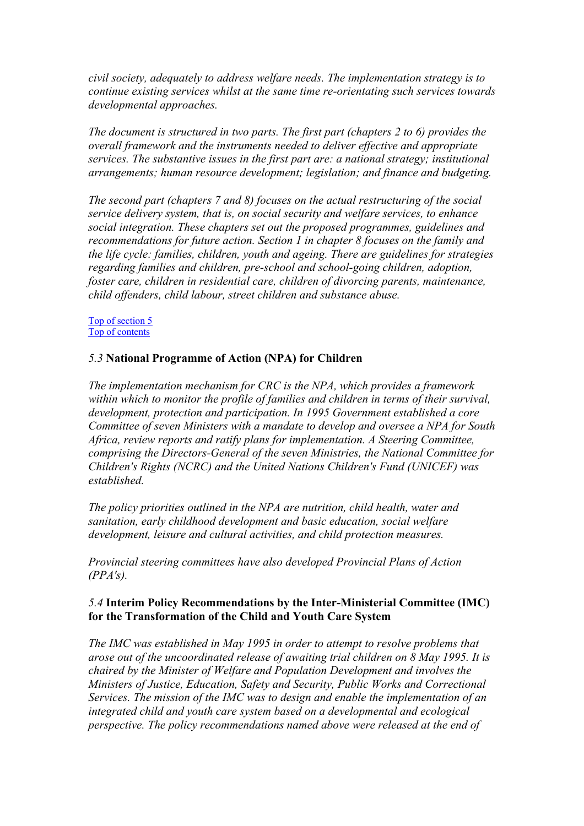<span id="page-35-0"></span>*civil society, adequately to address welfare needs. The implementation strategy is to continue existing services whilst at the same time re-orientating such services towards developmental approaches.* 

*The document is structured in two parts. The first part (chapters 2 to 6) provides the overall framework and the instruments needed to deliver effective and appropriate services. The substantive issues in the first part are: a national strategy; institutional arrangements; human resource development; legislation; and finance and budgeting.* 

*The second part (chapters 7 and 8) focuses on the actual restructuring of the social service delivery system, that is, on social security and welfare services, to enhance social integration. These chapters set out the proposed programmes, guidelines and recommendations for future action. Section 1 in chapter 8 focuses on the family and the life cycle: families, children, youth and ageing. There are guidelines for strategies regarding families and children, pre-school and school-going children, adoption, foster care, children in residential care, children of divorcing parents, maintenance, child offenders, child labour, street children and substance abuse.* 

#### Top of section 5 Top of contents

# *5.3* **National Programme of Action (NPA) for Children**

*The implementation mechanism for CRC is the NPA, which provides a framework within which to monitor the profile of families and children in terms of their survival, development, protection and participation. In 1995 Government established a core Committee of seven Ministers with a mandate to develop and oversee a NPA for South Africa, review reports and ratify plans for implementation. A Steering Committee, comprising the Directors-General of the seven Ministries, the National Committee for Children's Rights (NCRC) and the United Nations Children's Fund (UNICEF) was established.* 

*The policy priorities outlined in the NPA are nutrition, child health, water and sanitation, early childhood development and basic education, social welfare development, leisure and cultural activities, and child protection measures.* 

*Provincial steering committees have also developed Provincial Plans of Action (PPA's).* 

## *5.4* **Interim Policy Recommendations by the Inter-Ministerial Committee (IMC) for the Transformation of the Child and Youth Care System**

*The IMC was established in May 1995 in order to attempt to resolve problems that arose out of the uncoordinated release of awaiting trial children on 8 May 1995. It is chaired by the Minister of Welfare and Population Development and involves the Ministers of Justice, Education, Safety and Security, Public Works and Correctional Services. The mission of the IMC was to design and enable the implementation of an integrated child and youth care system based on a developmental and ecological perspective. The policy recommendations named above were released at the end of*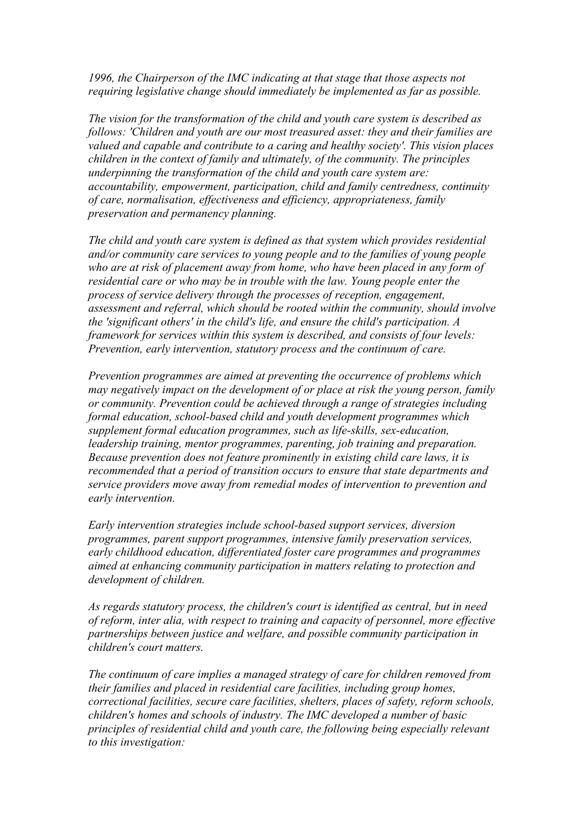*1996, the Chairperson of the IMC indicating at that stage that those aspects not requiring legislative change should immediately be implemented as far as possible.* 

*The vision for the transformation of the child and youth care system is described as follows: 'Children and youth are our most treasured asset: they and their families are valued and capable and contribute to a caring and healthy society'. This vision places children in the context of family and ultimately, of the community. The principles underpinning the transformation of the child and youth care system are: accountability, empowerment, participation, child and family centredness, continuity of care, normalisation, effectiveness and efficiency, appropriateness, family preservation and permanency planning.* 

*The child and youth care system is defined as that system which provides residential and/or community care services to young people and to the families of young people who are at risk of placement away from home, who have been placed in any form of residential care or who may be in trouble with the law. Young people enter the process of service delivery through the processes of reception, engagement, assessment and referral, which should be rooted within the community, should involve the 'significant others' in the child's life, and ensure the child's participation. A framework for services within this system is described, and consists of four levels: Prevention, early intervention, statutory process and the continuum of care.* 

*Prevention programmes are aimed at preventing the occurrence of problems which may negatively impact on the development of or place at risk the young person, family or community. Prevention could be achieved through a range of strategies including formal education, school-based child and youth development programmes which supplement formal education programmes, such as life-skills, sex-education, leadership training, mentor programmes, parenting, job training and preparation. Because prevention does not feature prominently in existing child care laws, it is recommended that a period of transition occurs to ensure that state departments and service providers move away from remedial modes of intervention to prevention and early intervention.* 

*Early intervention strategies include school-based support services, diversion programmes, parent support programmes, intensive family preservation services, early childhood education, differentiated foster care programmes and programmes aimed at enhancing community participation in matters relating to protection and development of children.* 

*As regards statutory process, the children's court is identified as central, but in need of reform, inter alia, with respect to training and capacity of personnel, more effective partnerships between justice and welfare, and possible community participation in children's court matters.* 

*The continuum of care implies a managed strategy of care for children removed from their families and placed in residential care facilities, including group homes, correctional facilities, secure care facilities, shelters, places of safety, reform schools, children's homes and schools of industry. The IMC developed a number of basic principles of residential child and youth care, the following being especially relevant to this investigation:*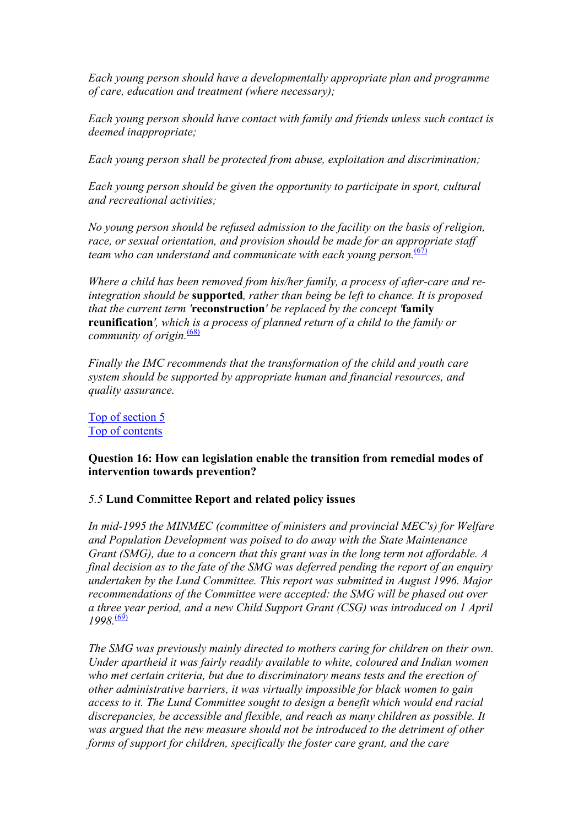*Each young person should have a developmentally appropriate plan and programme of care, education and treatment (where necessary);* 

*Each young person should have contact with family and friends unless such contact is deemed inappropriate;* 

*Each young person shall be protected from abuse, exploitation and discrimination;* 

*Each young person should be given the opportunity to participate in sport, cultural and recreational activities;* 

*No young person should be refused admission to the facility on the basis of religion, race, or sexual orientation, and provision should be made for an appropriate staff team who can understand and communicate with each young person.*<sup>[\(67\)](#page-113-0)</sup> *i and to municate with each young person.* 

*Where a child has been removed from his/her family, a process of after-care and reintegration should be* **supported***, rather than being be left to chance. It is proposed that the current term '***reconstruction***' be replaced by the concept '***family reunification***', which is a process of planned return of a child to the family or community of origin.*[\(68\)](#page-113-0)

*Finally the IMC recommends that the transformation of the child and youth care system should be supported by appropriate human and financial resources, and quality assurance.* 

Top of section 5 Top of contents

# **Question 16: How can legislation enable the transition from remedial modes of intervention towards prevention?**

## *5.5* **Lund Committee Report and related policy issues**

*In mid-1995 the MINMEC (committee of ministers and provincial MEC's) for Welfare and Population Development was poised to do away with the State Maintenance Grant (SMG), due to a concern that this grant was in the long term not affordable. A final decision as to the fate of the SMG was deferred pending the report of an enquiry undertaken by the Lund Committee. This report was submitted in August 1996. Major recommendations of the Committee were accepted: the SMG will be phased out over a three year period, and a new Child Support Grant (CSG) was introduced on 1 April 1998.*(69)

*The SMG was previously mainly directed to mothers caring for children on their own. Under apartheid it was fairly readily available to white, coloured and Indian women who met certain criteria, but due to discriminatory means tests and the erection of other administrative barriers, it was virtually impossible for black women to gain access to it. The Lund Committee sought to design a benefit which would end racial discrepancies, be accessible and flexible, and reach as many children as possible. It was argued that the new measure should not be introduced to the detriment of other forms of support for children, specifically the foster care grant, and the care*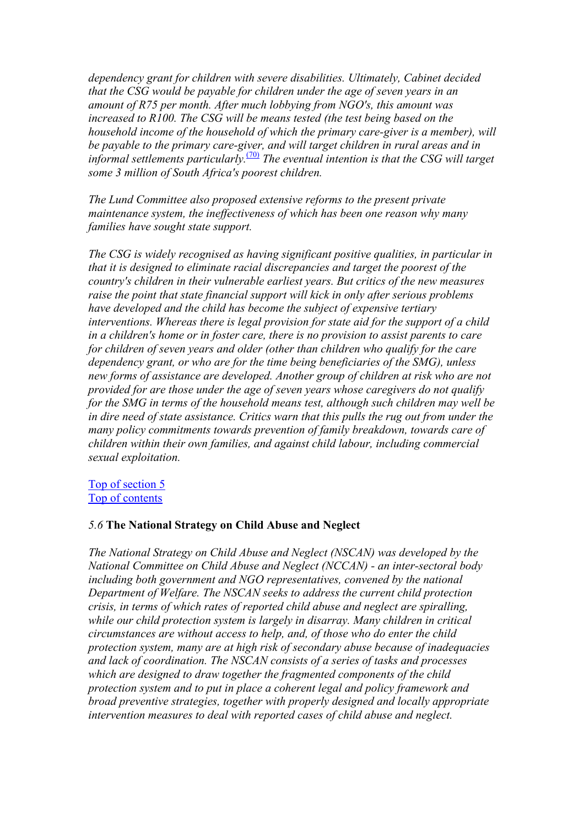*dependency grant for children with severe disabilities. Ultimately, Cabinet decided that the CSG would be payable for children under the age of seven years in an amount of R75 per month. After much lobbying from NGO's, this amount was increased to R100. The CSG will be means tested (the test being based on the household income of the household of which the primary care-giver is a member), will be payable to the primary care-giver, and will target children in rural areas and in informal settlements particularly.*[\(70\)](#page-113-0) *The eventual intention is that the CSG will target some 3 million of South Africa's poorest children.* 

*The Lund Committee also proposed extensive reforms to the present private maintenance system, the ineffectiveness of which has been one reason why many families have sought state support.* 

*The CSG is widely recognised as having significant positive qualities, in particular in that it is designed to eliminate racial discrepancies and target the poorest of the country's children in their vulnerable earliest years. But critics of the new measures raise the point that state financial support will kick in only after serious problems have developed and the child has become the subject of expensive tertiary interventions. Whereas there is legal provision for state aid for the support of a child in a children's home or in foster care, there is no provision to assist parents to care for children of seven years and older (other than children who qualify for the care dependency grant, or who are for the time being beneficiaries of the SMG), unless new forms of assistance are developed. Another group of children at risk who are not provided for are those under the age of seven years whose caregivers do not qualify for the SMG in terms of the household means test, although such children may well be in dire need of state assistance. Critics warn that this pulls the rug out from under the many policy commitments towards prevention of family breakdown, towards care of children within their own families, and against child labour, including commercial sexual exploitation.* 

# Top of section 5 Top of contents

# *5.6* **The National Strategy on Child Abuse and Neglect**

*The National Strategy on Child Abuse and Neglect (NSCAN) was developed by the National Committee on Child Abuse and Neglect (NCCAN) - an inter-sectoral body including both government and NGO representatives, convened by the national Department of Welfare. The NSCAN seeks to address the current child protection crisis, in terms of which rates of reported child abuse and neglect are spiralling, while our child protection system is largely in disarray. Many children in critical circumstances are without access to help, and, of those who do enter the child protection system, many are at high risk of secondary abuse because of inadequacies and lack of coordination. The NSCAN consists of a series of tasks and processes which are designed to draw together the fragmented components of the child protection system and to put in place a coherent legal and policy framework and broad preventive strategies, together with properly designed and locally appropriate intervention measures to deal with reported cases of child abuse and neglect.*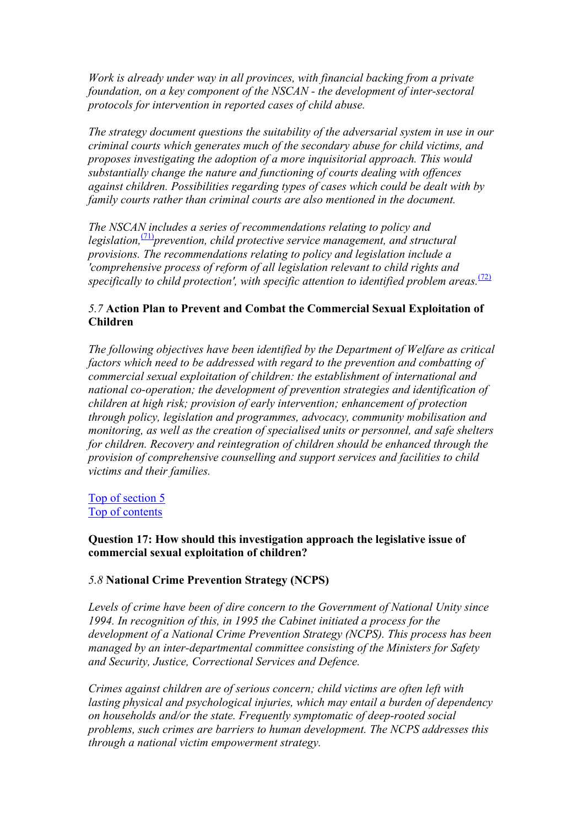*Work is already under way in all provinces, with financial backing from a private foundation, on a key component of the NSCAN - the development of inter-sectoral protocols for intervention in reported cases of child abuse.* 

*The strategy document questions the suitability of the adversarial system in use in our criminal courts which generates much of the secondary abuse for child victims, and proposes investigating the adoption of a more inquisitorial approach. This would substantially change the nature and functioning of courts dealing with offences against children. Possibilities regarding types of cases which could be dealt with by family courts rather than criminal courts are also mentioned in the document.* 

*The NSCAN includes a series of recommendations relating to policy and legislation,*[\(71\)](#page-114-0)*prevention, child protective service management, and structural provisions. The recommendations relating to policy and legislation include a 'comprehensive process of reform of all legislation relevant to child rights and*  specifically to child protection', with specific attention to identified problem areas.<sup>(12)</sup>

## *5.7* **Action Plan to Prevent and Combat the Commercial Sexual Exploitation of Children**

*The following objectives have been identified by the Department of Welfare as critical factors which need to be addressed with regard to the prevention and combatting of commercial sexual exploitation of children: the establishment of international and national co-operation; the development of prevention strategies and identification of children at high risk; provision of early intervention; enhancement of protection through policy, legislation and programmes, advocacy, community mobilisation and monitoring, as well as the creation of specialised units or personnel, and safe shelters for children. Recovery and reintegration of children should be enhanced through the provision of comprehensive counselling and support services and facilities to child victims and their families.* 

Top of section 5 Top of contents

## **Question 17: How should this investigation approach the legislative issue of commercial sexual exploitation of children?**

## *5.8* **National Crime Prevention Strategy (NCPS)**

*Levels of crime have been of dire concern to the Government of National Unity since 1994. In recognition of this, in 1995 the Cabinet initiated a process for the development of a National Crime Prevention Strategy (NCPS). This process has been managed by an inter-departmental committee consisting of the Ministers for Safety and Security, Justice, Correctional Services and Defence.* 

*Crimes against children are of serious concern; child victims are often left with lasting physical and psychological injuries, which may entail a burden of dependency on households and/or the state. Frequently symptomatic of deep-rooted social problems, such crimes are barriers to human development. The NCPS addresses this through a national victim empowerment strategy.*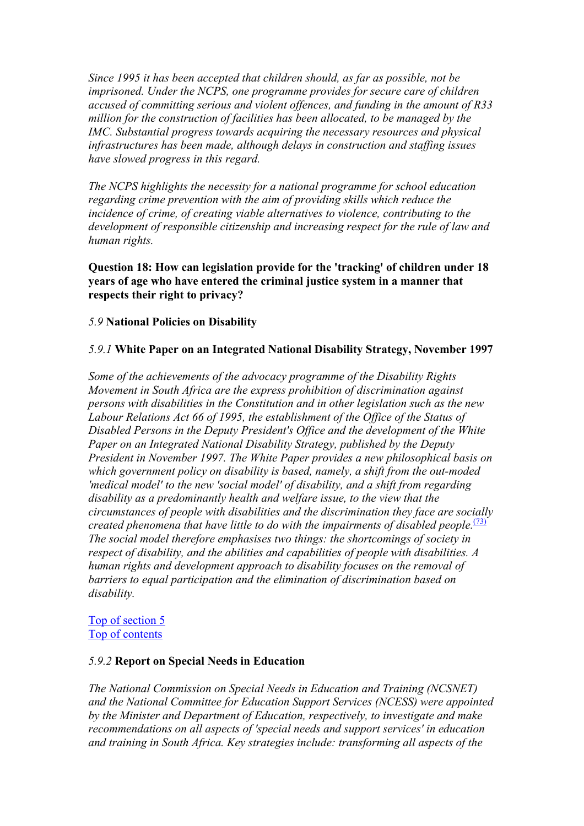*Since 1995 it has been accepted that children should, as far as possible, not be imprisoned. Under the NCPS, one programme provides for secure care of children accused of committing serious and violent offences, and funding in the amount of R33 million for the construction of facilities has been allocated, to be managed by the IMC. Substantial progress towards acquiring the necessary resources and physical infrastructures has been made, although delays in construction and staffing issues have slowed progress in this regard.* 

*The NCPS highlights the necessity for a national programme for school education regarding crime prevention with the aim of providing skills which reduce the incidence of crime, of creating viable alternatives to violence, contributing to the development of responsible citizenship and increasing respect for the rule of law and human rights.* 

**Question 18: How can legislation provide for the 'tracking' of children under 18 years of age who have entered the criminal justice system in a manner that respects their right to privacy?**

# *5.9* **National Policies on Disability**

## *5.9.1* **White Paper on an Integrated National Disability Strategy, November 1997**

*Some of the achievements of the advocacy programme of the Disability Rights Movement in South Africa are the express prohibition of discrimination against persons with disabilities in the Constitution and in other legislation such as the new*  Labour Relations Act 66 of 1995, the establishment of the Office of the Status of *Disabled Persons in the Deputy President's Office and the development of the White Paper on an Integrated National Disability Strategy, published by the Deputy President in November 1997. The White Paper provides a new philosophical basis on which government policy on disability is based, namely, a shift from the out-moded 'medical model' to the new 'social model' of disability, and a shift from regarding disability as a predominantly health and welfare issue, to the view that the circumstances of people with disabilities and the discrimination they face are socially created phenomena that have little to do with the impairments of disabled people.*<sup>[\(73\)](#page-114-0)</sup> *The social model therefore emphasises two things: the shortcomings of society in respect of disability, and the abilities and capabilities of people with disabilities. A human rights and development approach to disability focuses on the removal of barriers to equal participation and the elimination of discrimination based on disability.* 

# Top of section 5 Top of contents

#### *5.9.2* **Report on Special Needs in Education**

*The National Commission on Special Needs in Education and Training (NCSNET) and the National Committee for Education Support Services (NCESS) were appointed by the Minister and Department of Education, respectively, to investigate and make recommendations on all aspects of 'special needs and support services' in education and training in South Africa. Key strategies include: transforming all aspects of the*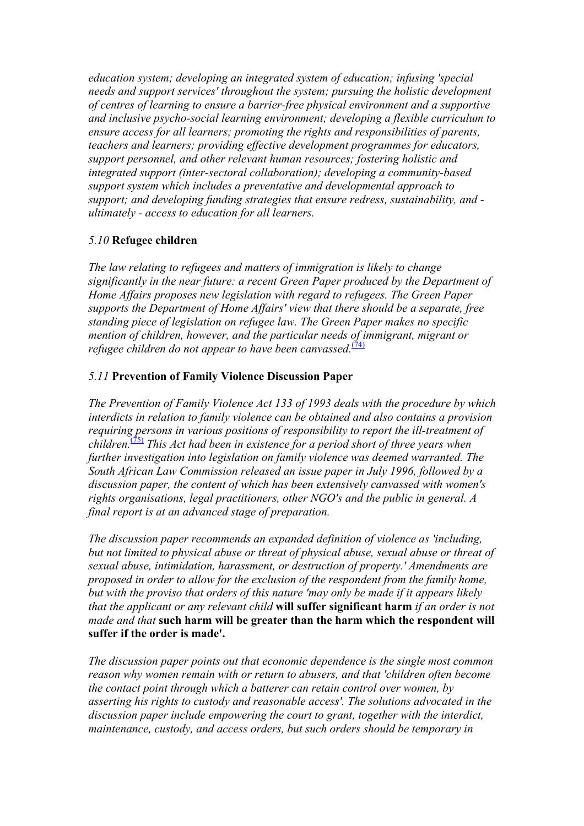*education system; developing an integrated system of education; infusing 'special needs and support services' throughout the system; pursuing the holistic development of centres of learning to ensure a barrier-free physical environment and a supportive and inclusive psycho-social learning environment; developing a flexible curriculum to ensure access for all learners; promoting the rights and responsibilities of parents, teachers and learners; providing effective development programmes for educators, support personnel, and other relevant human resources; fostering holistic and integrated support (inter-sectoral collaboration); developing a community-based support system which includes a preventative and developmental approach to support; and developing funding strategies that ensure redress, sustainability, and ultimately - access to education for all learners.* 

# *5.10* **Refugee children**

*The law relating to refugees and matters of immigration is likely to change significantly in the near future: a recent Green Paper produced by the Department of Home Affairs proposes new legislation with regard to refugees. The Green Paper supports the Department of Home Affairs' view that there should be a separate, free standing piece of legislation on refugee law. The Green Paper makes no specific mention of children, however, and the particular needs of immigrant, migrant or refugee children do not appear to have been canvassed*.<sup>[\(74\)](#page-114-0)</sup>

# *5.11* **Prevention of Family Violence Discussion Paper**

*The Prevention of Family Violence Act 133 of 1993 deals with the procedure by which interdicts in relation to family violence can be obtained and also contains a provision requiring persons in various positions of responsibility to report the ill-treatment of children.*[\(75\)](#page-114-0) *This Act had been in existence for a period short of three years when further investigation into legislation on family violence was deemed warranted. The South African Law Commission released an issue paper in July 1996, followed by a discussion paper, the content of which has been extensively canvassed with women's rights organisations, legal practitioners, other NGO's and the public in general. A final report is at an advanced stage of preparation.* 

*The discussion paper recommends an expanded definition of violence as 'including, but not limited to physical abuse or threat of physical abuse, sexual abuse or threat of sexual abuse, intimidation, harassment, or destruction of property.' Amendments are proposed in order to allow for the exclusion of the respondent from the family home, but with the proviso that orders of this nature 'may only be made if it appears likely that the applicant or any relevant child* **will suffer significant harm** *if an order is not made and that* **such harm will be greater than the harm which the respondent will suffer if the order is made'.**

*The discussion paper points out that economic dependence is the single most common reason why women remain with or return to abusers, and that 'children often become the contact point through which a batterer can retain control over women, by asserting his rights to custody and reasonable access'. The solutions advocated in the discussion paper include empowering the court to grant, together with the interdict, maintenance, custody, and access orders, but such orders should be temporary in*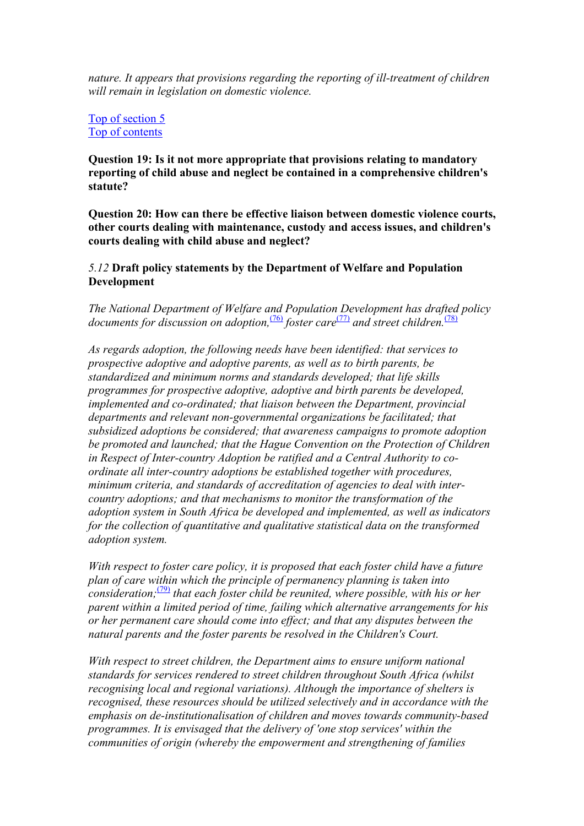*nature. It appears that provisions regarding the reporting of ill-treatment of children will remain in legislation on domestic violence.* 

# Top of section 5 Top of contents

**Question 19: Is it not more appropriate that provisions relating to mandatory reporting of child abuse and neglect be contained in a comprehensive children's statute?**

**Question 20: How can there be effective liaison between domestic violence courts, other courts dealing with maintenance, custody and access issues, and children's courts dealing with child abuse and neglect?** 

## *5.12* **Draft policy statements by the Department of Welfare and Population Development**

*The National Department of Welfare and Population Development has drafted policy*  documents for discussion on adoption,<sup>(76)</sup> foster care<sup>(77)</sup> and street children.<sup>(78)</sup>

*As regards adoption, the following needs have been identified: that services to prospective adoptive and adoptive parents, as well as to birth parents, be standardized and minimum norms and standards developed; that life skills programmes for prospective adoptive, adoptive and birth parents be developed, implemented and co-ordinated; that liaison between the Department, provincial departments and relevant non-governmental organizations be facilitated; that subsidized adoptions be considered; that awareness campaigns to promote adoption be promoted and launched; that the Hague Convention on the Protection of Children in Respect of Inter-country Adoption be ratified and a Central Authority to coordinate all inter-country adoptions be established together with procedures, minimum criteria, and standards of accreditation of agencies to deal with intercountry adoptions; and that mechanisms to monitor the transformation of the adoption system in South Africa be developed and implemented, as well as indicators for the collection of quantitative and qualitative statistical data on the transformed adoption system.* 

*With respect to foster care policy, it is proposed that each foster child have a future plan of care within which the principle of permanency planning is taken into consideration;*(79) *that each foster child be reunited, where possible, with his or her parent within a limited period of time, failing which alternative arrangements for his or her permanent care should come into effect; and that any disputes between the natural parents and the foster parents be resolved in the Children's Court.* 

*With respect to street children, the Department aims to ensure uniform national standards for services rendered to street children throughout South Africa (whilst recognising local and regional variations). Although the importance of shelters is recognised, these resources should be utilized selectively and in accordance with the emphasis on de-institutionalisation of children and moves towards community-based programmes. It is envisaged that the delivery of 'one stop services' within the communities of origin (whereby the empowerment and strengthening of families*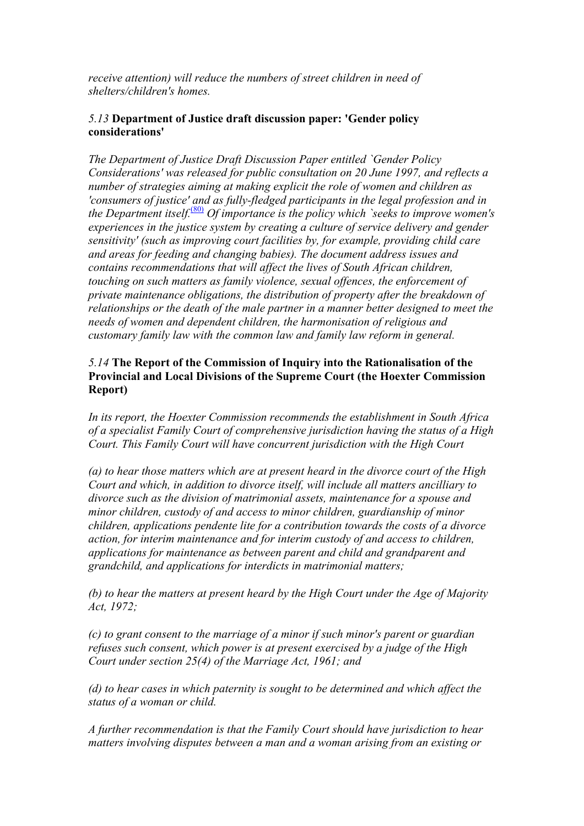*receive attention) will reduce the numbers of street children in need of shelters/children's homes.* 

# *5.13* **Department of Justice draft discussion paper: 'Gender policy considerations'**

*The Department of Justice Draft Discussion Paper entitled `Gender Policy Considerations' was released for public consultation on 20 June 1997, and reflects a number of strategies aiming at making explicit the role of women and children as 'consumers of justice' and as fully-fledged participants in the legal profession and in the Department itself.*<sup>[\(80\)](#page-114-0)</sup> *Of importance is the policy which `seeks to improve women's experiences in the justice system by creating a culture of service delivery and gender sensitivity' (such as improving court facilities by, for example, providing child care and areas for feeding and changing babies). The document address issues and contains recommendations that will affect the lives of South African children, touching on such matters as family violence, sexual offences, the enforcement of private maintenance obligations, the distribution of property after the breakdown of relationships or the death of the male partner in a manner better designed to meet the needs of women and dependent children, the harmonisation of religious and customary family law with the common law and family law reform in general.* 

# *5.14* **The Report of the Commission of Inquiry into the Rationalisation of the Provincial and Local Divisions of the Supreme Court (the Hoexter Commission Report)**

*In its report, the Hoexter Commission recommends the establishment in South Africa of a specialist Family Court of comprehensive jurisdiction having the status of a High Court. This Family Court will have concurrent jurisdiction with the High Court* 

*(a) to hear those matters which are at present heard in the divorce court of the High Court and which, in addition to divorce itself, will include all matters ancilliary to divorce such as the division of matrimonial assets, maintenance for a spouse and minor children, custody of and access to minor children, guardianship of minor children, applications pendente lite for a contribution towards the costs of a divorce action, for interim maintenance and for interim custody of and access to children, applications for maintenance as between parent and child and grandparent and grandchild, and applications for interdicts in matrimonial matters;* 

*(b) to hear the matters at present heard by the High Court under the Age of Majority Act, 1972;* 

*(c) to grant consent to the marriage of a minor if such minor's parent or guardian refuses such consent, which power is at present exercised by a judge of the High Court under section 25(4) of the Marriage Act, 1961; and* 

*(d) to hear cases in which paternity is sought to be determined and which affect the status of a woman or child.* 

*A further recommendation is that the Family Court should have jurisdiction to hear matters involving disputes between a man and a woman arising from an existing or*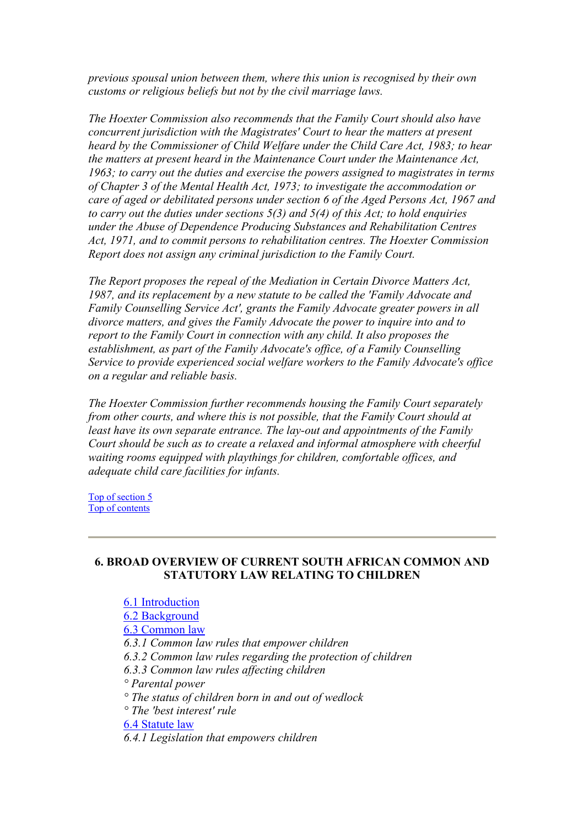*previous spousal union between them, where this union is recognised by their own customs or religious beliefs but not by the civil marriage laws.* 

*The Hoexter Commission also recommends that the Family Court should also have concurrent jurisdiction with the Magistrates' Court to hear the matters at present heard by the Commissioner of Child Welfare under the Child Care Act, 1983; to hear the matters at present heard in the Maintenance Court under the Maintenance Act, 1963; to carry out the duties and exercise the powers assigned to magistrates in terms of Chapter 3 of the Mental Health Act, 1973; to investigate the accommodation or care of aged or debilitated persons under section 6 of the Aged Persons Act, 1967 and to carry out the duties under sections 5(3) and 5(4) of this Act; to hold enquiries under the Abuse of Dependence Producing Substances and Rehabilitation Centres Act, 1971, and to commit persons to rehabilitation centres. The Hoexter Commission Report does not assign any criminal jurisdiction to the Family Court.* 

*The Report proposes the repeal of the Mediation in Certain Divorce Matters Act, 1987, and its replacement by a new statute to be called the 'Family Advocate and Family Counselling Service Act', grants the Family Advocate greater powers in all divorce matters, and gives the Family Advocate the power to inquire into and to report to the Family Court in connection with any child. It also proposes the establishment, as part of the Family Advocate's office, of a Family Counselling Service to provide experienced social welfare workers to the Family Advocate's office on a regular and reliable basis.* 

*The Hoexter Commission further recommends housing the Family Court separately from other courts, and where this is not possible, that the Family Court should at least have its own separate entrance. The lay-out and appointments of the Family Court should be such as to create a relaxed and informal atmosphere with cheerful waiting rooms equipped with playthings for children, comfortable offices, and adequate child care facilities for infants.* 

Top of section 5 Top of contents

#### **6. BROAD OVERVIEW OF CURRENT SOUTH AFRICAN COMMON AND STATUTORY LAW RELATING TO CHILDREN**

6.1 Introduction 6.2 Background 6.3 Common law *6.3.1 Common law rules that empower children 6.3.2 Common law rules regarding the protection of children 6.3.3 Common law rules affecting children ° Parental power ° The status of children born in and out of wedlock ° The 'best interest' rule* 6.4 Statute law *6.4.1 Legislation that empowers children*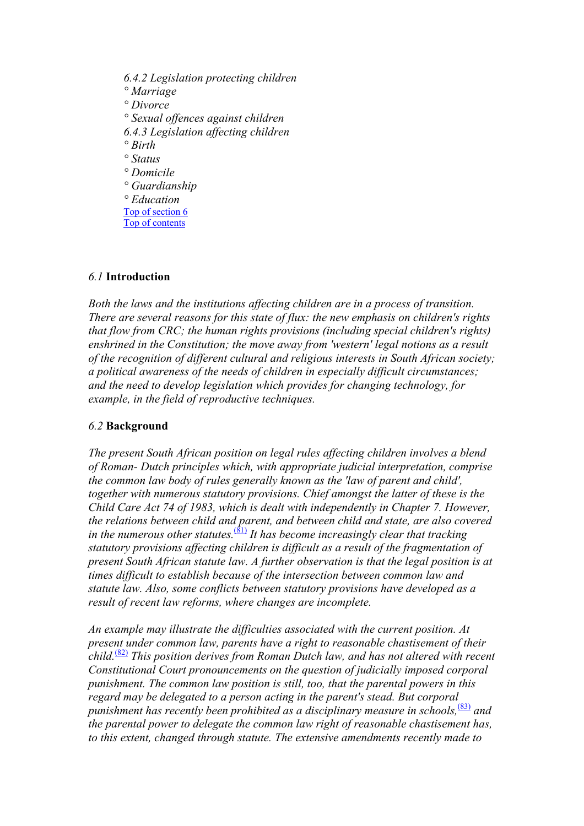*6.4.2 Legislation protecting children ° Marriage ° Divorce ° Sexual offences against children 6.4.3 Legislation affecting children ° Birth ° Status ° Domicile ° Guardianship ° Education*  Top of section 6

Top of contents

## *6.1* **Introduction**

*Both the laws and the institutions affecting children are in a process of transition. There are several reasons for this state of flux: the new emphasis on children's rights that flow from CRC; the human rights provisions (including special children's rights) enshrined in the Constitution; the move away from 'western' legal notions as a result of the recognition of different cultural and religious interests in South African society; a political awareness of the needs of children in especially difficult circumstances; and the need to develop legislation which provides for changing technology, for example, in the field of reproductive techniques.* 

#### *6.2* **Background**

*The present South African position on legal rules affecting children involves a blend of Roman- Dutch principles which, with appropriate judicial interpretation, comprise the common law body of rules generally known as the 'law of parent and child', together with numerous statutory provisions. Chief amongst the latter of these is the Child Care Act 74 of 1983, which is dealt with independently in Chapter 7. However, the relations between child and parent, and between child and state, are also covered in the numerous other statutes.*<sup>(81)</sup> *It has become increasingly clear that tracking statutory provisions affecting children is difficult as a result of the fragmentation of present South African statute law. A further observation is that the legal position is at times difficult to establish because of the intersection between common law and statute law. Also, some conflicts between statutory provisions have developed as a result of recent law reforms, where changes are incomplete.* 

*An example may illustrate the difficulties associated with the current position. At present under common law, parents have a right to reasonable chastisement of their child.*(82) *This position derives from Roman Dutch law, and has not altered with recent Constitutional Court pronouncements on the question of judicially imposed corporal punishment. The common law position is still, too, that the parental powers in this regard may be delegated to a person acting in the parent's stead. But corporal*  punishment has recently been prohibited as a disciplinary measure in schools,<sup>(83)</sup> and *the parental power to delegate the common law right of reasonable chastisement has, to this extent, changed through statute. The extensive amendments recently made to*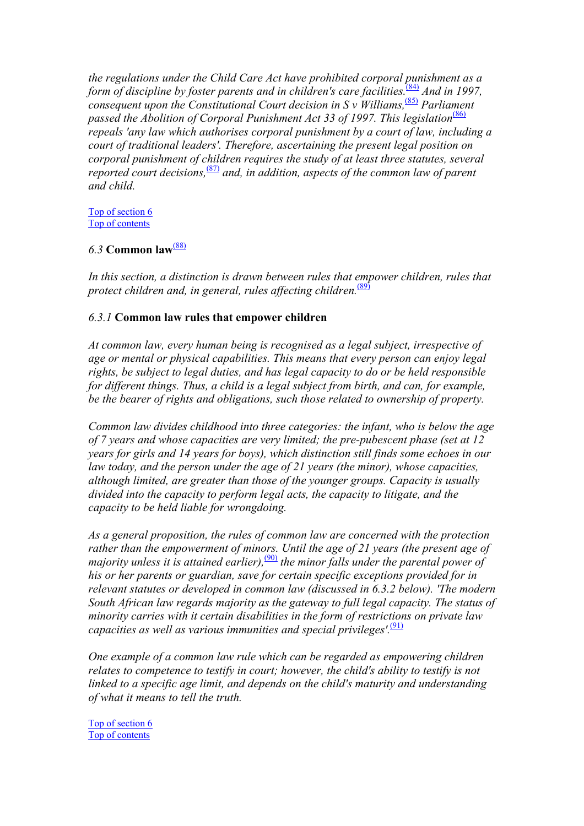*the regulations under the Child Care Act have prohibited corporal punishment as a form of discipline by foster parents and in children's care facilities.*[\(84\)](#page-115-0) *And in 1997, consequent upon the Constitutional Court decision in S v Williams,*[\(85\)](#page-115-0) *Parliament*  passed the Abolition of Corporal Punishment Act 33 of 1997. This legislation<sup>[\(86\)](#page-115-0)</sup> *repeals 'any law which authorises corporal punishment by a court of law, including a court of traditional leaders'. Therefore, ascertaining the present legal position on corporal punishment of children requires the study of at least three statutes, several reported court decisions,*[\(87\)](#page-115-0) *and, in addition, aspects of the common law of parent and child.* 

Top of section 6 Top of contents

# *6.3* **Common law**(88)

*In this section, a distinction is drawn between rules that empower children, rules that protect children and, in general, rules affecting children.*<sup>(89)</sup>

# *6.3.1* **Common law rules that empower children**

*At common law, every human being is recognised as a legal subject, irrespective of age or mental or physical capabilities. This means that every person can enjoy legal rights, be subject to legal duties, and has legal capacity to do or be held responsible for different things. Thus, a child is a legal subject from birth, and can, for example, be the bearer of rights and obligations, such those related to ownership of property.* 

*Common law divides childhood into three categories: the infant, who is below the age of 7 years and whose capacities are very limited; the pre-pubescent phase (set at 12 years for girls and 14 years for boys), which distinction still finds some echoes in our law today, and the person under the age of 21 years (the minor), whose capacities, although limited, are greater than those of the younger groups. Capacity is usually divided into the capacity to perform legal acts, the capacity to litigate, and the capacity to be held liable for wrongdoing.* 

*As a general proposition, the rules of common law are concerned with the protection rather than the empowerment of minors. Until the age of 21 years (the present age of majority unless it is attained earlier)*,<sup>(90)</sup> the minor falls under the parental power of *his or her parents or guardian, save for certain specific exceptions provided for in relevant statutes or developed in common law (discussed in 6.3.2 below). 'The modern South African law regards majority as the gateway to full legal capacity. The status of minority carries with it certain disabilities in the form of restrictions on private law capacities as well as various immunities and special privileges'.*<sup>(91)</sup>

*One [exam](#page-115-0)ple of a common law rule which can be regarded as empowering children relates to competence to testify in court; however, the child's ability to testify is not linked to a specific age limit, and depends on the child's maturity and understanding of what it means to tell the truth.* 

Top of section 6 Top of contents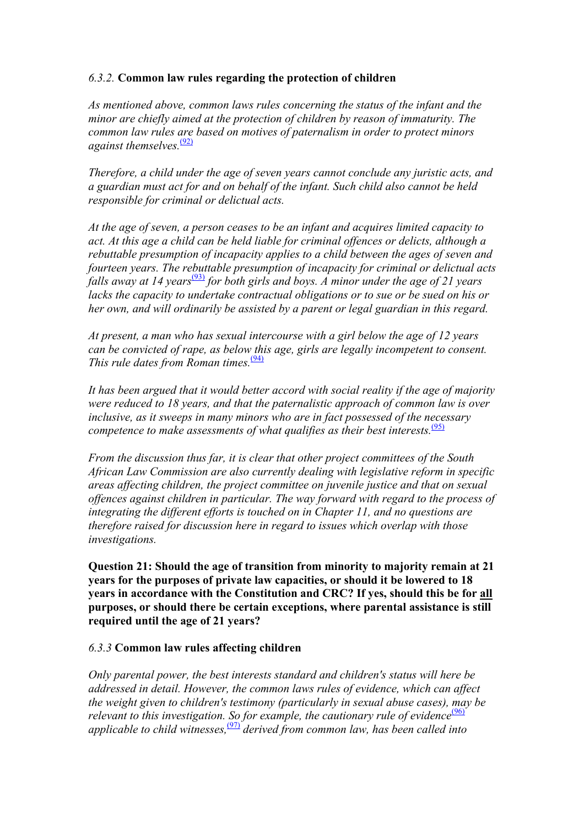# *6.3.2.* **Common law rules regarding the protection of children**

*As mentioned above, common laws rules concerning the status of the infant and the minor are chiefly aimed at the protection of children by reason of immaturity. The common law rules are based on motives of paternalism in order to protect minors against themselves.*<sup>[\(92\)](#page-115-0)</sup>

*Therefore, a child under the age of seven years cannot conclude any juristic acts, and a guardian must act for and on behalf of the infant. Such child also cannot be held responsible for criminal or delictual acts.* 

*At the age of seven, a person ceases to be an infant and acquires limited capacity to act. At this age a child can be held liable for criminal offences or delicts, although a rebuttable presumption of incapacity applies to a child between the ages of seven and fourteen years. The rebuttable presumption of incapacity for criminal or delictual acts falls away at 14 years*<sup>[\(93\)](#page-115-0)</sup> for both girls and boys. A minor under the age of 21 years *lacks the capacity to undertake contractual obligations or to sue or be sued on his or her own, and will ordinarily be assisted by a parent or legal guardian in this regard.* 

*At present, a man who has sexual intercourse with a girl below the age of 12 years can be convicted of rape, as below this age, girls are legally incompetent to consent. This rule dates from Roman times.*<sup>[\(94\)](#page-115-0)</sup>

*It has been argued that it would better accord with social reality if the age of majority were reduced to 18 years, and that the paternalistic approach of common law is over inclusive, as it sweeps in many minors who are in fact possessed of the necessary competence to make assessments of what qualifies as their best interests.*<sup>[\(95\)](#page-115-0)</sup>

*From the discussion thus far, it is clear that other project committees of the South African Law Commission are also currently dealing with legislative reform in specific areas affecting children, the project committee on juvenile justice and that on sexual offences against children in particular. The way forward with regard to the process of integrating the different efforts is touched on in Chapter 11, and no questions are therefore raised for discussion here in regard to issues which overlap with those investigations.* 

**Question 21: Should the age of transition from minority to majority remain at 21 years for the purposes of private law capacities, or should it be lowered to 18 years in accordance with the Constitution and CRC? If yes, should this be for all purposes, or should there be certain exceptions, where parental assistance is still required until the age of 21 years?**

## *6.3.3* **Common law rules affecting children**

*Only parental power, the best interests standard and children's status will here be addressed in detail. However, the common laws rules of evidence, which can affect the weight given to children's testimony (particularly in sexual abuse cases), may be relevant to this investigation. So for example, the cautionary rule of evidence*<sup>[\(96\)](#page-116-0)</sup> *applicable to child witnesses,*[\(97\)](#page-116-0) *derived from common law, has been called into*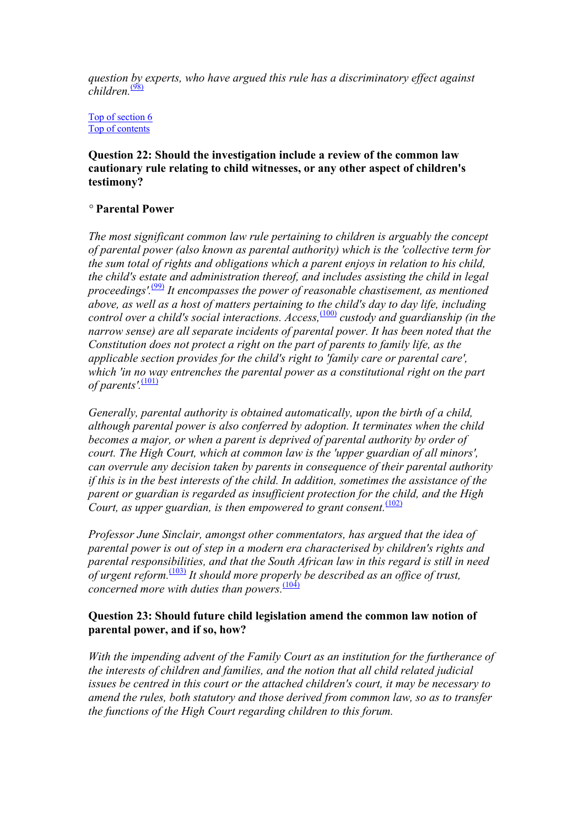*question by experts, who have argued this rule has a discriminatory effect against*   $chi$ *children*<sup> $(98)$ </sup>

Top of section 6 Top of contents

## **Question 22: Should the investigation include a review of the common law cautionary rule relating to child witnesses, or any other aspect of children's testimony?**

## *°* **Parental Power**

*The most significant common law rule pertaining to children is arguably the concept of parental power (also known as parental authority) which is the 'collective term for the sum total of rights and obligations which a parent enjoys in relation to his child, the child's estate and administration thereof, and includes assisting the child in legal proceedings'.*(99) *It encompasses the power of reasonable chastisement, as mentioned above, as well as a host of matters pertaining to the child's day to day life, including control over a child's social interactions. Access,*(100) *custody and guardianship (in the narrow sense) are all separate incidents of parental power. It has been noted that the Constitution does not protect a right on the part of parents to family life, as the applicable section provides for the child's right to 'family care or parental care', which 'in no way entrenches the parental power as a constitutional right on the part of parents'.*<sup> $(101)$ </sup>

*Generally, parental authority is obtained automatically, upon the birth of a child, although parental power is also conferred by adoption. It terminates when the child becomes a major, or when a parent is deprived of parental authority by order of court. The High Court, which at common law is the 'upper guardian of all minors', can overrule any decision taken by parents in consequence of their parental authority if this is in the best interests of the child. In addition, sometimes the assistance of the parent or guardian is regarded as insufficient protection for the child, and the High Court, as upper guardian, is then empowered to grant consent.*<sup>(102)</sup>

*Professor June Sinclair, amongst other commentators, has argued that the idea of parental power is out of step in a modern era characterised by children's rights and parental responsibilities, and that the South African law in this regard is still in need of urgent reform.*(103) *It should more properly be described as an office of trust, concerned more with duties than powers.*<sup>(104)</sup>

# **Question 23: Should future child legislation amend the common law notion of parental power, and if so, how?**

*With the impending advent of the Family Court as an institution for the furtherance of the interests of children and families, and the notion that all child related judicial issues be centred in this court or the attached children's court, it may be necessary to amend the rules, both statutory and those derived from common law, so as to transfer the functions of the High Court regarding children to this forum.*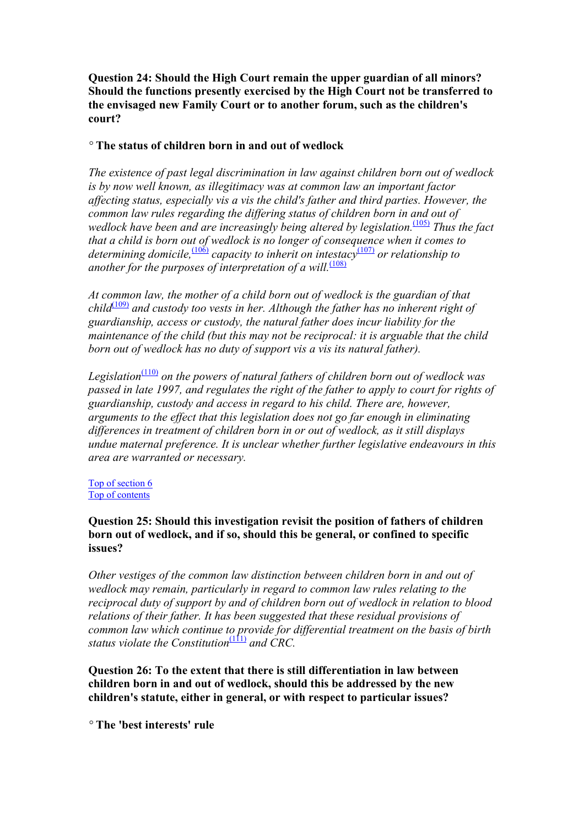**Question 24: Should the High Court remain the upper guardian of all minors? Should the functions presently exercised by the High Court not be transferred to the envisaged new Family Court or to another forum, such as the children's court?**

## *°* **The status of children born in and out of wedlock**

*The existence of past legal discrimination in law against children born out of wedlock is by now well known, as illegitimacy was at common law an important factor affecting status, especially vis a vis the child's father and third parties. However, the common law rules regarding the differing status of children born in and out of wedlock have been and are increasingly being altered by legislation.*<sup>[\(105\)](#page-117-0)</sup> *Thus the fact that a child is born out of wedlock is no longer of consequence when it comes to*  determining domicile,  $\frac{(106)}{2}$  $\frac{(106)}{2}$  $\frac{(106)}{2}$  capacity to inherit on intestacy<sup>[\(107\)](#page-117-0)</sup> or relationship to *another for the purposes of interpretation of a will.*<sup>[\(108\)](#page-117-0)</sup> *another for the purposes of interpretation of a will.* 

*At common law, the mother of a child born out of wedlock is the guardian of that child*[\(109\)](#page-117-0) *and custody too vests in her. Although the father has no inherent right of guardianship, access or custody, the natural father does incur liability for the maintenance of the child (but this may not be reciprocal: it is arguable that the child born out of wedlock has no duty of support vis a vis its natural father).* 

Legislation<sup>[\(110\)](#page-117-0)</sup> on the powers of natural fathers of children born out of wedlock was *passed in late 1997, and regulates the right of the father to apply to court for rights of guardianship, custody and access in regard to his child. There are, however, arguments to the effect that this legislation does not go far enough in eliminating differences in treatment of children born in or out of wedlock, as it still displays undue maternal preference. It is unclear whether further legislative endeavours in this area are warranted or necessary.* 

Top of section 6 Top of contents

# **Question 25: Should this investigation revisit the position of fathers of children born out of wedlock, and if so, should this be general, or confined to specific issues?**

*Other vestiges of the common law distinction between children born in and out of wedlock may remain, particularly in regard to common law rules relating to the reciprocal duty of support by and of children born out of wedlock in relation to blood relations of their father. It has been suggested that these residual provisions of common law which continue to provide for differential treatment on the basis of birth status violate the Constitution*(111) *and CRC.* 

**Question 26: To the extent that there is still differentiation in law between children born in and out of wedlock, should this be addressed by the new children's statute, either in general, or with respect to particular issues?** 

*°* **The 'best interests' rule**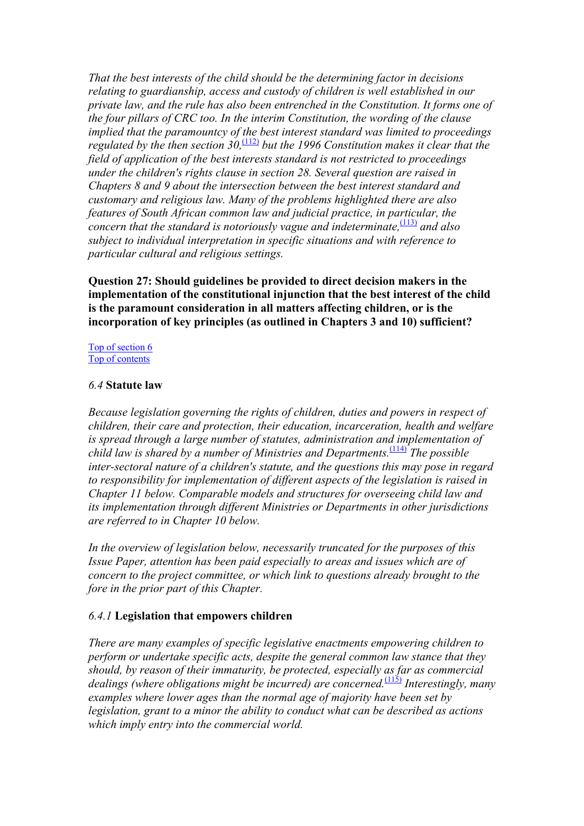*That the best interests of the child should be the determining factor in decisions relating to guardianship, access and custody of children is well established in our private law, and the rule has also been entrenched in the Constitution. It forms one of the four pillars of CRC too. In the interim Constitution, the wording of the clause implied that the paramountcy of the best interest standard was limited to proceedings regulated by the then section 30,*<sup>[\(112\)](#page-117-0)</sup> but the 1996 Constitution makes it clear that the *field of application of the best interests standard is not restricted to proceedings under the children's rights clause in section 28. Several question are raised in Chapters 8 and 9 about the intersection between the best interest standard and customary and religious law. Many of the problems highlighted there are also features of South African common law and judicial practice, in particular, the concern that the standard is notoriously vague and indeterminate*,  $\frac{(113)}{2}$  $\frac{(113)}{2}$  $\frac{(113)}{2}$  *and also subject to individual interpretation in specific situations and with reference to particular cultural and religious settings.* 

**Question 27: Should guidelines be provided to direct decision makers in the implementation of the constitutional injunction that the best interest of the child is the paramount consideration in all matters affecting children, or is the incorporation of key principles (as outlined in Chapters 3 and 10) sufficient?**

Top of section 6 Top of contents

#### *6.4* **Statute law**

*Because legislation governing the rights of children, duties and powers in respect of children, their care and protection, their education, incarceration, health and welfare is spread through a large number of statutes, administration and implementation of child law is shared by a number of Ministries and Departments.*(114) *The possible inter-sectoral nature of a children's statute, and the questions this may pose in regard to responsibility for implementation of different aspects of the legislation is raised in Chapter 11 below. Comparable models and structures for overseeing child law and its implementation through different Ministries or Departments in other jurisdictions are referred to in Chapter 10 below.* 

*In the overview of legislation below, necessarily truncated for the purposes of this Issue Paper, attention has been paid especially to areas and issues which are of concern to the project committee, or which link to questions already brought to the fore in the prior part of this Chapter.* 

## *6.4.1* **Legislation that empowers children**

*There are many examples of specific legislative enactments empowering children to perform or undertake specific acts, despite the general common law stance that they should, by reason of their immaturity, be protected, especially as far as commercial*  dealings (where obligations might be incurred) are concerned.<sup>(115)</sup> Interestingly, many *examples where lower ages than the normal age of majority have been set by legislation, grant to a minor the ability to conduct what can be described as actions which imply entry into the commercial world.*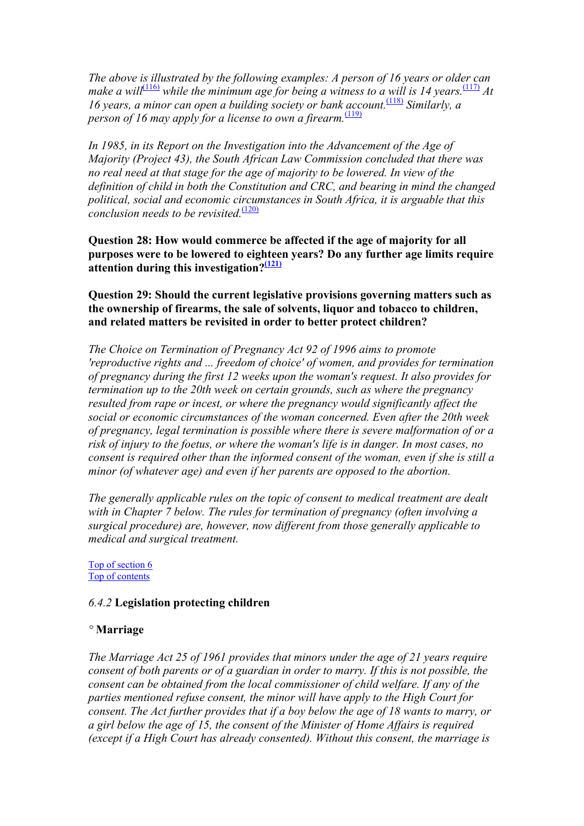*The above is illustrated by the following examples: A person of 16 years or older can make a will*<sup> $(116)$ </sup> while the minimum age for being a witness to a will is 14 years.<sup>[\(117\)](#page-117-0)</sup> At *16 years, a minor can open a building society or bank account.*[\(118\)](#page-118-0) *Similarly, a person of 16 may apply for a license to own a firearm.*<sup>[\(119\)](#page-118-0)</sup>

*In 1985, in its Report on the Investigation into the Advancement of the Age of Majority (Project 43), the South African Law Commission concluded that there was no real need at that stage for the age of majority to be lowered. In view of the definition of child in both the Constitution and CRC, and bearing in mind the changed political, social and economic circumstances in South Africa, it is arguable that this conclusion needs to be revisited.*<sup>[\(120\)](#page-118-0)</sup>

**Question 28: How would commerce be affected if the age of majority for all purposes were to be lowered to eighteen years? Do any further age limits require attention during this investigation?[\(121\)](#page-118-0)**

## **Question 29: Should the current legislative provisions governing matters such as the ownership of firearms, the sale of solvents, liquor and tobacco to children, and related matters be revisited in order to better protect children?**

*The Choice on Termination of Pregnancy Act 92 of 1996 aims to promote 'reproductive rights and ... freedom of choice' of women, and provides for termination of pregnancy during the first 12 weeks upon the woman's request. It also provides for termination up to the 20th week on certain grounds, such as where the pregnancy resulted from rape or incest, or where the pregnancy would significantly affect the social or economic circumstances of the woman concerned. Even after the 20th week of pregnancy, legal termination is possible where there is severe malformation of or a risk of injury to the foetus, or where the woman's life is in danger. In most cases, no consent is required other than the informed consent of the woman, even if she is still a minor (of whatever age) and even if her parents are opposed to the abortion.* 

*The generally applicable rules on the topic of consent to medical treatment are dealt with in Chapter 7 below. The rules for termination of pregnancy (often involving a surgical procedure) are, however, now different from those generally applicable to medical and surgical treatment.* 

Top of section 6 Top of contents

## *6.4.2* **Legislation protecting children**

## *°* **Marriage**

*The Marriage Act 25 of 1961 provides that minors under the age of 21 years require consent of both parents or of a guardian in order to marry. If this is not possible, the consent can be obtained from the local commissioner of child welfare. If any of the parties mentioned refuse consent, the minor will have apply to the High Court for consent. The Act further provides that if a boy below the age of 18 wants to marry, or a girl below the age of 15, the consent of the Minister of Home Affairs is required (except if a High Court has already consented). Without this consent, the marriage is*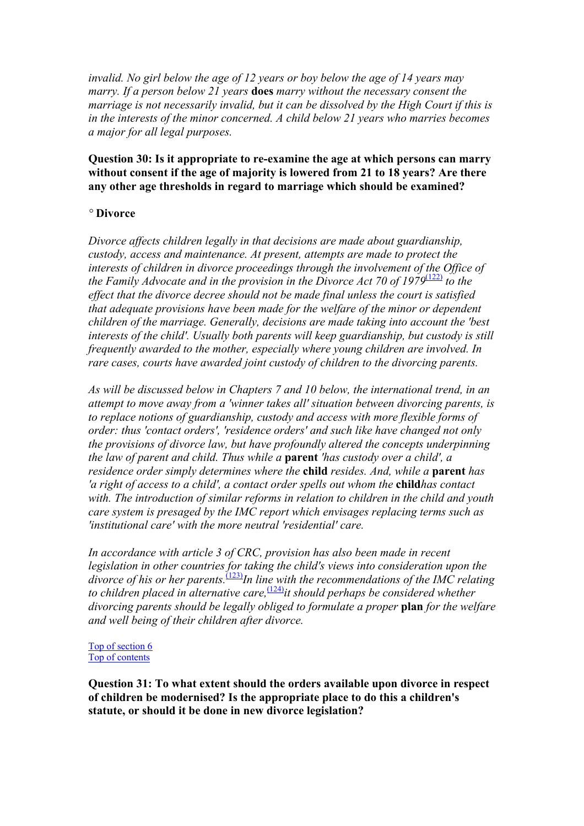*invalid. No girl below the age of 12 years or boy below the age of 14 years may marry. If a person below 21 years* **does** *marry without the necessary consent the marriage is not necessarily invalid, but it can be dissolved by the High Court if this is in the interests of the minor concerned. A child below 21 years who marries becomes a major for all legal purposes.* 

## **Question 30: Is it appropriate to re-examine the age at which persons can marry without consent if the age of majority is lowered from 21 to 18 years? Are there any other age thresholds in regard to marriage which should be examined?**

# *°* **Divorce**

*Divorce affects children legally in that decisions are made about guardianship, custody, access and maintenance. At present, attempts are made to protect the interests of children in divorce proceedings through the involvement of the Office of the Family Advocate and in the provision in the Divorce Act 70 of 1979*<sup>[\(122\)](#page-118-0)</sup> *to the effect that the divorce decree should not be made final unless the court is satisfied that adequate provisions have been made for the welfare of the minor or dependent children of the marriage. Generally, decisions are made taking into account the 'best interests of the child'. Usually both parents will keep guardianship, but custody is still frequently awarded to the mother, especially where young children are involved. In rare cases, courts have awarded joint custody of children to the divorcing parents.* 

*As will be discussed below in Chapters 7 and 10 below, the international trend, in an attempt to move away from a 'winner takes all' situation between divorcing parents, is to replace notions of guardianship, custody and access with more flexible forms of order: thus 'contact orders', 'residence orders' and such like have changed not only the provisions of divorce law, but have profoundly altered the concepts underpinning the law of parent and child. Thus while a* **parent** *'has custody over a child', a residence order simply determines where the* **child** *resides. And, while a* **parent** *has 'a right of access to a child', a contact order spells out whom the* **child***has contact with. The introduction of similar reforms in relation to children in the child and youth care system is presaged by the IMC report which envisages replacing terms such as 'institutional care' with the more neutral 'residential' care.* 

*In accordance with article 3 of CRC, provision has also been made in recent legislation in other countries for taking the child's views into consideration upon the*  divorce of his or her parents.<sup>[123]</sup>In line with the recommendations of the IMC relating to children placed in alternative care,<sup>[\(124\)](#page-118-0)</sup>it should perhaps be considered whether *divorcing parents should be legally obliged to formulate a proper* **plan** *for the welfare and well being of their children after divorce.* 

Top of section 6 Top of contents

**Question 31: To what extent should the orders available upon divorce in respect of children be modernised? Is the appropriate place to do this a children's statute, or should it be done in new divorce legislation?**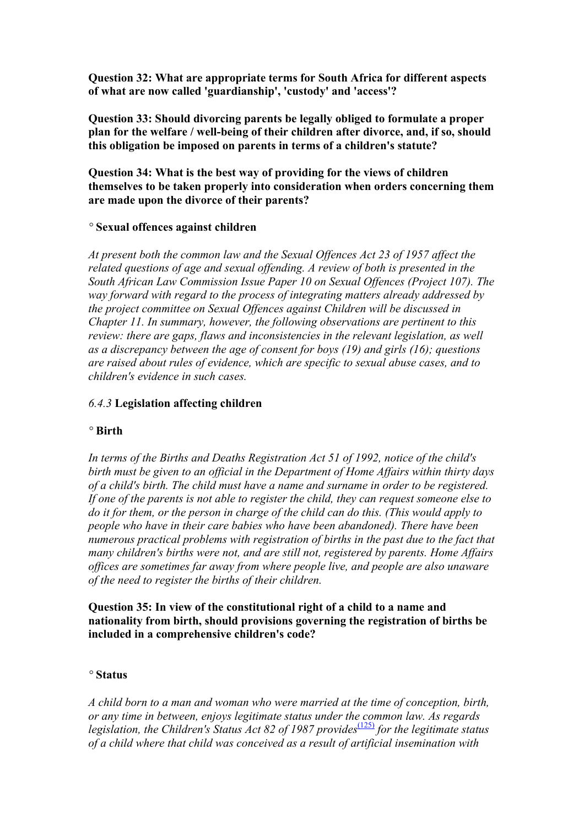**Question 32: What are appropriate terms for South Africa for different aspects of what are now called 'guardianship', 'custody' and 'access'?** 

**Question 33: Should divorcing parents be legally obliged to formulate a proper plan for the welfare / well-being of their children after divorce, and, if so, should this obligation be imposed on parents in terms of a children's statute?** 

**Question 34: What is the best way of providing for the views of children themselves to be taken properly into consideration when orders concerning them are made upon the divorce of their parents?**

# *°* **Sexual offences against children**

*At present both the common law and the Sexual Offences Act 23 of 1957 affect the related questions of age and sexual offending. A review of both is presented in the South African Law Commission Issue Paper 10 on Sexual Offences (Project 107). The way forward with regard to the process of integrating matters already addressed by the project committee on Sexual Offences against Children will be discussed in Chapter 11. In summary, however, the following observations are pertinent to this review: there are gaps, flaws and inconsistencies in the relevant legislation, as well as a discrepancy between the age of consent for boys (19) and girls (16); questions are raised about rules of evidence, which are specific to sexual abuse cases, and to children's evidence in such cases.* 

# *6.4.3* **Legislation affecting children**

## *°* **Birth**

*In terms of the Births and Deaths Registration Act 51 of 1992, notice of the child's birth must be given to an official in the Department of Home Affairs within thirty days of a child's birth. The child must have a name and surname in order to be registered. If one of the parents is not able to register the child, they can request someone else to do it for them, or the person in charge of the child can do this. (This would apply to people who have in their care babies who have been abandoned). There have been numerous practical problems with registration of births in the past due to the fact that many children's births were not, and are still not, registered by parents. Home Affairs offices are sometimes far away from where people live, and people are also unaware of the need to register the births of their children.* 

**Question 35: In view of the constitutional right of a child to a name and nationality from birth, should provisions governing the registration of births be included in a comprehensive children's code?** 

## *°* **Status**

*A child born to a man and woman who were married at the time of conception, birth, or any time in between, enjoys legitimate status under the common law. As regards legislation, the Children's Status Act 82 of 1987 provides*<sup>[\(125\)](#page-118-0)</sup> for the legitimate status *of a child where that child was conceived as a result of artificial insemination with*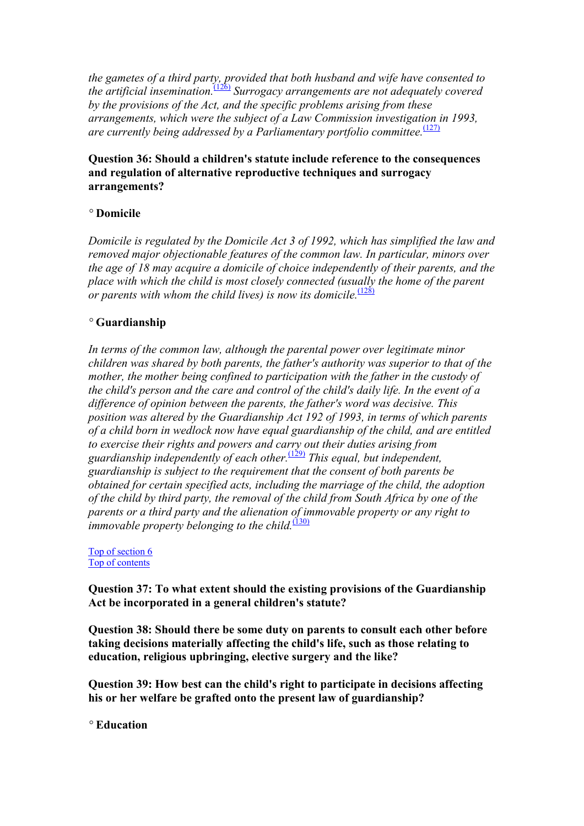*the gametes of a third party, provided that both husband and wife have consented to the artificial insemination.*[\(126\)](#page-118-0) *Surrogacy arrangements are not adequately covered by the provisions of the Act, and the specific problems arising from these arrangements, which were the subject of a Law Commission investigation in 1993, are currently being addressed by a Parliamentary portfolio committee.*<sup>[\(127\)](#page-118-0)</sup>

## **Question 36: Should a children's statute include reference to the consequences and regulation of alternative reproductive techniques and surrogacy arrangements?**

# *°* **Domicile**

*Domicile is regulated by the Domicile Act 3 of 1992, which has simplified the law and removed major objectionable features of the common law. In particular, minors over the age of 18 may acquire a domicile of choice independently of their parents, and the place with which the child is most closely connected (usually the home of the parent or parents with whom the child lives) is now its domicile.*<sup>[\(128\)](#page-118-0)</sup>

# *°* **Guardianship**

*In terms of the common law, although the parental power over legitimate minor children was shared by both parents, the father's authority was superior to that of the mother, the mother being confined to participation with the father in the custody of the child's person and the care and control of the child's daily life. In the event of a difference of opinion between the parents, the father's word was decisive. This position was altered by the Guardianship Act 192 of 1993, in terms of which parents of a child born in wedlock now have equal guardianship of the child, and are entitled to exercise their rights and powers and carry out their duties arising from guardianship independently of each other.*[\(129\)](#page-118-0) *This equal, but independent, guardianship is subject to the requirement that the consent of both parents be obtained for certain specified acts, including the marriage of the child, the adoption of the child by third party, the removal of the child from South Africa by one of the parents or a third party and the alienation of immovable property or any right to immovable property belonging to the child.*<sup>[\(130\)](#page-118-0)</sup>

#### Top of section 6 Top of contents

**Question 37: To what extent should the existing provisions of the Guardianship Act be incorporated in a general children's statute?** 

**Question 38: Should there be some duty on parents to consult each other before taking decisions materially affecting the child's life, such as those relating to education, religious upbringing, elective surgery and the like?** 

**Question 39: How best can the child's right to participate in decisions affecting his or her welfare be grafted onto the present law of guardianship?**

*°* **Education**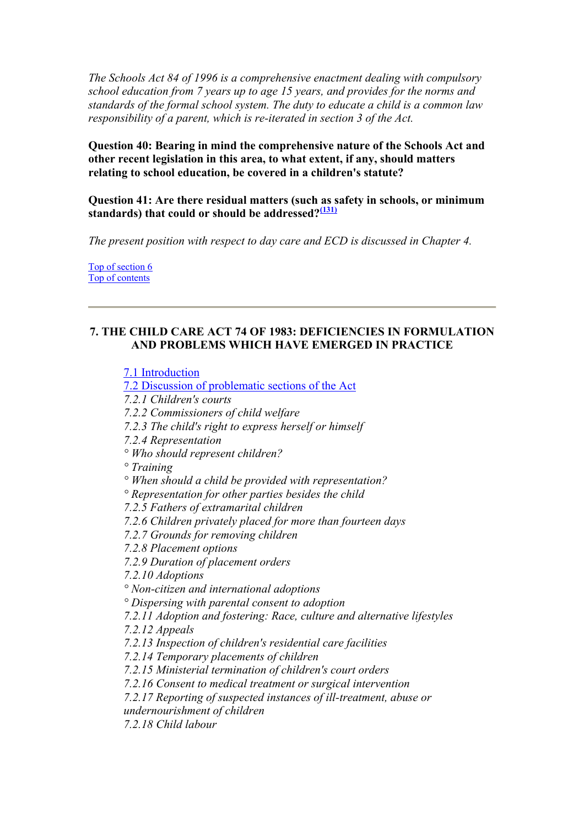*The Schools Act 84 of 1996 is a comprehensive enactment dealing with compulsory school education from 7 years up to age 15 years, and provides for the norms and standards of the formal school system. The duty to educate a child is a common law responsibility of a parent, which is re-iterated in section 3 of the Act.* 

**Question 40: Bearing in mind the comprehensive nature of the Schools Act and other recent legislation in this area, to what extent, if any, should matters relating to school education, be covered in a children's statute?** 

**Question 41: Are there residual matters (such as safety in schools, or minimum standards) that could or should be addressed?[\(131\)](#page-118-0)**

*The present position with respect to day care and ECD is discussed in Chapter 4.* 

Top of section 6 Top of contents

# **7. THE CHILD CARE ACT 74 OF 1983: DEFICIENCIES IN FORMULATION AND PROBLEMS WHICH HAVE EMERGED IN PRACTICE**

7.1 Introduction 7.2 Discussion of problematic sections of the Act *7.2.1 Children's courts 7.2.2 Commissioners of child welfare 7.2.3 The child's right to express herself or himself 7.2.4 Representation ° Who should represent children? ° Training ° When should a child be provided with representation? ° Representation for other parties besides the child 7.2.5 Fathers of extramarital children 7.2.6 Children privately placed for more than fourteen days 7.2.7 Grounds for removing children 7.2.8 Placement options 7.2.9 Duration of placement orders 7.2.10 Adoptions ° Non-citizen and international adoptions ° Dispersing with parental consent to adoption 7.2.11 Adoption and fostering: Race, culture and alternative lifestyles 7.2.12 Appeals 7.2.13 Inspection of children's residential care facilities 7.2.14 Temporary placements of children 7.2.15 Ministerial termination of children's court orders 7.2.16 Consent to medical treatment or surgical intervention 7.2.17 Reporting of suspected instances of ill-treatment, abuse or undernourishment of children 7.2.18 Child labour*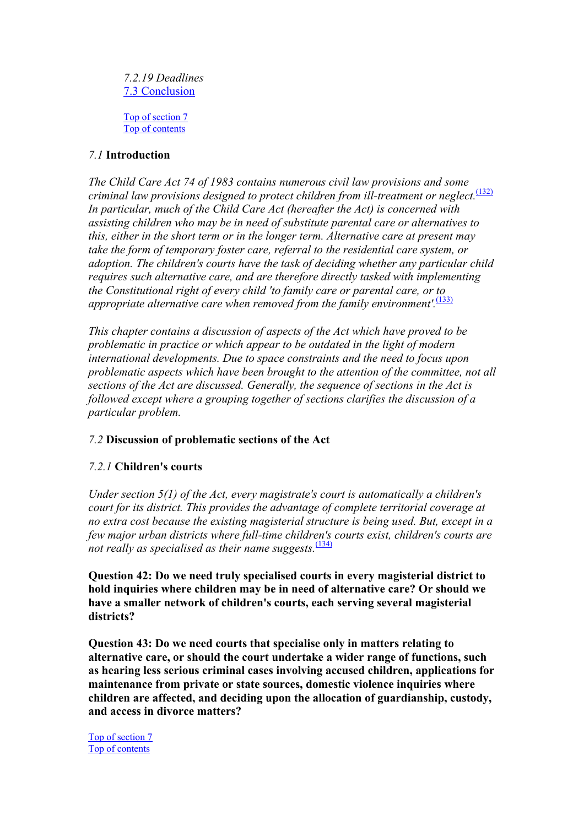*7.2.19 Deadlines*  7.3 Conclusion Top of section 7

Top of contents

*7.1* **Introduction**

*The Child Care Act 74 of 1983 contains numerous civil law provisions and some criminal law provisions designed to protect children from ill-treatment or neglect.*<sup>(132)</sup> *In particular, much of the Child Care Act (hereafter the Act) is concerned with assisting children who may be in need of substitute parental care or alternatives to this, either in the short term or in the longer term. Alternative care at present may take the form of temporary foster care, referral to the residential care system, or adoption. The children's courts have the task of deciding whether any particular child requires such alternative care, and are therefore directly tasked with implementing the Constitutional right of every child 'to family care or parental care, or to appropriate alternative care when removed from the family environment'.*(133)

*This chapter contains a discussion of aspects of the Act which have proved to be problematic in practice or which appear to be outdated in the light of modern international developments. Due to space constraints and the need to focus upon problematic aspects which have been brought to the attention of the committee, not all sections of the Act are discussed. Generally, the sequence of sections in the Act is followed except where a grouping together of sections clarifies the discussion of a particular problem.* 

# *7.2* **Discussion of problematic sections of the Act**

# *7.2.1* **Children's courts**

*Under section 5(1) of the Act, every magistrate's court is automatically a children's court for its district. This provides the advantage of complete territorial coverage at no extra cost because the existing magisterial structure is being used. But, except in a few major urban districts where full-time children's courts exist, children's courts are not really as specialised as their name suggests.*<sup>(134)</sup>

**Question 42: Do we need truly specialised courts in every magisterial district to hold inquiries where children may be in need of alternative care? Or should we have a smaller network of children's courts, each serving several magisterial districts?** 

**Question 43: Do we need courts that specialise only in matters relating to alternative care, or should the court undertake a wider range of functions, such as hearing less serious criminal cases involving accused children, applications for maintenance from private or state sources, domestic violence inquiries where children are affected, and deciding upon the allocation of guardianship, custody, and access in divorce matters?**

Top of section 7 Top of contents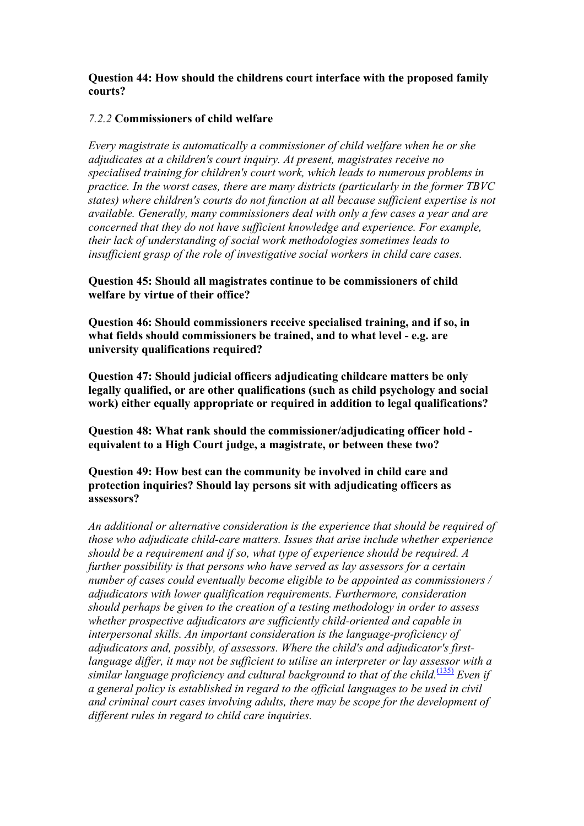**Question 44: How should the childrens court interface with the proposed family courts?** 

# *7.2.2* **Commissioners of child welfare**

*Every magistrate is automatically a commissioner of child welfare when he or she adjudicates at a children's court inquiry. At present, magistrates receive no specialised training for children's court work, which leads to numerous problems in practice. In the worst cases, there are many districts (particularly in the former TBVC states) where children's courts do not function at all because sufficient expertise is not available. Generally, many commissioners deal with only a few cases a year and are concerned that they do not have sufficient knowledge and experience. For example, their lack of understanding of social work methodologies sometimes leads to insufficient grasp of the role of investigative social workers in child care cases.* 

**Question 45: Should all magistrates continue to be commissioners of child welfare by virtue of their office?**

**Question 46: Should commissioners receive specialised training, and if so, in what fields should commissioners be trained, and to what level - e.g. are university qualifications required?** 

**Question 47: Should judicial officers adjudicating childcare matters be only legally qualified, or are other qualifications (such as child psychology and social work) either equally appropriate or required in addition to legal qualifications?** 

**Question 48: What rank should the commissioner/adjudicating officer hold equivalent to a High Court judge, a magistrate, or between these two?**

**Question 49: How best can the community be involved in child care and protection inquiries? Should lay persons sit with adjudicating officers as assessors?** 

*An additional or alternative consideration is the experience that should be required of those who adjudicate child-care matters. Issues that arise include whether experience should be a requirement and if so, what type of experience should be required. A further possibility is that persons who have served as lay assessors for a certain number of cases could eventually become eligible to be appointed as commissioners / adjudicators with lower qualification requirements. Furthermore, consideration should perhaps be given to the creation of a testing methodology in order to assess whether prospective adjudicators are sufficiently child-oriented and capable in interpersonal skills. An important consideration is the language-proficiency of adjudicators and, possibly, of assessors. Where the child's and adjudicator's firstlanguage differ, it may not be sufficient to utilise an interpreter or lay assessor with a similar language proficiency and cultural background to that of the child.*[\(135\)](#page-119-0) *Even if a general policy is established in regard to the official languages to be used in civil and criminal court cases involving adults, there may be scope for the development of different rules in regard to child care inquiries.*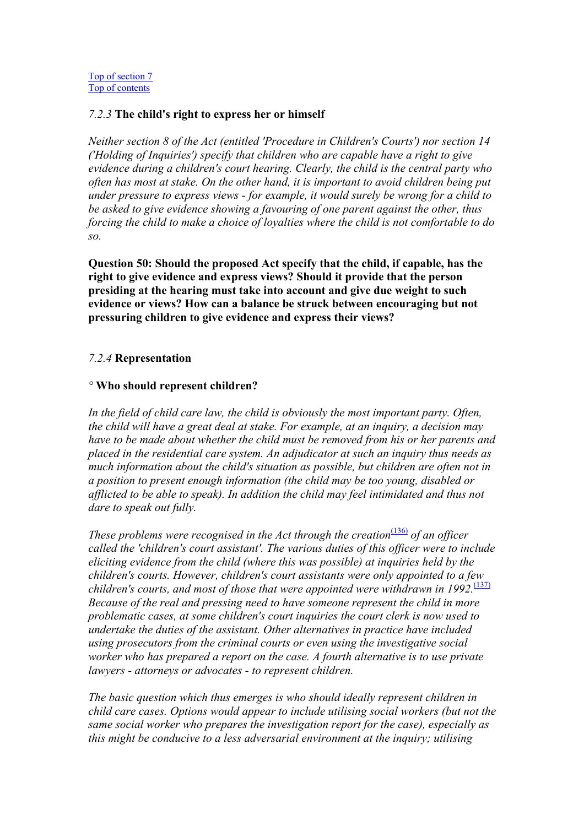```
Top of section 7
Top of contents
```
# *7.2.3* **The child's right to express her or himself**

*Neither section 8 of the Act (entitled 'Procedure in Children's Courts') nor section 14 ('Holding of Inquiries') specify that children who are capable have a right to give evidence during a children's court hearing. Clearly, the child is the central party who often has most at stake. On the other hand, it is important to avoid children being put under pressure to express views - for example, it would surely be wrong for a child to be asked to give evidence showing a favouring of one parent against the other, thus forcing the child to make a choice of loyalties where the child is not comfortable to do so.* 

**Question 50: Should the proposed Act specify that the child, if capable, has the right to give evidence and express views? Should it provide that the person presiding at the hearing must take into account and give due weight to such evidence or views? How can a balance be struck between encouraging but not pressuring children to give evidence and express their views?** 

# *7.2.4* **Representation**

# *°* **Who should represent children?**

*In the field of child care law, the child is obviously the most important party. Often, the child will have a great deal at stake. For example, at an inquiry, a decision may have to be made about whether the child must be removed from his or her parents and placed in the residential care system. An adjudicator at such an inquiry thus needs as much information about the child's situation as possible, but children are often not in a position to present enough information (the child may be too young, disabled or afflicted to be able to speak). In addition the child may feel intimidated and thus not dare to speak out fully.* 

*These problems were recognised in the Act through the creation*<sup> $(136)$ </sup> *of an officer called the 'children's court assistant'. The various duties of this officer were to include eliciting evidence from the child (where this was possible) at inquiries held by the children's courts. However, children's court assistants were only appointed to a few*  children's courts, and most of those that were appointed were withdrawn in 1992.<sup>(137)</sup> *Because of the real and pressing need to have someone represent the child in more problematic cases, at some children's court inquiries the court clerk is now used to undertake the duties of the assistant. Other alternatives in practice have included using prosecutors from the criminal courts or even using the investigative social worker who has prepared a report on the case. A fourth alternative is to use private lawyers - attorneys or advocates - to represent children.* 

*The basic question which thus emerges is who should ideally represent children in child care cases. Options would appear to include utilising social workers (but not the same social worker who prepares the investigation report for the case), especially as this might be conducive to a less adversarial environment at the inquiry; utilising*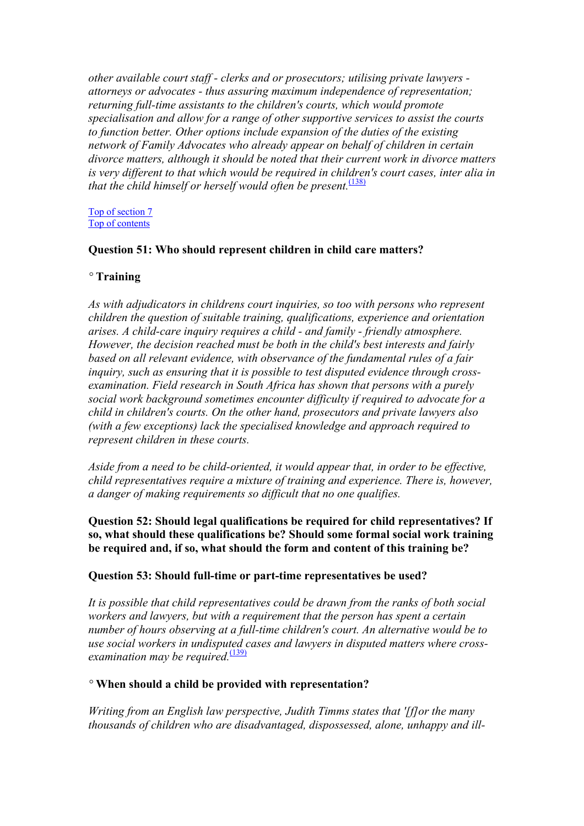*other available court staff - clerks and or prosecutors; utilising private lawyers attorneys or advocates - thus assuring maximum independence of representation; returning full-time assistants to the children's courts, which would promote specialisation and allow for a range of other supportive services to assist the courts to function better. Other options include expansion of the duties of the existing network of Family Advocates who already appear on behalf of children in certain divorce matters, although it should be noted that their current work in divorce matters is very different to that which would be required in children's court cases, inter alia in that the child himself or herself would often be present.*<sup>[\(138\)](#page-119-0)</sup>

#### Top of section 7 Top of contents

## **Question 51: Who should represent children in child care matters?**

## *°* **Training**

*As with adjudicators in childrens court inquiries, so too with persons who represent children the question of suitable training, qualifications, experience and orientation arises. A child-care inquiry requires a child - and family - friendly atmosphere. However, the decision reached must be both in the child's best interests and fairly based on all relevant evidence, with observance of the fundamental rules of a fair inquiry, such as ensuring that it is possible to test disputed evidence through crossexamination. Field research in South Africa has shown that persons with a purely social work background sometimes encounter difficulty if required to advocate for a child in children's courts. On the other hand, prosecutors and private lawyers also (with a few exceptions) lack the specialised knowledge and approach required to represent children in these courts.* 

*Aside from a need to be child-oriented, it would appear that, in order to be effective, child representatives require a mixture of training and experience. There is, however, a danger of making requirements so difficult that no one qualifies.* 

# **Question 52: Should legal qualifications be required for child representatives? If so, what should these qualifications be? Should some formal social work training be required and, if so, what should the form and content of this training be?**

## **Question 53: Should full-time or part-time representatives be used?**

*It is possible that child representatives could be drawn from the ranks of both social workers and lawyers, but with a requirement that the person has spent a certain number of hours observing at a full-time children's court. An alternative would be to use social workers in undisputed cases and lawyers in disputed matters where crossexamination may be required.*<sup>(139)</sup>

#### *°* **When should a child be provided with representation?**

*Writing from an English law perspective, Judith Timms states that '[f]or the many thousands of children who are disadvantaged, dispossessed, alone, unhappy and ill-*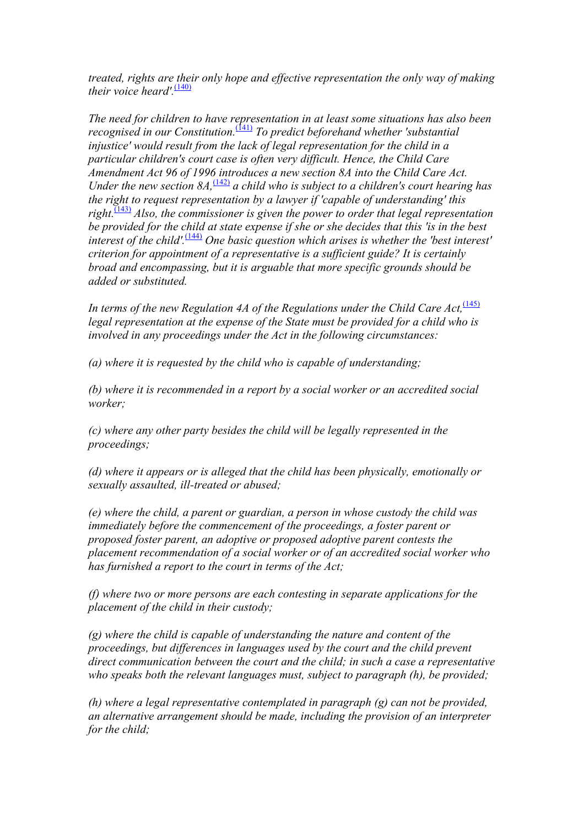*treated, rights are their only hope and effective representation the only way of making their voice heard'*.<sup>[\(140\)](#page-119-0)</sup>

*The need for children to have representation in at least some situations has also been recognised in our Constitution.*<sup>[\(141\)](#page-119-0)</sup> *To predict beforehand whether 'substantial injustice' would result from the lack of legal representation for the child in a particular children's court case is often very difficult. Hence, the Child Care Amendment Act 96 of 1996 introduces a new section 8A into the Child Care Act. Under the new section 8A*, <sup>[\(142\)](#page-119-0)</sup> *a child who is subject to a children's court hearing has the right to request representation by a lawyer if 'capable of understanding' this right.*[\(143\)](#page-119-0) *Also, the commissioner is given the power to order that legal representation be provided for the child at state expense if she or she decides that this 'is in the best interest of the child'.*[\(144\)](#page-119-0) *One basic question which arises is whether the 'best interest' criterion for appointment of a representative is a sufficient guide? It is certainly broad and encompassing, but it is arguable that more specific grounds should be added or substituted.* 

In terms of the new Regulation 4A of the Regulations under the Child Care Act,  $(145)$ *legal representation at the expense of the State must be provided for a child who is involved in any proceedings under the Act in the following circumstances:* 

*(a) where it is requested by the child who is capable of understanding;* 

*(b) where it is recommended in a report by a social worker or an accredited social worker;* 

*(c) where any other party besides the child will be legally represented in the proceedings;* 

*(d) where it appears or is alleged that the child has been physically, emotionally or sexually assaulted, ill-treated or abused;* 

*(e) where the child, a parent or guardian, a person in whose custody the child was immediately before the commencement of the proceedings, a foster parent or proposed foster parent, an adoptive or proposed adoptive parent contests the placement recommendation of a social worker or of an accredited social worker who has furnished a report to the court in terms of the Act;* 

*(f) where two or more persons are each contesting in separate applications for the placement of the child in their custody;* 

*(g) where the child is capable of understanding the nature and content of the proceedings, but differences in languages used by the court and the child prevent direct communication between the court and the child; in such a case a representative who speaks both the relevant languages must, subject to paragraph (h), be provided;* 

*(h) where a legal representative contemplated in paragraph (g) can not be provided, an alternative arrangement should be made, including the provision of an interpreter for the child;*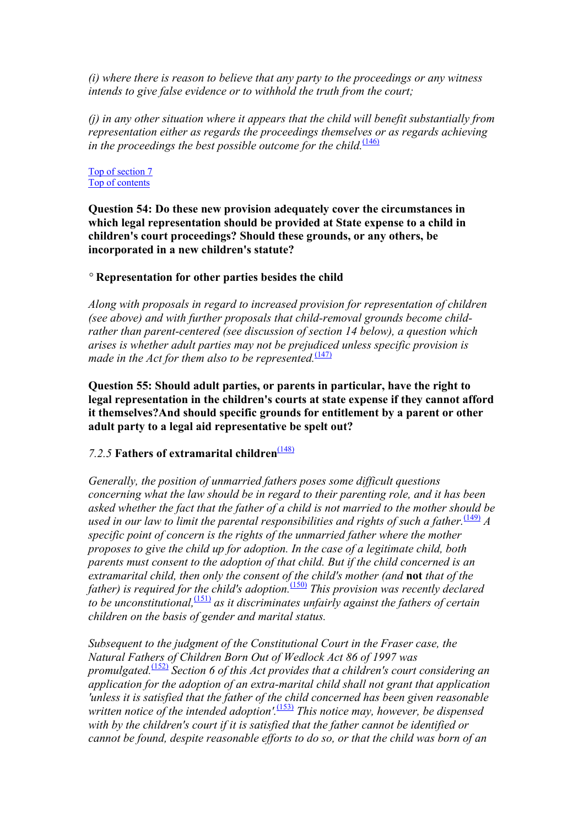*(i) where there is reason to believe that any party to the proceedings or any witness intends to give false evidence or to withhold the truth from the court;* 

*(j) in any other situation where it appears that the child will benefit substantially from representation either as regards the proceedings themselves or as regards achieving in the proceedings the best possible outcome for the child.*<sup> $(146)$ </sup>

Top of section 7 Top of contents

**Question 54: Do these new provision adequately cover the circumstances in which legal representation should be provided at State expense to a child in children's court proceedings? Should these grounds, or any others, be incorporated in a new children's statute?**

#### *°* **Representation for other parties besides the child**

*Along with proposals in regard to increased provision for representation of children (see above) and with further proposals that child-removal grounds become childrather than parent-centered (see discussion of section 14 below), a question which arises is whether adult parties may not be prejudiced unless specific provision is made in the Act for them also to be represented.*<sup>(147)</sup>

**Question 55: Should adult parties, or parents in particular, have the right to legal representation in the children's courts at state expense if they cannot afford it themselves?And should specific grounds for entitlement by a parent or other adult party to a legal aid representative be spelt out?**

# *7.2.5* **Fathers of extramarital children**(148)

*Generally, the position of unmarried fathers poses some difficult questions concerning what the law should be in regard to their parenting role, and it has been asked whether the fact that the father of a child is not married to the mother should be used in our law to limit the parental responsibilities and rights of such a father.*<sup>(149)</sup> *A specific point of concern is the rights of the unmarried father where the mother proposes to give the child up for adoption. In the case of a legitimate child, both parents must consent to the adoption of that child. But if the child concerned is an extramarital child, then only the consent of the child's mother (and* **not** *that of the father) is required for the child's adoption.*(150) *This provision was recently declared to be unconstitutional,*(151) *as it discriminates unfairly against the fathers of certain children on the basis of gender and marital status.* 

*Subsequent to the judgment of the Constitutional Court in the Fraser case, the Natural Fathers of Children Born Out of Wedlock Act 86 of 1997 was promulgated.*(152) *Section 6 of this Act provides that a children's court considering an application for the adoption of an extra-marital child shall not grant that application 'unless it is satisfied that the father of the child concerned has been given reasonable written notice of the intended adoption'.*<sup>(153)</sup> *This notice may, however, be dispensed with by the children's court if it is satisfied that the father cannot be identified or cannot be found, despite reasonable efforts to do so, or that the child was born of an*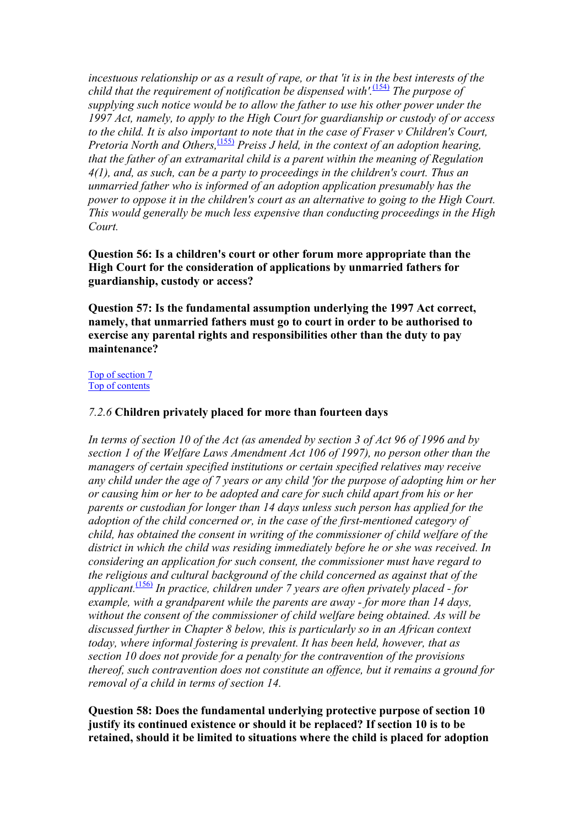*incestuous relationship or as a result of rape, or that 'it is in the best interests of the child that the requirement of notification be dispensed with'.*<sup>[\(154\)](#page-120-0)</sup> *The purpose of supplying such notice would be to allow the father to use his other power under the 1997 Act, namely, to apply to the High Court for guardianship or custody of or access to the child. It is also important to note that in the case of Fraser v Children's Court, Pretoria North and Others,*<sup>[\(155\)](#page-120-0)</sup> *Preiss J held, in the context of an adoption hearing, that the father of an extramarital child is a parent within the meaning of Regulation 4(1), and, as such, can be a party to proceedings in the children's court. Thus an unmarried father who is informed of an adoption application presumably has the power to oppose it in the children's court as an alternative to going to the High Court. This would generally be much less expensive than conducting proceedings in the High Court.* 

**Question 56: Is a children's court or other forum more appropriate than the High Court for the consideration of applications by unmarried fathers for guardianship, custody or access?** 

**Question 57: Is the fundamental assumption underlying the 1997 Act correct, namely, that unmarried fathers must go to court in order to be authorised to exercise any parental rights and responsibilities other than the duty to pay maintenance?**

Top of section 7 Top of contents

#### *7.2.6* **Children privately placed for more than fourteen days**

*In terms of section 10 of the Act (as amended by section 3 of Act 96 of 1996 and by section 1 of the Welfare Laws Amendment Act 106 of 1997), no person other than the managers of certain specified institutions or certain specified relatives may receive any child under the age of 7 years or any child 'for the purpose of adopting him or her or causing him or her to be adopted and care for such child apart from his or her parents or custodian for longer than 14 days unless such person has applied for the adoption of the child concerned or, in the case of the first-mentioned category of child, has obtained the consent in writing of the commissioner of child welfare of the district in which the child was residing immediately before he or she was received. In considering an application for such consent, the commissioner must have regard to the religious and cultural background of the child concerned as against that of the applicant.*(156) *In practice, children under 7 years are often privately placed - for example, with a grandparent while the parents are away - for more than 14 days, without the consent of the commissioner of child welfare being obtained. As will be discussed further in Chapter 8 below, this is particularly so in an African context today, where informal fostering is prevalent. It has been held, however, that as section 10 does not provide for a penalty for the contravention of the provisions thereof, such [con](#page-120-0)travention does not constitute an offence, but it remains a ground for removal of a child in terms of section 14.* 

**Question 58: Does the fundamental u[nder](#page-120-0)lying protective purpose of section 10 justify its continued existence or should it be replaced? If section 10 is to be retained, should it be limited to situations where the child is placed for adoption**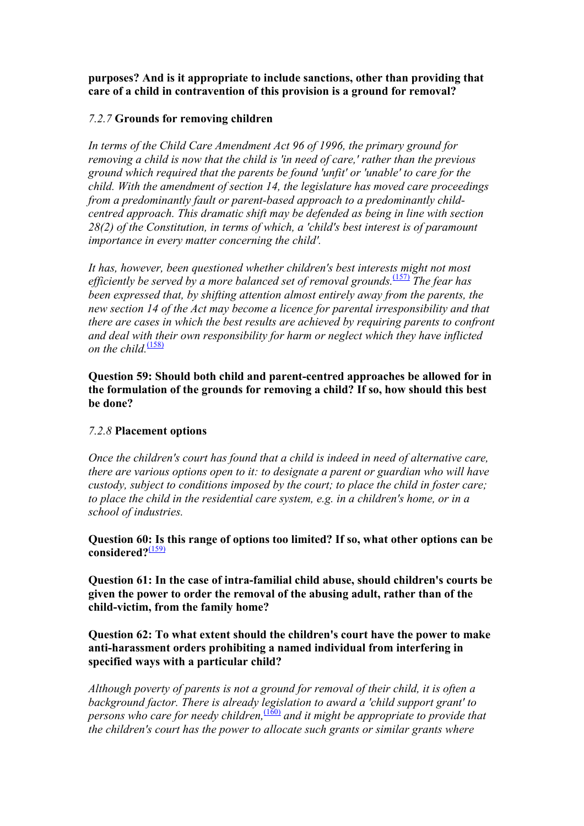**purposes? And is it appropriate to include sanctions, other than providing that care of a child in contravention of this provision is a ground for removal?**

# *7.2.7* **Grounds for removing children**

*In terms of the Child Care Amendment Act 96 of 1996, the primary ground for removing a child is now that the child is 'in need of care,' rather than the previous ground which required that the parents be found 'unfit' or 'unable' to care for the child. With the amendment of section 14, the legislature has moved care proceedings from a predominantly fault or parent-based approach to a predominantly childcentred approach. This dramatic shift may be defended as being in line with section 28(2) of the Constitution, in terms of which, a 'child's best interest is of paramount importance in every matter concerning the child'.* 

*It has, however, been questioned whether children's best interests might not most efficiently be served by a more balanced set of removal grounds.*[\(157\)](#page-120-0) *The fear has been expressed that, by shifting attention almost entirely away from the parents, the new section 14 of the Act may become a licence for parental irresponsibility and that there are cases in which the best results are achieved by requiring parents to confront and deal with their own responsibility for harm or neglect which they have inflicted on the child.*<sup>[\(158\)](#page-120-0)</sup>

**Question 59: Should both child and parent-centred approaches be allowed for in the formulation of the grounds for removing a child? If so, how should this best be done?**

## *7.2.8* **Placement options**

*Once the children's court has found that a child is indeed in need of alternative care, there are various options open to it: to designate a parent or guardian who will have custody, subject to conditions imposed by the court; to place the child in foster care; to place the child in the residential care system, e.g. in a children's home, or in a school of industries.* 

**Question 60: Is this range of options too limited? If so, what other options can be considered?**[\(159\)](#page-120-0)

**Question 61: In the case of intra-familial child abuse, should children's courts be given the power to order the removal of the abusing adult, rather than of the child-victim, from the family home?** 

# **Question 62: To what extent should the children's court have the power to make anti-harassment orders prohibiting a named individual from interfering in specified ways with a particular child?**

*Although poverty of parents is not a ground for removal of their child, it is often a background factor. There is already legislation to award a 'child support grant' to persons who care for needy children*,<sup>[\(160\)](#page-120-0)</sup> and it might be appropriate to provide that *the children's court has the power to allocate such grants or similar grants where*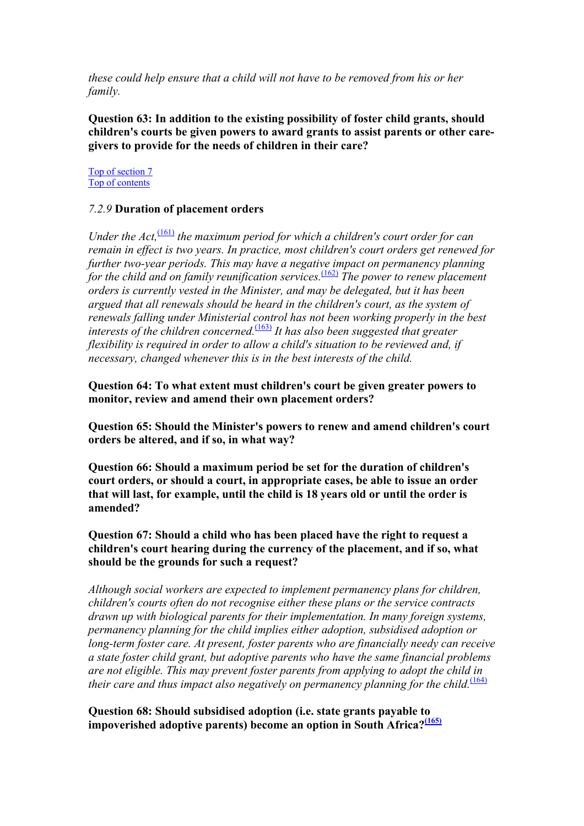*these could help ensure that a child will not have to be removed from his or her family.* 

**Question 63: In addition to the existing possibility of foster child grants, should children's courts be given powers to award grants to assist parents or other caregivers to provide for the needs of children in their care?** 

Top of section 7 Top of contents

## *7.2.9* **Duration of placement orders**

*Under the Act*,<sup>(161)</sup> the maximum period for which a children's court order for can *remain in effect is two years. In practice, most children's court orders get renewed for further two-year periods. This may have a negative impact on permanency planning for the child and on family reunification services.*(162) *The power to renew placement orders is currently vested in the Minister, and may be delegated, but it has been argued that all renewals should be heard in the children's court, as the system of renewals falling under Ministerial control has not been working properly in the best interests of the children concerned.*(163) *It has also been suggested that greater flexibility is required in order to allow a child's situation to be reviewed and, if necessary, changed whenever this is in the best interests of the child.* 

**Question 64: To what extent must children's court be given greater powers to monitor, review and amend their own placement orders?**

**Question 65: Should the Minister's powers to renew and amend children's court orders be altered, and if so, in what way?**

**Question 66: Should a maximum period be set for the duration of children's court orders, or should a court, in appropriate cases, be able to issue an order that will last, for example, until the child is 18 years old or until the order is amended?** 

**Question 67: Should a child who has been placed have the right to request a children's court hearing during the currency of the placement, and if so, what should be the grounds for such a request?**

*Although social workers are expected to implement permanency plans for children, children's courts often do not recognise either these plans or the service contracts drawn up with biological parents for their implementation. In many foreign systems, permanency planning for the child implies either adoption, subsidised adoption or long-term foster care. At present, foster parents who are financially needy can receive a state foster child grant, but adoptive parents who have the same financial problems are not eligible. This may prevent foster parents from applying to adopt the child in their care and thus impact also negatively on permanency planning for the child.*<sup>(164)</sup> *interminanty care and thus impact also negatively on permanency planning for the child.* 

**Question 68: Should subsidised adoption (i.e. state grants payable to impoverished adoptive parents) become an option in South Africa?(165)**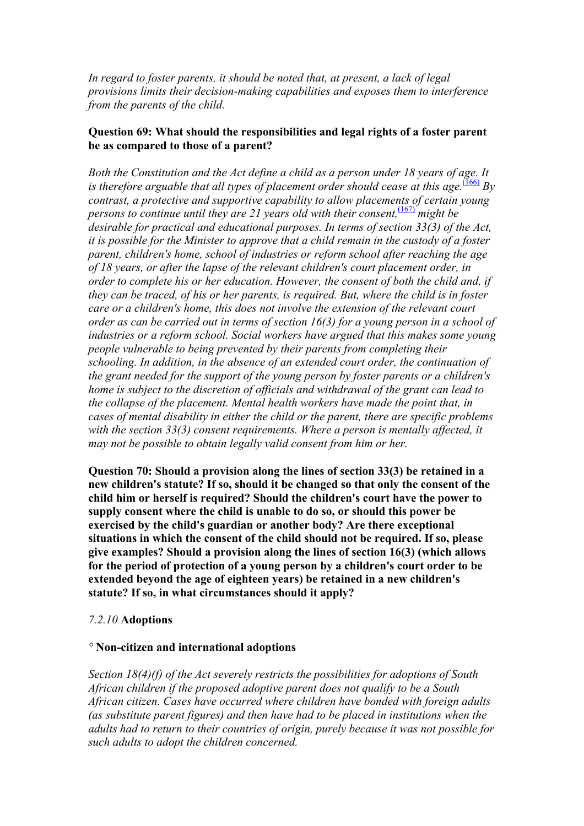*In regard to foster parents, it should be noted that, at present, a lack of legal provisions limits their decision-making capabilities and exposes them to interference from the parents of the child.* 

## **Question 69: What should the responsibilities and legal rights of a foster parent be as compared to those of a parent?**

*Both the Constitution and the Act define a child as a person under 18 years of age. It is therefore arguable that all types of placement order should cease at this age.*<sup> $(166)$ </sup> *By contrast, a protective and supportive capability to allow placements of certain young persons to continue until they are 21 years old with their consent,*  $\frac{(167)}{2}$  $\frac{(167)}{2}$  $\frac{(167)}{2}$  *might be desirable for practical and educational purposes. In terms of section 33(3) of the Act, it is possible for the Minister to approve that a child remain in the custody of a foster parent, children's home, school of industries or reform school after reaching the age of 18 years, or after the lapse of the relevant children's court placement order, in order to complete his or her education. However, the consent of both the child and, if they can be traced, of his or her parents, is required. But, where the child is in foster care or a children's home, this does not involve the extension of the relevant court order as can be carried out in terms of section 16(3) for a young person in a school of industries or a reform school. Social workers have argued that this makes some young people vulnerable to being prevented by their parents from completing their schooling. In addition, in the absence of an extended court order, the continuation of the grant needed for the support of the young person by foster parents or a children's home is subject to the discretion of officials and withdrawal of the grant can lead to the collapse of the placement. Mental health workers have made the point that, in cases of mental disability in either the child or the parent, there are specific problems with the section 33(3) consent requirements. Where a person is mentally affected, it may not be possible to obtain legally valid consent from him or her.* 

**Question 70: Should a provision along the lines of section 33(3) be retained in a new children's statute? If so, should it be changed so that only the consent of the child him or herself is required? Should the children's court have the power to supply consent where the child is unable to do so, or should this power be exercised by the child's guardian or another body? Are there exceptional situations in which the consent of the child should not be required. If so, please give examples? Should a provision along the lines of section 16(3) (which allows for the period of protection of a young person by a children's court order to be extended beyond the age of eighteen years) be retained in a new children's statute? If so, in what circumstances should it apply?**

## *7.2.10* **Adoptions**

#### *°* **Non-citizen and international adoptions**

*Section 18(4)(f) of the Act severely restricts the possibilities for adoptions of South African children if the proposed adoptive parent does not qualify to be a South African citizen. Cases have occurred where children have bonded with foreign adults (as substitute parent figures) and then have had to be placed in institutions when the adults had to return to their countries of origin, purely because it was not possible for such adults to adopt the children concerned.*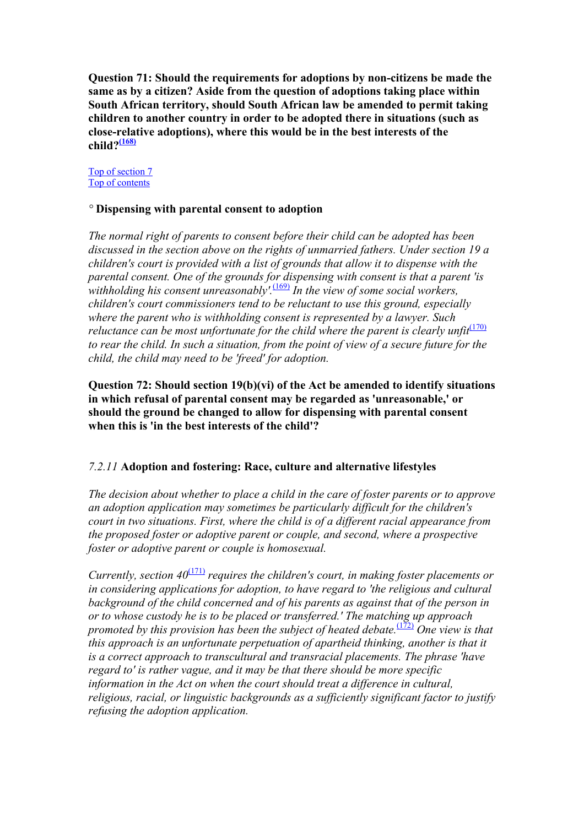**Question 71: Should the requirements for adoptions by non-citizens be made the same as by a citizen? Aside from the question of adoptions taking place within South African territory, should South African law be amended to permit taking children to another country in order to be adopted there in situations (such as close-relative adoptions), where this would be in the best interests of the child[?\(168\)](#page-121-0)**

Top of section 7 Top of contents

# *°* **Dispensing with parental consent to adoption**

*The normal right of parents to consent before their child can be adopted has been discussed in the section above on the rights of unmarried fathers. Under section 19 a children's court is provided with a list of grounds that allow it to dispense with the parental consent. One of the grounds for dispensing with consent is that a parent 'is withholding his consent unreasonably'.*(169) *In the view of some social workers, children's court commissioners tend to be reluctant to use this ground, especially where the parent who is withholding consent is represented by a lawyer. Such reluctance can be most unfortunate for the child where the parent is clearly unfit*<sup> $(170)$ </sup> *to rear the child. In such a situation, from the point of view of a secure future for the child, the child may need to be 'freed' for adoption.* 

**Question 72: Should section 19(b)(vi) of the Act be amended to identify situations in which refusal of parental consent may be regarded as 'unreasonable,' or should the ground be changed to allow for dispensing with parental consent when this is 'in the best interests of the child'?**

# *7.2.11* **Adoption and fostering: Race, culture and alternative lifestyles**

*The decision about whether to place a child in the care of foster parents or to approve an adoption application may sometimes be particularly difficult for the children's court in two situations. First, where the child is of a different racial appearance from the proposed foster or adoptive parent or couple, and second, where a prospective foster or adoptive parent or couple is homosexual.* 

*Currently, section 40<sup>(171)</sup> requires the children's court, in making foster placements or in considering applications for adoption, to have regard to 'the religious and cultural background of the child concerned and of his parents as against that of the person in or to whose custody he is to be placed or transferred.' The matching up approach promoted by this provision has been the subject of heated debate.*<sup>(172)</sup> One view is that *this approach is an unfortunate perpetuation of apartheid thinking, another is that it is a correct approach to transcultural and transracial placements. The phrase 'have regard to' is rather vague, and it may be that there should be more specific information in the Act on when the court should treat a difference in cultural, religious, racial, or linguistic backgrounds as a sufficiently significant factor to justify refusing the adoption application.*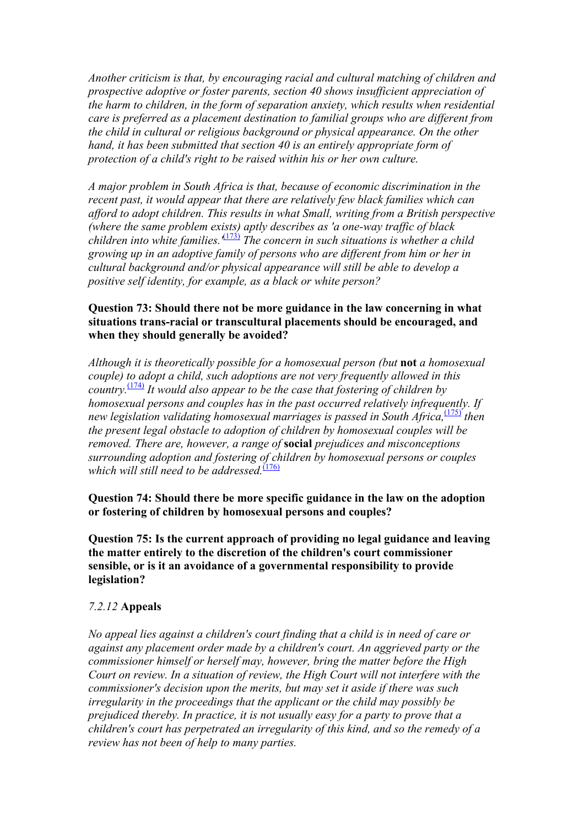*Another criticism is that, by encouraging racial and cultural matching of children and prospective adoptive or foster parents, section 40 shows insufficient appreciation of the harm to children, in the form of separation anxiety, which results when residential care is preferred as a placement destination to familial groups who are different from the child in cultural or religious background or physical appearance. On the other hand, it has been submitted that section 40 is an entirely appropriate form of protection of a child's right to be raised within his or her own culture.* 

*A major problem in South Africa is that, because of economic discrimination in the recent past, it would appear that there are relatively few black families which can afford to adopt children. This results in what Small, writing from a British perspective (where the same problem exists) aptly describes as 'a one-way traffic of black children into white families.'*[\(173\)](#page-121-0) *The concern in such situations is whether a child growing up in an adoptive family of persons who are different from him or her in cultural background and/or physical appearance will still be able to develop a positive self identity, for example, as a black or white person?* 

# **Question 73: Should there not be more guidance in the law concerning in what situations trans-racial or transcultural placements should be encouraged, and when they should generally be avoided?**

*Although it is theoretically possible for a homosexual person (but* **not** *a homosexual couple) to adopt a child, such adoptions are not very frequently allowed in this country.*[\(174\)](#page-121-0) *It would also appear to be the case that fostering of children by homosexual persons and couples has in the past occurred relatively infrequently. If new legislation validating homosexual marriages is passed in South Africa*,<sup>[\(175\)](#page-121-0)</sup> then *the present legal obstacle to adoption of children by homosexual couples will be removed. There are, however, a range of* **social** *prejudices and misconceptions surrounding adoption and fostering of children by homosexual persons or couples which will still need to be addressed.*<sup>[\(176\)](#page-121-0)</sup>

**Question 74: Should there be more specific guidance in the law on the adoption or fostering of children by homosexual persons and couples?** 

**Question 75: Is the current approach of providing no legal guidance and leaving the matter entirely to the discretion of the children's court commissioner sensible, or is it an avoidance of a governmental responsibility to provide legislation?** 

## *7.2.12* **Appeals**

*No appeal lies against a children's court finding that a child is in need of care or against any placement order made by a children's court. An aggrieved party or the commissioner himself or herself may, however, bring the matter before the High Court on review. In a situation of review, the High Court will not interfere with the commissioner's decision upon the merits, but may set it aside if there was such irregularity in the proceedings that the applicant or the child may possibly be prejudiced thereby. In practice, it is not usually easy for a party to prove that a children's court has perpetrated an irregularity of this kind, and so the remedy of a review has not been of help to many parties.*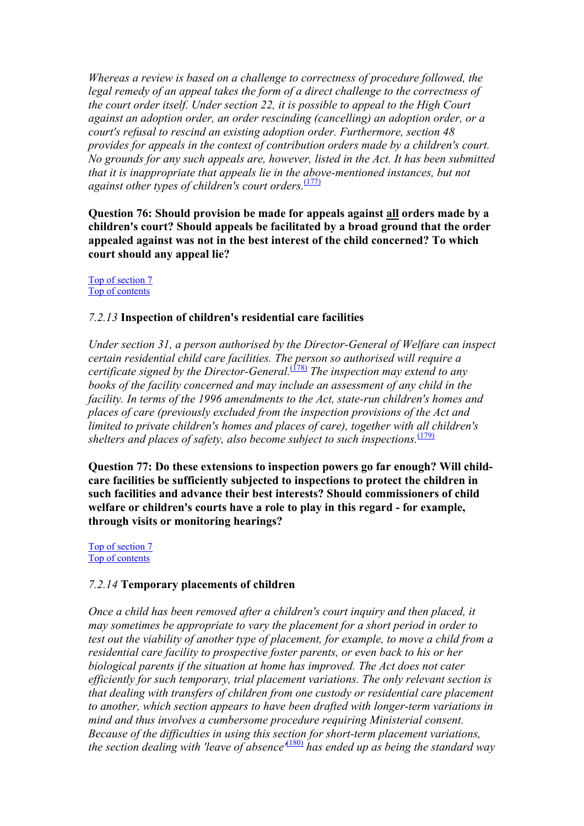*Whereas a review is based on a challenge to correctness of procedure followed, the legal remedy of an appeal takes the form of a direct challenge to the correctness of the court order itself. Under section 22, it is possible to appeal to the High Court against an adoption order, an order rescinding (cancelling) an adoption order, or a court's refusal to rescind an existing adoption order. Furthermore, section 48 provides for appeals in the context of contribution orders made by a children's court. No grounds for any such appeals are, however, listed in the Act. It has been submitted that it is inappropriate that appeals lie in the above-mentioned instances, but not against other types of children's court orders.*<sup>[\(177\)](#page-121-0)</sup>

**Question 76: Should provision be made for appeals against all orders made by a children's court? Should appeals be facilitated by a broad ground that the order appealed against was not in the best interest of the child concerned? To which court should any appeal lie?**

Top of section 7 Top of contents

# *7.2.13* **Inspection of children's residential care facilities**

*Under section 31, a person authorised by the Director-General of Welfare can inspect certain residential child care facilities. The person so authorised will require a certificate signed by the Director-General.*<sup>(178)</sup> The inspection may extend to any *books of the facility concerned and may include an assessment of any child in the facility. In terms of the 1996 amendments to the Act, state-run children's homes and places of care (previously excluded from the inspection provisions of the Act and limited to private children's homes and places of care), together with all children's shelters and places of safety, also become subject to such inspections.*<sup>(179)</sup>

**Question 77: Do these extensions to inspection powers go far enough? Will childcare facilities be sufficiently subjected to inspections to protect the children in such facilities and advance their best interests? Should commissioners of child welfare or children's courts have a role to play in this regard - for example, through visits or monitoring hearings?**

Top of section 7 Top of contents

## *7.2.14* **Temporary placements of children**

*Once a child has been removed after a children's court inquiry and then placed, it may sometimes be appropriate to vary the placement for a short period in order to test out the viability of another type of placement, for example, to move a child from a residential care facility to prospective foster parents, or even back to his or her biological parents if the situation at home has improved. The Act does not cater efficiently for such temporary, trial placement variations. The only relevant section is that dealing with transfers of children from one custody or residential care placement to another, which section appears to have been drafted with longer-term variations in mind and thus involves a cumbersome procedure requiring Ministerial consent. Because of the difficulties in using this section for short-term placement variations, the section dealing with 'leave of absence'*(180) *has ended up as being the standard way*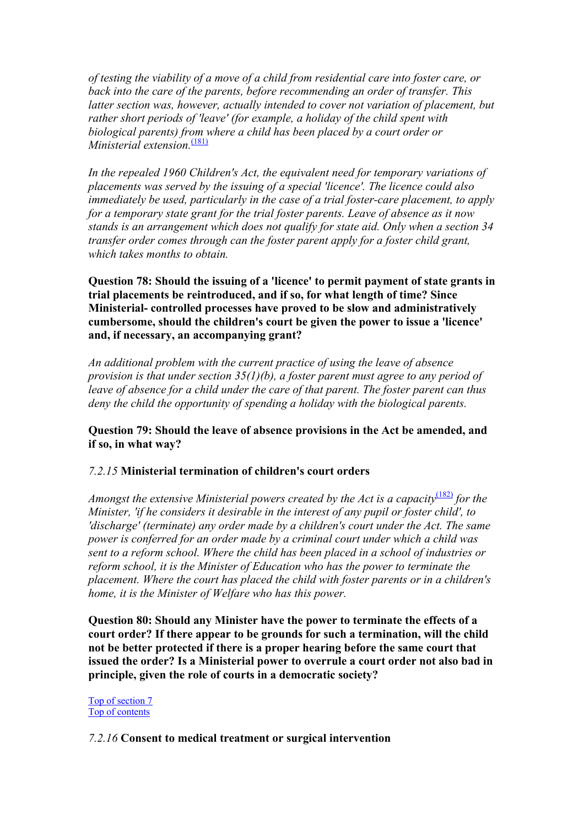*of testing the viability of a move of a child from residential care into foster care, or back into the care of the parents, before recommending an order of transfer. This latter section was, however, actually intended to cover not variation of placement, but rather short periods of 'leave' (for example, a holiday of the child spent with biological parents) from where a child has been placed by a court order or Ministerial extension.*<sup>[\(181\)](#page-122-0)</sup>

*In the repealed 1960 Children's Act, the equivalent need for temporary variations of placements was served by the issuing of a special 'licence'. The licence could also immediately be used, particularly in the case of a trial foster-care placement, to apply for a temporary state grant for the trial foster parents. Leave of absence as it now stands is an arrangement which does not qualify for state aid. Only when a section 34 transfer order comes through can the foster parent apply for a foster child grant, which takes months to obtain.* 

**Question 78: Should the issuing of a 'licence' to permit payment of state grants in trial placements be reintroduced, and if so, for what length of time? Since Ministerial- controlled processes have proved to be slow and administratively cumbersome, should the children's court be given the power to issue a 'licence' and, if necessary, an accompanying grant?** 

*An additional problem with the current practice of using the leave of absence provision is that under section 35(1)(b), a foster parent must agree to any period of leave of absence for a child under the care of that parent. The foster parent can thus deny the child the opportunity of spending a holiday with the biological parents.* 

**Question 79: Should the leave of absence provisions in the Act be amended, and if so, in what way?**

## *7.2.15* **Ministerial termination of children's court orders**

Amongst the extensive Ministerial powers created by the Act is a capacity<sup>[\(182\)](#page-122-0)</sup> for the *Minister, 'if he considers it desirable in the interest of any pupil or foster child', to 'discharge' (terminate) any order made by a children's court under the Act. The same power is conferred for an order made by a criminal court under which a child was sent to a reform school. Where the child has been placed in a school of industries or reform school, it is the Minister of Education who has the power to terminate the placement. Where the court has placed the child with foster parents or in a children's home, it is the Minister of Welfare who has this power.* 

**Question 80: Should any Minister have the power to terminate the effects of a court order? If there appear to be grounds for such a termination, will the child not be better protected if there is a proper hearing before the same court that issued the order? Is a Ministerial power to overrule a court order not also bad in principle, given the role of courts in a democratic society?**

Top of section 7 Top of contents

## *7.2.16* **Consent to medical treatment or [surg](#page-122-0)ical intervention**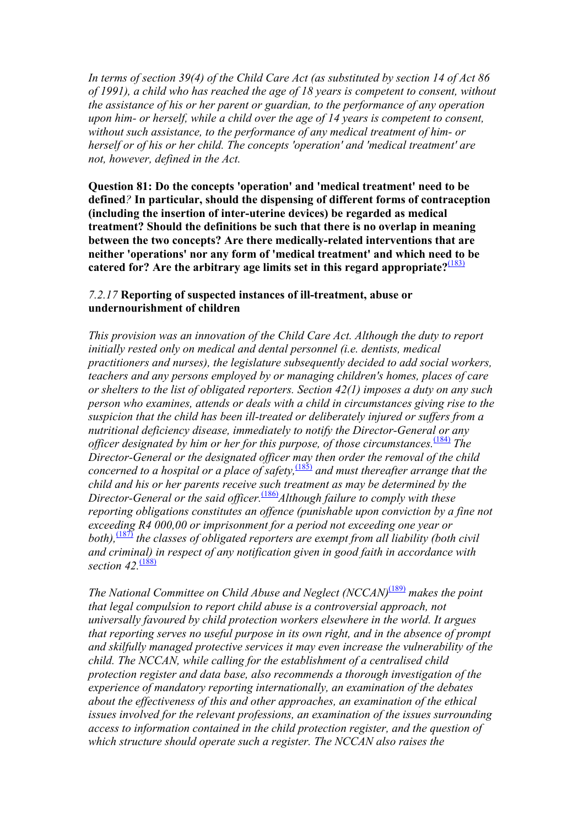*In terms of section 39(4) of the Child Care Act (as substituted by section 14 of Act 86 of 1991), a child who has reached the age of 18 years is competent to consent, without the assistance of his or her parent or guardian, to the performance of any operation upon him- or herself, while a child over the age of 14 years is competent to consent, without such assistance, to the performance of any medical treatment of him- or herself or of his or her child. The concepts 'operation' and 'medical treatment' are not, however, defined in the Act.* 

**Question 81: Do the concepts 'operation' and 'medical treatment' need to be defined***?* **In particular, should the dispensing of different forms of contraception (including the insertion of inter-uterine devices) be regarded as medical treatment? Should the definitions be such that there is no overlap in meaning between the two concepts? Are there medically-related interventions that are neither 'operations' nor any form of 'medical treatment' and which need to be catered for? Are the arbitrary age limits set in this regard appropriate?**[\(183\)](#page-122-0)

# *7.2.17* **Reporting of suspected instances of ill-treatment, abuse or undernourishment of children**

*This provision was an innovation of the Child Care Act. Although the duty to report initially rested only on medical and dental personnel (i.e. dentists, medical practitioners and nurses), the legislature subsequently decided to add social workers, teachers and any persons employed by or managing children's homes, places of care or shelters to the list of obligated reporters. Section 42(1) imposes a duty on any such person who examines, attends or deals with a child in circumstances giving rise to the suspicion that the child has been ill-treated or deliberately injured or suffers from a nutritional deficiency disease, immediately to notify the Director-General or any officer designated by him or her for this purpose, of those circumstances.*<sup>[\(184\)](#page-122-0)</sup> *The Director-General or the designated officer may then order the removal of the child concerned to a hospital or a place of safety,*[\(185\)](#page-122-0) *and must thereafter arrange that the child and his or her parents receive such treatment as may be determined by the Director-General or the said officer.*<sup>[\(186\)](#page-122-0)</sup>*Although failure to comply with these reporting obligations constitutes an offence (punishable upon conviction by a fine not exceeding R4 000,00 or imprisonment for a period not exceeding one year or both*),<sup>[\(187\)](#page-122-0)</sup> the classes of obligated reporters are exempt from all liability (both civil *and criminal) in respect of any notification given in good faith in accordance with section 42.*[\(188\)](#page-122-0)

*The National Committee on Child Abuse and Neglect (NCCAN)*[\(189\)](#page-122-0) *makes the point that legal compulsion to report child abuse is a controversial approach, not universally favoured by child protection workers elsewhere in the world. It argues that reporting serves no useful purpose in its own right, and in the absence of prompt and skilfully managed protective services it may even increase the vulnerability of the child. The NCCAN, while calling for the establishment of a centralised child protection register and data base, also recommends a thorough investigation of the experience of mandatory reporting internationally, an examination of the debates about the effectiveness of this and other approaches, an examination of the ethical issues involved for the relevant professions, an examination of the issues surrounding access to information contained in the child protection register, and the question of which structure should operate such a register. The NCCAN also raises the*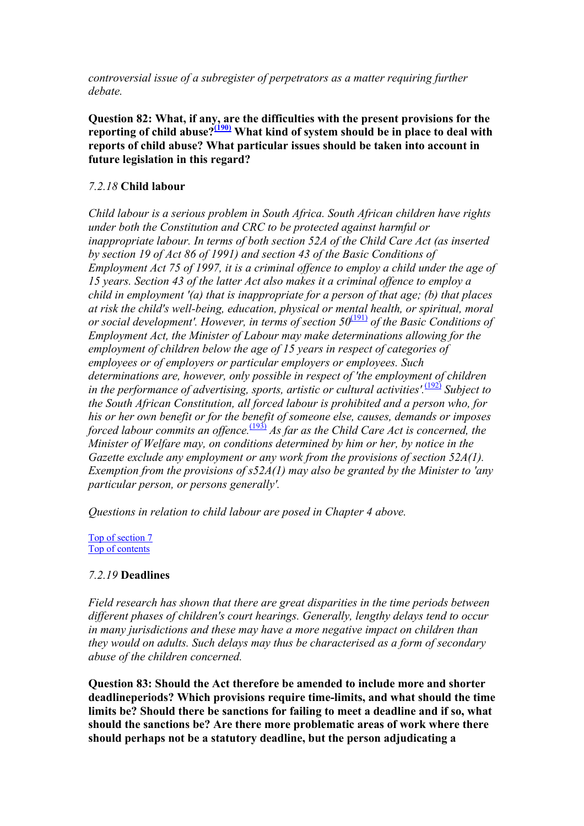*controversial issue of a subregister of perpetrators as a matter requiring further debate.* 

**Question 82: What, if any, are the difficulties with the present provisions for the reporting of child abuse?[\(190\)](#page-122-0) What kind of system should be in place to deal with reports of child abuse? What particular issues should be taken into account in future legislation in this regard?**

# *7.2.18* **Child labour**

*Child labour is a serious problem in South Africa. South African children have rights under both the Constitution and CRC to be protected against harmful or inappropriate labour. In terms of both section 52A of the Child Care Act (as inserted by section 19 of Act 86 of 1991) and section 43 of the Basic Conditions of Employment Act 75 of 1997, it is a criminal offence to employ a child under the age of 15 years. Section 43 of the latter Act also makes it a criminal offence to employ a child in employment '(a) that is inappropriate for a person of that age; (b) that places at risk the child's well-being, education, physical or mental health, or spiritual, moral or social development'. However, in terms of section 50*<sup>[\(191\)](#page-122-0)</sup> *of the Basic Conditions of Employment Act, the Minister of Labour may make determinations allowing for the employment of children below the age of 15 years in respect of categories of employees or of employers or particular employers or employees. Such determinations are, however, only possible in respect of 'the employment of children in the performance of advertising, sports, artistic or cultural activities'.*[\(192\)](#page-122-0) *Subject to the South African Constitution, all forced labour is prohibited and a person who, for his or her own benefit or for the benefit of someone else, causes, demands or imposes forced labour commits an offence.*<sup>[\(193\)](#page-122-0)</sup> As far as the Child Care Act is concerned, the *Minister of Welfare may, on conditions determined by him or her, by notice in the Gazette exclude any employment or any work from the provisions of section 52A(1). Exemption from the provisions of s52A(1) may also be granted by the Minister to 'any particular person, or persons generally'.* 

*Questions in relation to child labour are posed in Chapter 4 above.* 

Top of section 7 Top of contents

## *7.2.19* **Deadlines**

*Field research has shown that there are great disparities in the time periods between different phases of children's court hearings. Generally, lengthy delays tend to occur in many jurisdictions and these may have a more negative impact on children than they would on adults. Such delays may thus be characterised as a form of secondary abuse of the children concerned.* 

**Question 83: Should the Act therefore be amended to include more and shorter deadlineperiods? Which provisions require time-limits, and what should the time limits be? Should there be sanctions for failing to meet a deadline and if so, what should the sanctions be? Are there more problematic areas of work where there should perhaps not be a statutory deadline, but the person adjudicating a**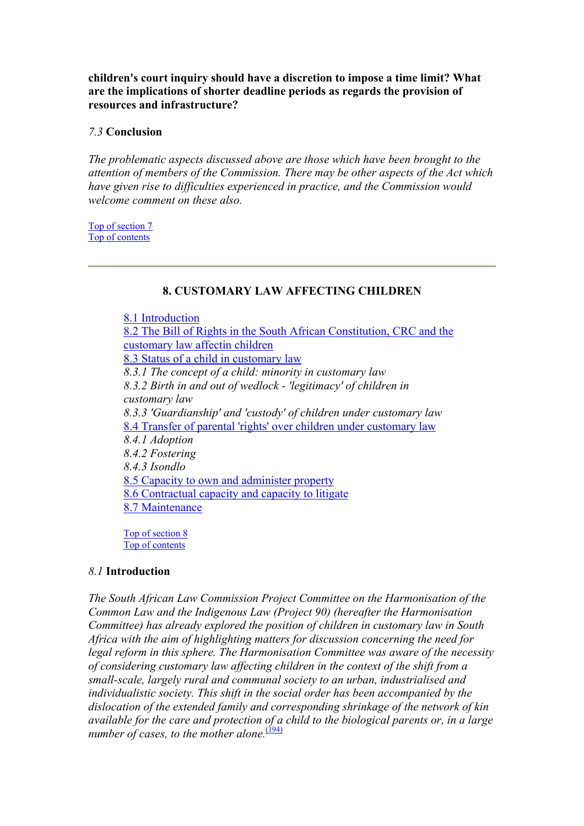**children's court inquiry should have a discretion to impose a time limit? What are the implications of shorter deadline periods as regards the provision of resources and infrastructure?**

#### *7.3* **Conclusion**

*The problematic aspects discussed above are those which have been brought to the attention of members of the Commission. There may be other aspects of the Act which have given rise to difficulties experienced in practice, and the Commission would welcome comment on these also.* 

Top of section 7 Top of contents

#### **8. CUSTOMARY LAW AFFECTING CHILDREN**

8.1 Introduction 8.2 The Bill of Rights in the South African Constitution, CRC and the customary law affectin children 8.3 Status of a child in customary law *8.3.1 The concept of a child: minority in customary law 8.3.2 Birth in and out of wedlock - 'legitimacy' of children in customary law 8.3.3 'Guardianship' and 'custody' of children under customary law*  8.4 Transfer of parental 'rights' over children under customary law *8.4.1 Adoption 8.4.2 Fostering 8.4.3 Isondlo*  8.5 Capacity to own and administer property 8.6 Contractual capacity and capacity to litigate 8.7 Maintenance

Top of section 8 Top of contents

## *8.1* **Introduction**

*The South African Law Commission Project Committee on the Harmonisation of the Common Law and the Indigenous Law (Project 90) (hereafter the Harmonisation Committee) has already explored the position of children in customary law in South Africa with the aim of highlighting matters for discussion concerning the need for legal reform in this sphere. The Harmonisation Committee was aware of the necessity of considering customary law affecting children in the context of the shift from a small-scale, largely rural and communal society to an urban, industrialised and individualistic society. This shift in the social order has been accompanied by the dislocation of the extended family and corresponding shrinkage of the network of kin available for the care and protection of a child to the biological parents or, in a large number of cases, to the mother alone.*<sup>(194)</sup>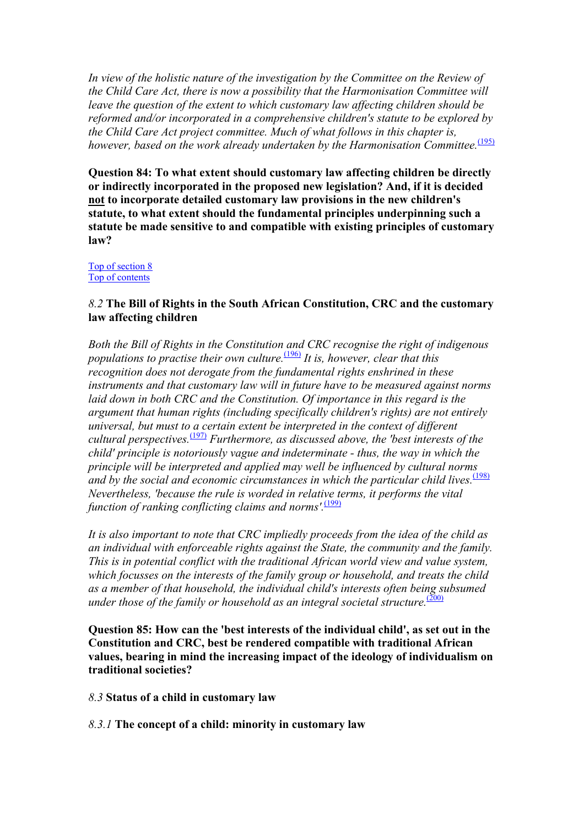*In view of the holistic nature of the investigation by the Committee on the Review of the Child Care Act, there is now a possibility that the Harmonisation Committee will leave the question of the extent to which customary law affecting children should be reformed and/or incorporated in a comprehensive children's statute to be explored by the Child Care Act project committee. Much of what follows in this chapter is, however, based on the work already undertaken by the Harmonisation Committee.*<sup>[\(195\)](#page-123-0)</sup>

**Question 84: To what extent should customary law affecting children be directly or indirectly incorporated in the proposed new legislation? And, if it is decided not to incorporate detailed customary law provisions in the new children's statute, to what extent should the fundamental principles underpinning such a statute be made sensitive to and compatible with existing principles of customary law?**

Top of section 8 Top of contents

# *8.2* **The Bill of Rights in the South African Constitution, CRC and the customary law affecting children**

*Both the Bill of Rights in the Constitution and CRC recognise the right of indigenous populations to practise their own culture.*(196) *It is, however, clear that this recognition does not derogate from the fundamental rights enshrined in these instruments and that customary law will in future have to be measured against norms laid down in both CRC and the Constitution. Of importance in this regard is the argument that human rights (including specifically children's rights) are not entirely universal, but must to a certain extent be interpreted in the context of different cultural perspectives.*(197) *Furthermore, as discussed above, the 'best interests of the child' principle is notoriously vague and indeterminate - thus, the way in which the principle will be interpreted and applied may well be influenced by cultural norms*  and by the social and economic circumstances in which the particular child lives.<sup>(198)</sup> *Nevertheless, 'because the rule is worded in relative terms, it performs the vital function of ranking conflicting claims and norms'.*<sup>(199)</sup>

*It is also important to note that CRC impliedly proceeds from the idea of the child as an individual with enforceable rights against the State, the community and the family. This is in potential conflict with the traditional African world view and value system, which focusses on the interests of the family group or household, and treats the child as a member of that household, the individual child's interests often being subsumed under those of the family or household as an integral societal structure.*<sup>(200)</sup>

**Question 85: How can the 'best interests of the individual child', as set out in the Constitution and CRC, best be rendered compatible with traditional African values, bearing in mind the increasing impact of the ideology of individualism on traditional societies?** 

*8.3* **Status of a child in customary law**

*8.3.1* **The concept of a child: minority in customary law**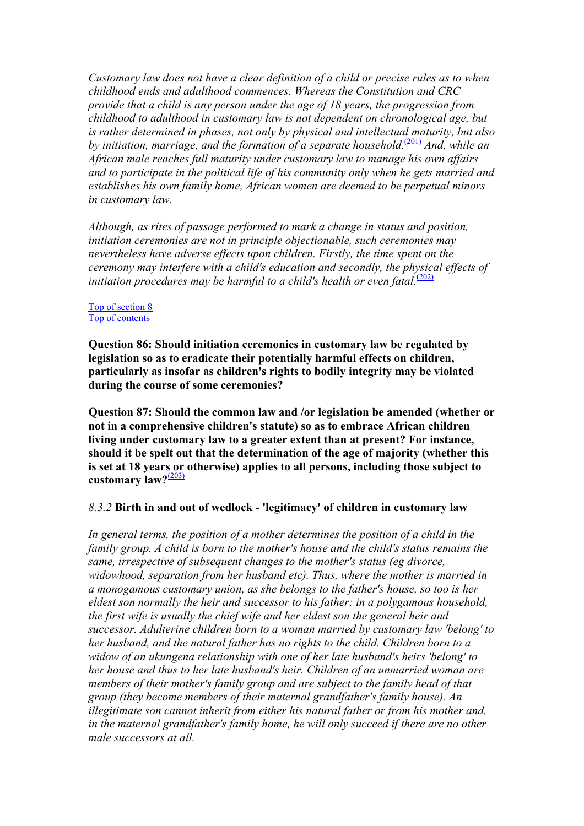*Customary law does not have a clear definition of a child or precise rules as to when childhood ends and adulthood commences. Whereas the Constitution and CRC provide that a child is any person under the age of 18 years, the progression from childhood to adulthood in customary law is not dependent on chronological age, but is rather determined in phases, not only by physical and intellectual maturity, but also by initiation, marriage, and the formation of a separate household.*[\(201\)](#page-123-0) *And, while an African male reaches full maturity under customary law to manage his own affairs and to participate in the political life of his community only when he gets married and establishes his own family home, African women are deemed to be perpetual minors in customary law.* 

*Although, as rites of passage performed to mark a change in status and position, initiation ceremonies are not in principle objectionable, such ceremonies may nevertheless have adverse effects upon children. Firstly, the time spent on the ceremony may interfere with a child's education and secondly, the physical effects of initiation procedures may be harmful to a child's health or even fatal.*<sup>[\(202\)](#page-123-0)</sup>

#### Top of section 8 Top of contents

**Question 86: Should initiation ceremonies in customary law be regulated by legislation so as to eradicate their potentially harmful effects on children, particularly as insofar as children's rights to bodily integrity may be violated during the course of some ceremonies?**

**Question 87: Should the common law and /or legislation be amended (whether or not in a comprehensive children's statute) so as to embrace African children living under customary law to a greater extent than at present? For instance, should it be spelt out that the determination of the age of majority (whether this is set at 18 years or otherwise) applies to all persons, including those subject to customary law?**(203)

## *8.3.2* **Birth in and out of wedlock - 'legitimacy' of children in customary law**

*In general terms, the position of a mother determines the position of a child in the family group. A child is born to the mother's house and the child's status remains the same, irrespective of subsequent changes to the mother's status (eg divorce, widowhood, separation from her husband etc). Thus, where the mother is married in a monogamous customary union, as she belongs to the father's house, so too is her eldest son normally the heir and successor to his father; in a polygamous household, the first wife is usually the chief wife and her eldest son the general heir and successor. Adulterine children born to a woman married by customary law 'belong' to her husband, and the natural father has no rights to the child. Children born to a widow of an ukungena relationship with one of her late husband's heirs 'belong' to her house and thus to her late husband's heir. Children of an unmarried woman are members of their mother's family group and are subject to the family head of that group (they become members of their maternal grandfather's family house). An illegitimate son cannot inherit from either his natural father or from his mother and, in the maternal grandfather's family home, he will only succeed if there are no other male successors at all.*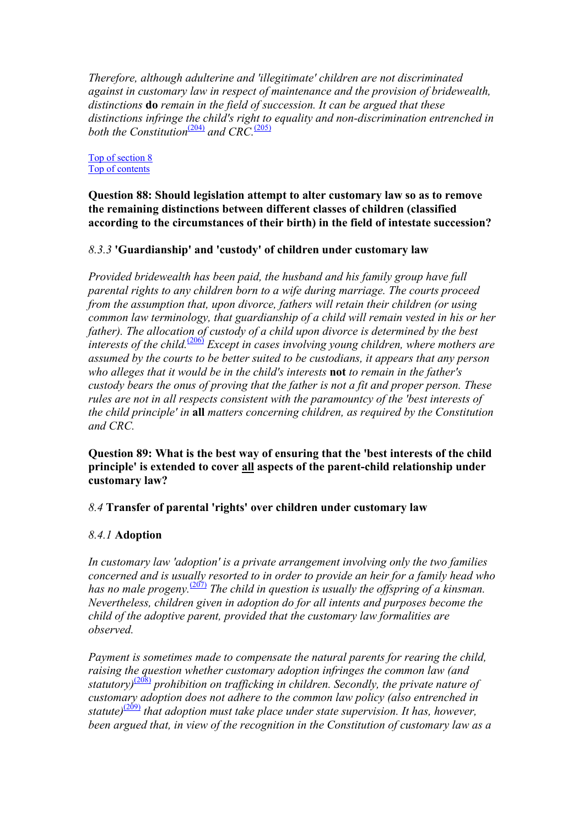*Therefore, although adulterine and 'illegitimate' children are not discriminated against in customary law in respect of maintenance and the provision of bridewealth, distinctions* **do** *remain in the field of succession. It can be argued that these distinctions infringe the child's right to equality and non-discrimination entrenched in both the Constitution*<sup> $(204)$ </sup> and CRC<sup> $(205)$ </sup>

Top of section 8 Top of contents

**Question 88: Should legislation attempt to alter customary law so as to remove the remaining distinctions between different classes of children (classified according to the circumstances of their birth) in the field of intestate succession?**

## *8.3.3* **'Guardianship' and 'custody' of children under customary law**

*Provided bridewealth has been paid, the husband and his family group have full parental rights to any children born to a wife during marriage. The courts proceed from the assumption that, upon divorce, fathers will retain their children (or using common law terminology, that guardianship of a child will remain vested in his or her*  father). The allocation of custody of a child upon divorce is determined by the best *interests of the child.*(206) *Except in cases involving young children, where mothers are assumed by the courts to be better suited to be custodians, it appears that any person who alleges that it would be in the child's interests* **not** *to remain in the father's custody bears the onus of proving that the father is not a fit and proper person. These rules are not in all respects consistent with the paramountcy of the 'best interests of the child principle' in* **all** *matters concerning children, as required by the Constitution and CRC.* 

**Question 89: What is the best way of ensuring that the 'best interests of the child principle' is extended to cover all aspects of the parent-child relationship under customary law?**

# *8.4* **Transfer of parental 'rights' over children under customary law**

# *8.4.1* **Adoption**

*In customary law 'adoption' is a private arrangement involving only the two families concerned and is usually resorted to in order to provide an heir for a family head who has no male progeny.*<sup>(207)</sup> The child in question is usually the offspring of a kinsman. *Nevertheless, children given in adoption do for all intents and purposes become the child of the adoptive parent, provided that the customary law formalities are observed.* 

*Payment is sometimes made to compensate the natural parents for rearing the child, raising the question whether customary adoption infringes the common law (and statutory)*(208) *prohibition on trafficking in children. Secondly, the private nature of customary adoption does not adhere to the common law policy (also entrenched in statute)*(209) *that adoption must take place under state supervision. It has, however, been argued that, in view of the recognition in the Constitution of customary law as a*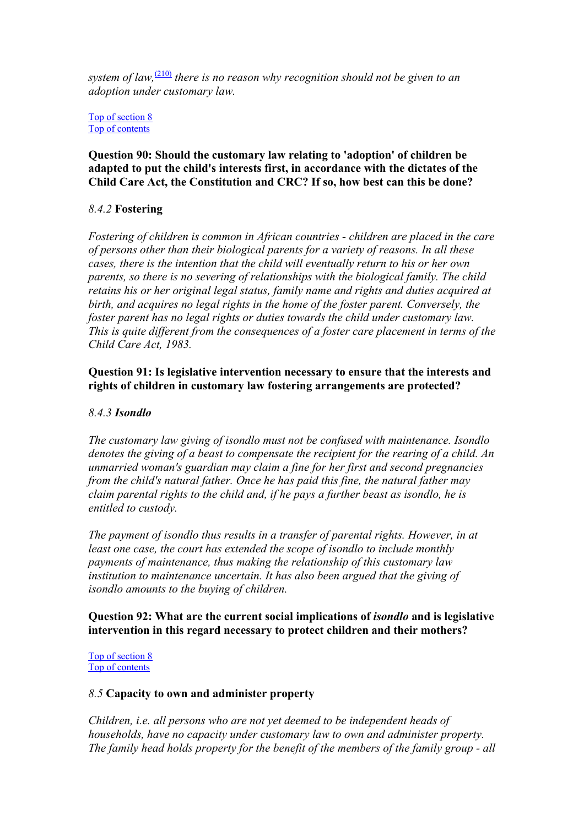*system of law*,  $\frac{(210)}{210}$  $\frac{(210)}{210}$  $\frac{(210)}{210}$  there is no reason why recognition should not be given to an *adoption under customary law.* 

Top of section 8 Top of contents

**Question 90: Should the customary law relating to 'adoption' of children be adapted to put the child's interests first, in accordance with the dictates of the Child Care Act, the Constitution and CRC? If so, how best can this be done?**

## *8.4.2* **Fostering**

*Fostering of children is common in African countries - children are placed in the care of persons other than their biological parents for a variety of reasons. In all these cases, there is the intention that the child will eventually return to his or her own parents, so there is no severing of relationships with the biological family. The child retains his or her original legal status, family name and rights and duties acquired at birth, and acquires no legal rights in the home of the foster parent. Conversely, the foster parent has no legal rights or duties towards the child under customary law. This is quite different from the consequences of a foster care placement in terms of the Child Care Act, 1983.* 

# **Question 91: Is legislative intervention necessary to ensure that the interests and rights of children in customary law fostering arrangements are protected?**

# *8.4.3 Isondlo*

*The customary law giving of isondlo must not be confused with maintenance. Isondlo denotes the giving of a beast to compensate the recipient for the rearing of a child. An unmarried woman's guardian may claim a fine for her first and second pregnancies from the child's natural father. Once he has paid this fine, the natural father may claim parental rights to the child and, if he pays a further beast as isondlo, he is entitled to custody.* 

*The payment of isondlo thus results in a transfer of parental rights. However, in at least one case, the court has extended the scope of isondlo to include monthly payments of maintenance, thus making the relationship of this customary law institution to maintenance uncertain. It has also been argued that the giving of isondlo amounts to the buying of children.* 

# **Question 92: What are the current social implications of** *isondlo* **and is legislative intervention in this regard necessary to protect children and their mothers?**

Top of section 8 Top of contents

## *8.5* **Capacity to own and administer property**

*Children, i.e. all persons who are not yet deemed to be independent heads of households, have no capacity under customary law to own and administer property. The family head holds property for the benefit of the members of the family group - all*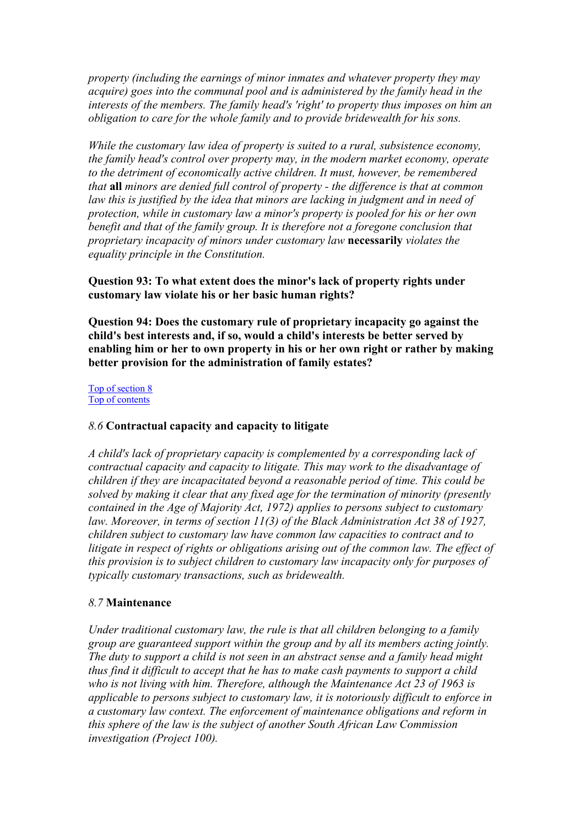*property (including the earnings of minor inmates and whatever property they may acquire*) goes into the communal pool and is administered by the family head in the *interests of the members. The family head's 'right' to property thus imposes on him an obligation to care for the whole family and to provide bridewealth for his sons.* 

*While the customary law idea of property is suited to a rural, subsistence economy, the family head's control over property may, in the modern market economy, operate to the detriment of economically active children. It must, however, be remembered that* **all** *minors are denied full control of property - the difference is that at common law this is justified by the idea that minors are lacking in judgment and in need of protection, while in customary law a minor's property is pooled for his or her own benefit and that of the family group. It is therefore not a foregone conclusion that proprietary incapacity of minors under customary law* **necessarily** *violates the equality principle in the Constitution.* 

# **Question 93: To what extent does the minor's lack of property rights under customary law violate his or her basic human rights?**

**Question 94: Does the customary rule of proprietary incapacity go against the child's best interests and, if so, would a child's interests be better served by enabling him or her to own property in his or her own right or rather by making better provision for the administration of family estates?**

Top of section 8 Top of contents

## *8.6* **Contractual capacity and capacity to litigate**

*A child's lack of proprietary capacity is complemented by a corresponding lack of contractual capacity and capacity to litigate. This may work to the disadvantage of children if they are incapacitated beyond a reasonable period of time. This could be solved by making it clear that any fixed age for the termination of minority (presently contained in the Age of Majority Act, 1972) applies to persons subject to customary law. Moreover, in terms of section 11(3) of the Black Administration Act 38 of 1927, children subject to customary law have common law capacities to contract and to litigate in respect of rights or obligations arising out of the common law. The effect of this provision is to subject children to customary law incapacity only for purposes of typically customary transactions, such as bridewealth.* 

## *8.7* **Maintenance**

*Under traditional customary law, the rule is that all children belonging to a family group are guaranteed support within the group and by all its members acting jointly. The duty to support a child is not seen in an abstract sense and a family head might thus find it difficult to accept that he has to make cash payments to support a child who is not living with him. Therefore, although the Maintenance Act 23 of 1963 is applicable to persons subject to customary law, it is notoriously difficult to enforce in a customary law context. The enforcement of maintenance obligations and reform in this sphere of the law is the subject of another South African Law Commission investigation (Project 100).*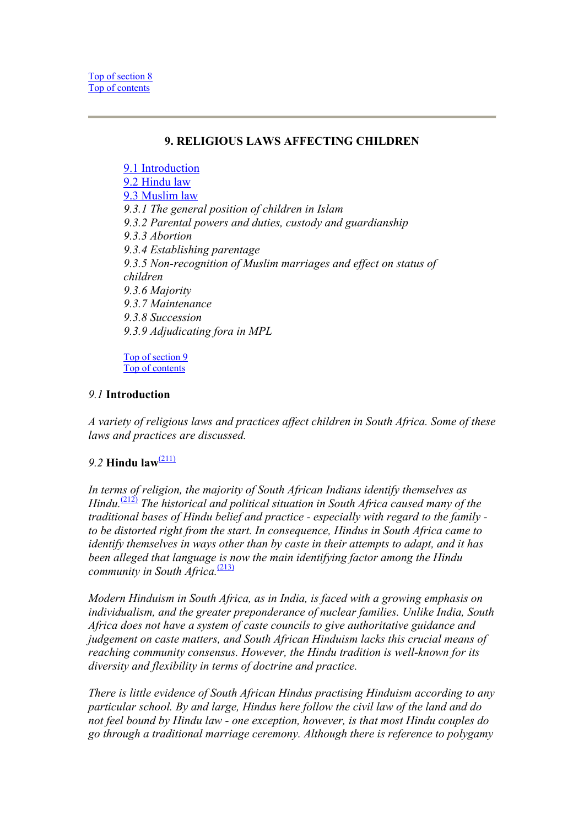# **9. RELIGIOUS LAWS AFFECTING CHILDREN**

9.1 Introduction 9.2 Hindu law 9.3 Muslim law *9.3.1 The general position of children in Islam 9.3.2 Parental powers and duties, custody and guardianship 9.3.3 Abortion 9.3.4 Establishing parentage 9.3.5 Non-recognition of Muslim marriages and effect on status of children 9.3.6 Majority 9.3.7 Maintenance 9.3.8 Succession 9.3.9 Adjudicating fora in MPL* 

Top of section 9 Top of contents

# *9.1* **Introduction**

*A variety of religious laws and practices affect children in South Africa. Some of these laws and practices are discussed.* 

# *9.2* **Hindu law**(211)

*In terms of religion, the majority of South African Indians identify themselves as Hindu.*<sup>(212)</sup> *The historical and political situation in South Africa caused many of the traditional bases of Hindu belief and practice - especially with regard to the family to be distorted right from the start. In consequence, Hindus in South Africa came to identify themselves in ways other than by caste in their attempts to adapt, and it has been alleged that language is now the main identifying factor among the Hindu community in South Africa.*<sup>(213)</sup>

*Modern Hinduism in South Africa, as in India, is faced with a growing emphasis on individualism, and the greater preponderance of nuclear families. Unlike India, South Africa does not have a system of caste councils to give authoritative guidance and judgement on caste matters, and South African Hinduism lacks this crucial means of reaching community consensus. However, the Hindu tradition is well-known for its diversity and flexibility in terms of doctrine and practice.* 

*There is little evidence of South African Hindus practising Hinduism according to any particular school. By and large, Hindus here follow the civil law of the land and do not feel bound by Hindu law - one exception, however, is that most Hindu couples do go through a traditional marriage ceremony. Although there is reference to polygamy*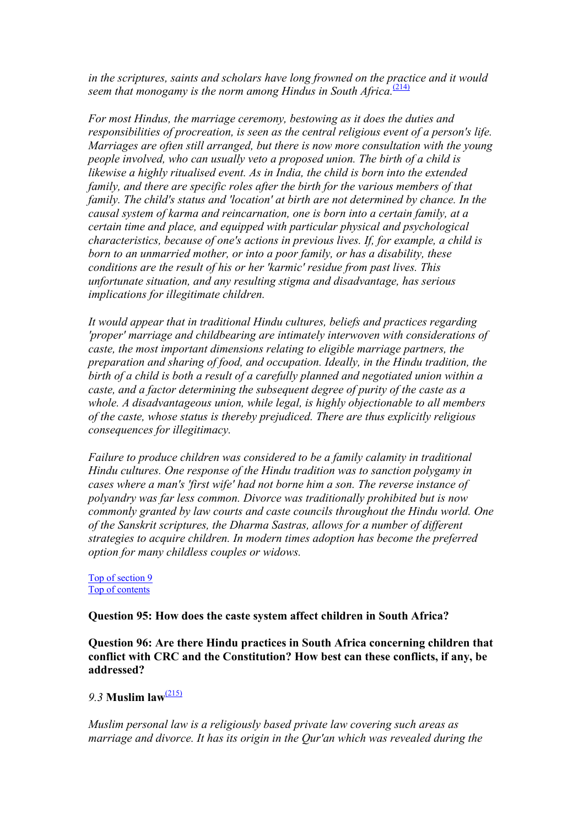*in the scriptures, saints and scholars have long frowned on the practice and it would seem that monogamy is the norm among Hindus in South Africa.*<sup>[\(214\)](#page-124-0)</sup>

*For most Hindus, the marriage ceremony, bestowing as it does the duties and responsibilities of procreation, is seen as the central religious event of a person's life. Marriages are often still arranged, but there is now more consultation with the young people involved, who can usually veto a proposed union. The birth of a child is likewise a highly ritualised event. As in India, the child is born into the extended family, and there are specific roles after the birth for the various members of that family. The child's status and 'location' at birth are not determined by chance. In the causal system of karma and reincarnation, one is born into a certain family, at a certain time and place, and equipped with particular physical and psychological characteristics, because of one's actions in previous lives. If, for example, a child is born to an unmarried mother, or into a poor family, or has a disability, these conditions are the result of his or her 'karmic' residue from past lives. This unfortunate situation, and any resulting stigma and disadvantage, has serious implications for illegitimate children.* 

*It would appear that in traditional Hindu cultures, beliefs and practices regarding 'proper' marriage and childbearing are intimately interwoven with considerations of caste, the most important dimensions relating to eligible marriage partners, the preparation and sharing of food, and occupation. Ideally, in the Hindu tradition, the birth of a child is both a result of a carefully planned and negotiated union within a caste, and a factor determining the subsequent degree of purity of the caste as a whole. A disadvantageous union, while legal, is highly objectionable to all members of the caste, whose status is thereby prejudiced. There are thus explicitly religious consequences for illegitimacy.* 

*Failure to produce children was considered to be a family calamity in traditional Hindu cultures. One response of the Hindu tradition was to sanction polygamy in cases where a man's 'first wife' had not borne him a son. The reverse instance of polyandry was far less common. Divorce was traditionally prohibited but is now commonly granted by law courts and caste councils throughout the Hindu world. One of the Sanskrit scriptures, the Dharma Sastras, allows for a number of different strategies to acquire children. In modern times adoption has become the preferred option for many childless couples or widows.* 

#### Top of section 9 Top of contents

#### **Question 95: How does the caste system affect children in South Africa?**

**Question 96: Are there Hindu practices in South Africa concerning children that conflict with CRC and the Constitution? How best can these conflicts, if any, be addressed?**

# *9.3* **Muslim law**(215)

*Muslim personal law is a religiously based private law covering such areas as marriage and divorce. It has its origin in the Qur'an which was revealed during the*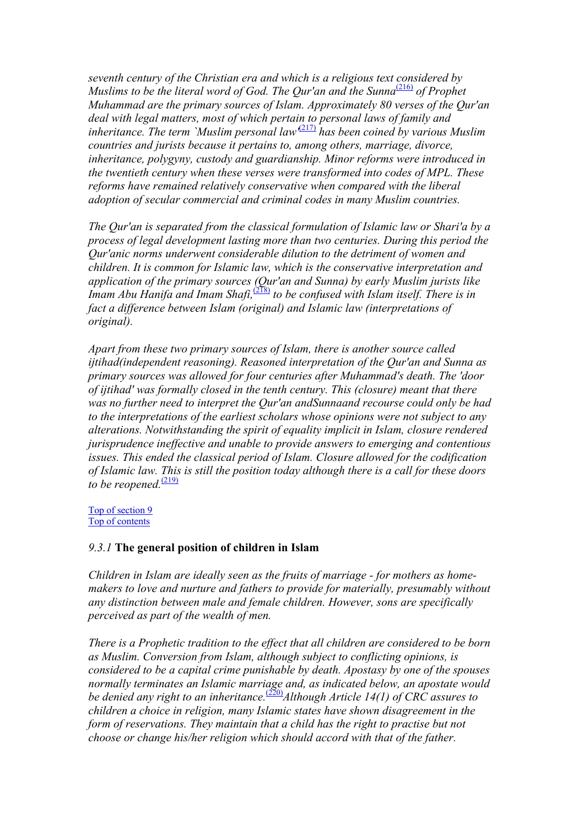*seventh century of the Christian era and which is a religious text considered by Muslims to be the literal word of God. The Qur'an and the Sunna*<sup>[\(216\)](#page-124-0)</sup> of Prophet *Muhammad are the primary sources of Islam. Approximately 80 verses of the Qur'an deal with legal matters, most of which pertain to personal laws of family and inheritance. The term `Muslim personal law'*[\(217\)](#page-125-0) *has been coined by various Muslim countries and jurists because it pertains to, among others, marriage, divorce, inheritance, polygyny, custody and guardianship. Minor reforms were introduced in the twentieth century when these verses were transformed into codes of MPL. These reforms have remained relatively conservative when compared with the liberal adoption of secular commercial and criminal codes in many Muslim countries.* 

*The Qur'an is separated from the classical formulation of Islamic law or Shari'a by a process of legal development lasting more than two centuries. During this period the Qur'anic norms underwent considerable dilution to the detriment of women and children. It is common for Islamic law, which is the conservative interpretation and application of the primary sources (Qur'an and Sunna) by early Muslim jurists like Imam Abu Hanifa and Imam Shafi*,  $\frac{(218)}{2}$  $\frac{(218)}{2}$  $\frac{(218)}{2}$  to be confused with Islam itself. There is in *fact a difference between Islam (original) and Islamic law (interpretations of original).* 

*Apart from these two primary sources of Islam, there is another source called ijtihad(independent reasoning). Reasoned interpretation of the Qur'an and Sunna as primary sources was allowed for four centuries after Muhammad's death. The 'door of ijtihad' was formally closed in the tenth century. This (closure) meant that there was no further need to interpret the Qur'an andSunnaand recourse could only be had to the interpretations of the earliest scholars whose opinions were not subject to any alterations. Notwithstanding the spirit of equality implicit in Islam, closure rendered jurisprudence ineffective and unable to provide answers to emerging and contentious issues. This ended the classical period of Islam. Closure allowed for the codification of Islamic law. This is still the position today although there is a call for these doors*   $\phi$  *to be reopened.*<sup>[\(219\)](#page-125-0)</sup>

Top of section 9 Top of contents

## *9.3.1* **The general position of children in Islam**

*Children in Islam are ideally seen as the fruits of marriage - for mothers as homemakers to love and nurture and fathers to provide for materially, presumably without any distinction between male and female children. However, sons are specifically perceived as part of the wealth of men.* 

*There is a Prophetic tradition to the effect that all children are considered to be born as Muslim. Conversion from Islam, although subject to conflicting opinions, is considered to be a capital crime punishable by death. Apostasy by one of the spouses normally terminates an Islamic marriage and, as indicated below, an apostate would be denied any right to an inheritance.*<sup>(220)</sup>*Although Article 14(1) of CRC assures to children a choice in religion, many Islamic states have shown disagreement in the form of reservations. They maintain that a child has the right to practise but not choose or change his/her religion which should accord with that of the father.*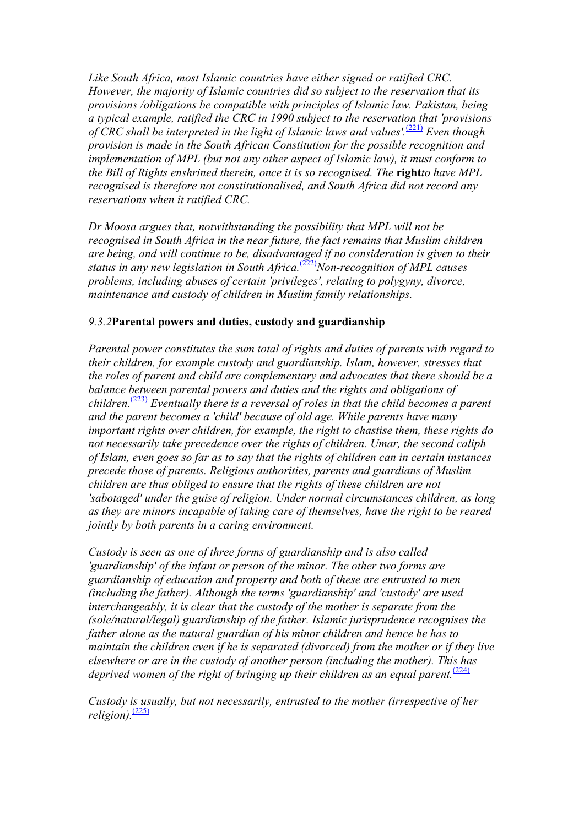*Like South Africa, most Islamic countries have either signed or ratified CRC. However, the majority of Islamic countries did so subject to the reservation that its provisions /obligations be compatible with principles of Islamic law. Pakistan, being a typical example, ratified the CRC in 1990 subject to the reservation that 'provisions of CRC shall be interpreted in the light of Islamic laws and values'.*[\(221\)](#page-125-0) *Even though provision is made in the South African Constitution for the possible recognition and implementation of MPL (but not any other aspect of Islamic law), it must conform to the Bill of Rights enshrined therein, once it is so recognised. The rightto have MPL recognised is therefore not constitutionalised, and South Africa did not record any reservations when it ratified CRC.* 

*Dr Moosa argues that, notwithstanding the possibility that MPL will not be recognised in South Africa in the near future, the fact remains that Muslim children are being, and will continue to be, disadvantaged if no consideration is given to their status in any new legislation in South Africa.*[\(222\)](#page-125-0)*Non-recognition of MPL causes problems, including abuses of certain 'privileges', relating to polygyny, divorce, maintenance and custody of children in Muslim family relationships.* 

# *9.3.2***Parental powers and duties, custody and guardianship**

*Parental power constitutes the sum total of rights and duties of parents with regard to their children, for example custody and guardianship. Islam, however, stresses that the roles of parent and child are complementary and advocates that there should be a balance between parental powers and duties and the rights and obligations of children.*[\(223\)](#page-125-0) *Eventually there is a reversal of roles in that the child becomes a parent and the parent becomes a 'child' because of old age. While parents have many important rights over children, for example, the right to chastise them, these rights do not necessarily take precedence over the rights of children. Umar, the second caliph of Islam, even goes so far as to say that the rights of children can in certain instances precede those of parents. Religious authorities, parents and guardians of Muslim children are thus obliged to ensure that the rights of these children are not 'sabotaged' under the guise of religion. Under normal circumstances children, as long as they are minors incapable of taking care of themselves, have the right to be reared jointly by both parents in a caring environment.* 

*Custody is seen as one of three forms of guardianship and is also called 'guardianship' of the infant or person of the minor. The other two forms are guardianship of education and property and both of these are entrusted to men (including the father). Although the terms 'guardianship' and 'custody' are used interchangeably, it is clear that the custody of the mother is separate from the (sole/natural/legal) guardianship of the father. Islamic jurisprudence recognises the father alone as the natural guardian of his minor children and hence he has to maintain the children even if he is separated (divorced) from the mother or if they live elsewhere or are in the custody of another person (including the mother). This has deprived women of the right of bringing up their children as an equal parent.*<sup>[\(224\)](#page-125-0)</sup>

*Custody is usually, but not necessarily, entrusted to the mother (irrespective of her religion*).<sup>[\(225\)](#page-125-0)</sup>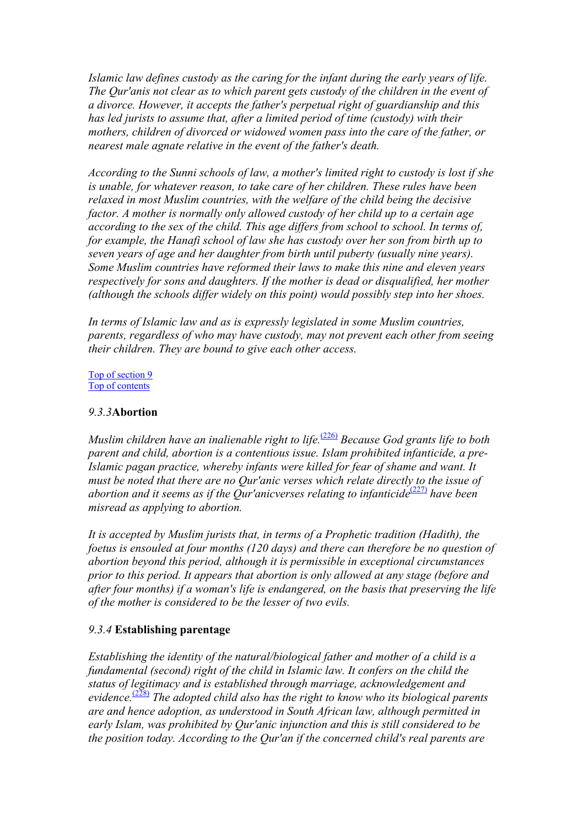*Islamic law defines custody as the caring for the infant during the early years of life. The Qur'anis not clear as to which parent gets custody of the children in the event of a divorce. However, it accepts the father's perpetual right of guardianship and this has led jurists to assume that, after a limited period of time (custody) with their mothers, children of divorced or widowed women pass into the care of the father, or nearest male agnate relative in the event of the father's death.* 

*According to the Sunni schools of law, a mother's limited right to custody is lost if she is unable, for whatever reason, to take care of her children. These rules have been relaxed in most Muslim countries, with the welfare of the child being the decisive factor. A mother is normally only allowed custody of her child up to a certain age according to the sex of the child. This age differs from school to school. In terms of, for example, the Hanafi school of law she has custody over her son from birth up to seven years of age and her daughter from birth until puberty (usually nine years). Some Muslim countries have reformed their laws to make this nine and eleven years respectively for sons and daughters. If the mother is dead or disqualified, her mother (although the schools differ widely on this point) would possibly step into her shoes.* 

*In terms of Islamic law and as is expressly legislated in some Muslim countries, parents, regardless of who may have custody, may not prevent each other from seeing their children. They are bound to give each other access.* 

Top of section 9 Top of contents

# *9.3.3***Abortion**

*Muslim children have an inalienable right to life.*<sup>(226)</sup> *Because God grants life to both parent and child, abortion is a contentious issue. Islam prohibited infanticide, a pre-Islamic pagan practice, whereby infants were killed for fear of shame and want. It must be noted that there are no Qur'anic verses which relate directly to the issue of abortion and it seems as if the Our'anicverses relating to infanticide*<sup>(227)</sup> have been *misread as applying to abortion.* 

*It is accepted by Muslim jurists that, in terms of a Prophetic tradition (Hadith), the foetus is ensouled at four months (120 days) and there can therefore be no question of abortion beyond this period, although it is permissible in exceptional circumstances prior to this period. It appears that abortion is only allowed at any stage (before and after four months) if a woman's life is endangered, on the basis that preserving the life of the mother is considered to be the lesser of two evils.* 

# *9.3.4* **Establishing parentage**

*Establishing the identity of the natural/biological father and mother of a child is a fundamental (second) right of the child in Islamic law. It confers on the child the status of legitimacy and is established through marriage, acknowledgement and evidence.*(228) *The adopted child also has the right to know who its biological parents are and hence adoption, as understood in South African law, although permitted in early Islam, was prohibited by Qur'anic injunction and this is still considered to be the position today. According to the Qur'an if the concerned child's real parents are*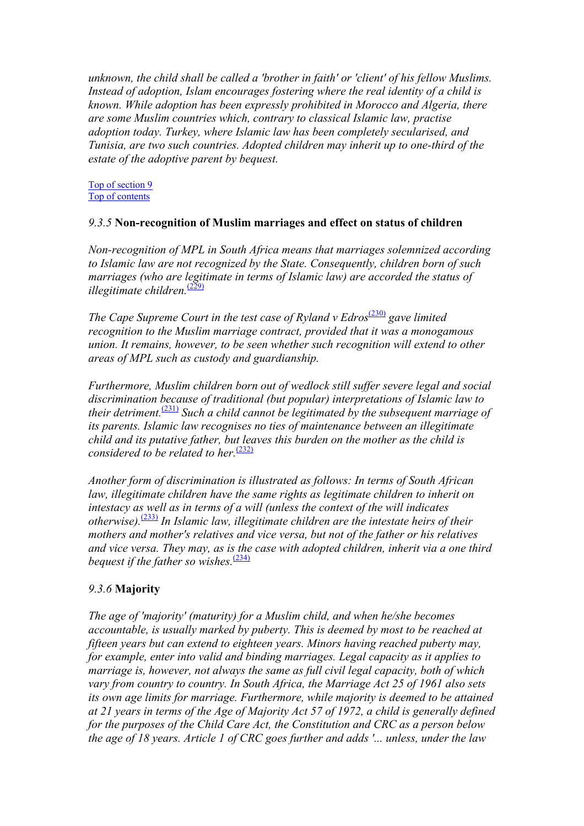*unknown, the child shall be called a 'brother in faith' or 'client' of his fellow Muslims. Instead of adoption, Islam encourages fostering where the real identity of a child is known. While adoption has been expressly prohibited in Morocco and Algeria, there are some Muslim countries which, contrary to classical Islamic law, practise adoption today. Turkey, where Islamic law has been completely secularised, and Tunisia, are two such countries. Adopted children may inherit up to one-third of the estate of the adoptive parent by bequest.* 

Top of section 9 Top of contents

# *9.3.5* **Non-recognition of Muslim marriages and effect on status of children**

*Non-recognition of MPL in South Africa means that marriages solemnized according to Islamic law are not recognized by the State. Consequently, children born of such marriages (who are legitimate in terms of Islamic law) are accorded the status of illegitimate children.*(229)

*The Cape Supreme Court in the test case of Ryland v Edros*<sup> $(230)$ </sup> gave limited *recognition to the Muslim marriage contract, provided that it was a monogamous union. It remains, however, to be seen whether such recognition will extend to other areas of MPL such as custody and guardianship.* 

*Furthermore, Muslim children born out of wedlock still suffer severe legal and social discrimination because of traditional (but popular) interpretations of Islamic law to their detriment.*(231) *Such a child cannot be legitimated by the subsequent marriage of its parents. Islamic law recognises no ties of maintenance between an illegitimate child and its putative father, but leaves this burden on the mother as the child is considered to be related to her.*<sup>(232)</sup>

*Another form of discrimination is illustrated as follows: In terms of South African*  law, illegitimate children have the same rights as legitimate children to inherit on *intestacy as well as in terms of a will (unless the context of the will indicates otherwise).*(233) *In Islamic law, illegitimate children are the intestate heirs of their mothers and mother's relatives and vice versa, but not of the father or his relatives and vice versa. They may, as is the case with adopted children, inherit via a one third bequest if the father so wishes.*<sup>(234)</sup>

# *9.3.6* **Majority**

*The age of 'majority' (maturity) for a Muslim child, and when he/she becomes accountable, is usually marked by puberty. This is deemed by most to be reached at fifteen years but can extend to eighteen years. Minors having reached puberty may, for example, enter into valid and binding marriages. Legal capacity as it applies to marriage is, however, not always the same as full civil legal capacity, both of which vary from country to country. In South Africa, the Marriage Act 25 of 1961 also sets its own a[ge li](#page-125-0)mits for marriage. Furthermore, while majority is deemed to be attained at 21 years in terms of the Age of Majority Act 57 of 1972, a child is generally defined for the purposes of the Child Care Act, the Constitution and CRC as a person below the age of 18 years. Article 1 of CRC goes further and adds '... unless, under the law*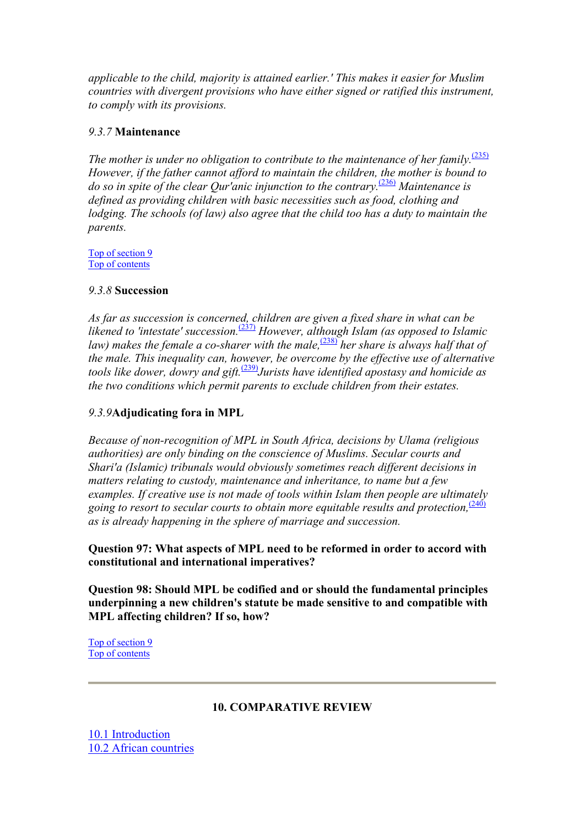*applicable to the child, majority is attained earlier.' This makes it easier for Muslim countries with divergent provisions who have either signed or ratified this instrument, to comply with its provisions.* 

# *9.3.7* **Maintenance**

*The mother is under no obligation to contribute to the maintenance of her family.*<sup>[\(235\)](#page-126-0)</sup> *However, if the father cannot afford to maintain the children, the mother is bound to do so in spite of the clear Qur'anic injunction to the contrary.*<sup>[\(236\)](#page-126-0)</sup> Maintenance is *defined as providing children with basic necessities such as food, clothing and lodging. The schools (of law) also agree that the child too has a duty to maintain the parents.* 

Top of section 9 Top of contents

## *9.3.8* **Succession**

*As far as succession is concerned, children are given a fixed share in what can be likened to 'intestate' succession.*<sup>(237)</sup> However, although Islam (as opposed to Islamic *law) makes the female a co-sharer with the male*,<sup>(238)</sup> her share is always half that of *the male. This inequality can, however, be overcome by the effective use of alternative tools like dower, dowry and gift.*(239)*Jurists have identified apostasy and homicide as the two conditions which permit parents to exclude children from their estates.* 

# *9.3.9***Adjudicating fora in MPL**

*Because of non-recognition of MPL in South Africa, decisions by Ulama (religious authorities) are only binding on the conscience of Muslims. Secular courts and Shari'a (Islamic) tribunals would obviously sometimes reach different decisions in matters relating to custody, maintenance and inheritance, to name but a few examples. If creative use is not made of tools within Islam then people are ultimately going to resort to secular courts to obtain more equitable results and protection*,  $\frac{(240)}{(240)}$ *as is already happening in the sphere of marriage and succession.* 

**Question 97: What aspects of MPL need to be reformed in order to accord with constitutional and international imperatives?**

**Question 98: Should MPL be codified and or should the fundamental principles underpinning a new children's statute be made sensitive to and compatible with MPL affecting children? If so, how?**

Top of section 9 Top of contents

## **10. COMPARATIVE REVIEW**

10.1 Introduction 10.2 African countries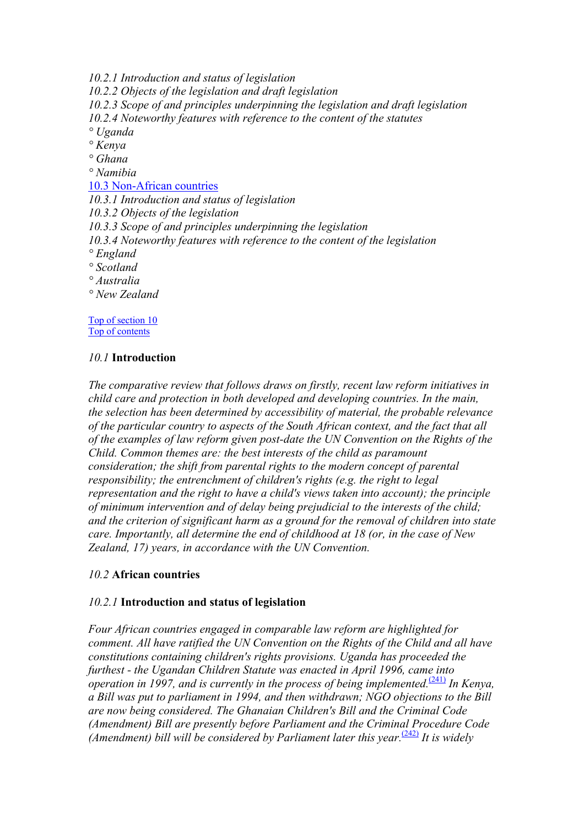*10.2.1 Introduction and status of legislation 10.2.2 Objects of the legislation and draft legislation 10.2.3 Scope of and principles underpinning the legislation and draft legislation 10.2.4 Noteworthy features with reference to the content of the statutes ° Uganda ° Kenya ° Ghana ° Namibia*  10.3 Non-African countries *10.3.1 Introduction and status of legislation 10.3.2 Objects of the legislation 10.3.3 Scope of and principles underpinning the legislation 10.3.4 Noteworthy features with reference to the content of the legislation ° England ° Scotland ° Australia ° New Zealand* 

Top of section 10 Top of contents

# *10.1* **Introduction**

*The comparative review that follows draws on firstly, recent law reform initiatives in child care and protection in both developed and developing countries. In the main, the selection has been determined by accessibility of material, the probable relevance of the particular country to aspects of the South African context, and the fact that all of the examples of law reform given post-date the UN Convention on the Rights of the Child. Common themes are: the best interests of the child as paramount consideration; the shift from parental rights to the modern concept of parental responsibility; the entrenchment of children's rights (e.g. the right to legal representation and the right to have a child's views taken into account); the principle of minimum intervention and of delay being prejudicial to the interests of the child; and the criterion of significant harm as a ground for the removal of children into state care. Importantly, all determine the end of childhood at 18 (or, in the case of New Zealand, 17) years, in accordance with the UN Convention.* 

## *10.2* **African countries**

## *10.2.1* **Introduction and status of legislation**

*Four African countries engaged in comparable law reform are highlighted for comment. All have ratified the UN Convention on the Rights of the Child and all have constitutions containing children's rights provisions. Uganda has proceeded the furthest - the Ugandan Children Statute was enacted in April 1996, came into operation in 1997, and is currently in the process of being implemented.*<sup>(241)</sup> In Kenya, *a Bill was put to parliament in 1994, and then withdrawn; NGO objections to the Bill are now being considered. The Ghanaian Children's Bill and the Criminal Code (Amendment) Bill are presently before Parliament and the Criminal Procedure Code (Amendment) bill will be considered by Parliament later this year.*<sup> $(242)$ </sup> It is widely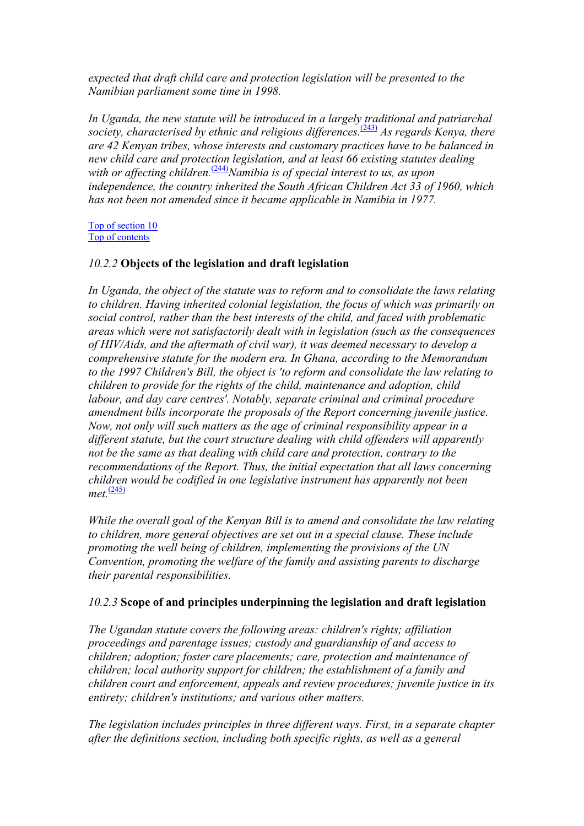*expected that draft child care and protection legislation will be presented to the Namibian parliament some time in 1998.* 

*In Uganda, the new statute will be introduced in a largely traditional and patriarchal society, characterised by ethnic and religious differences.*[\(243\)](#page-127-0) *As regards Kenya, there are 42 Kenyan tribes, whose interests and customary practices have to be balanced in new child care and protection legislation, and at least 66 existing statutes dealing*  with or affecting children.<sup>[\(244\)](#page-127-0)</sup>*Namibia is of special interest to us, as upon independence, the country inherited the South African Children Act 33 of 1960, which has not been not amended since it became applicable in Namibia in 1977.* 

Top of section 10 Top of contents

# *10.2.2* **Objects of the legislation and draft legislation**

*In Uganda, the object of the statute was to reform and to consolidate the laws relating to children. Having inherited colonial legislation, the focus of which was primarily on social control, rather than the best interests of the child, and faced with problematic areas which were not satisfactorily dealt with in legislation (such as the consequences of HIV/Aids, and the aftermath of civil war), it was deemed necessary to develop a comprehensive statute for the modern era. In Ghana, according to the Memorandum to the 1997 Children's Bill, the object is 'to reform and consolidate the law relating to children to provide for the rights of the child, maintenance and adoption, child labour, and day care centres'. Notably, separate criminal and criminal procedure amendment bills incorporate the proposals of the Report concerning juvenile justice. Now, not only will such matters as the age of criminal responsibility appear in a different statute, but the court structure dealing with child offenders will apparently not be the same as that dealing with child care and protection, contrary to the recommendations of the Report. Thus, the initial expectation that all laws concerning children would be codified in one legislative instrument has apparently not been met.*(245)

*While the overall goal of the Kenyan Bill is to amend and consolidate the law relating to children, more general objectives are set out in a special clause. These include promoting the well being of children, implementing the provisions of the UN Convention, promoting the welfare of the family and assisting parents to discharge their parental responsibilities.* 

# *10.2.3* **Scope of and principles underpinning the legislation and draft legislation**

*The Ugandan statute covers the following areas: children's rights; affiliation proceedings and parentage issues; custody and guardianship of and access to children; adoption; foster care placements; care, protection and maintenance of children; local authority support for children; the establishment of a family and children court and enforcement, appeals and review procedures; juveni[le ju](#page-127-0)stice in its entirety; children's institutions; and various other matters.* 

*The legislation includes principles in three different ways. First, in a separate chapter after the definitions section, including both specific rights, as well [as a](#page-127-0) general*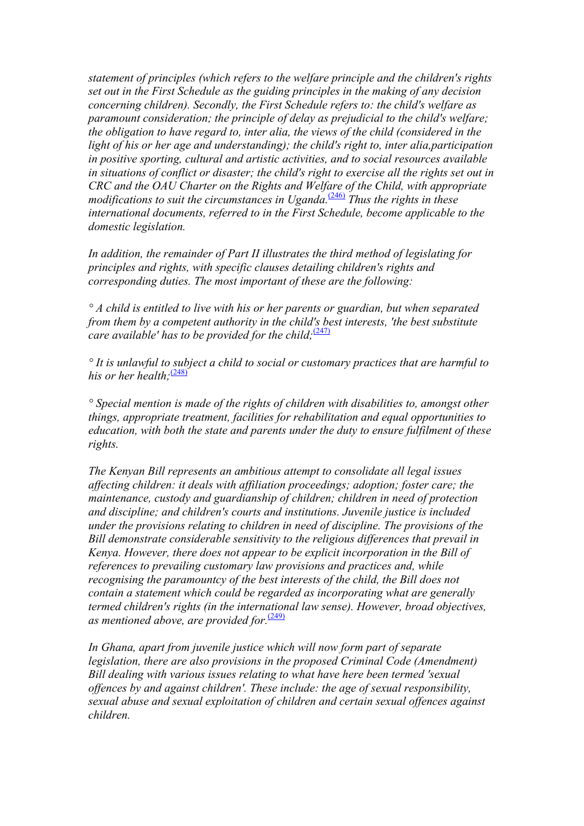*statement of principles (which refers to the welfare principle and the children's rights set out in the First Schedule as the guiding principles in the making of any decision concerning children). Secondly, the First Schedule refers to: the child's welfare as paramount consideration; the principle of delay as prejudicial to the child's welfare; the obligation to have regard to, inter alia, the views of the child (considered in the light of his or her age and understanding); the child's right to, inter alia,participation in positive sporting, cultural and artistic activities, and to social resources available in situations of conflict or disaster; the child's right to exercise all the rights set out in CRC and the OAU Charter on the Rights and Welfare of the Child, with appropriate modifications to suit the circumstances in Uganda*.<sup>[\(246\)](#page-127-0)</sup> Thus the rights in these *international documents, referred to in the First Schedule, become applicable to the domestic legislation.* 

*In addition, the remainder of Part II illustrates the third method of legislating for principles and rights, with specific clauses detailing children's rights and corresponding duties. The most important of these are the following:* 

*° A child is entitled to live with his or her parents or guardian, but when separated from them by a competent authority in the child's best interests, 'the best substitute care available' has to be provided for the child*;  $\frac{(247)}{247}$  $\frac{(247)}{247}$  $\frac{(247)}{247}$ 

*° It is unlawful to subject a child to social or customary practices that are harmful to his or her health*;  $\frac{(248)}{2}$  $\frac{(248)}{2}$  $\frac{(248)}{2}$ 

*° Special mention is made of the rights of children with disabilities to, amongst other things, appropriate treatment, facilities for rehabilitation and equal opportunities to education, with both the state and parents under the duty to ensure fulfilment of these rights.* 

*The Kenyan Bill represents an ambitious attempt to consolidate all legal issues affecting children: it deals with affiliation proceedings; adoption; foster care; the maintenance, custody and guardianship of children; children in need of protection and discipline; and children's courts and institutions. Juvenile justice is included under the provisions relating to children in need of discipline. The provisions of the Bill demonstrate considerable sensitivity to the religious differences that prevail in Kenya. However, there does not appear to be explicit incorporation in the Bill of references to prevailing customary law provisions and practices and, while recognising the paramountcy of the best interests of the child, the Bill does not contain a statement which could be regarded as incorporating what are generally termed children's rights (in the international law sense). However, broad objectives, as mentioned above, are provided for.*[\(249\)](#page-127-0)

*In Ghana, apart from juvenile justice which will now form part of separate legislation, there are also provisions in the proposed Criminal Code (Amendment) Bill dealing with various issues relating to what have here been termed 'sexual offences by and against children'. These include: the age of sexual responsibility, sexual abuse and sexual exploitation of children and certain sexual offences against children.*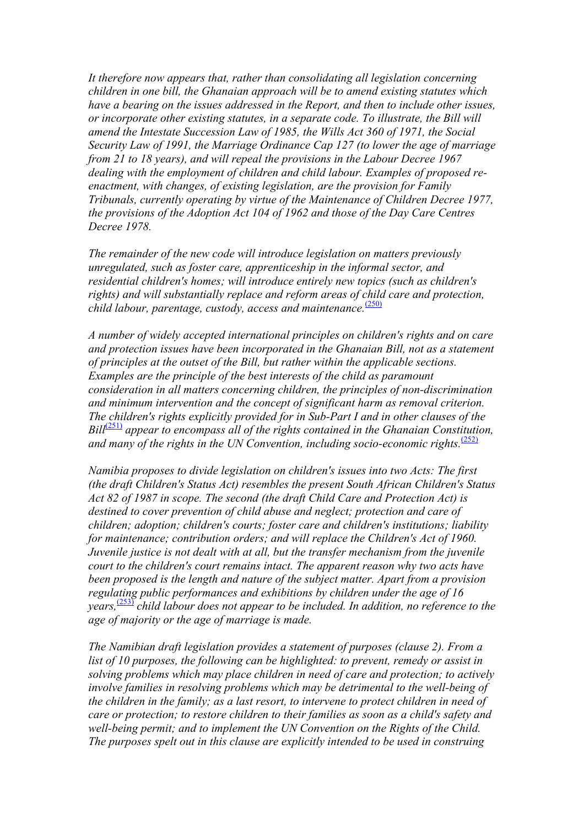*It therefore now appears that, rather than consolidating all legislation concerning children in one bill, the Ghanaian approach will be to amend existing statutes which have a bearing on the issues addressed in the Report, and then to include other issues, or incorporate other existing statutes, in a separate code. To illustrate, the Bill will amend the Intestate Succession Law of 1985, the Wills Act 360 of 1971, the Social Security Law of 1991, the Marriage Ordinance Cap 127 (to lower the age of marriage from 21 to 18 years), and will repeal the provisions in the Labour Decree 1967 dealing with the employment of children and child labour. Examples of proposed reenactment, with changes, of existing legislation, are the provision for Family Tribunals, currently operating by virtue of the Maintenance of Children Decree 1977, the provisions of the Adoption Act 104 of 1962 and those of the Day Care Centres Decree 1978.* 

*The remainder of the new code will introduce legislation on matters previously unregulated, such as foster care, apprenticeship in the informal sector, and residential children's homes; will introduce entirely new topics (such as children's rights) and will substantially replace and reform areas of child care and protection, child labour, parentage, custody, access and maintenance.*<sup>[\(250\)](#page-127-0)</sup>

*A number of widely accepted international principles on children's rights and on care and protection issues have been incorporated in the Ghanaian Bill, not as a statement of principles at the outset of the Bill, but rather within the applicable sections. Examples are the principle of the best interests of the child as paramount consideration in all matters concerning children, the principles of non-discrimination and minimum intervention and the concept of significant harm as removal criterion. The children's rights explicitly provided for in Sub-Part I and in other clauses of the Bill*<sup>[\(251\)](#page-127-0)</sup> appear to encompass all of the rights contained in the Ghanaian Constitution, and many of the rights in the UN Convention, including socio-economic rights.<sup>[\(252\)](#page-128-0)</sup>

*Namibia proposes to divide legislation on children's issues into two Acts: The first (the draft Children's Status Act) resembles the present South African Children's Status Act 82 of 1987 in scope. The second (the draft Child Care and Protection Act) is destined to cover prevention of child abuse and neglect; protection and care of children; adoption; children's courts; foster care and children's institutions; liability for maintenance; contribution orders; and will replace the Children's Act of 1960. Juvenile justice is not dealt with at all, but the transfer mechanism from the juvenile court to the children's court remains intact. The apparent reason why two acts have been proposed is the length and nature of the subject matter. Apart from a provision regulating public performances and exhibitions by children under the age of 16 years,*[\(253\)](#page-128-0) *child labour does not appear to be included. In addition, no reference to the age of majority or the age of marriage is made.* 

*The Namibian draft legislation provides a statement of purposes (clause 2). From a list of 10 purposes, the following can be highlighted: to prevent, remedy or assist in solving problems which may place children in need of care and protection; to actively involve families in resolving problems which may be detrimental to the well-being of the children in the family; as a last resort, to intervene to protect children in need of care or protection; to restore children to their families as soon as a child's safety and well-being permit; and to implement the UN Convention on the Rights of the Child. The purposes spelt out in this clause are explicitly intended to be used in construing*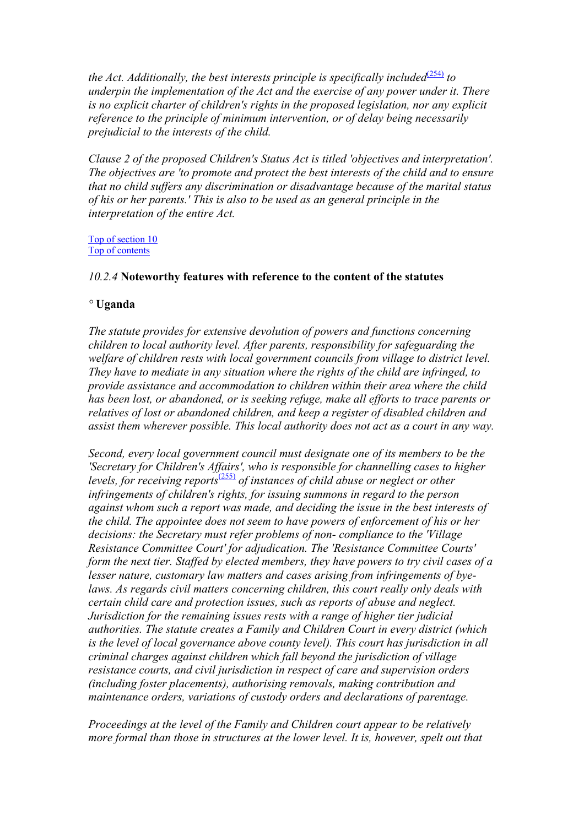*the Act. Additionally, the best interests principle is specifically included* $(254)$  *to underpin the implementation of the Act and the exercise of any power under it. There is no explicit charter of children's rights in the proposed legislation, nor any explicit reference to the principle of minimum intervention, or of delay being necessarily prejudicial to the interests of the child.* 

*Clause 2 of the proposed Children's Status Act is titled 'objectives and interpretation'. The objectives are 'to promote and protect the best interests of the child and to ensure that no child suffers any discrimination or disadvantage because of the marital status of his or her parents.' This is also to be used as an general principle in the interpretation of the entire Act.* 

Top of section 10 Top of contents

#### *10.2.4* **Noteworthy features with reference to the content of the statutes**

#### *°* **Uganda**

*The statute provides for extensive devolution of powers and functions concerning children to local authority level. After parents, responsibility for safeguarding the welfare of children rests with local government councils from village to district level. They have to mediate in any situation where the rights of the child are infringed, to provide assistance and accommodation to children within their area where the child has been lost, or abandoned, or is seeking refuge, make all efforts to trace parents or relatives of lost or abandoned children, and keep a register of disabled children and assist them wherever possible. This local authority does not act as a court in any way.* 

*Second, every local government council must designate one of its members to be the 'Secretary for Children's Affairs', who is responsible for channelling cases to higher levels, for receiving reports*(255) *of instances of child abuse or neglect or other infringements of children's rights, for issuing summons in regard to the person against whom such a report was made, and deciding the issue in the best interests of the child. The appointee does not seem to have powers of enforcement of his or her decisions: the Secretary must refer problems of non- compliance to the 'Village Resistance Committee Court' for adjudication. The 'Resistance Committee Courts' form the next tier. Staffed by elected members, they have powers to try civil cases of a lesser nature, customary law matters and cases arising from infringements of byelaws. As regards civil matters concerning children, this court really only deals with certain child care and protection issues, such as reports of abuse and neglect. Jurisdiction for the remaining issues rests with a range of higher tier judicial authorities. The statute creates a Family and Children Court in every district (which is the level of local governance above county level). This court has jurisdiction in all criminal charges against children which fall beyond the jurisdiction of village resistance courts, and civil jurisdiction in respect of care and supervision orders (including foster placements), authorising removals, making contribution and maintenance orders, variations of custody orders and declarations of parentage.* 

*Proceedings at the level of the Family and Children court appear to be relatively more formal than those in structures at the lower level. It is, however, spelt out that*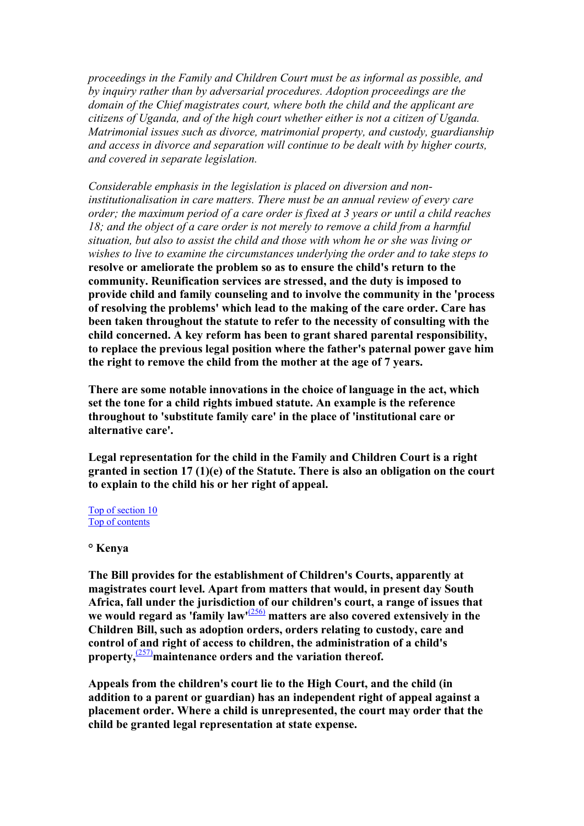*proceedings in the Family and Children Court must be as informal as possible, and by inquiry rather than by adversarial procedures. Adoption proceedings are the domain of the Chief magistrates court, where both the child and the applicant are citizens of Uganda, and of the high court whether either is not a citizen of Uganda. Matrimonial issues such as divorce, matrimonial property, and custody, guardianship and access in divorce and separation will continue to be dealt with by higher courts, and covered in separate legislation.* 

*Considerable emphasis in the legislation is placed on diversion and noninstitutionalisation in care matters. There must be an annual review of every care order; the maximum period of a care order is fixed at 3 years or until a child reaches 18; and the object of a care order is not merely to remove a child from a harmful situation, but also to assist the child and those with whom he or she was living or wishes to live to examine the circumstances underlying the order and to take steps to*  **resolve or ameliorate the problem so as to ensure the child's return to the community. Reunification services are stressed, and the duty is imposed to provide child and family counseling and to involve the community in the 'process of resolving the problems' which lead to the making of the care order. Care has been taken throughout the statute to refer to the necessity of consulting with the child concerned. A key reform has been to grant shared parental responsibility, to replace the previous legal position where the father's paternal power gave him the right to remove the child from the mother at the age of 7 years.** 

**There are some notable innovations in the choice of language in the act, which set the tone for a child rights imbued statute. An example is the reference throughout to 'substitute family care' in the place of 'institutional care or alternative care'.** 

**Legal representation for the child in the Family and Children Court is a right granted in section 17 (1)(e) of the Statute. There is also an obligation on the court to explain to the child his or her right of appeal.** 

Top of section 10 Top of contents

#### **° Kenya**

**The Bill provides for the establishment of Children's Courts, apparently at magistrates court level. Apart from matters that would, in present day South Africa, fall under the jurisdiction of our children's court, a range of issues that**  we would regard as 'family law<sup>(256)</sup> matters are also covered extensively in the **Children Bill, such as adoption orders, orders relating to custody, care and control of and right of access to children, the administration of a child's property,**(257)**maintenance orders and the variation thereof.** 

**Appeals from the children's court lie to the High Court, and the child (in addition to a parent or guardian) has an independent right of appeal against a placement order. Where a child is unrepresented, the court may order that the child be granted legal representation at state expense.**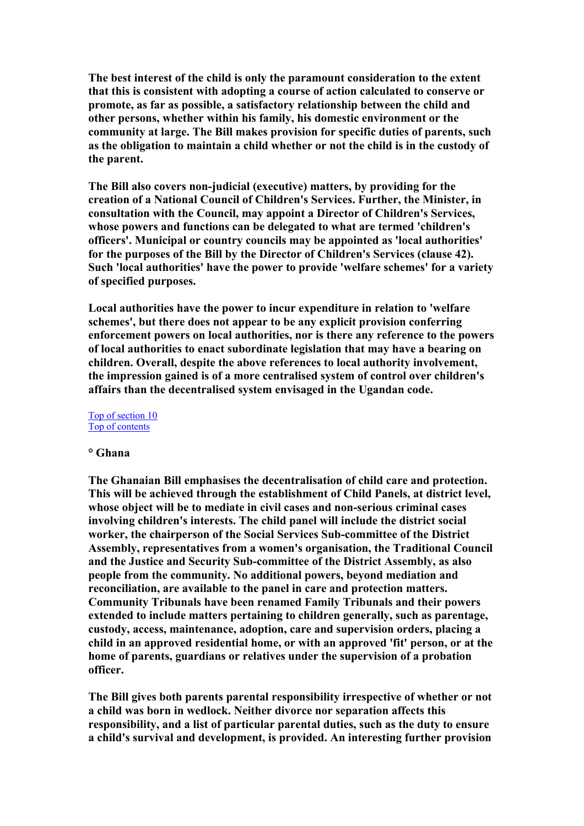**The best interest of the child is only the paramount consideration to the extent that this is consistent with adopting a course of action calculated to conserve or promote, as far as possible, a satisfactory relationship between the child and other persons, whether within his family, his domestic environment or the community at large. The Bill makes provision for specific duties of parents, such as the obligation to maintain a child whether or not the child is in the custody of the parent.** 

**The Bill also covers non-judicial (executive) matters, by providing for the creation of a National Council of Children's Services. Further, the Minister, in consultation with the Council, may appoint a Director of Children's Services, whose powers and functions can be delegated to what are termed 'children's officers'. Municipal or country councils may be appointed as 'local authorities' for the purposes of the Bill by the Director of Children's Services (clause 42). Such 'local authorities' have the power to provide 'welfare schemes' for a variety of specified purposes.** 

**Local authorities have the power to incur expenditure in relation to 'welfare schemes', but there does not appear to be any explicit provision conferring enforcement powers on local authorities, nor is there any reference to the powers of local authorities to enact subordinate legislation that may have a bearing on children. Overall, despite the above references to local authority involvement, the impression gained is of a more centralised system of control over children's affairs than the decentralised system envisaged in the Ugandan code.** 

Top of section 10 Top of contents

#### **° Ghana**

**The Ghanaian Bill emphasises the decentralisation of child care and protection. This will be achieved through the establishment of Child Panels, at district level, whose object will be to mediate in civil cases and non-serious criminal cases involving children's interests. The child panel will include the district social worker, the chairperson of the Social Services Sub-committee of the District Assembly, representatives from a women's organisation, the Traditional Council and the Justice and Security Sub-committee of the District Assembly, as also people from the community. No additional powers, beyond mediation and reconciliation, are available to the panel in care and protection matters. Community Tribunals have been renamed Family Tribunals and their powers extended to include matters pertaining to children generally, such as parentage, custody, access, maintenance, adoption, care and supervision orders, placing a child in an approved residential home, or with an approved 'fit' person, or at the home of parents, guardians or relatives under the supervision of a probation officer.** 

**The Bill gives both parents parental responsibility irrespective of whether or not a child was born in wedlock. Neither divorce nor separation affects this responsibility, and a list of particular parental duties, such as the duty to ensure a child's survival and development, is provided. An interesting further provision**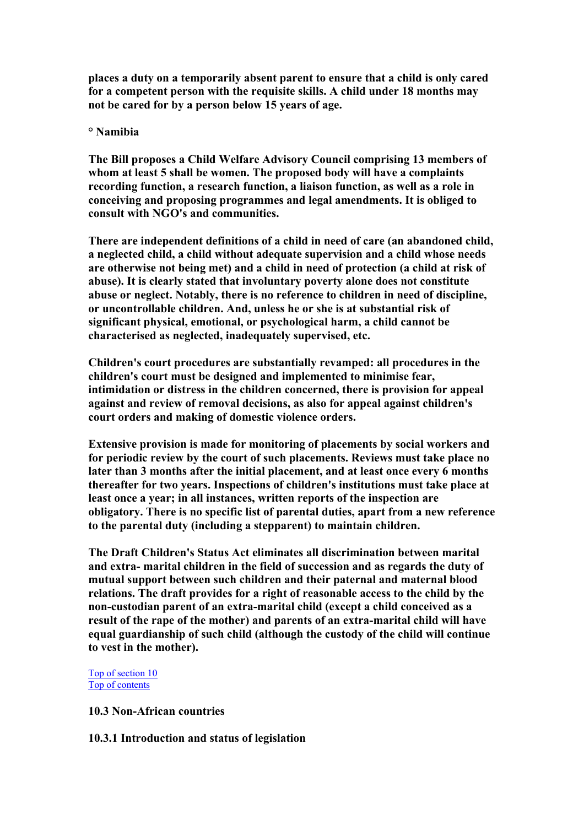**places a duty on a temporarily absent parent to ensure that a child is only cared for a competent person with the requisite skills. A child under 18 months may not be cared for by a person below 15 years of age.** 

#### **° Namibia**

**The Bill proposes a Child Welfare Advisory Council comprising 13 members of whom at least 5 shall be women. The proposed body will have a complaints recording function, a research function, a liaison function, as well as a role in conceiving and proposing programmes and legal amendments. It is obliged to consult with NGO's and communities.** 

**There are independent definitions of a child in need of care (an abandoned child, a neglected child, a child without adequate supervision and a child whose needs are otherwise not being met) and a child in need of protection (a child at risk of abuse). It is clearly stated that involuntary poverty alone does not constitute abuse or neglect. Notably, there is no reference to children in need of discipline, or uncontrollable children. And, unless he or she is at substantial risk of significant physical, emotional, or psychological harm, a child cannot be characterised as neglected, inadequately supervised, etc.** 

**Children's court procedures are substantially revamped: all procedures in the children's court must be designed and implemented to minimise fear, intimidation or distress in the children concerned, there is provision for appeal against and review of removal decisions, as also for appeal against children's court orders and making of domestic violence orders.** 

**Extensive provision is made for monitoring of placements by social workers and for periodic review by the court of such placements. Reviews must take place no later than 3 months after the initial placement, and at least once every 6 months thereafter for two years. Inspections of children's institutions must take place at least once a year; in all instances, written reports of the inspection are obligatory. There is no specific list of parental duties, apart from a new reference to the parental duty (including a stepparent) to maintain children.** 

**The Draft Children's Status Act eliminates all discrimination between marital and extra- marital children in the field of succession and as regards the duty of mutual support between such children and their paternal and maternal blood relations. The draft provides for a right of reasonable access to the child by the non-custodian parent of an extra-marital child (except a child conceived as a result of the rape of the mother) and parents of an extra-marital child will have equal guardianship of such child (although the custody of the child will continue to vest in the mother).** 

Top of section 10 Top of contents

**10.3 Non-African countries** 

**10.3.1 Introduction and status of legislation**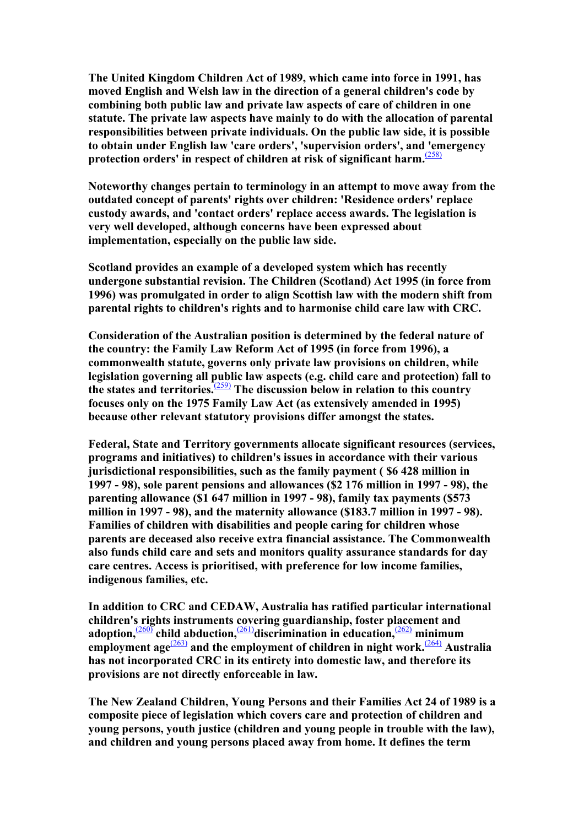**The United Kingdom Children Act of 1989, which came into force in 1991, has moved English and Welsh law in the direction of a general children's code by combining both public law and private law aspects of care of children in one statute. The private law aspects have mainly to do with the allocation of parental responsibilities between private individuals. On the public law side, it is possible to obtain under English law 'care orders', 'supervision orders', and 'emergency protection orders' in respect of children at risk of significant harm.**  $\frac{(258)}{258}$  $\frac{(258)}{258}$  $\frac{(258)}{258}$ 

**Noteworthy changes pertain to terminology in an attempt to move away from the outdated concept of parents' rights over children: 'Residence orders' replace custody awards, and 'contact orders' replace access awards. The legislation is very well developed, although concerns have been expressed about implementation, especially on the public law side.** 

**Scotland provides an example of a developed system which has recently undergone substantial revision. The Children (Scotland) Act 1995 (in force from 1996) was promulgated in order to align Scottish law with the modern shift from parental rights to children's rights and to harmonise child care law with CRC.** 

**Consideration of the Australian position is determined by the federal nature of the country: the Family Law Reform Act of 1995 (in force from 1996), a commonwealth statute, governs only private law provisions on children, while legislation governing all public law aspects (e.g. child care and protection) fall to the states and territories.**[\(259\)](#page-128-0) **The discussion below in relation to this country focuses only on the 1975 Family Law Act (as extensively amended in 1995) because other relevant statutory provisions differ amongst the states.** 

**Federal, State and Territory governments allocate significant resources (services, programs and initiatives) to children's issues in accordance with their various jurisdictional responsibilities, such as the family payment ( \$6 428 million in 1997 - 98), sole parent pensions and allowances (\$2 176 million in 1997 - 98), the parenting allowance (\$1 647 million in 1997 - 98), family tax payments (\$573 million in 1997 - 98), and the maternity allowance (\$183.7 million in 1997 - 98). Families of children with disabilities and people caring for children whose parents are deceased also receive extra financial assistance. The Commonwealth also funds child care and sets and monitors quality assurance standards for day care centres. Access is prioritised, with preference for low income families, indigenous families, etc.** 

**In addition to CRC and CEDAW, Australia has ratified particular international children's rights instruments covering guardianship, foster placement and adoption,**[\(260\)](#page-128-0) **child abduction,**[\(261\)](#page-128-0)**discrimination in education,**[\(262\)](#page-128-0) **minimum**  employment age<sup>[\(263\)](#page-128-0)</sup> and the employment of children in night work.<sup>[\(264\)](#page-128-0)</sup> Australia **has not incorporated CRC in its entirety into domestic law, and therefore its provisions are not directly enforceable in law.** 

**The New Zealand Children, Young Persons and their Families Act 24 of 1989 is a composite piece of legislation which covers care and protection of children and young persons, youth justice (children and young people in trouble with the law), and children and young persons placed away from home. It defines the term**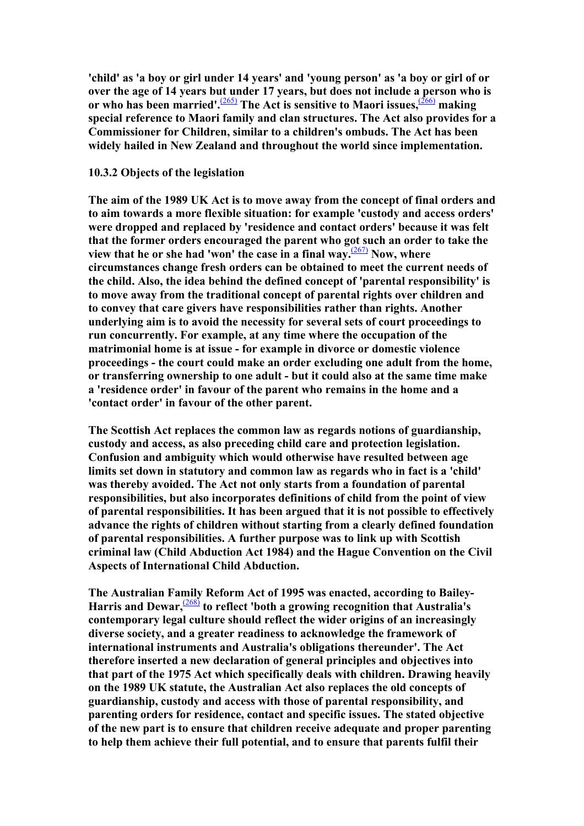**'child' as 'a boy or girl under 14 years' and 'young person' as 'a boy or girl of or over the age of 14 years but under 17 years, but does not include a person who is or who has been married'.**[\(265\)](#page-129-0) **The Act is sensitive to Maori issues,**[\(266\)](#page-129-0) **making special reference to Maori family and clan structures. The Act also provides for a Commissioner for Children, similar to a children's ombuds. The Act has been widely hailed in New Zealand and throughout the world since implementation.** 

#### **10.3.2 Objects of the legislation**

**The aim of the 1989 UK Act is to move away from the concept of final orders and to aim towards a more flexible situation: for example 'custody and access orders' were dropped and replaced by 'residence and contact orders' because it was felt that the former orders encouraged the parent who got such an order to take the**  view that he or she had 'won' the case in a final way. $\frac{(267)}{267}$  $\frac{(267)}{267}$  $\frac{(267)}{267}$  Now, where **circumstances change fresh orders can be obtained to meet the current needs of the child. Also, the idea behind the defined concept of 'parental responsibility' is to move away from the traditional concept of parental rights over children and to convey that care givers have responsibilities rather than rights. Another underlying aim is to avoid the necessity for several sets of court proceedings to run concurrently. For example, at any time where the occupation of the matrimonial home is at issue - for example in divorce or domestic violence proceedings - the court could make an order excluding one adult from the home, or transferring ownership to one adult - but it could also at the same time make a 'residence order' in favour of the parent who remains in the home and a 'contact order' in favour of the other parent.** 

**The Scottish Act replaces the common law as regards notions of guardianship, custody and access, as also preceding child care and protection legislation. Confusion and ambiguity which would otherwise have resulted between age limits set down in statutory and common law as regards who in fact is a 'child' was thereby avoided. The Act not only starts from a foundation of parental responsibilities, but also incorporates definitions of child from the point of view of parental responsibilities. It has been argued that it is not possible to effectively advance the rights of children without starting from a clearly defined foundation of parental responsibilities. A further purpose was to link up with Scottish criminal law (Child Abduction Act 1984) and the Hague Convention on the Civil Aspects of International Child Abduction.** 

**The Australian Family Reform Act of 1995 was enacted, according to Bailey-**Harris and Dewar,  $\frac{(268)}{2}$  $\frac{(268)}{2}$  $\frac{(268)}{2}$  to reflect 'both a growing recognition that Australia's **contemporary legal culture should reflect the wider origins of an increasingly diverse society, and a greater readiness to acknowledge the framework of international instruments and Australia's obligations thereunder'. The Act therefore inserted a new declaration of general principles and objectives into that part of the 1975 Act which specifically deals with children. Drawing heavily on the 1989 UK statute, the Australian Act also replaces the old concepts of guardianship, custody and access with those of parental responsibility, and parenting orders for residence, contact and specific issues. The stated objective of the new part is to ensure that children receive adequate and proper parenting to help them achieve their full potential, and to ensure that parents fulfil their**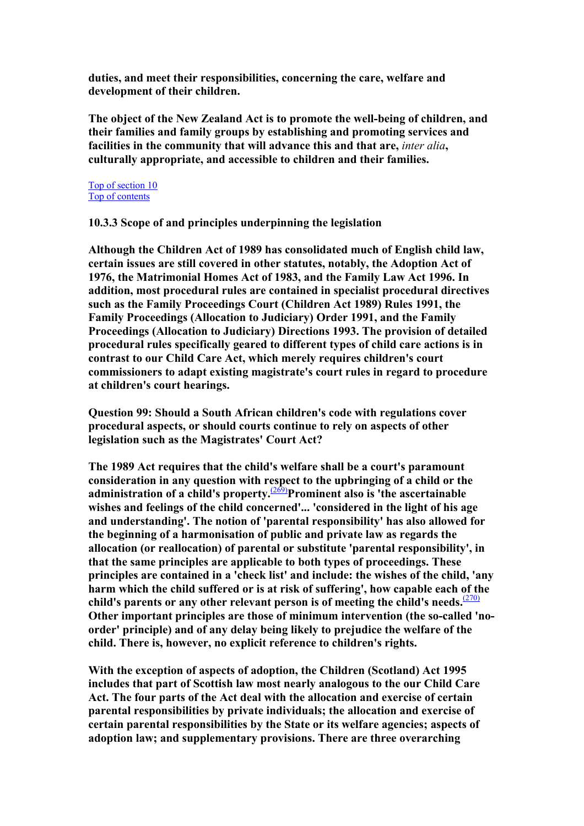**duties, and meet their responsibilities, concerning the care, welfare and development of their children.** 

**The object of the New Zealand Act is to promote the well-being of children, and their families and family groups by establishing and promoting services and facilities in the community that will advance this and that are,** *inter alia***, culturally appropriate, and accessible to children and their families.** 

Top of section 10 Top of contents

**10.3.3 Scope of and principles underpinning the legislation** 

**Although the Children Act of 1989 has consolidated much of English child law, certain issues are still covered in other statutes, notably, the Adoption Act of 1976, the Matrimonial Homes Act of 1983, and the Family Law Act 1996. In addition, most procedural rules are contained in specialist procedural directives such as the Family Proceedings Court (Children Act 1989) Rules 1991, the Family Proceedings (Allocation to Judiciary) Order 1991, and the Family Proceedings (Allocation to Judiciary) Directions 1993. The provision of detailed procedural rules specifically geared to different types of child care actions is in contrast to our Child Care Act, which merely requires children's court commissioners to adapt existing magistrate's court rules in regard to procedure at children's court hearings.** 

**Question 99: Should a South African children's code with regulations cover procedural aspects, or should courts continue to rely on aspects of other legislation such as the Magistrates' Court Act?** 

**The 1989 Act requires that the child's welfare shall be a court's paramount consideration in any question with respect to the upbringing of a child or the administration of a child's property.**(269)**Prominent also is 'the ascertainable wishes and feelings of the child concerned'... 'considered in the light of his age and understanding'. The notion of 'parental responsibility' has also allowed for the beginning of a harmonisation of public and private law as regards the allocation (or reallocation) of parental or substitute 'parental responsibility', in that the same principles are applicable to both types of proceedings. These principles are contained in a 'check list' and include: the wishes of the child, 'any harm which the child suffered or is at risk of suffering', how capable each of the**  child's parents or any other relevant person is of meeting the child's needs. $\frac{(270)}{270}$ **Other important principles are those of minimum intervention (the so-called 'noorder' principle) and of any delay being likely to prejudice the welfare of the child. There is, however, no explicit reference to children's rights.** 

**With the exception of aspects of adoption, the Children (Scotland) Act 1995 includes that part of Scottish law most nearly analogous to the our Child Care Act. The four parts of the Act deal with the allocation and exercise of certain parental responsibilities by private individuals; the allocation and exercise of certain parental responsibilities by the State or its welfare agencies; aspects of adoption law; and supplementary provisions. There are three overarching**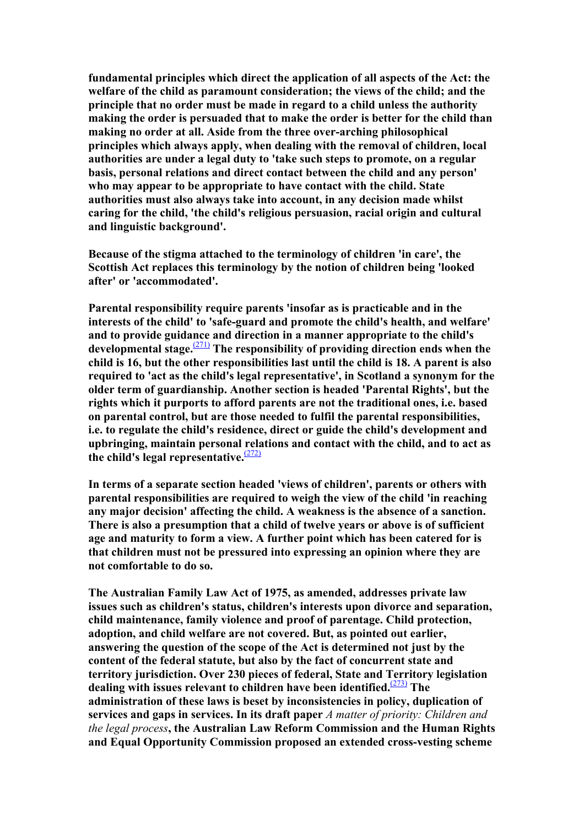**fundamental principles which direct the application of all aspects of the Act: the welfare of the child as paramount consideration; the views of the child; and the principle that no order must be made in regard to a child unless the authority making the order is persuaded that to make the order is better for the child than making no order at all. Aside from the three over-arching philosophical principles which always apply, when dealing with the removal of children, local authorities are under a legal duty to 'take such steps to promote, on a regular basis, personal relations and direct contact between the child and any person' who may appear to be appropriate to have contact with the child. State authorities must also always take into account, in any decision made whilst caring for the child, 'the child's religious persuasion, racial origin and cultural and linguistic background'.** 

**Because of the stigma attached to the terminology of children 'in care', the Scottish Act replaces this terminology by the notion of children being 'looked after' or 'accommodated'.** 

**Parental responsibility require parents 'insofar as is practicable and in the interests of the child' to 'safe-guard and promote the child's health, and welfare' and to provide guidance and direction in a manner appropriate to the child's developmental stage.**[\(271\)](#page-129-0) **The responsibility of providing direction ends when the child is 16, but the other responsibilities last until the child is 18. A parent is also required to 'act as the child's legal representative', in Scotland a synonym for the older term of guardianship. Another section is headed 'Parental Rights', but the rights which it purports to afford parents are not the traditional ones, i.e. based on parental control, but are those needed to fulfil the parental responsibilities, i.e. to regulate the child's residence, direct or guide the child's development and upbringing, maintain personal relations and contact with the child, and to act as the child's legal representative.**[\(272\)](#page-129-0)

**In terms of a separate section headed 'views of children', parents or others with parental responsibilities are required to weigh the view of the child 'in reaching any major decision' affecting the child. A weakness is the absence of a sanction. There is also a presumption that a child of twelve years or above is of sufficient age and maturity to form a view. A further point which has been catered for is that children must not be pressured into expressing an opinion where they are not comfortable to do so.** 

**The Australian Family Law Act of 1975, as amended, addresses private law issues such as children's status, children's interests upon divorce and separation, child maintenance, family violence and proof of parentage. Child protection, adoption, and child welfare are not covered. But, as pointed out earlier, answering the question of the scope of the Act is determined not just by the content of the federal statute, but also by the fact of concurrent state and territory jurisdiction. Over 230 pieces of federal, State and Territory legislation dealing with issues relevant to children have been identified.**[\(273\)](#page-129-0) **The administration of these laws is beset by inconsistencies in policy, duplication of services and gaps in services. In its draft paper** *A matter of priority: Children and the legal process***, the Australian Law Reform Commission and the Human Rights and Equal Opportunity Commission proposed an extended cross-vesting scheme**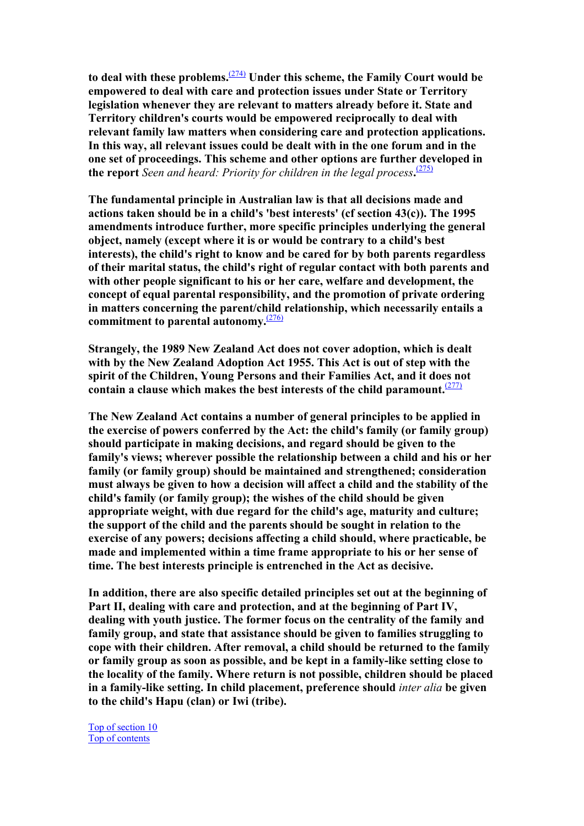**to deal with these problems.**[\(274\)](#page-129-0) **Under this scheme, the Family Court would be empowered to deal with care and protection issues under State or Territory legislation whenever they are relevant to matters already before it. State and Territory children's courts would be empowered reciprocally to deal with relevant family law matters when considering care and protection applications. In this way, all relevant issues could be dealt with in the one forum and in the one set of proceedings. This scheme and other options are further developed in the report** *Seen and heard: Priority for children in the legal process***.** [\(275\)](#page-129-0)

**The fundamental principle in Australian law is that all decisions made and actions taken should be in a child's 'best interests' (cf section 43(c)). The 1995 amendments introduce further, more specific principles underlying the general object, namely (except where it is or would be contrary to a child's best interests), the child's right to know and be cared for by both parents regardless of their marital status, the child's right of regular contact with both parents and with other people significant to his or her care, welfare and development, the concept of equal parental responsibility, and the promotion of private ordering in matters concerning the parent/child relationship, which necessarily entails a commitment to parental autonomy.**[\(276\)](#page-129-0)

**Strangely, the 1989 New Zealand Act does not cover adoption, which is dealt with by the New Zealand Adoption Act 1955. This Act is out of step with the spirit of the Children, Young Persons and their Families Act, and it does not**  contain a clause which makes the best interests of the child paramount. $\frac{(277)}{27}$  $\frac{(277)}{27}$  $\frac{(277)}{27}$ 

**The New Zealand Act contains a number of general principles to be applied in the exercise of powers conferred by the Act: the child's family (or family group) should participate in making decisions, and regard should be given to the family's views; wherever possible the relationship between a child and his or her family (or family group) should be maintained and strengthened; consideration must always be given to how a decision will affect a child and the stability of the child's family (or family group); the wishes of the child should be given appropriate weight, with due regard for the child's age, maturity and culture; the support of the child and the parents should be sought in relation to the exercise of any powers; decisions affecting a child should, where practicable, be made and implemented within a time frame appropriate to his or her sense of time. The best interests principle is entrenched in the Act as decisive.** 

**In addition, there are also specific detailed principles set out at the beginning of Part II, dealing with care and protection, and at the beginning of Part IV, dealing with youth justice. The former focus on the centrality of the family and family group, and state that assistance should be given to families struggling to cope with their children. After removal, a child should be returned to the family or family group as soon as possible, and be kept in a family-like setting close to the locality of the family. Where return is not possible, children should be placed in a family-like setting. In child placement, preference should** *inter alia* **be given to the child's Hapu (clan) or Iwi (tribe).** 

Top of section 10 Top of contents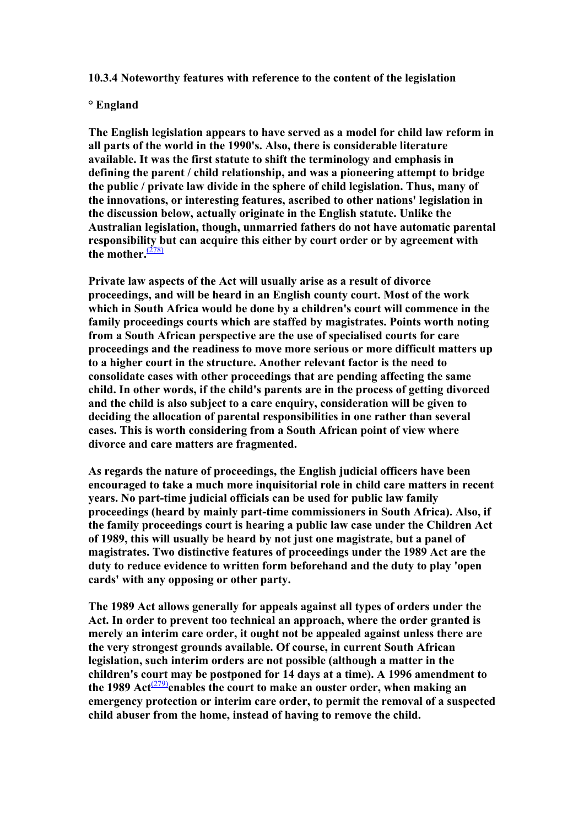**10.3.4 Noteworthy features with reference to the content of the legislation** 

#### **° England**

**The English legislation appears to have served as a model for child law reform in all parts of the world in the 1990's. Also, there is considerable literature available. It was the first statute to shift the terminology and emphasis in defining the parent / child relationship, and was a pioneering attempt to bridge the public / private law divide in the sphere of child legislation. Thus, many of the innovations, or interesting features, ascribed to other nations' legislation in the discussion below, actually originate in the English statute. Unlike the Australian legislation, though, unmarried fathers do not have automatic parental responsibility but can acquire this either by court order or by agreement with**  the mother. $\frac{(278)}{278}$  $\frac{(278)}{278}$  $\frac{(278)}{278}$ 

**Private law aspects of the Act will usually arise as a result of divorce proceedings, and will be heard in an English county court. Most of the work which in South Africa would be done by a children's court will commence in the family proceedings courts which are staffed by magistrates. Points worth noting from a South African perspective are the use of specialised courts for care proceedings and the readiness to move more serious or more difficult matters up to a higher court in the structure. Another relevant factor is the need to consolidate cases with other proceedings that are pending affecting the same child. In other words, if the child's parents are in the process of getting divorced and the child is also subject to a care enquiry, consideration will be given to deciding the allocation of parental responsibilities in one rather than several cases. This is worth considering from a South African point of view where divorce and care matters are fragmented.** 

**As regards the nature of proceedings, the English judicial officers have been encouraged to take a much more inquisitorial role in child care matters in recent years. No part-time judicial officials can be used for public law family proceedings (heard by mainly part-time commissioners in South Africa). Also, if the family proceedings court is hearing a public law case under the Children Act of 1989, this will usually be heard by not just one magistrate, but a panel of magistrates. Two distinctive features of proceedings under the 1989 Act are the duty to reduce evidence to written form beforehand and the duty to play 'open cards' with any opposing or other party.** 

**The 1989 Act allows generally for appeals against all types of orders under the Act. In order to prevent too technical an approach, where the order granted is merely an interim care order, it ought not be appealed against unless there are the very strongest grounds available. Of course, in current South African legislation, such interim orders are not possible (although a matter in the children's court may be postponed for 14 days at a time). A 1996 amendment to the 1989 Act**[\(279\)](#page-129-0)**enables the court to make an ouster order, when making an emergency protection or interim care order, to permit the removal of a suspected child abuser from the home, instead of having to remove the child.**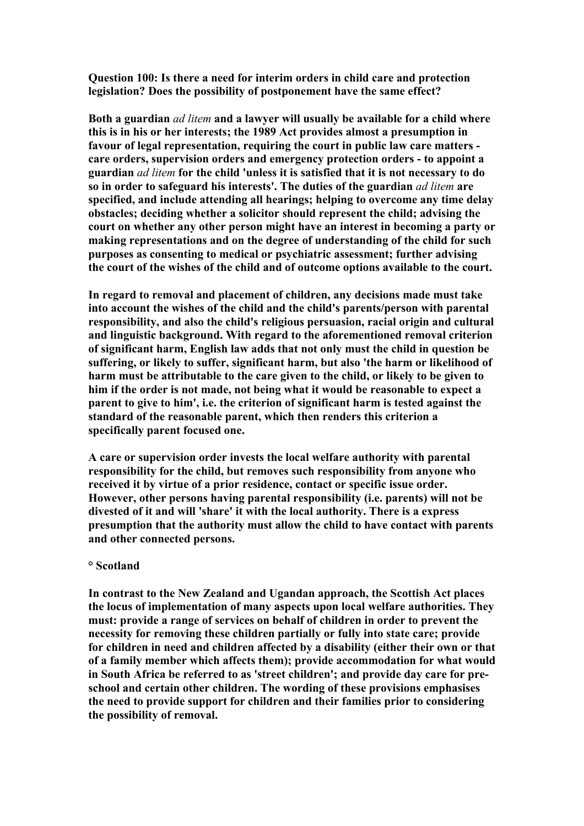**Question 100: Is there a need for interim orders in child care and protection legislation? Does the possibility of postponement have the same effect?** 

**Both a guardian** *ad litem* **and a lawyer will usually be available for a child where this is in his or her interests; the 1989 Act provides almost a presumption in favour of legal representation, requiring the court in public law care matters care orders, supervision orders and emergency protection orders - to appoint a guardian** *ad litem* **for the child 'unless it is satisfied that it is not necessary to do so in order to safeguard his interests'. The duties of the guardian** *ad litem* **are specified, and include attending all hearings; helping to overcome any time delay obstacles; deciding whether a solicitor should represent the child; advising the court on whether any other person might have an interest in becoming a party or making representations and on the degree of understanding of the child for such purposes as consenting to medical or psychiatric assessment; further advising the court of the wishes of the child and of outcome options available to the court.** 

**In regard to removal and placement of children, any decisions made must take into account the wishes of the child and the child's parents/person with parental responsibility, and also the child's religious persuasion, racial origin and cultural and linguistic background. With regard to the aforementioned removal criterion of significant harm, English law adds that not only must the child in question be suffering, or likely to suffer, significant harm, but also 'the harm or likelihood of harm must be attributable to the care given to the child, or likely to be given to him if the order is not made, not being what it would be reasonable to expect a parent to give to him', i.e. the criterion of significant harm is tested against the standard of the reasonable parent, which then renders this criterion a specifically parent focused one.** 

**A care or supervision order invests the local welfare authority with parental responsibility for the child, but removes such responsibility from anyone who received it by virtue of a prior residence, contact or specific issue order. However, other persons having parental responsibility (i.e. parents) will not be divested of it and will 'share' it with the local authority. There is a express presumption that the authority must allow the child to have contact with parents and other connected persons.** 

#### **° Scotland**

**In contrast to the New Zealand and Ugandan approach, the Scottish Act places the locus of implementation of many aspects upon local welfare authorities. They must: provide a range of services on behalf of children in order to prevent the necessity for removing these children partially or fully into state care; provide for children in need and children affected by a disability (either their own or that of a family member which affects them); provide accommodation for what would in South Africa be referred to as 'street children'; and provide day care for preschool and certain other children. The wording of these provisions emphasises the need to provide support for children and their families prior to considering the possibility of removal.**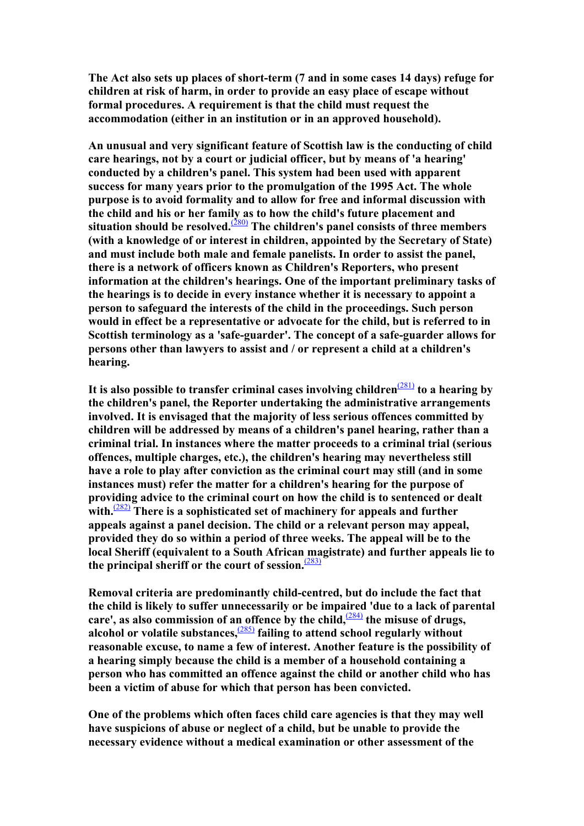**The Act also sets up places of short-term (7 and in some cases 14 days) refuge for children at risk of harm, in order to provide an easy place of escape without formal procedures. A requirement is that the child must request the accommodation (either in an institution or in an approved household).** 

**An unusual and very significant feature of Scottish law is the conducting of child care hearings, not by a court or judicial officer, but by means of 'a hearing' conducted by a children's panel. This system had been used with apparent success for many years prior to the promulgation of the 1995 Act. The whole purpose is to avoid formality and to allow for free and informal discussion with the child and his or her family as to how the child's future placement and situation should be resolved.**[\(280\)](#page-129-0) **The children's panel consists of three members (with a knowledge of or interest in children, appointed by the Secretary of State) and must include both male and female panelists. In order to assist the panel, there is a network of officers known as Children's Reporters, who present information at the children's hearings. One of the important preliminary tasks of the hearings is to decide in every instance whether it is necessary to appoint a person to safeguard the interests of the child in the proceedings. Such person would in effect be a representative or advocate for the child, but is referred to in Scottish terminology as a 'safe-guarder'. The concept of a safe-guarder allows for persons other than lawyers to assist and / or represent a child at a children's hearing.** 

It is also possible to transfer criminal cases involving children<sup> $(281)$ </sup> to a hearing by **the children's panel, the Reporter undertaking the administrative arrangements involved. It is envisaged that the majority of less serious offences committed by children will be addressed by means of a children's panel hearing, rather than a criminal trial. In instances where the matter proceeds to a criminal trial (serious offences, multiple charges, etc.), the children's hearing may nevertheless still have a role to play after conviction as the criminal court may still (and in some instances must) refer the matter for a children's hearing for the purpose of providing advice to the criminal court on how the child is to sentenced or dealt**  with.<sup>[\(282\)](#page-129-0)</sup> There is a sophisticated set of machinery for appeals and further **appeals against a panel decision. The child or a relevant person may appeal, provided they do so within a period of three weeks. The appeal will be to the local Sheriff (equivalent to a South African magistrate) and further appeals lie to the principal sheriff or the court of session.**[\(283\)](#page-130-0)

**Removal criteria are predominantly child-centred, but do include the fact that the child is likely to suffer unnecessarily or be impaired 'due to a lack of parental**  care', as also commission of an offence by the child,<sup>[\(284\)](#page-130-0)</sup> the misuse of drugs, **alcohol or volatile substances,**[\(285\)](#page-130-0) **failing to attend school regularly without reasonable excuse, to name a few of interest. Another feature is the possibility of a hearing simply because the child is a member of a household containing a person who has committed an offence against the child or another child who has been a victim of abuse for which that person has been convicted.** 

**One of the problems which often faces child care agencies is that they may well have suspicions of abuse or neglect of a child, but be unable to provide the necessary evidence without a medical examination or other assessment of the**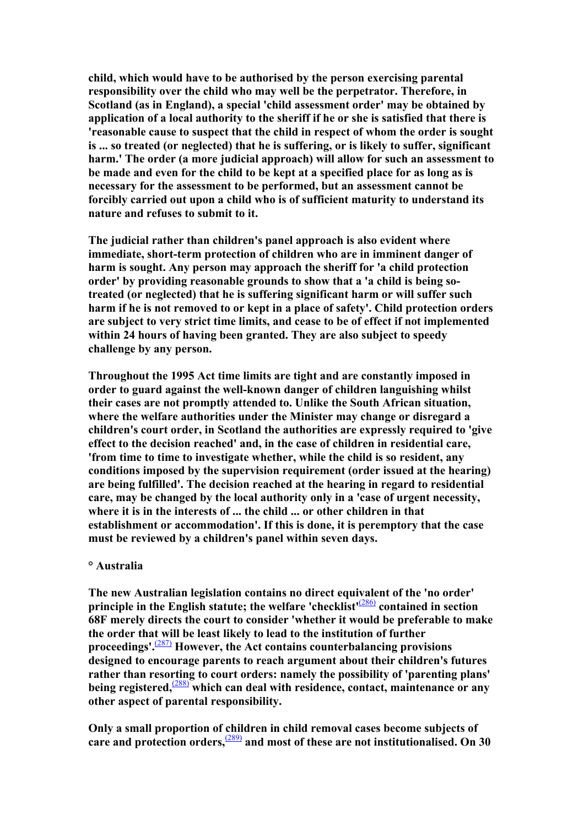**child, which would have to be authorised by the person exercising parental responsibility over the child who may well be the perpetrator. Therefore, in Scotland (as in England), a special 'child assessment order' may be obtained by application of a local authority to the sheriff if he or she is satisfied that there is 'reasonable cause to suspect that the child in respect of whom the order is sought is ... so treated (or neglected) that he is suffering, or is likely to suffer, significant harm.' The order (a more judicial approach) will allow for such an assessment to be made and even for the child to be kept at a specified place for as long as is necessary for the assessment to be performed, but an assessment cannot be forcibly carried out upon a child who is of sufficient maturity to understand its nature and refuses to submit to it.** 

**The judicial rather than children's panel approach is also evident where immediate, short-term protection of children who are in imminent danger of harm is sought. Any person may approach the sheriff for 'a child protection order' by providing reasonable grounds to show that a 'a child is being sotreated (or neglected) that he is suffering significant harm or will suffer such harm if he is not removed to or kept in a place of safety'. Child protection orders are subject to very strict time limits, and cease to be of effect if not implemented within 24 hours of having been granted. They are also subject to speedy challenge by any person.** 

**Throughout the 1995 Act time limits are tight and are constantly imposed in order to guard against the well-known danger of children languishing whilst their cases are not promptly attended to. Unlike the South African situation, where the welfare authorities under the Minister may change or disregard a children's court order, in Scotland the authorities are expressly required to 'give effect to the decision reached' and, in the case of children in residential care, 'from time to time to investigate whether, while the child is so resident, any conditions imposed by the supervision requirement (order issued at the hearing) are being fulfilled'. The decision reached at the hearing in regard to residential care, may be changed by the local authority only in a 'case of urgent necessity, where it is in the interests of ... the child ... or other children in that establishment or accommodation'. If this is done, it is peremptory that the case must be reviewed by a children's panel within seven days.** 

#### **° Australia**

**The new Australian legislation contains no direct equivalent of the 'no order' principle in the English statute; the welfare 'checklist'**<sup>[\(286\)](#page-130-0)</sup> contained in section **68F merely directs the court to consider 'whether it would be preferable to make the order that will be least likely to lead to the institution of further proceedings'.**[\(287\)](#page-130-0) **However, the Act contains counterbalancing provisions designed to encourage parents to reach argument about their children's futures rather than resorting to court orders: namely the possibility of 'parenting plans' being registered,**[\(288\)](#page-130-0) **which can deal with residence, contact, maintenance or any other aspect of parental responsibility.** 

**Only a small proportion of children in child removal cases become subjects of**  care and protection orders,  $\frac{(289)}{289}$  $\frac{(289)}{289}$  $\frac{(289)}{289}$  and most of these are not institutionalised. On 30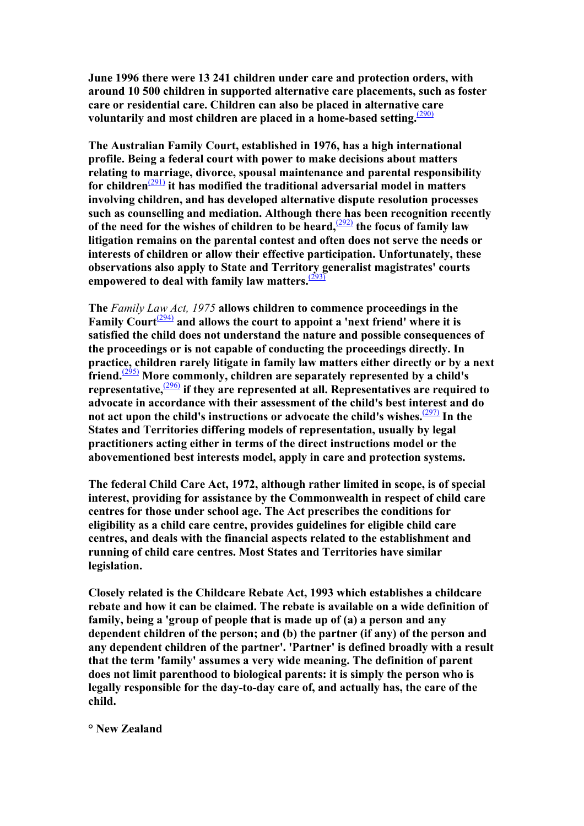**June 1996 there were 13 241 children under care and protection orders, with around 10 500 children in supported alternative care placements, such as foster care or residential care. Children can also be placed in alternative care**  voluntarily and most children are placed in a home-based setting. $(290)$ 

**The Australian Family Court, established in 1976, has a high international profile. Being a federal court with power to make decisions about matters relating to marriage, divorce, spousal maintenance and parental responsibility for children**[\(291\)](#page-130-0) **it has modified the traditional adversarial model in matters involving children, and has developed alternative dispute resolution processes such as counselling and mediation. Although there has been recognition recently of the need for the wishes of children to be heard,**[\(292\)](#page-130-0) **the focus of family law litigation remains on the parental contest and often does not serve the needs or interests of children or allow their effective participation. Unfortunately, these observations also apply to State and Territory generalist magistrates' courts**  empowered to deal with family law matters.<sup>[\(293\)](#page-130-0)</sup>

**The** *Family Law Act, 1975* **allows children to commence proceedings in the Family Court**[\(294\)](#page-130-0) **and allows the court to appoint a 'next friend' where it is satisfied the child does not understand the nature and possible consequences of the proceedings or is not capable of conducting the proceedings directly. In practice, children rarely litigate in family law matters either directly or by a next friend.**[\(295\)](#page-130-0) **More commonly, children are separately represented by a child's representative,**[\(296\)](#page-130-0) **if they are represented at all. Representatives are required to advocate in accordance with their assessment of the child's best interest and do not act upon the child's instructions or advocate the child's wishes.**[\(297\)](#page-130-0) **In the States and Territories differing models of representation, usually by legal practitioners acting either in terms of the direct instructions model or the abovementioned best interests model, apply in care and protection systems.** 

**The federal Child Care Act, 1972, although rather limited in scope, is of special interest, providing for assistance by the Commonwealth in respect of child care centres for those under school age. The Act prescribes the conditions for eligibility as a child care centre, provides guidelines for eligible child care centres, and deals with the financial aspects related to the establishment and running of child care centres. Most States and Territories have similar legislation.** 

**Closely related is the Childcare Rebate Act, 1993 which establishes a childcare rebate and how it can be claimed. The rebate is available on a wide definition of family, being a 'group of people that is made up of (a) a person and any dependent children of the person; and (b) the partner (if any) of the person and any dependent children of the partner'. 'Partner' is defined broadly with a result that the term 'family' assumes a very wide meaning. The definition of parent does not limit parenthood to biological parents: it is simply the person who is legally responsible for the day-to-day care of, and actually has, the care of the child.** 

**° New Zealand**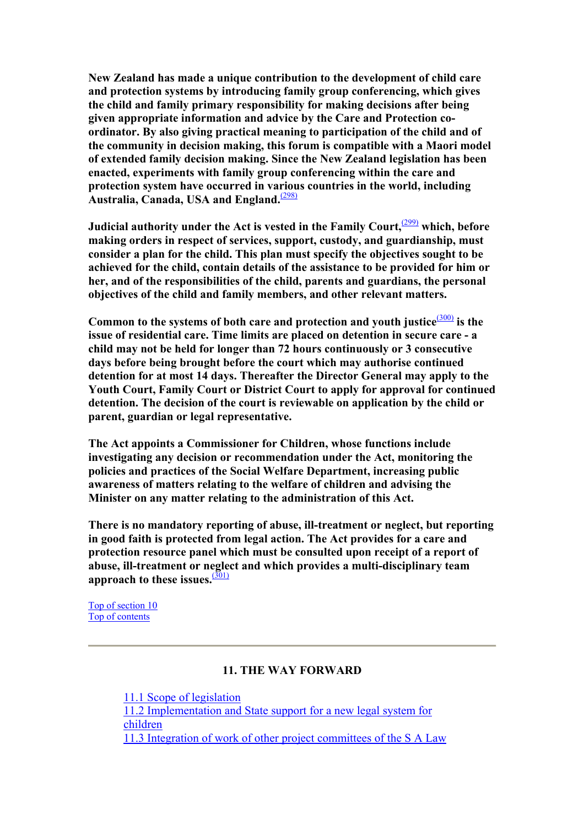**New Zealand has made a unique contribution to the development of child care and protection systems by introducing family group conferencing, which gives the child and family primary responsibility for making decisions after being given appropriate information and advice by the Care and Protection coordinator. By also giving practical meaning to participation of the child and of the community in decision making, this forum is compatible with a Maori model of extended family decision making. Since the New Zealand legislation has been enacted, experiments with family group conferencing within the care and protection system have occurred in various countries in the world, including**  Australia, Canada, USA and England.<sup>[\(298\)](#page-130-0)</sup>

**Judicial authority under the Act is vested in the Family Court,**  $\frac{(299)}{290}$  $\frac{(299)}{290}$  $\frac{(299)}{290}$  **which, before making orders in respect of services, support, custody, and guardianship, must consider a plan for the child. This plan must specify the objectives sought to be achieved for the child, contain details of the assistance to be provided for him or her, and of the responsibilities of the child, parents and guardians, the personal objectives of the child and family members, and other relevant matters.** 

Common to the systems of both care and protection and youth justice $\frac{(300)}{300}$  $\frac{(300)}{300}$  $\frac{(300)}{300}$  is the **issue of residential care. Time limits are placed on detention in secure care - a child may not be held for longer than 72 hours continuously or 3 consecutive days before being brought before the court which may authorise continued detention for at most 14 days. Thereafter the Director General may apply to the Youth Court, Family Court or District Court to apply for approval for continued detention. The decision of the court is reviewable on application by the child or parent, guardian or legal representative.** 

**The Act appoints a Commissioner for Children, whose functions include investigating any decision or recommendation under the Act, monitoring the policies and practices of the Social Welfare Department, increasing public awareness of matters relating to the welfare of children and advising the Minister on any matter relating to the administration of this Act.** 

**There is no mandatory reporting of abuse, ill-treatment or neglect, but reporting in good faith is protected from legal action. The Act provides for a care and protection resource panel which must be consulted upon receipt of a report of abuse, ill-treatment or neglect and which provides a multi-disciplinary team**  approach to these issues.<sup>[\(301\)](#page-131-0)</sup>

Top of section 10 Top of contents

## **11. THE WAY FORWARD**

11.1 Scope of legislation 11.2 Implementation and State support for a new legal system for children 11.3 Integration of work of other project committees of the S A Law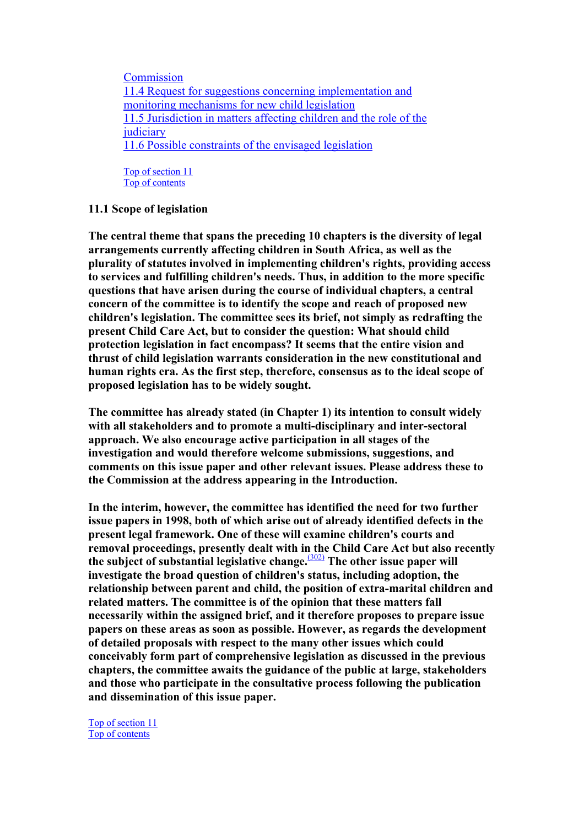**Commission** 11.4 Request for suggestions concerning implementation and monitoring mechanisms for new child legislation 11.5 Jurisdiction in matters affecting children and the role of the iudiciary 11.6 Possible constraints of the envisaged legislation

Top of section 11 Top of contents

## **11.1 Scope of legislation**

**The central theme that spans the preceding 10 chapters is the diversity of legal arrangements currently affecting children in South Africa, as well as the plurality of statutes involved in implementing children's rights, providing access to services and fulfilling children's needs. Thus, in addition to the more specific questions that have arisen during the course of individual chapters, a central concern of the committee is to identify the scope and reach of proposed new children's legislation. The committee sees its brief, not simply as redrafting the present Child Care Act, but to consider the question: What should child protection legislation in fact encompass? It seems that the entire vision and thrust of child legislation warrants consideration in the new constitutional and human rights era. As the first step, therefore, consensus as to the ideal scope of proposed legislation has to be widely sought.** 

**The committee has already stated (in Chapter 1) its intention to consult widely with all stakeholders and to promote a multi-disciplinary and inter-sectoral approach. We also encourage active participation in all stages of the investigation and would therefore welcome submissions, suggestions, and comments on this issue paper and other relevant issues. Please address these to the Commission at the address appearing in the Introduction.** 

**In the interim, however, the committee has identified the need for two further issue papers in 1998, both of which arise out of already identified defects in the present legal framework. One of these will examine children's courts and removal proceedings, presently dealt with in the Child Care Act but also recently the subject of substantial legislative change.**(302) **The other issue paper will investigate the broad question of children's status, including adoption, the relationship between parent and child, the position of extra-marital children and related matters. The committee is of the opinion that these matters fall necessarily within the assigned brief, and it therefore proposes to prepare issue papers on these areas as soon as possible. However, as regards the development of detailed proposals with respect to the many other issues which could conceivably form part of comprehensive legislation as discussed in the previous chapters, the committee awaits the guidance of the public at large, stakeholders and those who participate in the consultative process following the publication and dissemination of this issue paper.** 

Top of section 11 Top of contents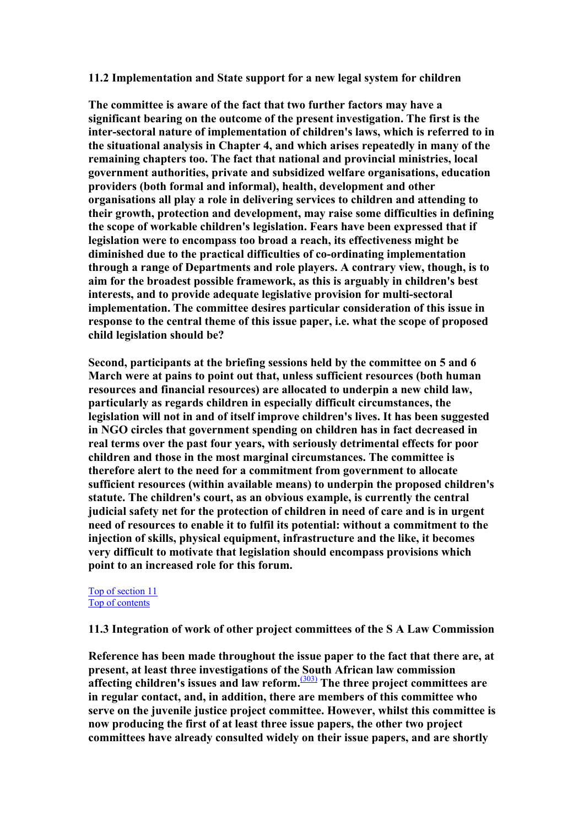#### **11.2 Implementation and State support for a new legal system for children**

**The committee is aware of the fact that two further factors may have a significant bearing on the outcome of the present investigation. The first is the inter-sectoral nature of implementation of children's laws, which is referred to in the situational analysis in Chapter 4, and which arises repeatedly in many of the remaining chapters too. The fact that national and provincial ministries, local government authorities, private and subsidized welfare organisations, education providers (both formal and informal), health, development and other organisations all play a role in delivering services to children and attending to their growth, protection and development, may raise some difficulties in defining the scope of workable children's legislation. Fears have been expressed that if legislation were to encompass too broad a reach, its effectiveness might be diminished due to the practical difficulties of co-ordinating implementation through a range of Departments and role players. A contrary view, though, is to aim for the broadest possible framework, as this is arguably in children's best interests, and to provide adequate legislative provision for multi-sectoral implementation. The committee desires particular consideration of this issue in response to the central theme of this issue paper, i.e. what the scope of proposed child legislation should be?** 

**Second, participants at the briefing sessions held by the committee on 5 and 6 March were at pains to point out that, unless sufficient resources (both human resources and financial resources) are allocated to underpin a new child law, particularly as regards children in especially difficult circumstances, the legislation will not in and of itself improve children's lives. It has been suggested in NGO circles that government spending on children has in fact decreased in real terms over the past four years, with seriously detrimental effects for poor children and those in the most marginal circumstances. The committee is therefore alert to the need for a commitment from government to allocate sufficient resources (within available means) to underpin the proposed children's statute. The children's court, as an obvious example, is currently the central judicial safety net for the protection of children in need of care and is in urgent need of resources to enable it to fulfil its potential: without a commitment to the injection of skills, physical equipment, infrastructure and the like, it becomes very difficult to motivate that legislation should encompass provisions which point to an increased role for this forum.** 

#### Top of section 11 Top of contents

#### **11.3 Integration of work of other project committees of the S A Law Commission**

**Reference has been made throughout the issue paper to the fact that there are, at present, at least three investigations of the South African law commission affecting children's issues and law reform.**(303) **The three project committees are in regular contact, and, in addition, there are members of this committee who serve on the juvenile justice project committee. However, whilst this committee is now producing the first of at least three issue papers, the other two project committees have already consulted widely on their issue papers, and are shortly**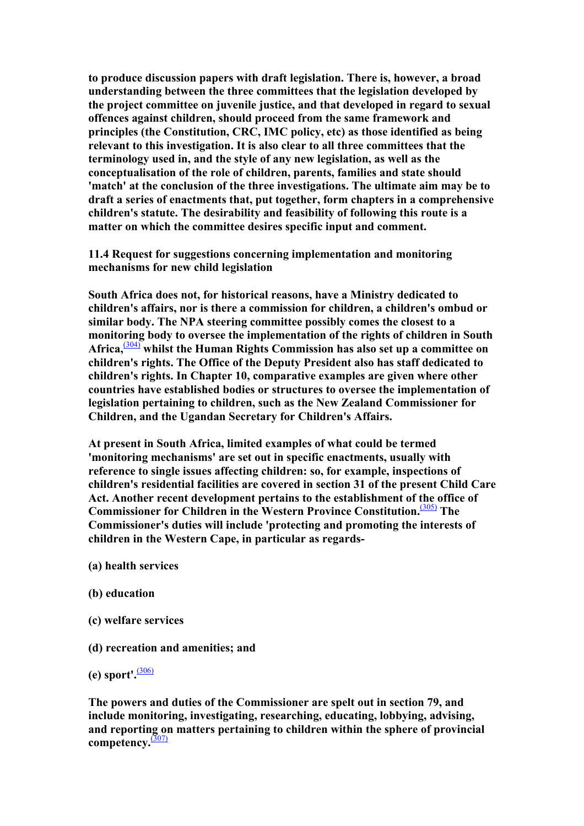**to produce discussion papers with draft legislation. There is, however, a broad understanding between the three committees that the legislation developed by the project committee on juvenile justice, and that developed in regard to sexual offences against children, should proceed from the same framework and principles (the Constitution, CRC, IMC policy, etc) as those identified as being relevant to this investigation. It is also clear to all three committees that the terminology used in, and the style of any new legislation, as well as the conceptualisation of the role of children, parents, families and state should 'match' at the conclusion of the three investigations. The ultimate aim may be to draft a series of enactments that, put together, form chapters in a comprehensive children's statute. The desirability and feasibility of following this route is a matter on which the committee desires specific input and comment.** 

**11.4 Request for suggestions concerning implementation and monitoring mechanisms for new child legislation** 

**South Africa does not, for historical reasons, have a Ministry dedicated to children's affairs, nor is there a commission for children, a children's ombud or similar body. The NPA steering committee possibly comes the closest to a monitoring body to oversee the implementation of the rights of children in South**  Africa,  $\frac{(304)}{204}$  $\frac{(304)}{204}$  $\frac{(304)}{204}$  whilst the Human Rights Commission has also set up a committee on **children's rights. The Office of the Deputy President also has staff dedicated to children's rights. In Chapter 10, comparative examples are given where other countries have established bodies or structures to oversee the implementation of legislation pertaining to children, such as the New Zealand Commissioner for Children, and the Ugandan Secretary for Children's Affairs.** 

**At present in South Africa, limited examples of what could be termed 'monitoring mechanisms' are set out in specific enactments, usually with reference to single issues affecting children: so, for example, inspections of children's residential facilities are covered in section 31 of the present Child Care Act. Another recent development pertains to the establishment of the office of Commissioner for Children in the Western Province Constitution.**[\(305\)](#page-131-0) **The Commissioner's duties will include 'protecting and promoting the interests of children in the Western Cape, in particular as regards-** 

- **(a) health services**
- **(b) education**
- **(c) welfare services**
- **(d) recreation and amenities; and**

 $(e)$  sport'.<sup> $(306)$ </sup>

**The powers and duties of the Commissioner are spelt out in section 79, and include monitoring, investigating, researching, educating, lobbying, advising, and reporting on matters pertaining to children within the sphere of provincial competency.**[\(307\)](#page-131-0)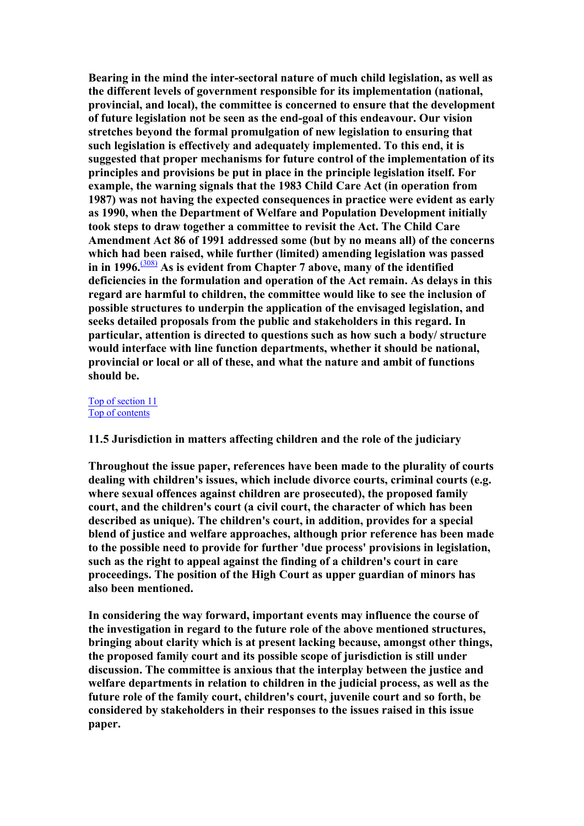**Bearing in the mind the inter-sectoral nature of much child legislation, as well as the different levels of government responsible for its implementation (national, provincial, and local), the committee is concerned to ensure that the development of future legislation not be seen as the end-goal of this endeavour. Our vision stretches beyond the formal promulgation of new legislation to ensuring that such legislation is effectively and adequately implemented. To this end, it is suggested that proper mechanisms for future control of the implementation of its principles and provisions be put in place in the principle legislation itself. For example, the warning signals that the 1983 Child Care Act (in operation from 1987) was not having the expected consequences in practice were evident as early as 1990, when the Department of Welfare and Population Development initially took steps to draw together a committee to revisit the Act. The Child Care Amendment Act 86 of 1991 addressed some (but by no means all) of the concerns which had been raised, while further (limited) amending legislation was passed in in 1996.**[\(308\)](#page-131-0) **As is evident from Chapter 7 above, many of the identified deficiencies in the formulation and operation of the Act remain. As delays in this regard are harmful to children, the committee would like to see the inclusion of possible structures to underpin the application of the envisaged legislation, and seeks detailed proposals from the public and stakeholders in this regard. In particular, attention is directed to questions such as how such a body/ structure would interface with line function departments, whether it should be national, provincial or local or all of these, and what the nature and ambit of functions should be.** 

#### Top of section 11 Top of contents

#### **11.5 Jurisdiction in matters affecting children and the role of the judiciary**

**Throughout the issue paper, references have been made to the plurality of courts dealing with children's issues, which include divorce courts, criminal courts (e.g. where sexual offences against children are prosecuted), the proposed family court, and the children's court (a civil court, the character of which has been described as unique). The children's court, in addition, provides for a special blend of justice and welfare approaches, although prior reference has been made to the possible need to provide for further 'due process' provisions in legislation, such as the right to appeal against the finding of a children's court in care proceedings. The position of the High Court as upper guardian of minors has also been mentioned.** 

**In considering the way forward, important events may influence the course of the investigation in regard to the future role of the above mentioned structures, bringing about clarity which is at present lacking because, amongst other things, the proposed family court and its possible scope of jurisdiction is still under discussion. The committee is anxious that the interplay between the justice and welfare departments in relation to children in the judicial process, as well as the future role of the family court, children's court, juvenile court and so forth, be considered by stakeholders in their responses to the issues raised in this issue paper.**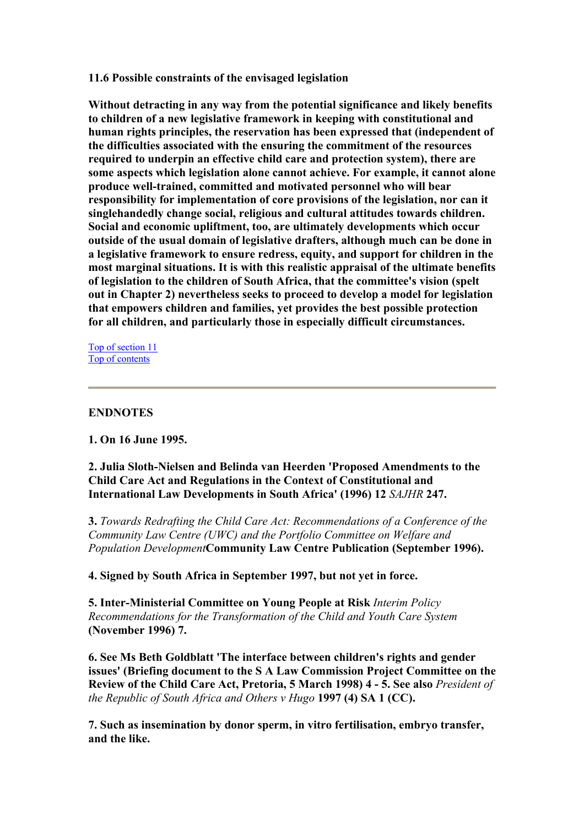**11.6 Possible constraints of the envisaged legislation** 

**Without detracting in any way from the potential significance and likely benefits to children of a new legislative framework in keeping with constitutional and human rights principles, the reservation has been expressed that (independent of the difficulties associated with the ensuring the commitment of the resources required to underpin an effective child care and protection system), there are some aspects which legislation alone cannot achieve. For example, it cannot alone produce well-trained, committed and motivated personnel who will bear responsibility for implementation of core provisions of the legislation, nor can it singlehandedly change social, religious and cultural attitudes towards children. Social and economic upliftment, too, are ultimately developments which occur outside of the usual domain of legislative drafters, although much can be done in a legislative framework to ensure redress, equity, and support for children in the most marginal situations. It is with this realistic appraisal of the ultimate benefits of legislation to the children of South Africa, that the committee's vision (spelt out in Chapter 2) nevertheless seeks to proceed to develop a model for legislation that empowers children and families, yet provides the best possible protection for all children, and particularly those in especially difficult circumstances.** 

Top of section 11 Top of contents

# **ENDNOTES**

**1. On 16 June 1995.** 

**2. Julia Sloth-Nielsen and Belinda van Heerden 'Proposed Amendments to the Child Care Act and Regulations in the Context of Constitutional and International Law Developments in South Africa' (1996) 12** *SAJHR* **247.** 

**3.** *Towards Redrafting the Child Care Act: Recommendations of a Conference of the Community Law Centre (UWC) and the Portfolio Committee on Welfare and Population Development***Community Law Centre Publication (September 1996).** 

**4. Signed by South Africa in September 1997, but not yet in force.** 

**5. Inter-Ministerial Committee on Young People at Risk** *Interim Policy Recommendations for the Transformation of the Child and Youth Care System* **(November 1996) 7.** 

**6. See Ms Beth Goldblatt 'The interface between children's rights and gender issues' (Briefing document to the S A Law Commission Project Committee on the Review of the Child Care Act, Pretoria, 5 March 1998) 4 - 5. See also** *President of the Republic of South Africa and Others v Hugo* **1997 (4) SA 1 (CC).** 

**7. Such as insemination by donor sperm, in vitro fertilisation, embryo transfer, and the like.**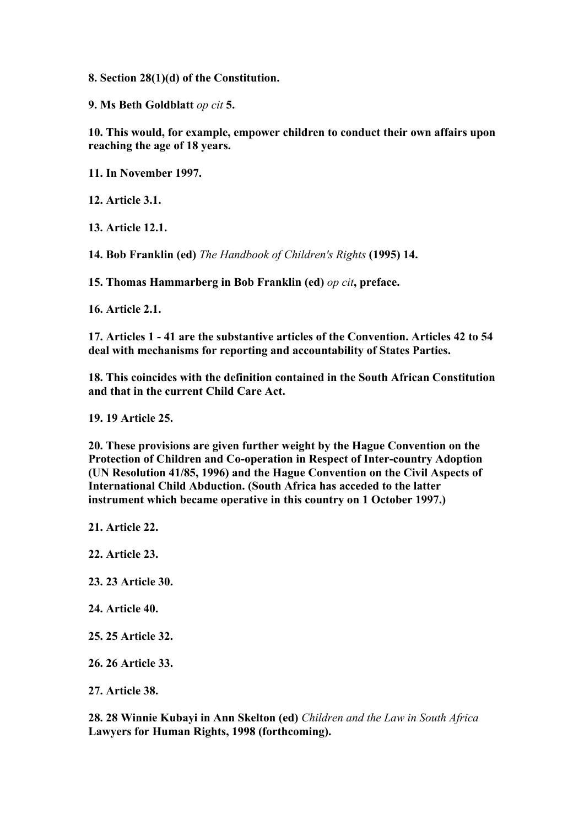**8. Section 28(1)(d) of the Constitution.** 

**9. Ms Beth Goldblatt** *op cit* **5.** 

**10. This would, for example, empower children to conduct their own affairs upon reaching the age of 18 years.** 

**11. In November 1997.** 

**12. Article 3.1.** 

**13. Article 12.1.** 

**14. Bob Franklin (ed)** *The Handbook of Children's Rights* **(1995) 14.** 

**15. Thomas Hammarberg in Bob Franklin (ed)** *op cit***, preface.** 

**16. Article 2.1.** 

**17. Articles 1 - 41 are the substantive articles of the Convention. Articles 42 to 54 deal with mechanisms for reporting and accountability of States Parties.** 

**18. This coincides with the definition contained in the South African Constitution and that in the current Child Care Act.** 

**19. 19 Article 25.** 

**20. These provisions are given further weight by the Hague Convention on the Protection of Children and Co-operation in Respect of Inter-country Adoption (UN Resolution 41/85, 1996) and the Hague Convention on the Civil Aspects of International Child Abduction. (South Africa has acceded to the latter instrument which became operative in this country on 1 October 1997.)** 

**21. Article 22.** 

**22. Article 23.** 

**23. 23 Article 30.** 

**24. Article 40.** 

**25. 25 Article 32.** 

**26. 26 Article 33.** 

**27. Article 38.** 

**28. 28 Winnie Kubayi in Ann Skelton (ed)** *Children and the Law in South Africa* **Lawyers for Human Rights, 1998 (forthcoming).**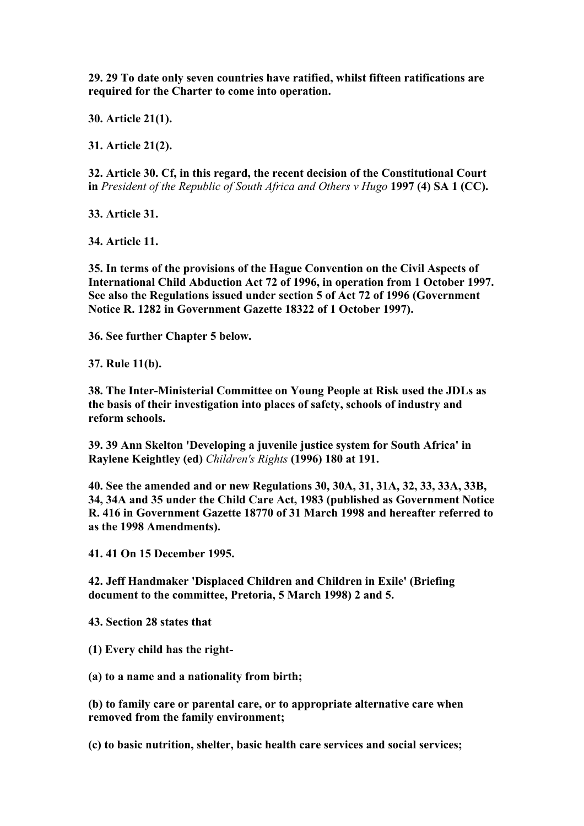**29. 29 To date only seven countries have ratified, whilst fifteen ratifications are required for the Charter to come into operation.** 

**30. Article 21(1).** 

**31. Article 21(2).** 

**32. Article 30. Cf, in this regard, the recent decision of the Constitutional Court in** *President of the Republic of South Africa and Others v Hugo* **1997 (4) SA 1 (CC).** 

**33. Article 31.** 

**34. Article 11.** 

**35. In terms of the provisions of the Hague Convention on the Civil Aspects of International Child Abduction Act 72 of 1996, in operation from 1 October 1997. See also the Regulations issued under section 5 of Act 72 of 1996 (Government Notice R. 1282 in Government Gazette 18322 of 1 October 1997).** 

**36. See further Chapter 5 below.** 

**37. Rule 11(b).** 

**38. The Inter-Ministerial Committee on Young People at Risk used the JDLs as the basis of their investigation into places of safety, schools of industry and reform schools.** 

**39. 39 Ann Skelton 'Developing a juvenile justice system for South Africa' in Raylene Keightley (ed)** *Children's Rights* **(1996) 180 at 191.** 

**40. See the amended and or new Regulations 30, 30A, 31, 31A, 32, 33, 33A, 33B, 34, 34A and 35 under the Child Care Act, 1983 (published as Government Notice R. 416 in Government Gazette 18770 of 31 March 1998 and hereafter referred to as the 1998 Amendments).** 

**41. 41 On 15 December 1995.** 

**42. Jeff Handmaker 'Displaced Children and Children in Exile' (Briefing document to the committee, Pretoria, 5 March 1998) 2 and 5.** 

**43. Section 28 states that** 

**(1) Every child has the right-** 

**(a) to a name and a nationality from birth;** 

**(b) to family care or parental care, or to appropriate alternative care when removed from the family environment;** 

**(c) to basic nutrition, shelter, basic health care services and social services;**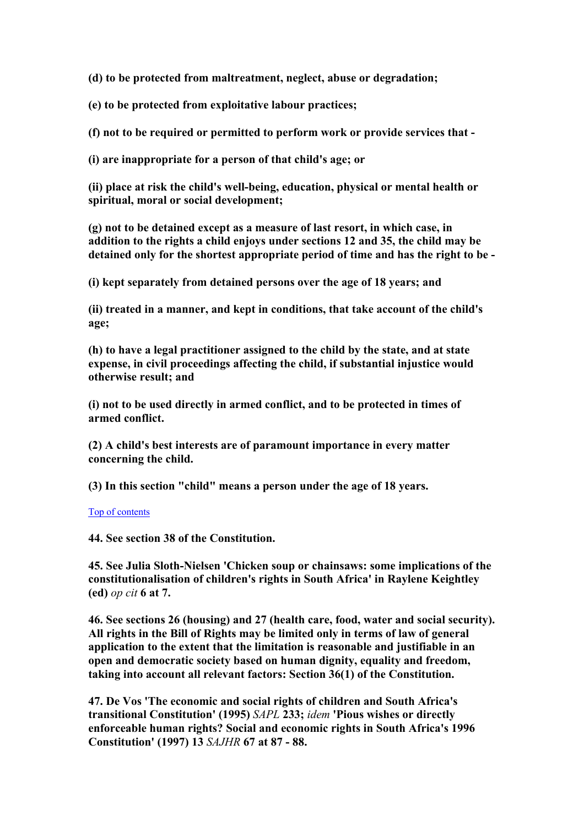**(d) to be protected from maltreatment, neglect, abuse or degradation;** 

**(e) to be protected from exploitative labour practices;** 

**(f) not to be required or permitted to perform work or provide services that -** 

**(i) are inappropriate for a person of that child's age; or** 

**(ii) place at risk the child's well-being, education, physical or mental health or spiritual, moral or social development;** 

**(g) not to be detained except as a measure of last resort, in which case, in addition to the rights a child enjoys under sections 12 and 35, the child may be detained only for the shortest appropriate period of time and has the right to be -** 

**(i) kept separately from detained persons over the age of 18 years; and** 

**(ii) treated in a manner, and kept in conditions, that take account of the child's age;** 

**(h) to have a legal practitioner assigned to the child by the state, and at state expense, in civil proceedings affecting the child, if substantial injustice would otherwise result; and** 

**(i) not to be used directly in armed conflict, and to be protected in times of armed conflict.** 

**(2) A child's best interests are of paramount importance in every matter concerning the child.** 

**(3) In this section "child" means a person under the age of 18 years.** 

### [Top of contents](#page-0-0)

**44. See section 38 of the Constitution.** 

**45. See Julia Sloth-Nielsen 'Chicken soup or chainsaws: some implications of the constitutionalisation of children's rights in South Africa' in Raylene Keightley (ed)** *op cit* **6 at 7.** 

**46. See sections 26 (housing) and 27 (health care, food, water and social security). All rights in the Bill of Rights may be limited only in terms of law of general application to the extent that the limitation is reasonable and justifiable in an open and democratic society based on human dignity, equality and freedom, taking into account all relevant factors: Section 36(1) of the Constitution.** 

**47. De Vos 'The economic and social rights of children and South Africa's transitional Constitution' (1995)** *SAPL* **233;** *idem* **'Pious wishes or directly enforceable human rights? Social and economic rights in South Africa's 1996 Constitution' (1997) 13** *SAJHR* **67 at 87 - 88.**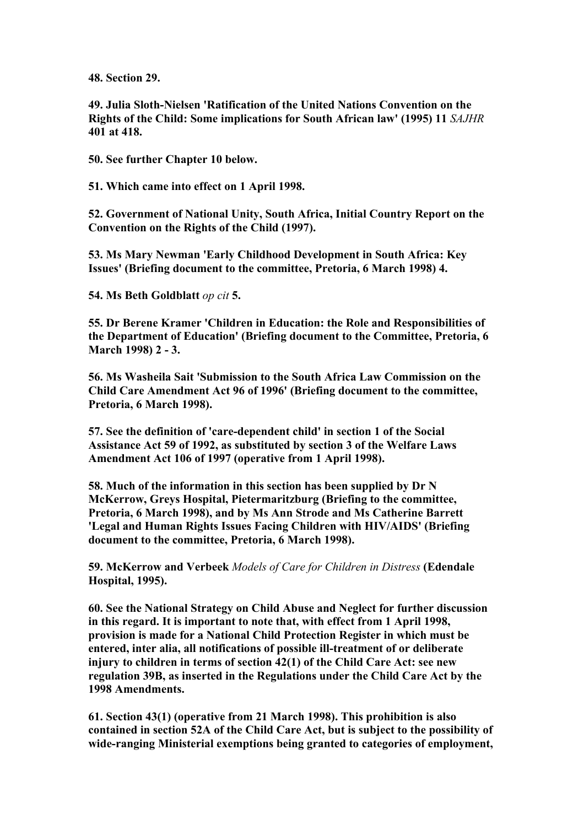**48. Section 29.** 

**49. Julia Sloth-Nielsen 'Ratification of the United Nations Convention on the Rights of the Child: Some implications for South African law' (1995) 11** *SAJHR* **401 at 418.** 

**50. See further Chapter 10 below.** 

**51. Which came into effect on 1 April 1998.** 

**52. Government of National Unity, South Africa, Initial Country Report on the Convention on the Rights of the Child (1997).** 

**53. Ms Mary Newman 'Early Childhood Development in South Africa: Key Issues' (Briefing document to the committee, Pretoria, 6 March 1998) 4.** 

**54. Ms Beth Goldblatt** *op cit* **5.** 

**55. Dr Berene Kramer 'Children in Education: the Role and Responsibilities of the Department of Education' (Briefing document to the Committee, Pretoria, 6 March 1998) 2 - 3.** 

**56. Ms Washeila Sait 'Submission to the South Africa Law Commission on the Child Care Amendment Act 96 of 1996' (Briefing document to the committee, Pretoria, 6 March 1998).** 

**57. See the definition of 'care-dependent child' in section 1 of the Social Assistance Act 59 of 1992, as substituted by section 3 of the Welfare Laws Amendment Act 106 of 1997 (operative from 1 April 1998).** 

**58. Much of the information in this section has been supplied by Dr N McKerrow, Greys Hospital, Pietermaritzburg (Briefing to the committee, Pretoria, 6 March 1998), and by Ms Ann Strode and Ms Catherine Barrett 'Legal and Human Rights Issues Facing Children with HIV/AIDS' (Briefing document to the committee, Pretoria, 6 March 1998).** 

**59. McKerrow and Verbeek** *Models of Care for Children in Distress* **(Edendale Hospital, 1995).** 

**60. See the National Strategy on Child Abuse and Neglect for further discussion in this regard. It is important to note that, with effect from 1 April 1998, provision is made for a National Child Protection Register in which must be entered, inter alia, all notifications of possible ill-treatment of or deliberate injury to children in terms of section 42(1) of the Child Care Act: see new regulation 39B, as inserted in the Regulations under the Child Care Act by the 1998 Amendments.** 

**61. Section 43(1) (operative from 21 March 1998). This prohibition is also contained in section 52A of the Child Care Act, but is subject to the possibility of wide-ranging Ministerial exemptions being granted to categories of employment,**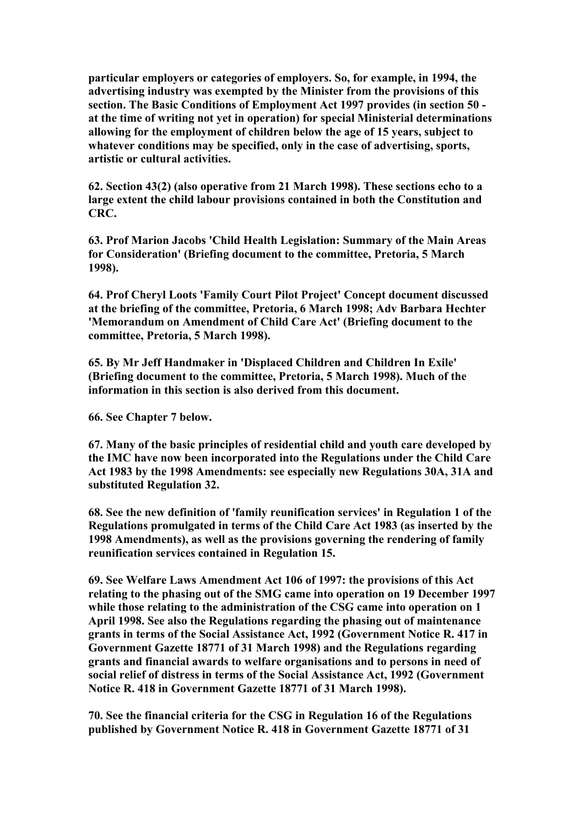**particular employers or categories of employers. So, for example, in 1994, the advertising industry was exempted by the Minister from the provisions of this section. The Basic Conditions of Employment Act 1997 provides (in section 50 at the time of writing not yet in operation) for special Ministerial determinations allowing for the employment of children below the age of 15 years, subject to whatever conditions may be specified, only in the case of advertising, sports, artistic or cultural activities.** 

**62. Section 43(2) (also operative from 21 March 1998). These sections echo to a large extent the child labour provisions contained in both the Constitution and CRC.** 

**63. Prof Marion Jacobs 'Child Health Legislation: Summary of the Main Areas for Consideration' (Briefing document to the committee, Pretoria, 5 March 1998).** 

**64. Prof Cheryl Loots 'Family Court Pilot Project' Concept document discussed at the briefing of the committee, Pretoria, 6 March 1998; Adv Barbara Hechter 'Memorandum on Amendment of Child Care Act' (Briefing document to the committee, Pretoria, 5 March 1998).** 

**65. By Mr Jeff Handmaker in 'Displaced Children and Children In Exile' (Briefing document to the committee, Pretoria, 5 March 1998). Much of the information in this section is also derived from this document.** 

**66. See Chapter 7 below.** 

**67. Many of the basic principles of residential child and youth care developed by the IMC have now been incorporated into the Regulations under the Child Care Act 1983 by the 1998 Amendments: see especially new Regulations 30A, 31A and substituted Regulation 32.** 

**68. See the new definition of 'family reunification services' in Regulation 1 of the Regulations promulgated in terms of the Child Care Act 1983 (as inserted by the 1998 Amendments), as well as the provisions governing the rendering of family reunification services contained in Regulation 15.** 

**69. See Welfare Laws Amendment Act 106 of 1997: the provisions of this Act relating to the phasing out of the SMG came into operation on 19 December 1997 while those relating to the administration of the CSG came into operation on 1 April 1998. See also the Regulations regarding the phasing out of maintenance grants in terms of the Social Assistance Act, 1992 (Government Notice R. 417 in Government Gazette 18771 of 31 March 1998) and the Regulations regarding grants and financial awards to welfare organisations and to persons in need of social relief of distress in terms of the Social Assistance Act, 1992 (Government Notice R. 418 in Government Gazette 18771 of 31 March 1998).** 

**70. See the financial criteria for the CSG in Regulation 16 of the Regulations published by Government Notice R. 418 in Government Gazette 18771 of 31**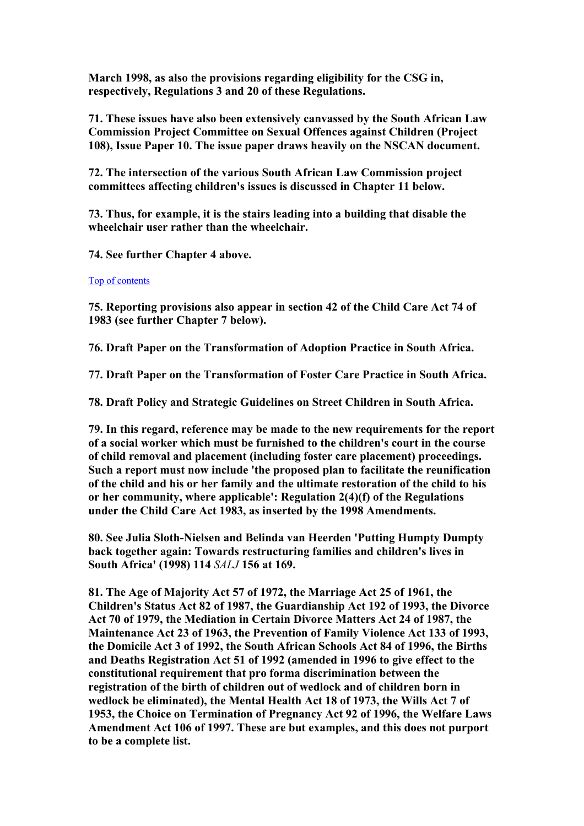**March 1998, as also the provisions regarding eligibility for the CSG in, respectively, Regulations 3 and 20 of these Regulations.** 

**71. These issues have also been extensively canvassed by the South African Law Commission Project Committee on Sexual Offences against Children (Project 108), Issue Paper 10. The issue paper draws heavily on the NSCAN document.** 

**72. The intersection of the various South African Law Commission project committees affecting children's issues is discussed in Chapter 11 below.** 

**73. Thus, for example, it is the stairs leading into a building that disable the wheelchair user rather than the wheelchair.** 

**74. See further Chapter 4 above.** 

## [Top of contents](#page-0-0)

**75. Reporting provisions also appear in section 42 of the Child Care Act 74 of 1983 (see further Chapter 7 below).** 

**76. Draft Paper on the Transformation of Adoption Practice in South Africa.** 

**77. Draft Paper on the Transformation of Foster Care Practice in South Africa.** 

**78. Draft Policy and Strategic Guidelines on Street Children in South Africa.** 

**79. In this regard, reference may be made to the new requirements for the report of a social worker which must be furnished to the children's court in the course of child removal and placement (including foster care placement) proceedings. Such a report must now include 'the proposed plan to facilitate the reunification of the child and his or her family and the ultimate restoration of the child to his or her community, where applicable': Regulation 2(4)(f) of the Regulations under the Child Care Act 1983, as inserted by the 1998 Amendments.** 

**80. See Julia Sloth-Nielsen and Belinda van Heerden 'Putting Humpty Dumpty back together again: Towards restructuring families and children's lives in South Africa' (1998) 114** *SALJ* **156 at 169.** 

**81. The Age of Majority Act 57 of 1972, the Marriage Act 25 of 1961, the Children's Status Act 82 of 1987, the Guardianship Act 192 of 1993, the Divorce Act 70 of 1979, the Mediation in Certain Divorce Matters Act 24 of 1987, the Maintenance Act 23 of 1963, the Prevention of Family Violence Act 133 of 1993, the Domicile Act 3 of 1992, the South African Schools Act 84 of 1996, the Births and Deaths Registration Act 51 of 1992 (amended in 1996 to give effect to the constitutional requirement that pro forma discrimination between the registration of the birth of children out of wedlock and of children born in wedlock be eliminated), the Mental Health Act 18 of 1973, the Wills Act 7 of 1953, the Choice on Termination of Pregnancy Act 92 of 1996, the Welfare Laws Amendment Act 106 of 1997. These are but examples, and this does not purport to be a complete list.**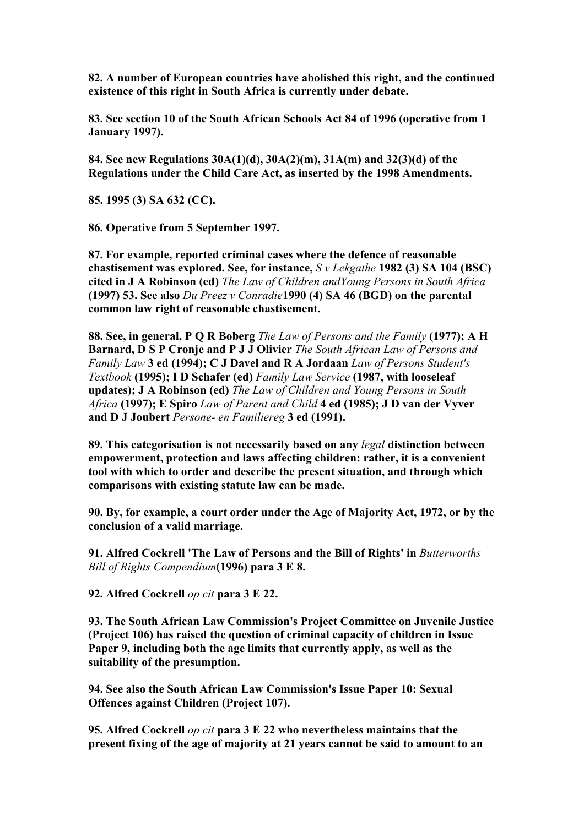**82. A number of European countries have abolished this right, and the continued existence of this right in South Africa is currently under debate.** 

**83. See section 10 of the South African Schools Act 84 of 1996 (operative from 1 January 1997).** 

**84. See new Regulations 30A(1)(d), 30A(2)(m), 31A(m) and 32(3)(d) of the Regulations under the Child Care Act, as inserted by the 1998 Amendments.** 

**85. 1995 (3) SA 632 (CC).** 

**86. Operative from 5 September 1997.** 

**87. For example, reported criminal cases where the defence of reasonable chastisement was explored. See, for instance,** *S v Lekgathe* **1982 (3) SA 104 (BSC) cited in J A Robinson (ed)** *The Law of Children andYoung Persons in South Africa* **(1997) 53. See also** *Du Preez v Conradie***1990 (4) SA 46 (BGD) on the parental common law right of reasonable chastisement.** 

**88. See, in general, P Q R Boberg** *The Law of Persons and the Family* **(1977); A H Barnard, D S P Cronje and P J J Olivier** *The South African Law of Persons and Family Law* **3 ed (1994); C J Davel and R A Jordaan** *Law of Persons Student's Textbook* **(1995); I D Schafer (ed)** *Family Law Service* **(1987, with looseleaf updates); J A Robinson (ed)** *The Law of Children and Young Persons in South Africa* **(1997); E Spiro** *Law of Parent and Child* **4 ed (1985); J D van der Vyver and D J Joubert** *Persone- en Familiereg* **3 ed (1991).** 

**89. This categorisation is not necessarily based on any** *legal* **distinction between empowerment, protection and laws affecting children: rather, it is a convenient tool with which to order and describe the present situation, and through which comparisons with existing statute law can be made.** 

**90. By, for example, a court order under the Age of Majority Act, 1972, or by the conclusion of a valid marriage.** 

**91. Alfred Cockrell 'The Law of Persons and the Bill of Rights' in** *Butterworths Bill of Rights Compendium***(1996) para 3 E 8.** 

**92. Alfred Cockrell** *op cit* **para 3 E 22.** 

**93. The South African Law Commission's Project Committee on Juvenile Justice (Project 106) has raised the question of criminal capacity of children in Issue Paper 9, including both the age limits that currently apply, as well as the suitability of the presumption.** 

**94. See also the South African Law Commission's Issue Paper 10: Sexual Offences against Children (Project 107).** 

**95. Alfred Cockrell** *op cit* **para 3 E 22 who nevertheless maintains that the present fixing of the age of majority at 21 years cannot be said to amount to an**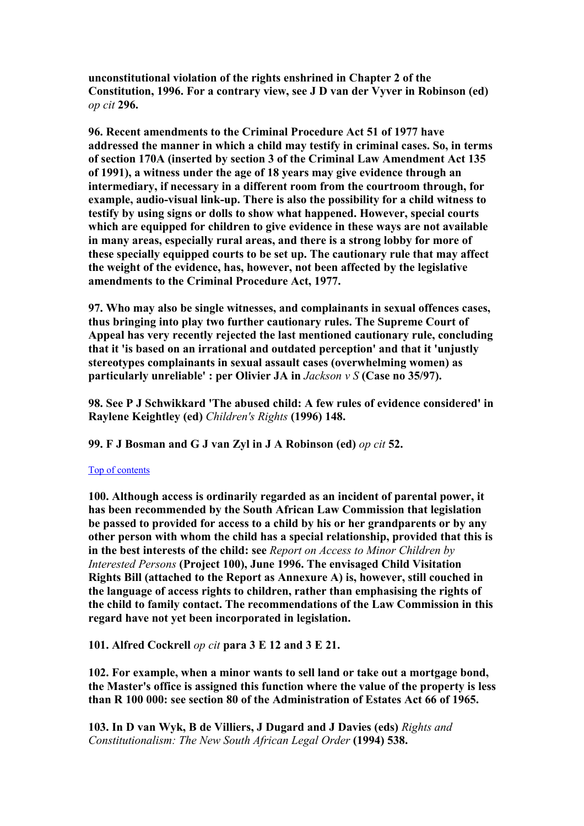**unconstitutional violation of the rights enshrined in Chapter 2 of the Constitution, 1996. For a contrary view, see J D van der Vyver in Robinson (ed)**  *op cit* **296.** 

**96. Recent amendments to the Criminal Procedure Act 51 of 1977 have addressed the manner in which a child may testify in criminal cases. So, in terms of section 170A (inserted by section 3 of the Criminal Law Amendment Act 135 of 1991), a witness under the age of 18 years may give evidence through an intermediary, if necessary in a different room from the courtroom through, for example, audio-visual link-up. There is also the possibility for a child witness to testify by using signs or dolls to show what happened. However, special courts which are equipped for children to give evidence in these ways are not available in many areas, especially rural areas, and there is a strong lobby for more of these specially equipped courts to be set up. The cautionary rule that may affect the weight of the evidence, has, however, not been affected by the legislative amendments to the Criminal Procedure Act, 1977.** 

**97. Who may also be single witnesses, and complainants in sexual offences cases, thus bringing into play two further cautionary rules. The Supreme Court of Appeal has very recently rejected the last mentioned cautionary rule, concluding that it 'is based on an irrational and outdated perception' and that it 'unjustly stereotypes complainants in sexual assault cases (overwhelming women) as particularly unreliable' : per Olivier JA in** *Jackson v S* **(Case no 35/97).** 

**98. See P J Schwikkard 'The abused child: A few rules of evidence considered' in Raylene Keightley (ed)** *Children's Rights* **(1996) 148.** 

**99. F J Bosman and G J van Zyl in J A Robinson (ed)** *op cit* **52.** 

### [Top of contents](#page-0-0)

**100. Although access is ordinarily regarded as an incident of parental power, it has been recommended by the South African Law Commission that legislation be passed to provided for access to a child by his or her grandparents or by any other person with whom the child has a special relationship, provided that this is in the best interests of the child: see** *Report on Access to Minor Children by Interested Persons* **(Project 100), June 1996. The envisaged Child Visitation Rights Bill (attached to the Report as Annexure A) is, however, still couched in the language of access rights to children, rather than emphasising the rights of the child to family contact. The recommendations of the Law Commission in this regard have not yet been incorporated in legislation.** 

**101. Alfred Cockrell** *op cit* **para 3 E 12 and 3 E 21.** 

**102. For example, when a minor wants to sell land or take out a mortgage bond, the Master's office is assigned this function where the value of the property is less than R 100 000: see section 80 of the Administration of Estates Act 66 of 1965.** 

**103. In D van Wyk, B de Villiers, J Dugard and J Davies (eds)** *Rights and Constitutionalism: The New South African Legal Order* **(1994) 538.**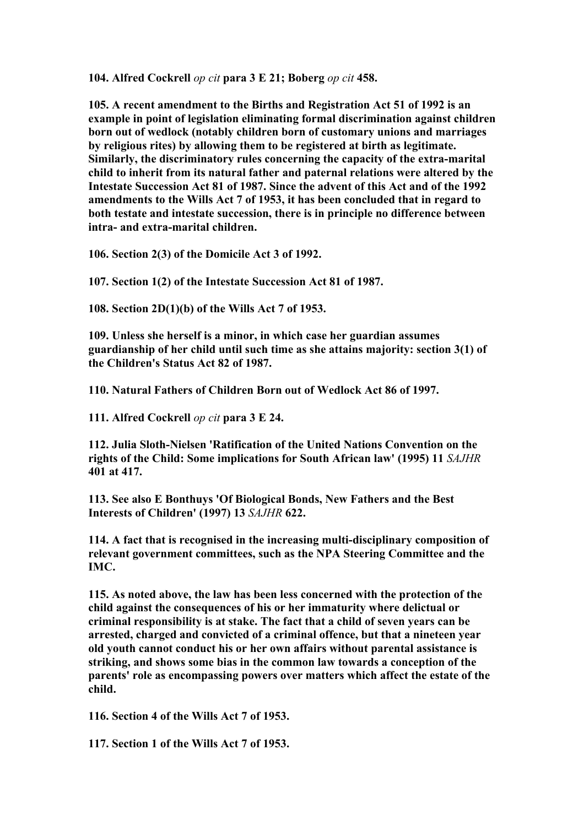**104. Alfred Cockrell** *op cit* **para 3 E 21; Boberg** *op cit* **458.** 

**105. A recent amendment to the Births and Registration Act 51 of 1992 is an example in point of legislation eliminating formal discrimination against children born out of wedlock (notably children born of customary unions and marriages by religious rites) by allowing them to be registered at birth as legitimate. Similarly, the discriminatory rules concerning the capacity of the extra-marital child to inherit from its natural father and paternal relations were altered by the Intestate Succession Act 81 of 1987. Since the advent of this Act and of the 1992 amendments to the Wills Act 7 of 1953, it has been concluded that in regard to both testate and intestate succession, there is in principle no difference between intra- and extra-marital children.** 

**106. Section 2(3) of the Domicile Act 3 of 1992.** 

**107. Section 1(2) of the Intestate Succession Act 81 of 1987.** 

**108. Section 2D(1)(b) of the Wills Act 7 of 1953.** 

**109. Unless she herself is a minor, in which case her guardian assumes guardianship of her child until such time as she attains majority: section 3(1) of the Children's Status Act 82 of 1987.** 

**110. Natural Fathers of Children Born out of Wedlock Act 86 of 1997.** 

**111. Alfred Cockrell** *op cit* **para 3 E 24.** 

**112. Julia Sloth-Nielsen 'Ratification of the United Nations Convention on the rights of the Child: Some implications for South African law' (1995) 11** *SAJHR* **401 at 417.** 

**113. See also E Bonthuys 'Of Biological Bonds, New Fathers and the Best Interests of Children' (1997) 13** *SAJHR* **622.** 

**114. A fact that is recognised in the increasing multi-disciplinary composition of relevant government committees, such as the NPA Steering Committee and the IMC.** 

**115. As noted above, the law has been less concerned with the protection of the child against the consequences of his or her immaturity where delictual or criminal responsibility is at stake. The fact that a child of seven years can be arrested, charged and convicted of a criminal offence, but that a nineteen year old youth cannot conduct his or her own affairs without parental assistance is striking, and shows some bias in the common law towards a conception of the parents' role as encompassing powers over matters which affect the estate of the child.** 

**116. Section 4 of the Wills Act 7 of 1953.** 

**117. Section 1 of the Wills Act 7 of 1953.**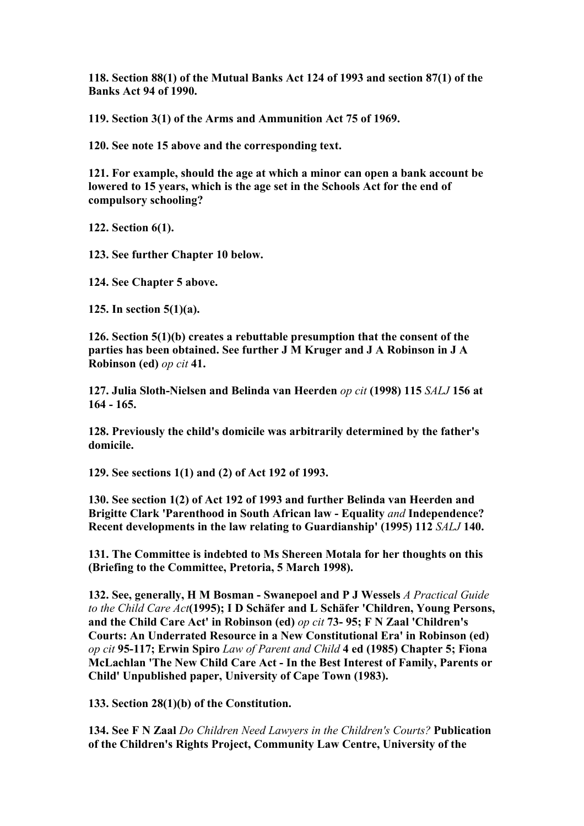**118. Section 88(1) of the Mutual Banks Act 124 of 1993 and section 87(1) of the Banks Act 94 of 1990.** 

**119. Section 3(1) of the Arms and Ammunition Act 75 of 1969.** 

**120. See note 15 above and the corresponding text.** 

**121. For example, should the age at which a minor can open a bank account be lowered to 15 years, which is the age set in the Schools Act for the end of compulsory schooling?** 

**122. Section 6(1).** 

**123. See further Chapter 10 below.** 

**124. See Chapter 5 above.** 

**125. In section 5(1)(a).** 

**126. Section 5(1)(b) creates a rebuttable presumption that the consent of the parties has been obtained. See further J M Kruger and J A Robinson in J A Robinson (ed)** *op cit* **41.** 

**127. Julia Sloth-Nielsen and Belinda van Heerden** *op cit* **(1998) 115** *SALJ* **156 at 164 - 165.** 

**128. Previously the child's domicile was arbitrarily determined by the father's domicile.** 

**129. See sections 1(1) and (2) of Act 192 of 1993.** 

**130. See section 1(2) of Act 192 of 1993 and further Belinda van Heerden and Brigitte Clark 'Parenthood in South African law - Equality** *and* **Independence? Recent developments in the law relating to Guardianship' (1995) 112** *SALJ* **140.** 

**131. The Committee is indebted to Ms Shereen Motala for her thoughts on this (Briefing to the Committee, Pretoria, 5 March 1998).** 

**132. See, generally, H M Bosman - Swanepoel and P J Wessels** *A Practical Guide to the Child Care Act***(1995); I D Schäfer and L Schäfer 'Children, Young Persons, and the Child Care Act' in Robinson (ed)** *op cit* **73- 95; F N Zaal 'Children's Courts: An Underrated Resource in a New Constitutional Era' in Robinson (ed)**  *op cit* **95-117; Erwin Spiro** *Law of Parent and Child* **4 ed (1985) Chapter 5; Fiona McLachlan 'The New Child Care Act - In the Best Interest of Family, Parents or Child' Unpublished paper, University of Cape Town (1983).** 

**133. Section 28(1)(b) of the Constitution.** 

**134. See F N Zaal** *Do Children Need Lawyers in the Children's Courts?* **Publication of the Children's Rights Project, Community Law Centre, University of the**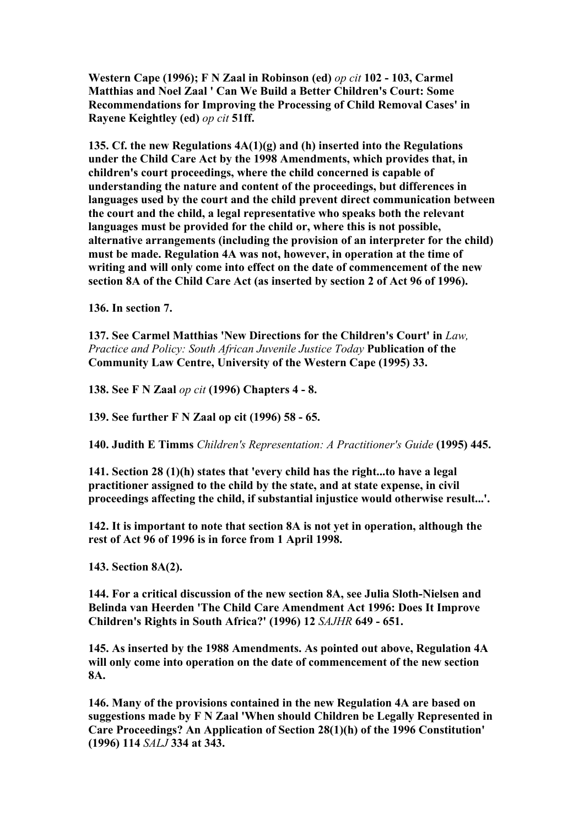**Western Cape (1996); F N Zaal in Robinson (ed)** *op cit* **102 - 103, Carmel Matthias and Noel Zaal ' Can We Build a Better Children's Court: Some Recommendations for Improving the Processing of Child Removal Cases' in Rayene Keightley (ed)** *op cit* **51ff.** 

**135. Cf. the new Regulations 4A(1)(g) and (h) inserted into the Regulations under the Child Care Act by the 1998 Amendments, which provides that, in children's court proceedings, where the child concerned is capable of understanding the nature and content of the proceedings, but differences in languages used by the court and the child prevent direct communication between the court and the child, a legal representative who speaks both the relevant languages must be provided for the child or, where this is not possible, alternative arrangements (including the provision of an interpreter for the child) must be made. Regulation 4A was not, however, in operation at the time of writing and will only come into effect on the date of commencement of the new section 8A of the Child Care Act (as inserted by section 2 of Act 96 of 1996).** 

**136. In section 7.** 

**137. See Carmel Matthias 'New Directions for the Children's Court' in** *Law, Practice and Policy: South African Juvenile Justice Today* **Publication of the Community Law Centre, University of the Western Cape (1995) 33.** 

**138. See F N Zaal** *op cit* **(1996) Chapters 4 - 8.** 

**139. See further F N Zaal op cit (1996) 58 - 65.** 

**140. Judith E Timms** *Children's Representation: A Practitioner's Guide* **(1995) 445.** 

**141. Section 28 (1)(h) states that 'every child has the right...to have a legal practitioner assigned to the child by the state, and at state expense, in civil proceedings affecting the child, if substantial injustice would otherwise result...'.** 

**142. It is important to note that section 8A is not yet in operation, although the rest of Act 96 of 1996 is in force from 1 April 1998.** 

**143. Section 8A(2).** 

**144. For a critical discussion of the new section 8A, see Julia Sloth-Nielsen and Belinda van Heerden 'The Child Care Amendment Act 1996: Does It Improve Children's Rights in South Africa?' (1996) 12** *SAJHR* **649 - 651.** 

**145. As inserted by the 1988 Amendments. As pointed out above, Regulation 4A will only come into operation on the date of commencement of the new section 8A.** 

**146. Many of the provisions contained in the new Regulation 4A are based on suggestions made by F N Zaal 'When should Children be Legally Represented in Care Proceedings? An Application of Section 28(1)(h) of the 1996 Constitution' (1996) 114** *SALJ* **334 at 343.**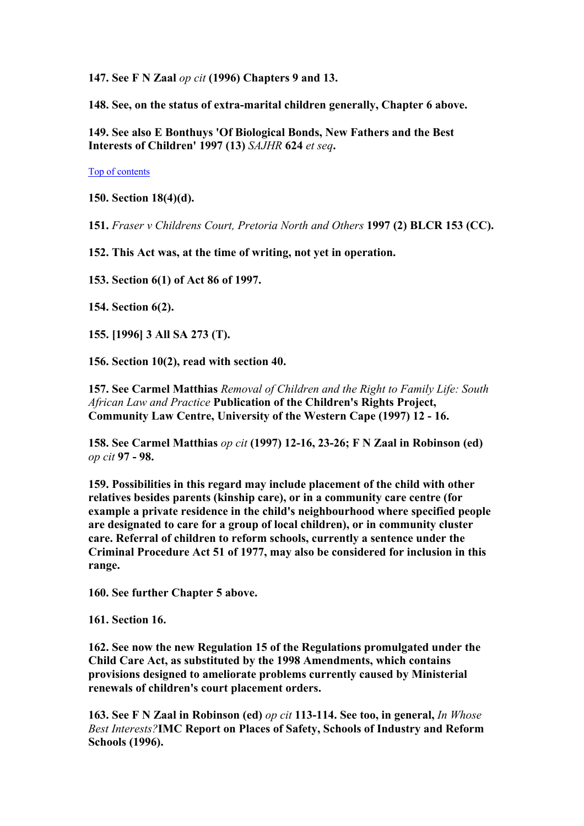**147. See F N Zaal** *op cit* **(1996) Chapters 9 and 13.** 

**148. See, on the status of extra-marital children generally, Chapter 6 above.** 

**149. See also E Bonthuys 'Of Biological Bonds, New Fathers and the Best Interests of Children' 1997 (13)** *SAJHR* **624** *et seq***.** 

[Top of contents](#page-0-0)

**150. Section 18(4)(d).** 

**151.** *Fraser v Childrens Court, Pretoria North and Others* **1997 (2) BLCR 153 (CC).** 

**152. This Act was, at the time of writing, not yet in operation.** 

**153. Section 6(1) of Act 86 of 1997.** 

**154. Section 6(2).** 

**155. [1996] 3 All SA 273 (T).** 

**156. Section 10(2), read with section 40.** 

**157. See Carmel Matthias** *Removal of Children and the Right to Family Life: South African Law and Practice* **Publication of the Children's Rights Project, Community Law Centre, University of the Western Cape (1997) 12 - 16.** 

**158. See Carmel Matthias** *op cit* **(1997) 12-16, 23-26; F N Zaal in Robinson (ed)**  *op cit* **97 - 98.** 

**159. Possibilities in this regard may include placement of the child with other relatives besides parents (kinship care), or in a community care centre (for example a private residence in the child's neighbourhood where specified people are designated to care for a group of local children), or in community cluster care. Referral of children to reform schools, currently a sentence under the Criminal Procedure Act 51 of 1977, may also be considered for inclusion in this range.** 

**160. See further Chapter 5 above.** 

**161. Section 16.** 

**162. See now the new Regulation 15 of the Regulations promulgated under the Child Care Act, as substituted by the 1998 Amendments, which contains provisions designed to ameliorate problems currently caused by Ministerial renewals of children's court placement orders.** 

**163. See F N Zaal in Robinson (ed)** *op cit* **113-114. See too, in general,** *In Whose Best Interests?***IMC Report on Places of Safety, Schools of Industry and Reform Schools (1996).**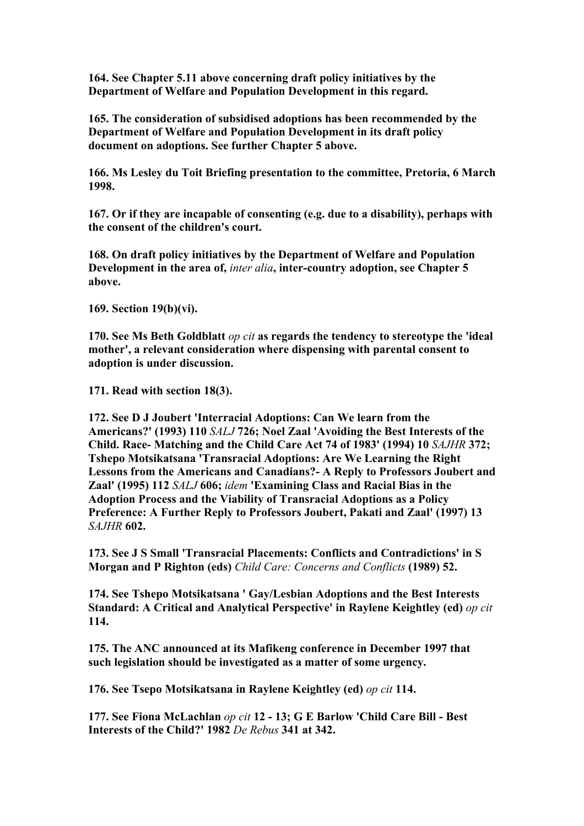**164. See Chapter 5.11 above concerning draft policy initiatives by the Department of Welfare and Population Development in this regard.** 

**165. The consideration of subsidised adoptions has been recommended by the Department of Welfare and Population Development in its draft policy document on adoptions. See further Chapter 5 above.** 

**166. Ms Lesley du Toit Briefing presentation to the committee, Pretoria, 6 March 1998.** 

**167. Or if they are incapable of consenting (e.g. due to a disability), perhaps with the consent of the children's court.** 

**168. On draft policy initiatives by the Department of Welfare and Population Development in the area of,** *inter alia***, inter-country adoption, see Chapter 5 above.** 

**169. Section 19(b)(vi).** 

**170. See Ms Beth Goldblatt** *op cit* **as regards the tendency to stereotype the 'ideal mother', a relevant consideration where dispensing with parental consent to adoption is under discussion.** 

**171. Read with section 18(3).** 

**172. See D J Joubert 'Interracial Adoptions: Can We learn from the Americans?' (1993) 110** *SALJ* **726; Noel Zaal 'Avoiding the Best Interests of the Child. Race- Matching and the Child Care Act 74 of 1983' (1994) 10** *SAJHR* **372; Tshepo Motsikatsana 'Transracial Adoptions: Are We Learning the Right Lessons from the Americans and Canadians?- A Reply to Professors Joubert and Zaal' (1995) 112** *SALJ* **606;** *idem* **'Examining Class and Racial Bias in the Adoption Process and the Viability of Transracial Adoptions as a Policy Preference: A Further Reply to Professors Joubert, Pakati and Zaal' (1997) 13**  *SAJHR* **602.** 

**173. See J S Small 'Transracial Placements: Conflicts and Contradictions' in S Morgan and P Righton (eds)** *Child Care: Concerns and Conflicts* **(1989) 52.** 

**174. See Tshepo Motsikatsana ' Gay/Lesbian Adoptions and the Best Interests Standard: A Critical and Analytical Perspective' in Raylene Keightley (ed)** *op cit*  **114.** 

**175. The ANC announced at its Mafikeng conference in December 1997 that such legislation should be investigated as a matter of some urgency.** 

**176. See Tsepo Motsikatsana in Raylene Keightley (ed)** *op cit* **114.** 

**177. See Fiona McLachlan** *op cit* **12 - 13; G E Barlow 'Child Care Bill - Best Interests of the Child?' 1982** *De Rebus* **341 at 342.**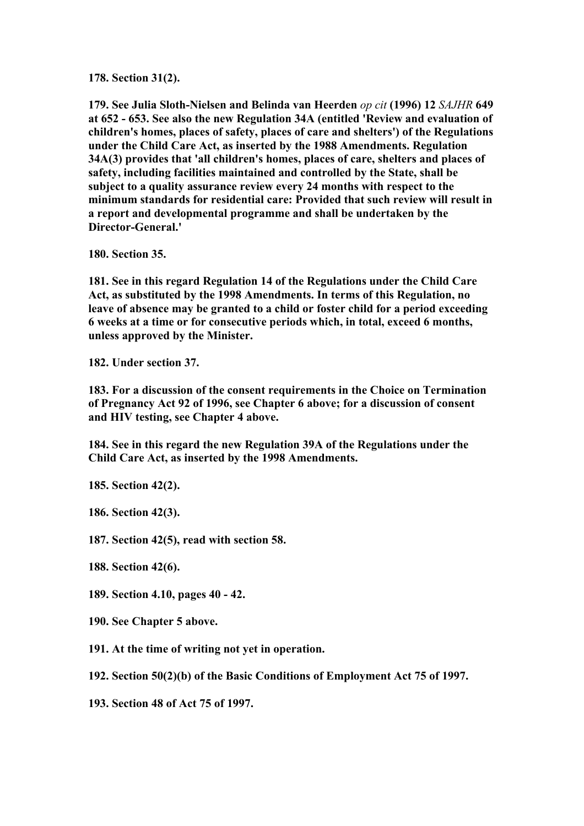**178. Section 31(2).** 

**179. See Julia Sloth-Nielsen and Belinda van Heerden** *op cit* **(1996) 12** *SAJHR* **649 at 652 - 653. See also the new Regulation 34A (entitled 'Review and evaluation of children's homes, places of safety, places of care and shelters') of the Regulations under the Child Care Act, as inserted by the 1988 Amendments. Regulation 34A(3) provides that 'all children's homes, places of care, shelters and places of safety, including facilities maintained and controlled by the State, shall be subject to a quality assurance review every 24 months with respect to the minimum standards for residential care: Provided that such review will result in a report and developmental programme and shall be undertaken by the Director-General.'** 

**180. Section 35.** 

**181. See in this regard Regulation 14 of the Regulations under the Child Care Act, as substituted by the 1998 Amendments. In terms of this Regulation, no leave of absence may be granted to a child or foster child for a period exceeding 6 weeks at a time or for consecutive periods which, in total, exceed 6 months, unless approved by the Minister.** 

**182. Under section 37.** 

**183. For a discussion of the consent requirements in the Choice on Termination of Pregnancy Act 92 of 1996, see Chapter 6 above; for a discussion of consent and HIV testing, see Chapter 4 above.** 

**184. See in this regard the new Regulation 39A of the Regulations under the Child Care Act, as inserted by the 1998 Amendments.** 

**185. Section 42(2).** 

**186. Section 42(3).** 

**187. Section 42(5), read with section 58.** 

**188. Section 42(6).** 

**189. Section 4.10, pages 40 - 42.** 

- **190. See Chapter 5 above.**
- **191. At the time of writing not yet in operation.**

**192. Section 50(2)(b) of the Basic Conditions of Employment Act 75 of 1997.** 

**193. Section 48 of Act 75 of 1997.**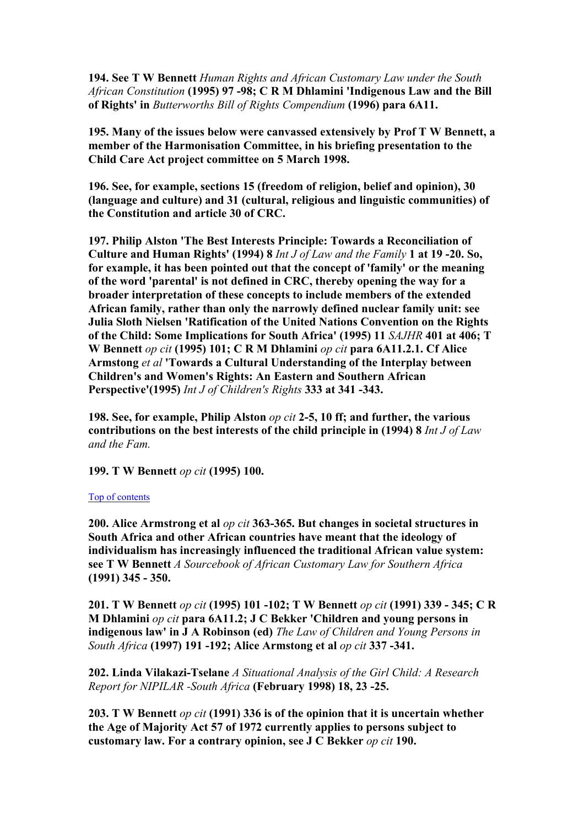**194. See T W Bennett** *Human Rights and African Customary Law under the South African Constitution* **(1995) 97 -98; C R M Dhlamini 'Indigenous Law and the Bill of Rights' in** *Butterworths Bill of Rights Compendium* **(1996) para 6A11.** 

**195. Many of the issues below were canvassed extensively by Prof T W Bennett, a member of the Harmonisation Committee, in his briefing presentation to the Child Care Act project committee on 5 March 1998.** 

**196. See, for example, sections 15 (freedom of religion, belief and opinion), 30 (language and culture) and 31 (cultural, religious and linguistic communities) of the Constitution and article 30 of CRC.** 

**197. Philip Alston 'The Best Interests Principle: Towards a Reconciliation of Culture and Human Rights' (1994) 8** *Int J of Law and the Family* **1 at 19 -20. So, for example, it has been pointed out that the concept of 'family' or the meaning of the word 'parental' is not defined in CRC, thereby opening the way for a broader interpretation of these concepts to include members of the extended African family, rather than only the narrowly defined nuclear family unit: see Julia Sloth Nielsen 'Ratification of the United Nations Convention on the Rights of the Child: Some Implications for South Africa' (1995) 11** *SAJHR* **401 at 406; T W Bennett** *op cit* **(1995) 101; C R M Dhlamini** *op cit* **para 6A11.2.1. Cf Alice Armstong** *et al* **'Towards a Cultural Understanding of the Interplay between Children's and Women's Rights: An Eastern and Southern African Perspective'(1995)** *Int J of Children's Rights* **333 at 341 -343.** 

**198. See, for example, Philip Alston** *op cit* **2-5, 10 ff; and further, the various contributions on the best interests of the child principle in (1994) 8** *Int J of Law and the Fam.*

**199. T W Bennett** *op cit* **(1995) 100.** 

### [Top of contents](#page-0-0)

**200. Alice Armstrong et al** *op cit* **363-365. But changes in societal structures in South Africa and other African countries have meant that the ideology of individualism has increasingly influenced the traditional African value system: see T W Bennett** *A Sourcebook of African Customary Law for Southern Africa*  **(1991) 345 - 350.** 

**201. T W Bennett** *op cit* **(1995) 101 -102; T W Bennett** *op cit* **(1991) 339 - 345; C R M Dhlamini** *op cit* **para 6A11.2; J C Bekker 'Children and young persons in indigenous law' in J A Robinson (ed)** *The Law of Children and Young Persons in South Africa* **(1997) 191 -192; Alice Armstong et al** *op cit* **337 -341.** 

**202. Linda Vilakazi-Tselane** *A Situational Analysis of the Girl Child: A Research Report for NIPILAR -South Africa* **(February 1998) 18, 23 -25.** 

**203. T W Bennett** *op cit* **(1991) 336 is of the opinion that it is uncertain whether the Age of Majority Act 57 of 1972 currently applies to persons subject to customary law. For a contrary opinion, see J C Bekker** *op cit* **190.**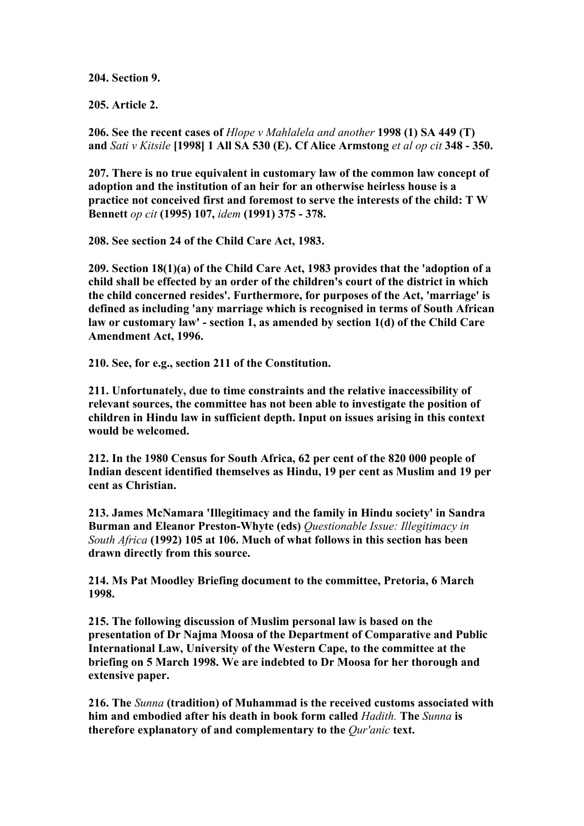**204. Section 9.** 

**205. Article 2.** 

**206. See the recent cases of** *Hlope v Mahlalela and another* **1998 (1) SA 449 (T) and** *Sati v Kitsile* **[1998] 1 All SA 530 (E). Cf Alice Armstong** *et al op cit* **348 - 350.** 

**207. There is no true equivalent in customary law of the common law concept of adoption and the institution of an heir for an otherwise heirless house is a practice not conceived first and foremost to serve the interests of the child: T W Bennett** *op cit* **(1995) 107,** *idem* **(1991) 375 - 378.** 

**208. See section 24 of the Child Care Act, 1983.** 

**209. Section 18(1)(a) of the Child Care Act, 1983 provides that the 'adoption of a child shall be effected by an order of the children's court of the district in which the child concerned resides'. Furthermore, for purposes of the Act, 'marriage' is defined as including 'any marriage which is recognised in terms of South African law or customary law' - section 1, as amended by section 1(d) of the Child Care Amendment Act, 1996.** 

**210. See, for e.g., section 211 of the Constitution.** 

**211. Unfortunately, due to time constraints and the relative inaccessibility of relevant sources, the committee has not been able to investigate the position of children in Hindu law in sufficient depth. Input on issues arising in this context would be welcomed.** 

**212. In the 1980 Census for South Africa, 62 per cent of the 820 000 people of Indian descent identified themselves as Hindu, 19 per cent as Muslim and 19 per cent as Christian.** 

**213. James McNamara 'Illegitimacy and the family in Hindu society' in Sandra Burman and Eleanor Preston-Whyte (eds)** *Questionable Issue: Illegitimacy in South Africa* **(1992) 105 at 106. Much of what follows in this section has been drawn directly from this source.** 

**214. Ms Pat Moodley Briefing document to the committee, Pretoria, 6 March 1998.** 

**215. The following discussion of Muslim personal law is based on the presentation of Dr Najma Moosa of the Department of Comparative and Public International Law, University of the Western Cape, to the committee at the briefing on 5 March 1998. We are indebted to Dr Moosa for her thorough and extensive paper.** 

**216. The** *Sunna* **(tradition) of Muhammad is the received customs associated with him and embodied after his death in book form called** *Hadith.* **The** *Sunna* **is therefore explanatory of and complementary to the** *Qur'anic* **text.**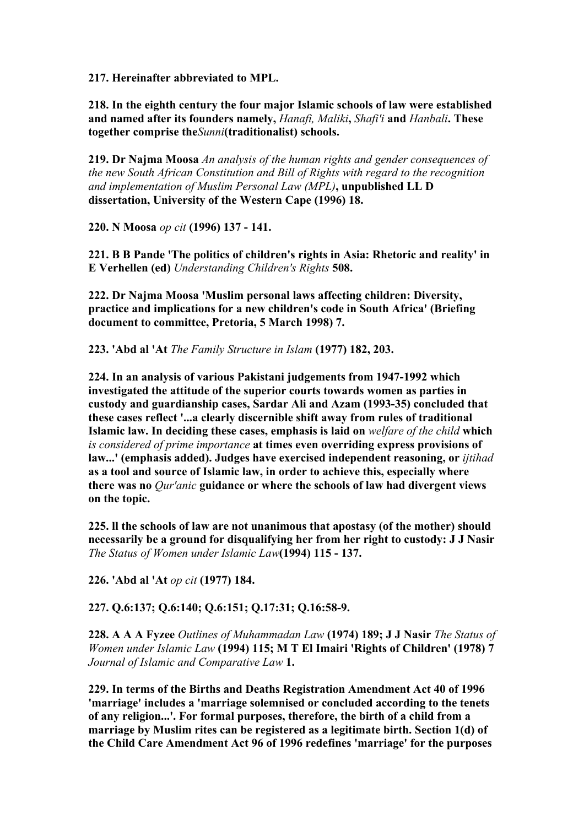**217. Hereinafter abbreviated to MPL.** 

**218. In the eighth century the four major Islamic schools of law were established and named after its founders namely,** *Hanafi, Maliki***,** *Shafi'i* **and** *Hanbali***. These together comprise the***Sunni***(traditionalist) schools.** 

**219. Dr Najma Moosa** *An analysis of the human rights and gender consequences of the new South African Constitution and Bill of Rights with regard to the recognition and implementation of Muslim Personal Law (MPL)***, unpublished LL D dissertation, University of the Western Cape (1996) 18.** 

**220. N Moosa** *op cit* **(1996) 137 - 141.** 

**221. B B Pande 'The politics of children's rights in Asia: Rhetoric and reality' in E Verhellen (ed)** *Understanding Children's Rights* **508.** 

**222. Dr Najma Moosa 'Muslim personal laws affecting children: Diversity, practice and implications for a new children's code in South Africa' (Briefing document to committee, Pretoria, 5 March 1998) 7.** 

**223. 'Abd al 'At** *The Family Structure in Islam* **(1977) 182, 203.** 

**224. In an analysis of various Pakistani judgements from 1947-1992 which investigated the attitude of the superior courts towards women as parties in custody and guardianship cases, Sardar Ali and Azam (1993-35) concluded that these cases reflect '...a clearly discernible shift away from rules of traditional Islamic law. In deciding these cases, emphasis is laid on** *welfare of the child* **which** *is considered of prime importance* **at times even overriding express provisions of law...' (emphasis added). Judges have exercised independent reasoning, or** *ijtihad* **as a tool and source of Islamic law, in order to achieve this, especially where there was no** *Qur'anic* **guidance or where the schools of law had divergent views on the topic.** 

**225. ll the schools of law are not unanimous that apostasy (of the mother) should necessarily be a ground for disqualifying her from her right to custody: J J Nasir**  *The Status of Women under Islamic Law***(1994) 115 - 137.** 

**226. 'Abd al 'At** *op cit* **(1977) 184.** 

**227. Q.6:137; Q.6:140; Q.6:151; Q.17:31; Q.16:58-9.** 

**228. A A A Fyzee** *Outlines of Muhammadan Law* **(1974) 189; J J Nasir** *The Status of Women under Islamic Law* **(1994) 115; M T El Imairi 'Rights of Children' (1978) 7**  *Journal of Islamic and Comparative Law* **1.** 

**229. In terms of the Births and Deaths Registration Amendment Act 40 of 1996 'marriage' includes a 'marriage solemnised or concluded according to the tenets of any religion...'. For formal purposes, therefore, the birth of a child from a marriage by Muslim rites can be registered as a legitimate birth. Section 1(d) of the Child Care Amendment Act 96 of 1996 redefines 'marriage' for the purposes**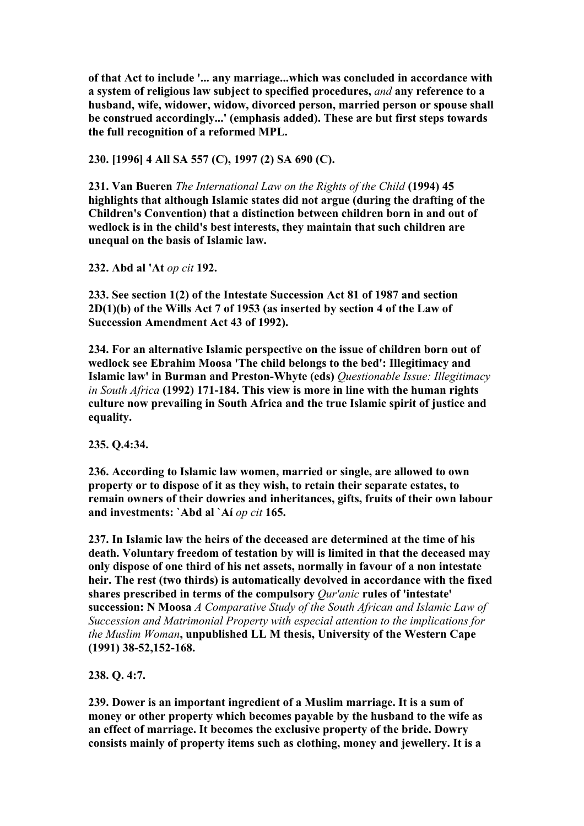**of that Act to include '... any marriage...which was concluded in accordance with a system of religious law subject to specified procedures,** *and* **any reference to a husband, wife, widower, widow, divorced person, married person or spouse shall be construed accordingly...' (emphasis added). These are but first steps towards the full recognition of a reformed MPL.** 

**230. [1996] 4 All SA 557 (C), 1997 (2) SA 690 (C).** 

**231. Van Bueren** *The International Law on the Rights of the Child* **(1994) 45 highlights that although Islamic states did not argue (during the drafting of the Children's Convention) that a distinction between children born in and out of wedlock is in the child's best interests, they maintain that such children are unequal on the basis of Islamic law.** 

**232. Abd al 'At** *op cit* **192.** 

**233. See section 1(2) of the Intestate Succession Act 81 of 1987 and section 2D(1)(b) of the Wills Act 7 of 1953 (as inserted by section 4 of the Law of Succession Amendment Act 43 of 1992).** 

**234. For an alternative Islamic perspective on the issue of children born out of wedlock see Ebrahim Moosa 'The child belongs to the bed': Illegitimacy and Islamic law' in Burman and Preston-Whyte (eds)** *Questionable Issue: Illegitimacy in South Africa* **(1992) 171-184. This view is more in line with the human rights culture now prevailing in South Africa and the true Islamic spirit of justice and equality.** 

**235. Q.4:34.** 

**236. According to Islamic law women, married or single, are allowed to own property or to dispose of it as they wish, to retain their separate estates, to remain owners of their dowries and inheritances, gifts, fruits of their own labour and investments: `Abd al `Aí** *op cit* **165.** 

**237. In Islamic law the heirs of the deceased are determined at the time of his death. Voluntary freedom of testation by will is limited in that the deceased may only dispose of one third of his net assets, normally in favour of a non intestate heir. The rest (two thirds) is automatically devolved in accordance with the fixed shares prescribed in terms of the compulsory** *Qur'anic* **rules of 'intestate' succession: N Moosa** *A Comparative Study of the South African and Islamic Law of Succession and Matrimonial Property with especial attention to the implications for the Muslim Woman***, unpublished LL M thesis, University of the Western Cape (1991) 38-52,152-168.** 

**238. Q. 4:7.** 

**239. Dower is an important ingredient of a Muslim marriage. It is a sum of money or other property which becomes payable by the husband to the wife as an effect of marriage. It becomes the exclusive property of the bride. Dowry consists mainly of property items such as clothing, money and jewellery. It is a**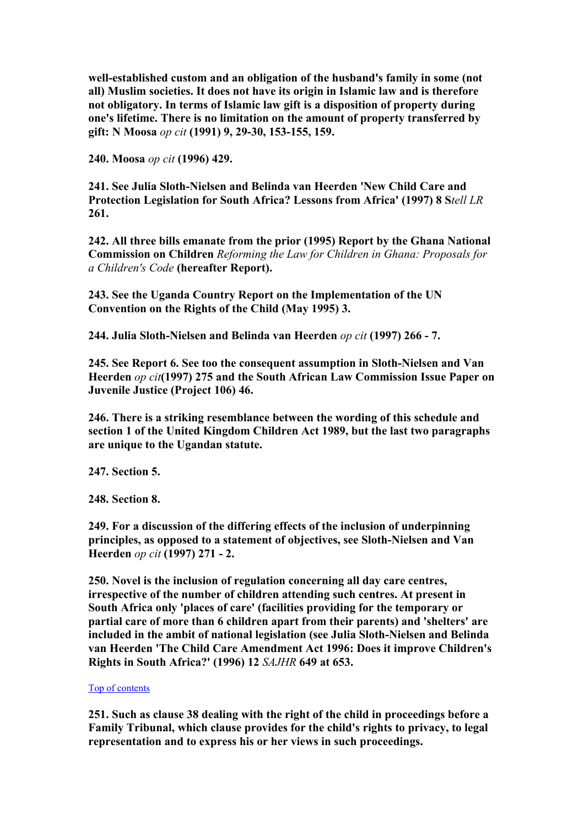**well-established custom and an obligation of the husband's family in some (not all) Muslim societies. It does not have its origin in Islamic law and is therefore not obligatory. In terms of Islamic law gift is a disposition of property during one's lifetime. There is no limitation on the amount of property transferred by gift: N Moosa** *op cit* **(1991) 9, 29-30, 153-155, 159.** 

**240. Moosa** *op cit* **(1996) 429.** 

**241. See Julia Sloth-Nielsen and Belinda van Heerden 'New Child Care and Protection Legislation for South Africa? Lessons from Africa' (1997) 8 S***tell LR*  **261.** 

**242. All three bills emanate from the prior (1995) Report by the Ghana National Commission on Children** *Reforming the Law for Children in Ghana: Proposals for a Children's Code* **(hereafter Report).** 

**243. See the Uganda Country Report on the Implementation of the UN Convention on the Rights of the Child (May 1995) 3.** 

**244. Julia Sloth-Nielsen and Belinda van Heerden** *op cit* **(1997) 266 - 7.** 

**245. See Report 6. See too the consequent assumption in Sloth-Nielsen and Van Heerden** *op cit***(1997) 275 and the South African Law Commission Issue Paper on Juvenile Justice (Project 106) 46.** 

**246. There is a striking resemblance between the wording of this schedule and section 1 of the United Kingdom Children Act 1989, but the last two paragraphs are unique to the Ugandan statute.** 

**247. Section 5.** 

**248. Section 8.** 

**249. For a discussion of the differing effects of the inclusion of underpinning principles, as opposed to a statement of objectives, see Sloth-Nielsen and Van Heerden** *op cit* **(1997) 271 - 2.** 

**250. Novel is the inclusion of regulation concerning all day care centres, irrespective of the number of children attending such centres. At present in South Africa only 'places of care' (facilities providing for the temporary or partial care of more than 6 children apart from their parents) and 'shelters' are included in the ambit of national legislation (see Julia Sloth-Nielsen and Belinda van Heerden 'The Child Care Amendment Act 1996: Does it improve Children's Rights in South Africa?' (1996) 12** *SAJHR* **649 at 653.** 

### [Top of contents](#page-0-0)

**251. Such as clause 38 dealing with the right of the child in proceedings before a Family Tribunal, which clause provides for the child's rights to privacy, to legal representation and to express his or her views in such proceedings.**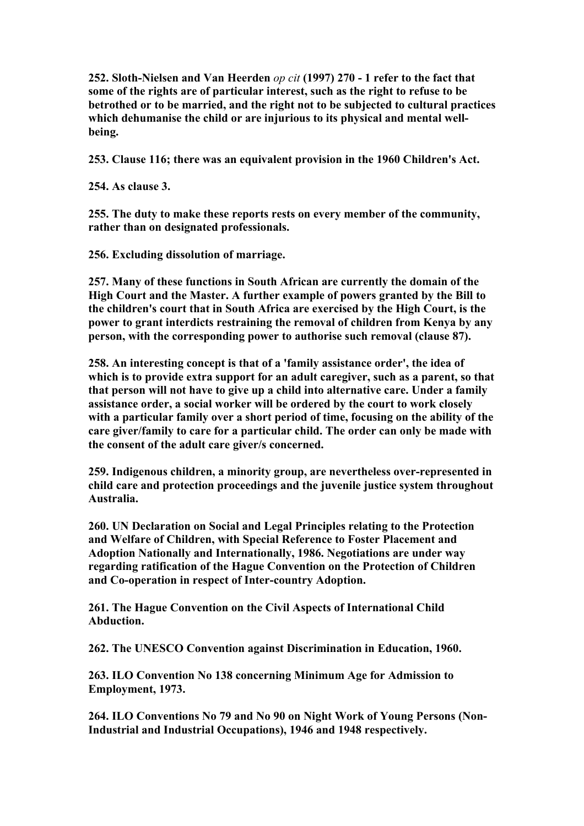**252. Sloth-Nielsen and Van Heerden** *op cit* **(1997) 270 - 1 refer to the fact that some of the rights are of particular interest, such as the right to refuse to be betrothed or to be married, and the right not to be subjected to cultural practices which dehumanise the child or are injurious to its physical and mental wellbeing.** 

**253. Clause 116; there was an equivalent provision in the 1960 Children's Act.** 

**254. As clause 3.** 

**255. The duty to make these reports rests on every member of the community, rather than on designated professionals.** 

**256. Excluding dissolution of marriage.** 

**257. Many of these functions in South African are currently the domain of the High Court and the Master. A further example of powers granted by the Bill to the children's court that in South Africa are exercised by the High Court, is the power to grant interdicts restraining the removal of children from Kenya by any person, with the corresponding power to authorise such removal (clause 87).** 

**258. An interesting concept is that of a 'family assistance order', the idea of which is to provide extra support for an adult caregiver, such as a parent, so that that person will not have to give up a child into alternative care. Under a family assistance order, a social worker will be ordered by the court to work closely with a particular family over a short period of time, focusing on the ability of the care giver/family to care for a particular child. The order can only be made with the consent of the adult care giver/s concerned.** 

**259. Indigenous children, a minority group, are nevertheless over-represented in child care and protection proceedings and the juvenile justice system throughout Australia.** 

**260. UN Declaration on Social and Legal Principles relating to the Protection and Welfare of Children, with Special Reference to Foster Placement and Adoption Nationally and Internationally, 1986. Negotiations are under way regarding ratification of the Hague Convention on the Protection of Children and Co-operation in respect of Inter-country Adoption.** 

**261. The Hague Convention on the Civil Aspects of International Child Abduction.** 

**262. The UNESCO Convention against Discrimination in Education, 1960.** 

**263. ILO Convention No 138 concerning Minimum Age for Admission to Employment, 1973.** 

**264. ILO Conventions No 79 and No 90 on Night Work of Young Persons (Non-Industrial and Industrial Occupations), 1946 and 1948 respectively.**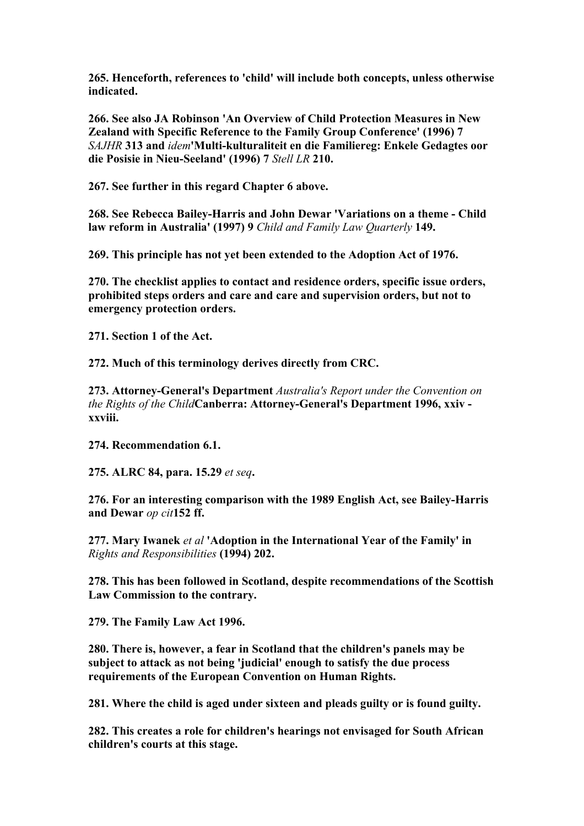**265. Henceforth, references to 'child' will include both concepts, unless otherwise indicated.** 

**266. See also JA Robinson 'An Overview of Child Protection Measures in New Zealand with Specific Reference to the Family Group Conference' (1996) 7**  *SAJHR* **313 and** *idem***'Multi-kulturaliteit en die Familiereg: Enkele Gedagtes oor die Posisie in Nieu-Seeland' (1996) 7** *Stell LR* **210.** 

**267. See further in this regard Chapter 6 above.** 

**268. See Rebecca Bailey-Harris and John Dewar 'Variations on a theme - Child law reform in Australia' (1997) 9** *Child and Family Law Quarterly* **149.** 

**269. This principle has not yet been extended to the Adoption Act of 1976.** 

**270. The checklist applies to contact and residence orders, specific issue orders, prohibited steps orders and care and care and supervision orders, but not to emergency protection orders.** 

**271. Section 1 of the Act.** 

**272. Much of this terminology derives directly from CRC.** 

**273. Attorney-General's Department** *Australia's Report under the Convention on the Rights of the Child***Canberra: Attorney-General's Department 1996, xxiv xxviii.** 

**274. Recommendation 6.1.** 

**275. ALRC 84, para. 15.29** *et seq***.** 

**276. For an interesting comparison with the 1989 English Act, see Bailey-Harris and Dewar** *op cit***152 ff.** 

**277. Mary Iwanek** *et al* **'Adoption in the International Year of the Family' in**  *Rights and Responsibilities* **(1994) 202.** 

**278. This has been followed in Scotland, despite recommendations of the Scottish Law Commission to the contrary.** 

**279. The Family Law Act 1996.** 

**280. There is, however, a fear in Scotland that the children's panels may be subject to attack as not being 'judicial' enough to satisfy the due process requirements of the European Convention on Human Rights.** 

**281. Where the child is aged under sixteen and pleads guilty or is found guilty.** 

**282. This creates a role for children's hearings not envisaged for South African children's courts at this stage.**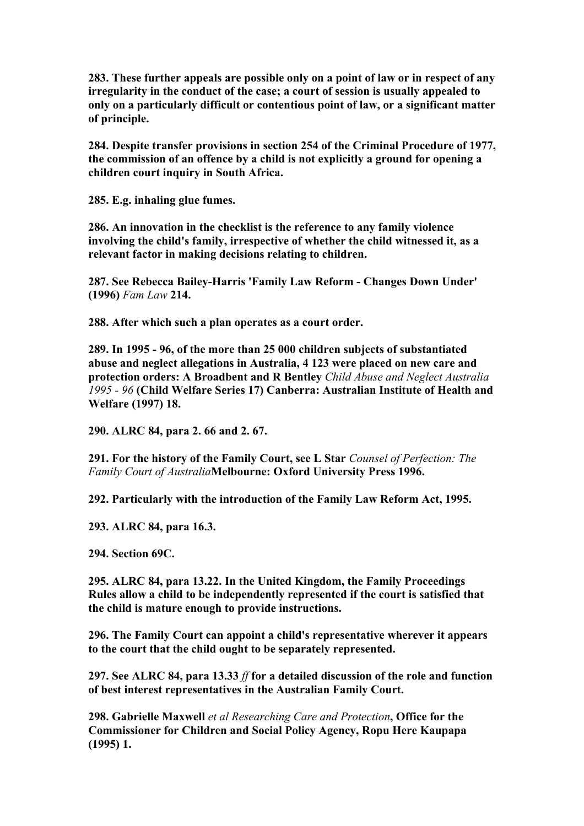**283. These further appeals are possible only on a point of law or in respect of any irregularity in the conduct of the case; a court of session is usually appealed to only on a particularly difficult or contentious point of law, or a significant matter of principle.** 

**284. Despite transfer provisions in section 254 of the Criminal Procedure of 1977, the commission of an offence by a child is not explicitly a ground for opening a children court inquiry in South Africa.** 

**285. E.g. inhaling glue fumes.** 

**286. An innovation in the checklist is the reference to any family violence involving the child's family, irrespective of whether the child witnessed it, as a relevant factor in making decisions relating to children.** 

**287. See Rebecca Bailey-Harris 'Family Law Reform - Changes Down Under' (1996)** *Fam Law* **214.** 

**288. After which such a plan operates as a court order.** 

**289. In 1995 - 96, of the more than 25 000 children subjects of substantiated abuse and neglect allegations in Australia, 4 123 were placed on new care and protection orders: A Broadbent and R Bentley** *Child Abuse and Neglect Australia 1995 - 96* **(Child Welfare Series 17) Canberra: Australian Institute of Health and Welfare (1997) 18.** 

**290. ALRC 84, para 2. 66 and 2. 67.** 

**291. For the history of the Family Court, see L Star** *Counsel of Perfection: The Family Court of Australia***Melbourne: Oxford University Press 1996.** 

**292. Particularly with the introduction of the Family Law Reform Act, 1995.** 

**293. ALRC 84, para 16.3.** 

**294. Section 69C.** 

**295. ALRC 84, para 13.22. In the United Kingdom, the Family Proceedings Rules allow a child to be independently represented if the court is satisfied that the child is mature enough to provide instructions.** 

**296. The Family Court can appoint a child's representative wherever it appears to the court that the child ought to be separately represented.** 

**297. See ALRC 84, para 13.33** *ff* **for a detailed discussion of the role and function of best interest representatives in the Australian Family Court.** 

**298. Gabrielle Maxwell** *et al Researching Care and Protection***, Office for the Commissioner for Children and Social Policy Agency, Ropu Here Kaupapa (1995) 1.**